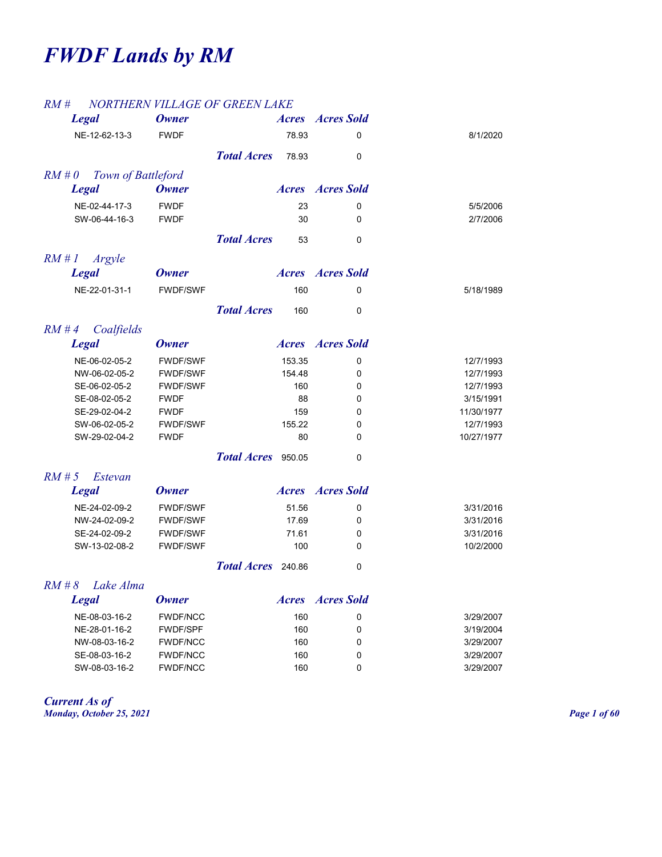# *FWDF Lands by RM*

## *RM # NORTHERN VILLAGE OF GREEN LAKE*

| $1 \times 10^{11}$ tt           |                 | NORTHERN VILLAGE OF GREEN LAKE |              |                         |            |
|---------------------------------|-----------------|--------------------------------|--------------|-------------------------|------------|
| <b>Legal</b>                    | <b>Owner</b>    |                                |              | <b>Acres Acres</b> Sold |            |
| NE-12-62-13-3                   | <b>FWDF</b>     |                                | 78.93        | 0                       | 8/1/2020   |
|                                 |                 | <b>Total Acres</b>             | 78.93        | 0                       |            |
| $RM \# O$<br>Town of Battleford |                 |                                |              |                         |            |
| <b>Legal</b>                    | <b>Owner</b>    |                                |              | <b>Acres Acres</b> Sold |            |
| NE-02-44-17-3                   | <b>FWDF</b>     |                                | 23           | 0                       | 5/5/2006   |
| SW-06-44-16-3                   | <b>FWDF</b>     |                                | 30           | 0                       | 2/7/2006   |
|                                 |                 | <b>Total Acres</b>             | 53           | 0                       |            |
| RM#1<br>Argyle                  |                 |                                |              |                         |            |
| <b>Legal</b>                    | <b>Owner</b>    |                                |              | <b>Acres Acres</b> Sold |            |
| NE-22-01-31-1                   | <b>FWDF/SWF</b> |                                | 160          | 0                       | 5/18/1989  |
|                                 |                 | <b>Total Acres</b>             | 160          | 0                       |            |
| $RM \# 4$<br>Coalfields         |                 |                                |              |                         |            |
| <b>Legal</b>                    | <b>Owner</b>    |                                |              | <b>Acres Acres</b> Sold |            |
| NE-06-02-05-2                   | <b>FWDF/SWF</b> |                                | 153.35       | 0                       | 12/7/1993  |
| NW-06-02-05-2                   | <b>FWDF/SWF</b> |                                | 154.48       | 0                       | 12/7/1993  |
| SE-06-02-05-2                   | <b>FWDF/SWF</b> |                                | 160          | 0                       | 12/7/1993  |
| SE-08-02-05-2                   | <b>FWDF</b>     |                                | 88           | 0                       | 3/15/1991  |
| SE-29-02-04-2                   | <b>FWDF</b>     |                                | 159          | 0                       | 11/30/1977 |
| SW-06-02-05-2                   | <b>FWDF/SWF</b> |                                | 155.22       | 0                       | 12/7/1993  |
| SW-29-02-04-2                   | <b>FWDF</b>     |                                | 80           | 0                       | 10/27/1977 |
|                                 |                 | Total Acres 950.05             |              | 0                       |            |
| $RM \sharp 5$<br>Estevan        |                 |                                |              |                         |            |
| <b>Legal</b>                    | <b>Owner</b>    |                                |              | <b>Acres Acres</b> Sold |            |
| NE-24-02-09-2                   | <b>FWDF/SWF</b> |                                | 51.56        | 0                       | 3/31/2016  |
| NW-24-02-09-2                   | <b>FWDF/SWF</b> |                                | 17.69        | 0                       | 3/31/2016  |
| SE-24-02-09-2                   | <b>FWDF/SWF</b> |                                | 71.61        | 0                       | 3/31/2016  |
| SW-13-02-08-2                   | <b>FWDF/SWF</b> |                                | 100          | 0                       | 10/2/2000  |
|                                 |                 | Total Acres 240.86             |              | $\pmb{0}$               |            |
| $RM \# 8$<br>Lake Alma          |                 |                                |              |                         |            |
| <b>Legal</b>                    | <b>Owner</b>    |                                | <i>Acres</i> | <b>Acres Sold</b>       |            |
| NE-08-03-16-2                   | <b>FWDF/NCC</b> |                                | 160          | 0                       | 3/29/2007  |
| NE-28-01-16-2                   | <b>FWDF/SPF</b> |                                | 160          | 0                       | 3/19/2004  |
| NW-08-03-16-2                   | <b>FWDF/NCC</b> |                                | 160          | 0                       | 3/29/2007  |
| SE-08-03-16-2                   | <b>FWDF/NCC</b> |                                | 160          | 0                       | 3/29/2007  |
| SW-08-03-16-2                   | <b>FWDF/NCC</b> |                                | 160          | 0                       | 3/29/2007  |

*Current As of Monday, October 25, 2021 Page 1 of 60*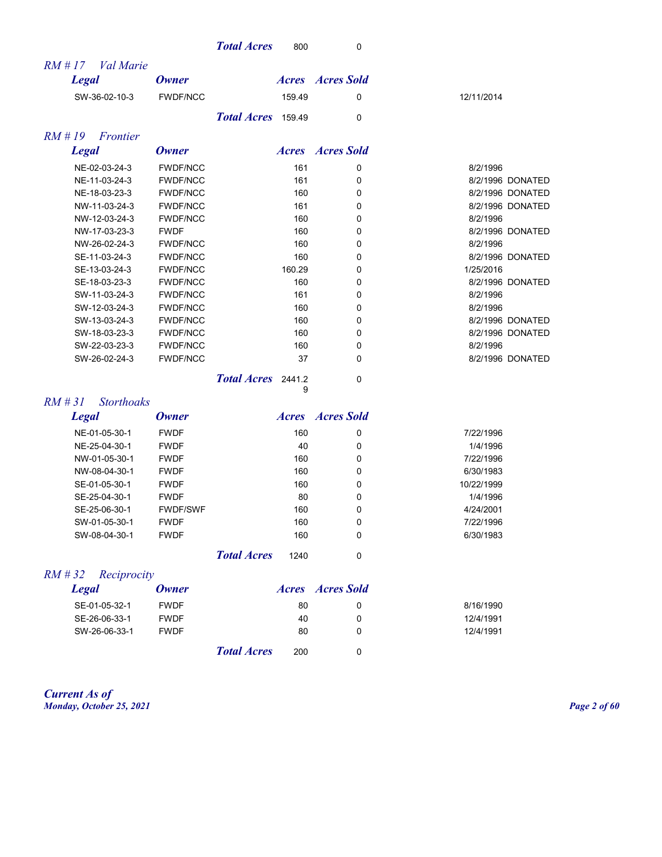|  | <b>Total Acres</b> | 800 |  |
|--|--------------------|-----|--|
|  |                    |     |  |

| <i>Val Marie</i><br>$RM$ # 17 |                 |                    |        |                         |            |                  |
|-------------------------------|-----------------|--------------------|--------|-------------------------|------------|------------------|
| <b>Legal</b>                  | <b>Owner</b>    |                    |        | <b>Acres Acres</b> Sold |            |                  |
| SW-36-02-10-3                 | <b>FWDF/NCC</b> |                    | 159.49 | 0                       | 12/11/2014 |                  |
|                               |                 | Total Acres 159.49 |        | $\Omega$                |            |                  |
| $RM \# 19$<br>Frontier        |                 |                    |        |                         |            |                  |
| <b>Legal</b>                  | <b>Owner</b>    |                    |        | <b>Acres Acres</b> Sold |            |                  |
| NE-02-03-24-3                 | <b>FWDF/NCC</b> |                    | 161    | 0                       | 8/2/1996   |                  |
| NE-11-03-24-3                 | <b>FWDF/NCC</b> |                    | 161    | 0                       |            | 8/2/1996 DONATED |
| NE-18-03-23-3                 | <b>FWDF/NCC</b> |                    | 160    | 0                       |            | 8/2/1996 DONATED |
| NW-11-03-24-3                 | <b>FWDF/NCC</b> |                    | 161    | 0                       |            | 8/2/1996 DONATED |
| NW-12-03-24-3                 | <b>FWDF/NCC</b> |                    | 160    | 0                       | 8/2/1996   |                  |
| NW-17-03-23-3                 | <b>FWDF</b>     |                    | 160    | 0                       |            | 8/2/1996 DONATED |
| NW-26-02-24-3                 | <b>FWDF/NCC</b> |                    | 160    | 0                       | 8/2/1996   |                  |
| SE-11-03-24-3                 | <b>FWDF/NCC</b> |                    | 160    | 0                       |            | 8/2/1996 DONATED |
| SE-13-03-24-3                 | <b>FWDF/NCC</b> |                    | 160.29 | 0                       | 1/25/2016  |                  |
| SE-18-03-23-3                 | <b>FWDF/NCC</b> |                    | 160    | 0                       |            | 8/2/1996 DONATED |
| SW-11-03-24-3                 | <b>FWDF/NCC</b> |                    | 161    | 0                       | 8/2/1996   |                  |
| SW-12-03-24-3                 | <b>FWDF/NCC</b> |                    | 160    | 0                       | 8/2/1996   |                  |
| SW-13-03-24-3                 | <b>FWDF/NCC</b> |                    | 160    | 0                       |            | 8/2/1996 DONATED |
| SW-18-03-23-3                 | <b>FWDF/NCC</b> |                    | 160    | 0                       |            | 8/2/1996 DONATED |
| SW-22-03-23-3                 | <b>FWDF/NCC</b> |                    | 160    | 0                       | 8/2/1996   |                  |
| SW-26-02-24-3                 | <b>FWDF/NCC</b> |                    | 37     | $\Omega$                |            | 8/2/1996 DONATED |
|                               |                 | Total Acres 2441.2 |        | 0                       |            |                  |

9

| <b>Legal</b>  | Owner           |     | <i>Acres Acres Sold</i> |            |
|---------------|-----------------|-----|-------------------------|------------|
| NE-01-05-30-1 | <b>FWDF</b>     | 160 | 0                       | 7/22/1996  |
| NE-25-04-30-1 | <b>FWDF</b>     | 40  | 0                       | 1/4/1996   |
| NW-01-05-30-1 | <b>FWDF</b>     | 160 | 0                       | 7/22/1996  |
| NW-08-04-30-1 | <b>FWDF</b>     | 160 | 0                       | 6/30/1983  |
| SE-01-05-30-1 | <b>FWDF</b>     | 160 | 0                       | 10/22/1999 |
| SE-25-04-30-1 | <b>FWDF</b>     | 80  | 0                       | 1/4/1996   |
| SE-25-06-30-1 | <b>FWDF/SWF</b> | 160 | 0                       | 4/24/2001  |
| SW-01-05-30-1 | <b>FWDF</b>     | 160 | 0                       | 7/22/1996  |
| SW-08-04-30-1 | <b>FWDF</b>     | 160 | 0                       | 6/30/1983  |

*Total Acres* 1240 0

## *RM # 32 Reciprocity*

| Legal         | <b>Owner</b> |                    |     | <b>Acres Acres</b> Sold |           |
|---------------|--------------|--------------------|-----|-------------------------|-----------|
| SE-01-05-32-1 | <b>FWDF</b>  |                    | 80  |                         | 8/16/1990 |
| SE-26-06-33-1 | <b>FWDF</b>  |                    | 40  |                         | 12/4/1991 |
| SW-26-06-33-1 | <b>FWDF</b>  |                    | 80  |                         | 12/4/1991 |
|               |              | <b>Total Acres</b> | 200 |                         |           |

*Current As of Monday, October 25, 2021 Page 2 of 60*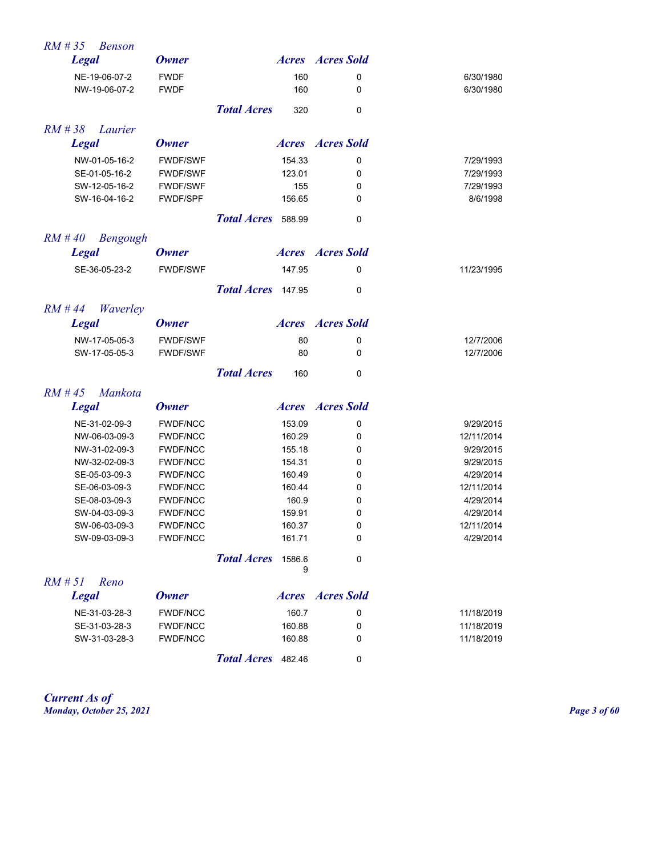| $RM \# 35$<br><b>Benson</b>  |                 |                    |             |                         |            |
|------------------------------|-----------------|--------------------|-------------|-------------------------|------------|
| <b>Legal</b>                 | <b>Owner</b>    |                    |             | <b>Acres Acres</b> Sold |            |
| NE-19-06-07-2                | <b>FWDF</b>     |                    | 160         | 0                       | 6/30/1980  |
| NW-19-06-07-2                | <b>FWDF</b>     |                    | 160         | 0                       | 6/30/1980  |
|                              |                 | <b>Total Acres</b> | 320         | 0                       |            |
| $RM$ # 38<br>Laurier         |                 |                    |             |                         |            |
| <b>Legal</b>                 | <b>Owner</b>    |                    |             | <b>Acres Acres Sold</b> |            |
| NW-01-05-16-2                | <b>FWDF/SWF</b> |                    | 154.33      | 0                       | 7/29/1993  |
| SE-01-05-16-2                | <b>FWDF/SWF</b> |                    | 123.01      | 0                       | 7/29/1993  |
| SW-12-05-16-2                | <b>FWDF/SWF</b> |                    | 155         | 0                       | 7/29/1993  |
| SW-16-04-16-2                | <b>FWDF/SPF</b> |                    | 156.65      | 0                       | 8/6/1998   |
|                              |                 | <b>Total Acres</b> | 588.99      | 0                       |            |
| $RM$ #40<br>Bengough         |                 |                    |             |                         |            |
| <b>Legal</b>                 | <b>Owner</b>    |                    |             | <b>Acres Acres</b> Sold |            |
| SE-36-05-23-2                | <b>FWDF/SWF</b> |                    | 147.95      | 0                       | 11/23/1995 |
|                              |                 | <b>Total Acres</b> | 147.95      | 0                       |            |
| $RM$ #44<br>Waverley         |                 |                    |             |                         |            |
| <b>Legal</b>                 | <b>Owner</b>    |                    |             | <b>Acres Acres</b> Sold |            |
| NW-17-05-05-3                | <b>FWDF/SWF</b> |                    | 80          | 0                       | 12/7/2006  |
| SW-17-05-05-3                | <b>FWDF/SWF</b> |                    | 80          | 0                       | 12/7/2006  |
|                              |                 | <b>Total Acres</b> | 160         | 0                       |            |
| $RM \# 45$<br><i>Mankota</i> |                 |                    |             |                         |            |
| <b>Legal</b>                 | <b>Owner</b>    |                    |             | <b>Acres Acres</b> Sold |            |
| NE-31-02-09-3                | <b>FWDF/NCC</b> |                    | 153.09      | 0                       | 9/29/2015  |
| NW-06-03-09-3                | <b>FWDF/NCC</b> |                    | 160.29      | 0                       | 12/11/2014 |
| NW-31-02-09-3                | <b>FWDF/NCC</b> |                    | 155.18      | 0                       | 9/29/2015  |
| NW-32-02-09-3                | <b>FWDF/NCC</b> |                    | 154.31      | 0                       | 9/29/2015  |
| SE-05-03-09-3                | <b>FWDF/NCC</b> |                    | 160.49      | 0                       | 4/29/2014  |
| SE-06-03-09-3                | <b>FWDF/NCC</b> |                    | 160.44      | 0                       | 12/11/2014 |
| SE-08-03-09-3                | <b>FWDF/NCC</b> |                    | 160.9       | 0                       | 4/29/2014  |
| SW-04-03-09-3                | <b>FWDF/NCC</b> |                    | 159.91      | 0                       | 4/29/2014  |
| SW-06-03-09-3                | <b>FWDF/NCC</b> |                    | 160.37      | 0                       | 12/11/2014 |
| SW-09-03-09-3                | <b>FWDF/NCC</b> |                    | 161.71      | 0                       | 4/29/2014  |
|                              |                 | <b>Total Acres</b> | 1586.6<br>9 | 0                       |            |
| $RM \# 5I$<br>Reno           |                 |                    |             |                         |            |
| <b>Legal</b>                 | <b>Owner</b>    |                    |             | <b>Acres Acres</b> Sold |            |
| NE-31-03-28-3                | <b>FWDF/NCC</b> |                    | 160.7       | 0                       | 11/18/2019 |
| SE-31-03-28-3                | FWDF/NCC        |                    | 160.88      | 0                       | 11/18/2019 |
| SW-31-03-28-3                | <b>FWDF/NCC</b> |                    | 160.88      | 0                       | 11/18/2019 |
|                              |                 | Total Acres 482.46 |             | 0                       |            |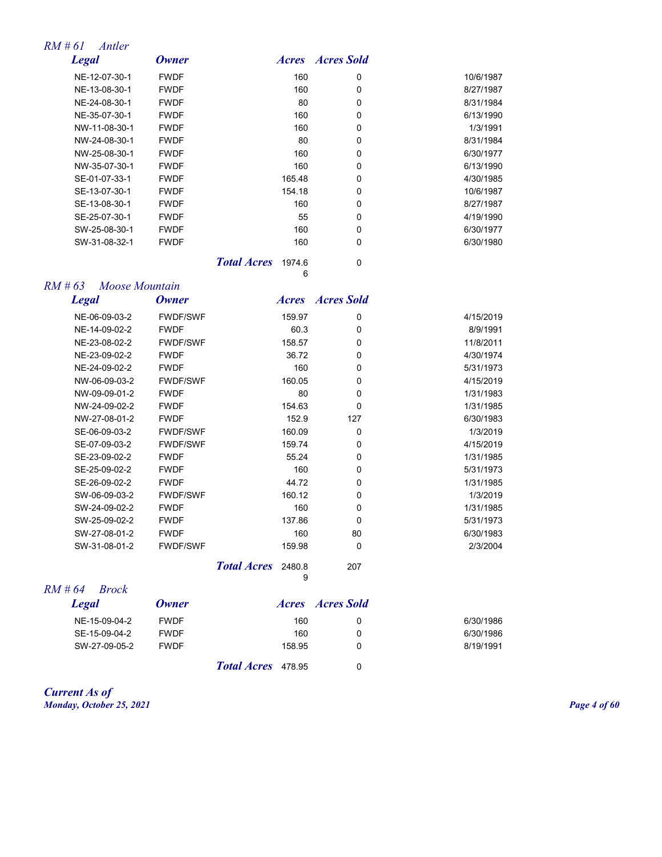#### *RM # 61 Antler*

| <b>Legal</b>  | <b>Owner</b> | <i>Acres</i> | <b>Acres Sold</b> |           |
|---------------|--------------|--------------|-------------------|-----------|
| NE-12-07-30-1 | <b>FWDF</b>  | 160          | 0                 | 10/6/1987 |
| NE-13-08-30-1 | <b>FWDF</b>  | 160          | 0                 | 8/27/1987 |
| NE-24-08-30-1 | <b>FWDF</b>  | 80           | 0                 | 8/31/1984 |
| NE-35-07-30-1 | <b>FWDF</b>  | 160          | 0                 | 6/13/1990 |
| NW-11-08-30-1 | <b>FWDF</b>  | 160          | 0                 | 1/3/1991  |
| NW-24-08-30-1 | <b>FWDF</b>  | 80           | $\Omega$          | 8/31/1984 |
| NW-25-08-30-1 | <b>FWDF</b>  | 160          | 0                 | 6/30/1977 |
| NW-35-07-30-1 | <b>FWDF</b>  | 160          | 0                 | 6/13/1990 |
| SE-01-07-33-1 | <b>FWDF</b>  | 165.48       | 0                 | 4/30/1985 |
| SE-13-07-30-1 | <b>FWDF</b>  | 154.18       | 0                 | 10/6/1987 |
| SE-13-08-30-1 | <b>FWDF</b>  | 160          | $\Omega$          | 8/27/1987 |
| SE-25-07-30-1 | <b>FWDF</b>  | 55           | 0                 | 4/19/1990 |
| SW-25-08-30-1 | <b>FWDF</b>  | 160          | 0                 | 6/30/1977 |
| SW-31-08-32-1 | <b>FWDF</b>  | 160          | 0                 | 6/30/1980 |
|               |              |              |                   |           |

*Total Acres* 1974.6 0 6

| RM # 63<br>Moose Mountain |
|---------------------------|
|---------------------------|

| <b>Legal</b>  | <b>Owner</b>    | <i><b>Acres</b></i> | <b>Acres Sold</b> |           |
|---------------|-----------------|---------------------|-------------------|-----------|
| NE-06-09-03-2 | <b>FWDF/SWF</b> | 159.97              | 0                 | 4/15/2019 |
| NE-14-09-02-2 | <b>FWDF</b>     | 60.3                | $\mathbf 0$       | 8/9/1991  |
| NE-23-08-02-2 | <b>FWDF/SWF</b> | 158.57              | $\mathbf 0$       | 11/8/2011 |
| NE-23-09-02-2 | <b>FWDF</b>     | 36.72               | $\mathbf 0$       | 4/30/1974 |
| NE-24-09-02-2 | <b>FWDF</b>     | 160                 | 0                 | 5/31/1973 |
| NW-06-09-03-2 | <b>FWDF/SWF</b> | 160.05              | 0                 | 4/15/2019 |
| NW-09-09-01-2 | <b>FWDF</b>     | 80                  | 0                 | 1/31/1983 |
| NW-24-09-02-2 | <b>FWDF</b>     | 154.63              | 0                 | 1/31/1985 |
| NW-27-08-01-2 | <b>FWDF</b>     | 152.9               | 127               | 6/30/1983 |
| SE-06-09-03-2 | <b>FWDF/SWF</b> | 160.09              | 0                 | 1/3/2019  |
| SE-07-09-03-2 | <b>FWDF/SWF</b> | 159.74              | $\mathbf 0$       | 4/15/2019 |
| SE-23-09-02-2 | <b>FWDF</b>     | 55.24               | 0                 | 1/31/1985 |
| SE-25-09-02-2 | <b>FWDF</b>     | 160                 | $\mathbf 0$       | 5/31/1973 |
| SE-26-09-02-2 | <b>FWDF</b>     | 44.72               | $\mathbf 0$       | 1/31/1985 |
| SW-06-09-03-2 | <b>FWDF/SWF</b> | 160.12              | $\mathbf 0$       | 1/3/2019  |
| SW-24-09-02-2 | <b>FWDF</b>     | 160                 | 0                 | 1/31/1985 |
| SW-25-09-02-2 | <b>FWDF</b>     | 137.86              | 0                 | 5/31/1973 |
| SW-27-08-01-2 | <b>FWDF</b>     | 160                 | 80                | 6/30/1983 |
| SW-31-08-01-2 | <b>FWDF/SWF</b> | 159.98              | 0                 | 2/3/2004  |
|               |                 |                     |                   |           |

| <b>Total Acres</b> 2480.8 |   | 207 |
|---------------------------|---|-----|
|                           | g |     |

| $RM \# 64$ Brock |             |                           |        |                         |           |
|------------------|-------------|---------------------------|--------|-------------------------|-----------|
| <b>Legal</b>     | Owner       |                           |        | <i>Acres Acres Sold</i> |           |
| NE-15-09-04-2    | <b>FWDF</b> |                           | 160    | 0                       | 6/30/1986 |
| SE-15-09-04-2    | <b>FWDF</b> |                           | 160    | 0                       | 6/30/1986 |
| SW-27-09-05-2    | <b>FWDF</b> |                           | 158.95 | 0                       | 8/19/1991 |
|                  |             | <b>Total Acres</b> 478.95 |        | 0                       |           |

*Current As of Monday, October 25, 2021 Page 4 of 60*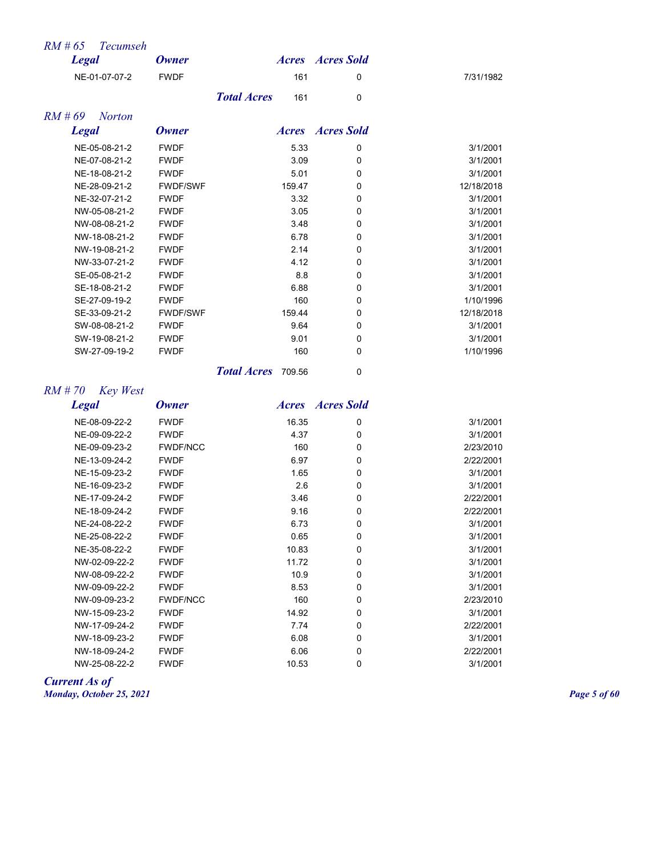| $RM \# 65$<br><b>Tecumseh</b> |                 |                           |                         |            |
|-------------------------------|-----------------|---------------------------|-------------------------|------------|
| <b>Legal</b>                  | <b>Owner</b>    |                           | <b>Acres Acres</b> Sold |            |
| NE-01-07-07-2                 | <b>FWDF</b>     | 161                       | 0                       | 7/31/1982  |
|                               |                 | <b>Total Acres</b><br>161 | $\Omega$                |            |
| $RM \# 69$<br><b>Norton</b>   |                 |                           |                         |            |
| <b>Legal</b>                  | <b>Owner</b>    |                           | <b>Acres Acres</b> Sold |            |
| NE-05-08-21-2                 | <b>FWDF</b>     | 5.33                      | 0                       | 3/1/2001   |
| NE-07-08-21-2                 | <b>FWDF</b>     | 3.09                      | 0                       | 3/1/2001   |
| NE-18-08-21-2                 | <b>FWDF</b>     | 5.01                      | 0                       | 3/1/2001   |
| NE-28-09-21-2                 | <b>FWDF/SWF</b> | 159.47                    | $\Omega$                | 12/18/2018 |
| NE-32-07-21-2                 | <b>FWDF</b>     | 3.32                      | $\Omega$                | 3/1/2001   |
| NW-05-08-21-2                 | <b>FWDF</b>     | 3.05                      | $\Omega$                | 3/1/2001   |
| NW-08-08-21-2                 | <b>FWDF</b>     | 3.48                      | $\Omega$                | 3/1/2001   |
| NW-18-08-21-2                 | <b>FWDF</b>     | 6.78                      | $\mathbf 0$             | 3/1/2001   |
| NW-19-08-21-2                 | <b>FWDF</b>     | 2.14                      | $\Omega$                | 3/1/2001   |
| NW-33-07-21-2                 | <b>FWDF</b>     | 4.12                      | 0                       | 3/1/2001   |
| SE-05-08-21-2                 | <b>FWDF</b>     | 8.8                       | $\Omega$                | 3/1/2001   |
| SE-18-08-21-2                 | <b>FWDF</b>     | 6.88                      | 0                       | 3/1/2001   |
| SE-27-09-19-2                 | <b>FWDF</b>     | 160                       | 0                       | 1/10/1996  |
| SE-33-09-21-2                 | <b>FWDF/SWF</b> | 159.44                    | 0                       | 12/18/2018 |
| SW-08-08-21-2                 | <b>FWDF</b>     | 9.64                      | 0                       | 3/1/2001   |
| SW-19-08-21-2                 | <b>FWDF</b>     | 9.01                      | 0                       | 3/1/2001   |
| SW-27-09-19-2                 | <b>FWDF</b>     | 160                       | 0                       | 1/10/1996  |

*Total Acres* 709.56 0

# *RM # 70 Key West*

*Legal Owner Acres Acres Sold*

| NE-08-09-22-2 | <b>FWDF</b>     | 16.35 | 0 | 3/1/2001  |
|---------------|-----------------|-------|---|-----------|
| NE-09-09-22-2 | <b>FWDF</b>     | 4.37  | 0 | 3/1/2001  |
| NE-09-09-23-2 | <b>FWDF/NCC</b> | 160   | 0 | 2/23/2010 |
| NE-13-09-24-2 | <b>FWDF</b>     | 6.97  | 0 | 2/22/2001 |
| NE-15-09-23-2 | <b>FWDF</b>     | 1.65  | 0 | 3/1/2001  |
| NE-16-09-23-2 | <b>FWDF</b>     | 2.6   | 0 | 3/1/2001  |
| NE-17-09-24-2 | <b>FWDF</b>     | 3.46  | 0 | 2/22/2001 |
| NE-18-09-24-2 | <b>FWDF</b>     | 9.16  | 0 | 2/22/2001 |
| NE-24-08-22-2 | <b>FWDF</b>     | 6.73  | 0 | 3/1/2001  |
| NE-25-08-22-2 | <b>FWDF</b>     | 0.65  | 0 | 3/1/2001  |
| NE-35-08-22-2 | <b>FWDF</b>     | 10.83 | 0 | 3/1/2001  |
| NW-02-09-22-2 | <b>FWDF</b>     | 11.72 | 0 | 3/1/2001  |
| NW-08-09-22-2 | <b>FWDF</b>     | 10.9  | 0 | 3/1/2001  |
| NW-09-09-22-2 | <b>FWDF</b>     | 8.53  | 0 | 3/1/2001  |
| NW-09-09-23-2 | <b>FWDF/NCC</b> | 160   | 0 | 2/23/2010 |
| NW-15-09-23-2 | <b>FWDF</b>     | 14.92 | 0 | 3/1/2001  |
| NW-17-09-24-2 | <b>FWDF</b>     | 7.74  | 0 | 2/22/2001 |
| NW-18-09-23-2 | <b>FWDF</b>     | 6.08  | 0 | 3/1/2001  |
| NW-18-09-24-2 | <b>FWDF</b>     | 6.06  | 0 | 2/22/2001 |
| NW-25-08-22-2 | <b>FWDF</b>     | 10.53 | 0 | 3/1/2001  |

*Current As of Monday, October 25, 2021 Page 5 of 60*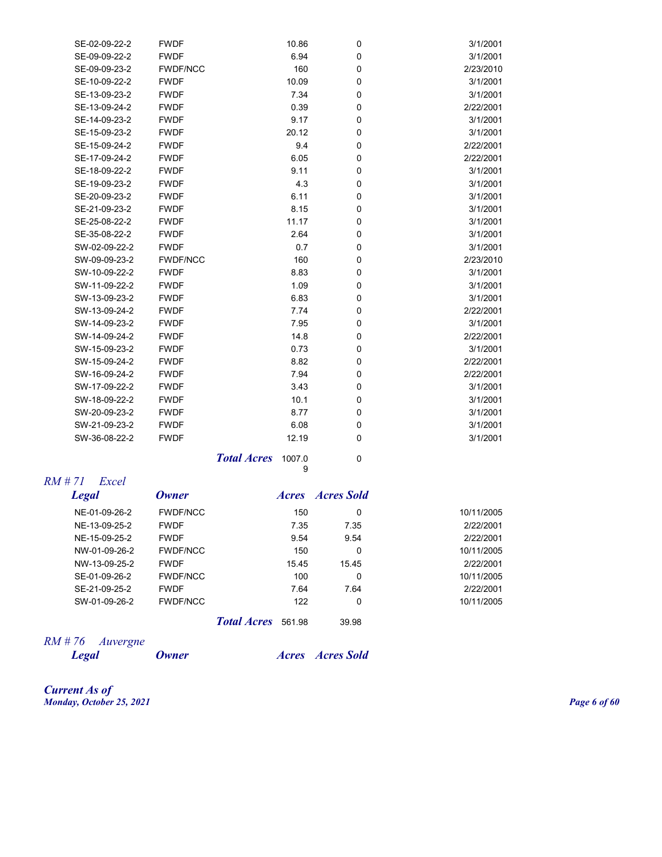| SE-02-09-22-2 | <b>FWDF</b>     | 10.86 | $\mathbf 0$ | 3/1/2001  |
|---------------|-----------------|-------|-------------|-----------|
| SE-09-09-22-2 | <b>FWDF</b>     | 6.94  | $\mathbf 0$ | 3/1/2001  |
| SE-09-09-23-2 | <b>FWDF/NCC</b> | 160   | $\mathbf 0$ | 2/23/2010 |
| SE-10-09-22-2 | <b>FWDF</b>     | 10.09 | $\mathbf 0$ | 3/1/2001  |
| SE-13-09-23-2 | <b>FWDF</b>     | 7.34  | $\mathbf 0$ | 3/1/2001  |
| SE-13-09-24-2 | <b>FWDF</b>     | 0.39  | $\mathbf 0$ | 2/22/2001 |
| SE-14-09-23-2 | <b>FWDF</b>     | 9.17  | $\mathbf 0$ | 3/1/2001  |
| SE-15-09-23-2 | <b>FWDF</b>     | 20.12 | $\mathbf 0$ | 3/1/2001  |
| SE-15-09-24-2 | <b>FWDF</b>     | 9.4   | $\mathbf 0$ | 2/22/2001 |
| SE-17-09-24-2 | <b>FWDF</b>     | 6.05  | $\mathbf 0$ | 2/22/2001 |
| SE-18-09-22-2 | <b>FWDF</b>     | 9.11  | $\mathbf 0$ | 3/1/2001  |
| SE-19-09-23-2 | <b>FWDF</b>     | 4.3   | $\mathbf 0$ | 3/1/2001  |
| SE-20-09-23-2 | <b>FWDF</b>     | 6.11  | $\mathbf 0$ | 3/1/2001  |
| SE-21-09-23-2 | <b>FWDF</b>     | 8.15  | 0           | 3/1/2001  |
| SE-25-08-22-2 | <b>FWDF</b>     | 11.17 | $\mathbf 0$ | 3/1/2001  |
| SE-35-08-22-2 | <b>FWDF</b>     | 2.64  | $\mathbf 0$ | 3/1/2001  |
| SW-02-09-22-2 | <b>FWDF</b>     | 0.7   | $\mathbf 0$ | 3/1/2001  |
| SW-09-09-23-2 | <b>FWDF/NCC</b> | 160   | $\mathbf 0$ | 2/23/2010 |
| SW-10-09-22-2 | <b>FWDF</b>     | 8.83  | $\mathbf 0$ | 3/1/2001  |
| SW-11-09-22-2 | <b>FWDF</b>     | 1.09  | $\mathbf 0$ | 3/1/2001  |
| SW-13-09-23-2 | <b>FWDF</b>     | 6.83  | $\mathbf 0$ | 3/1/2001  |
| SW-13-09-24-2 | <b>FWDF</b>     | 7.74  | $\mathbf 0$ | 2/22/2001 |
| SW-14-09-23-2 | <b>FWDF</b>     | 7.95  | $\mathbf 0$ | 3/1/2001  |
| SW-14-09-24-2 | <b>FWDF</b>     | 14.8  | $\mathbf 0$ | 2/22/2001 |
| SW-15-09-23-2 | <b>FWDF</b>     | 0.73  | 0           | 3/1/2001  |
| SW-15-09-24-2 | <b>FWDF</b>     | 8.82  | $\mathbf 0$ | 2/22/2001 |
| SW-16-09-24-2 | <b>FWDF</b>     | 7.94  | $\mathbf 0$ | 2/22/2001 |
| SW-17-09-22-2 | <b>FWDF</b>     | 3.43  | $\mathbf 0$ | 3/1/2001  |
| SW-18-09-22-2 | <b>FWDF</b>     | 10.1  | $\mathbf 0$ | 3/1/2001  |
| SW-20-09-23-2 | <b>FWDF</b>     | 8.77  | $\mathbf 0$ | 3/1/2001  |
| SW-21-09-23-2 | <b>FWDF</b>     | 6.08  | 0           | 3/1/2001  |
| SW-36-08-22-2 | <b>FWDF</b>     | 12.19 | $\mathbf 0$ | 3/1/2001  |
|               |                 |       |             |           |

**Total Acres** 1007.0 0 9

## *RM # 71 Excel*

| <b>Legal</b>  | Owner           |                    |        | <i>Acres Acres Sold</i> |            |
|---------------|-----------------|--------------------|--------|-------------------------|------------|
| NE-01-09-26-2 | <b>FWDF/NCC</b> |                    | 150    | 0                       | 10/11/2005 |
| NE-13-09-25-2 | <b>FWDF</b>     |                    | 7.35   | 7.35                    | 2/22/2001  |
| NE-15-09-25-2 | <b>FWDF</b>     |                    | 9.54   | 9.54                    | 2/22/2001  |
| NW-01-09-26-2 | <b>FWDF/NCC</b> |                    | 150    | 0                       | 10/11/2005 |
| NW-13-09-25-2 | <b>FWDF</b>     |                    | 15.45  | 15.45                   | 2/22/2001  |
| SE-01-09-26-2 | <b>FWDF/NCC</b> |                    | 100    | 0                       | 10/11/2005 |
| SE-21-09-25-2 | <b>FWDF</b>     |                    | 7.64   | 7.64                    | 2/22/2001  |
| SW-01-09-26-2 | <b>FWDF/NCC</b> |                    | 122    | 0                       | 10/11/2005 |
|               |                 | <b>Total Acres</b> | 561.98 | 39.98                   |            |

*RM # 76 Auvergne* 

*Legal Owner Acres Acres Sold*

*Current As of Monday, October 25, 2021 Page 6 of 60*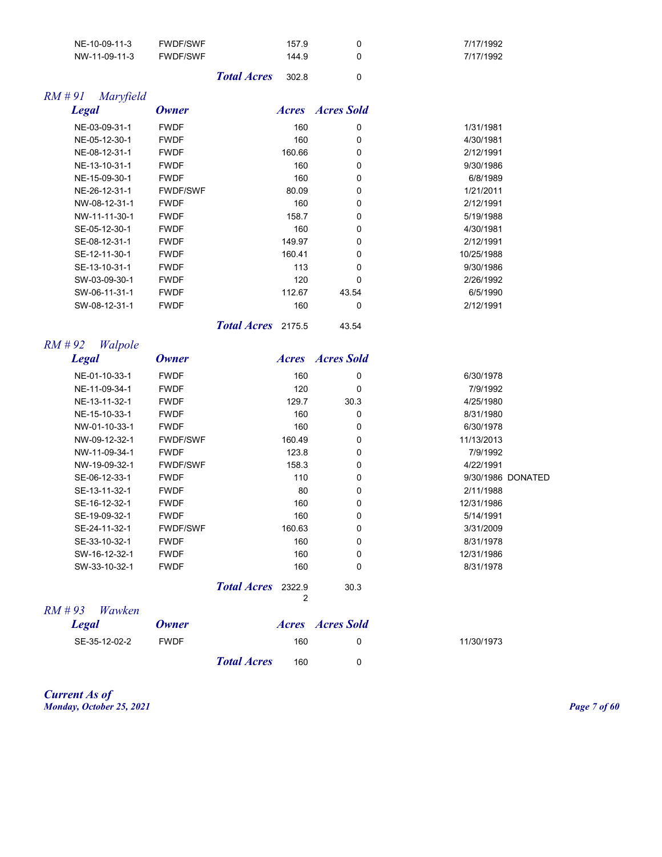| NE-10-09-11-3         | <b>FWDF/SWF</b> |                    | 157.9  | 0                       | 7/17/1992  |                   |
|-----------------------|-----------------|--------------------|--------|-------------------------|------------|-------------------|
| NW-11-09-11-3         | <b>FWDF/SWF</b> |                    | 144.9  | 0                       | 7/17/1992  |                   |
|                       |                 | <b>Total Acres</b> | 302.8  | 0                       |            |                   |
| $RM$ #91<br>Maryfield |                 |                    |        |                         |            |                   |
| <b>Legal</b>          | <b>Owner</b>    |                    |        | <b>Acres Acres</b> Sold |            |                   |
| NE-03-09-31-1         | <b>FWDF</b>     |                    | 160    | 0                       | 1/31/1981  |                   |
| NE-05-12-30-1         | <b>FWDF</b>     |                    | 160    | 0                       | 4/30/1981  |                   |
| NE-08-12-31-1         | <b>FWDF</b>     |                    | 160.66 | 0                       | 2/12/1991  |                   |
| NE-13-10-31-1         | <b>FWDF</b>     |                    | 160    | 0                       | 9/30/1986  |                   |
| NE-15-09-30-1         | <b>FWDF</b>     |                    | 160    | 0                       | 6/8/1989   |                   |
| NE-26-12-31-1         | <b>FWDF/SWF</b> |                    | 80.09  | 0                       | 1/21/2011  |                   |
| NW-08-12-31-1         | <b>FWDF</b>     |                    | 160    | 0                       | 2/12/1991  |                   |
| NW-11-11-30-1         | <b>FWDF</b>     |                    | 158.7  | 0                       | 5/19/1988  |                   |
| SE-05-12-30-1         | <b>FWDF</b>     |                    | 160    | 0                       | 4/30/1981  |                   |
| SE-08-12-31-1         | <b>FWDF</b>     |                    | 149.97 | 0                       | 2/12/1991  |                   |
| SE-12-11-30-1         | <b>FWDF</b>     |                    | 160.41 | 0                       | 10/25/1988 |                   |
| SE-13-10-31-1         | <b>FWDF</b>     |                    | 113    | 0                       | 9/30/1986  |                   |
| SW-03-09-30-1         | <b>FWDF</b>     |                    | 120    | 0                       | 2/26/1992  |                   |
| SW-06-11-31-1         | <b>FWDF</b>     |                    | 112.67 | 43.54                   | 6/5/1990   |                   |
| SW-08-12-31-1         | <b>FWDF</b>     |                    | 160    | 0                       | 2/12/1991  |                   |
|                       |                 | Total Acres 2175.5 |        | 43.54                   |            |                   |
| $RM$ #92<br>Walpole   |                 |                    |        |                         |            |                   |
| <b>Legal</b>          | <b>Owner</b>    |                    |        | <b>Acres Acres</b> Sold |            |                   |
| NE-01-10-33-1         | <b>FWDF</b>     |                    | 160    | 0                       | 6/30/1978  |                   |
| NE-11-09-34-1         | <b>FWDF</b>     |                    | 120    | 0                       | 7/9/1992   |                   |
| NE-13-11-32-1         | <b>FWDF</b>     |                    | 129.7  | 30.3                    | 4/25/1980  |                   |
| NE-15-10-33-1         | <b>FWDF</b>     |                    | 160    | 0                       | 8/31/1980  |                   |
| NW-01-10-33-1         | <b>FWDF</b>     |                    | 160    | 0                       | 6/30/1978  |                   |
| NW-09-12-32-1         | <b>FWDF/SWF</b> |                    | 160.49 | 0                       | 11/13/2013 |                   |
| NW-11-09-34-1         | <b>FWDF</b>     |                    | 123.8  | 0                       | 7/9/1992   |                   |
| NW-19-09-32-1         | <b>FWDF/SWF</b> |                    | 158.3  | 0                       | 4/22/1991  |                   |
| SE-06-12-33-1         | <b>FWDF</b>     |                    | 110    | 0                       |            | 9/30/1986 DONATED |
| SE-13-11-32-1         | <b>FWDF</b>     |                    | 80     | 0                       | 2/11/1988  |                   |
| SE-16-12-32-1         | <b>FWDF</b>     |                    | 160    | 0                       | 12/31/1986 |                   |
| SE-19-09-32-1         | <b>FWDF</b>     |                    | 160    | 0                       | 5/14/1991  |                   |
| SE-24-11-32-1         | <b>FWDF/SWF</b> |                    | 160.63 | 0                       | 3/31/2009  |                   |
| SE-33-10-32-1         | <b>FWDF</b>     |                    | 160    | 0                       | 8/31/1978  |                   |
| SW-16-12-32-1         | <b>FWDF</b>     |                    | 160    | 0                       | 12/31/1986 |                   |
| SW-33-10-32-1         | <b>FWDF</b>     |                    | 160    | 0                       | 8/31/1978  |                   |
|                       |                 | Total Acres 2322.9 | 2      | 30.3                    |            |                   |
| $RM$ #93<br>Wawken    |                 |                    |        |                         |            |                   |
| <b>Legal</b>          | <b>Owner</b>    |                    |        | <b>Acres Acres</b> Sold |            |                   |
| SE-35-12-02-2         | <b>FWDF</b>     |                    | 160    | 0                       | 11/30/1973 |                   |
|                       |                 | <b>Total Acres</b> | 160    | 0                       |            |                   |

*Current As of Monday, October 25, 2021 Page 7 of 60*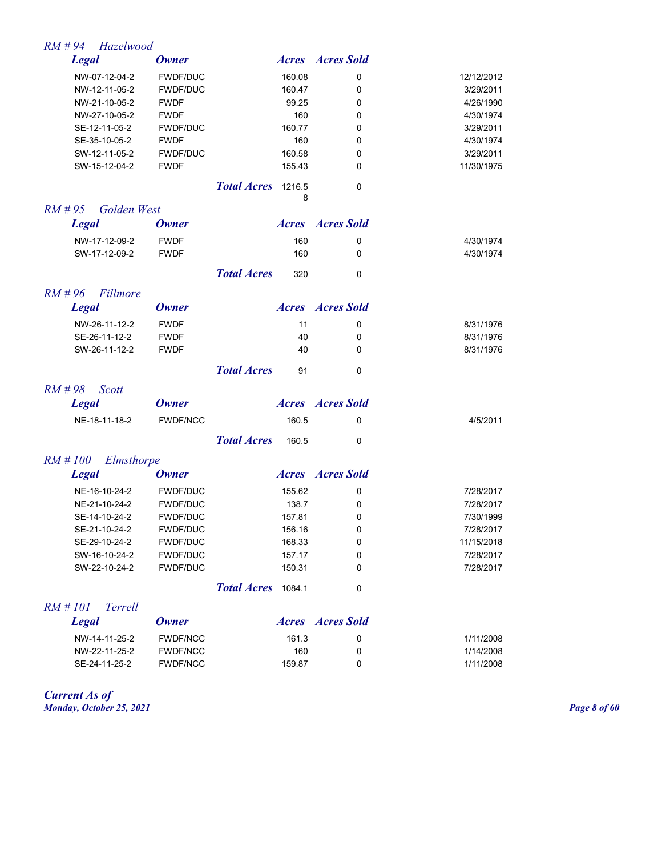| $RM$ #94<br>Hazelwood        |                 |                                   |                         |            |
|------------------------------|-----------------|-----------------------------------|-------------------------|------------|
| <b>Legal</b>                 | <b>Owner</b>    |                                   | <b>Acres Acres</b> Sold |            |
| NW-07-12-04-2                | <b>FWDF/DUC</b> | 160.08                            | 0                       | 12/12/2012 |
| NW-12-11-05-2                | <b>FWDF/DUC</b> | 160.47                            | 0                       | 3/29/2011  |
| NW-21-10-05-2                | <b>FWDF</b>     | 99.25                             | 0                       | 4/26/1990  |
| NW-27-10-05-2                | <b>FWDF</b>     | 160                               | 0                       | 4/30/1974  |
| SE-12-11-05-2                | <b>FWDF/DUC</b> | 160.77                            | 0                       | 3/29/2011  |
| SE-35-10-05-2                | <b>FWDF</b>     | 160                               | 0                       | 4/30/1974  |
| SW-12-11-05-2                | <b>FWDF/DUC</b> | 160.58                            | 0                       | 3/29/2011  |
| SW-15-12-04-2                | <b>FWDF</b>     | 155.43                            | 0                       | 11/30/1975 |
|                              |                 | <b>Total Acres</b><br>1216.5<br>8 | 0                       |            |
| $RM \# 95$<br>Golden West    |                 |                                   |                         |            |
| <b>Legal</b>                 | <b>Owner</b>    |                                   | <b>Acres Acres</b> Sold |            |
| NW-17-12-09-2                | <b>FWDF</b>     | 160                               | 0                       | 4/30/1974  |
| SW-17-12-09-2                | <b>FWDF</b>     | 160                               | 0                       | 4/30/1974  |
|                              |                 | <b>Total Acres</b><br>320         | 0                       |            |
| $RM$ #96<br><b>Fillmore</b>  |                 |                                   |                         |            |
| <b>Legal</b>                 | <b>Owner</b>    |                                   | <b>Acres Acres</b> Sold |            |
| NW-26-11-12-2                | <b>FWDF</b>     | 11                                | 0                       | 8/31/1976  |
| SE-26-11-12-2                | <b>FWDF</b>     | 40                                | 0                       | 8/31/1976  |
| SW-26-11-12-2                | <b>FWDF</b>     | 40                                | 0                       | 8/31/1976  |
|                              |                 | <b>Total Acres</b><br>91          | 0                       |            |
| $RM$ #98<br><b>Scott</b>     |                 |                                   |                         |            |
| <b>Legal</b>                 | <b>Owner</b>    |                                   | <b>Acres Acres</b> Sold |            |
| NE-18-11-18-2                | <b>FWDF/NCC</b> | 160.5                             | 0                       | 4/5/2011   |
|                              |                 | <b>Total Acres</b><br>160.5       | 0                       |            |
| $RM$ # 100<br>Elmsthorpe     |                 |                                   |                         |            |
| <b>Legal</b>                 | <b>Owner</b>    |                                   | <b>Acres Acres</b> Sold |            |
| NE-16-10-24-2                | <b>FWDF/DUC</b> | 155.62                            | 0                       | 7/28/2017  |
| NE-21-10-24-2                | <b>FWDF/DUC</b> | 138.7                             | 0                       | 7/28/2017  |
| SE-14-10-24-2                | <b>FWDF/DUC</b> | 157.81                            | 0                       | 7/30/1999  |
| SE-21-10-24-2                | FWDF/DUC        | 156.16                            | 0                       | 7/28/2017  |
| SE-29-10-24-2                | <b>FWDF/DUC</b> | 168.33                            | 0                       | 11/15/2018 |
| SW-16-10-24-2                | FWDF/DUC        | 157.17                            | 0                       | 7/28/2017  |
| SW-22-10-24-2                | <b>FWDF/DUC</b> | 150.31                            | 0                       | 7/28/2017  |
|                              |                 | <b>Total Acres</b><br>1084.1      | 0                       |            |
| $RM$ # 101<br><b>Terrell</b> |                 |                                   |                         |            |
| <b>Legal</b>                 | <b>Owner</b>    |                                   | <b>Acres Acres</b> Sold |            |
| NW-14-11-25-2                | <b>FWDF/NCC</b> | 161.3                             | 0                       | 1/11/2008  |
| NW-22-11-25-2                | <b>FWDF/NCC</b> | 160                               | 0                       | 1/14/2008  |
| SE-24-11-25-2                | FWDF/NCC        | 159.87                            | 0                       | 1/11/2008  |

*Current As of Monday, October 25, 2021 Page 8 of 60*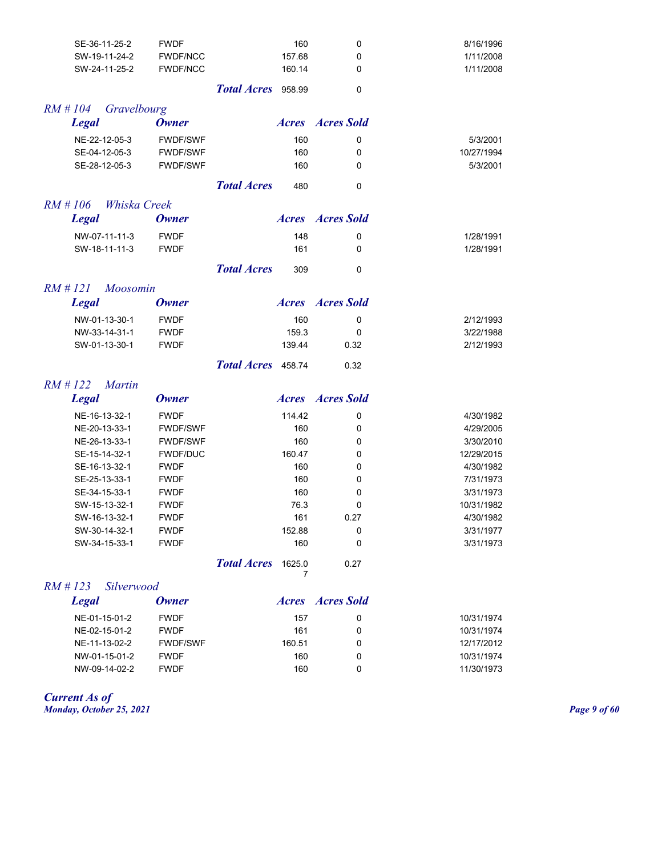| SE-36-11-25-2              | <b>FWDF</b>     | 160                          | 0                       | 8/16/1996  |
|----------------------------|-----------------|------------------------------|-------------------------|------------|
| SW-19-11-24-2              | <b>FWDF/NCC</b> | 157.68                       | 0                       | 1/11/2008  |
| SW-24-11-25-2              | <b>FWDF/NCC</b> | 160.14                       | 0                       | 1/11/2008  |
|                            |                 | Total Acres 958.99           | 0                       |            |
| $RM$ # 104<br>Gravelbourg  |                 |                              |                         |            |
| <b>Legal</b>               | <b>Owner</b>    |                              | <b>Acres Acres</b> Sold |            |
| NE-22-12-05-3              | <b>FWDF/SWF</b> | 160                          | 0                       | 5/3/2001   |
| SE-04-12-05-3              | FWDF/SWF        | 160                          | 0                       | 10/27/1994 |
| SE-28-12-05-3              | <b>FWDF/SWF</b> | 160                          | 0                       | 5/3/2001   |
|                            |                 | <b>Total Acres</b><br>480    | $\mathbf 0$             |            |
| $RM$ # 106<br>Whiska Creek |                 |                              |                         |            |
| <b>Legal</b>               | <b>Owner</b>    |                              | <b>Acres Acres</b> Sold |            |
| NW-07-11-11-3              | <b>FWDF</b>     | 148                          | 0                       | 1/28/1991  |
| SW-18-11-11-3              | <b>FWDF</b>     | 161                          | 0                       | 1/28/1991  |
|                            |                 |                              |                         |            |
|                            |                 | <b>Total Acres</b><br>309    | 0                       |            |
| $RM$ #121<br>Moosomin      |                 |                              |                         |            |
| <b>Legal</b>               | <b>Owner</b>    |                              | <b>Acres Acres</b> Sold |            |
| NW-01-13-30-1              | <b>FWDF</b>     | 160                          | 0                       | 2/12/1993  |
| NW-33-14-31-1              | <b>FWDF</b>     | 159.3                        | 0                       | 3/22/1988  |
| SW-01-13-30-1              | <b>FWDF</b>     | 139.44                       | 0.32                    | 2/12/1993  |
|                            |                 | <b>Total Acres</b><br>458.74 | 0.32                    |            |
| $RM$ #122<br><b>Martin</b> |                 |                              |                         |            |
| <b>Legal</b>               | <b>Owner</b>    |                              | <b>Acres Acres</b> Sold |            |
| NE-16-13-32-1              | <b>FWDF</b>     | 114.42                       | 0                       | 4/30/1982  |
| NE-20-13-33-1              | FWDF/SWF        | 160                          | 0                       | 4/29/2005  |
| NE-26-13-33-1              | <b>FWDF/SWF</b> | 160                          | 0                       | 3/30/2010  |
| SE-15-14-32-1              | <b>FWDF/DUC</b> | 160.47                       | 0                       | 12/29/2015 |
| SE-16-13-32-1              | <b>FWDF</b>     | 160                          | 0                       | 4/30/1982  |
| SE-25-13-33-1              | <b>FWDF</b>     | 160                          | 0                       | 7/31/1973  |
| SE-34-15-33-1              | <b>FWDF</b>     | 160                          | 0                       | 3/31/1973  |
| SW-15-13-32-1              | <b>FWDF</b>     | 76.3                         | 0                       | 10/31/1982 |
| SW-16-13-32-1              | <b>FWDF</b>     | 161                          | 0.27                    | 4/30/1982  |
| SW-30-14-32-1              | <b>FWDF</b>     | 152.88                       | 0                       | 3/31/1977  |
| SW-34-15-33-1              | <b>FWDF</b>     | 160                          | 0                       | 3/31/1973  |
|                            |                 | <b>Total Acres</b><br>1625.0 | 0.27                    |            |
|                            |                 | 7                            |                         |            |
| $RM \# 123$<br>Silverwood  | <b>Owner</b>    |                              | <b>Acres Acres</b> Sold |            |
| <b>Legal</b>               |                 |                              |                         |            |
| NE-01-15-01-2              | <b>FWDF</b>     | 157                          | 0                       | 10/31/1974 |
| NE-02-15-01-2              | <b>FWDF</b>     | 161                          | 0                       | 10/31/1974 |
| NE-11-13-02-2              | <b>FWDF/SWF</b> | 160.51                       | 0                       | 12/17/2012 |
| NW-01-15-01-2              | <b>FWDF</b>     | 160                          | 0                       | 10/31/1974 |
| NW-09-14-02-2              | <b>FWDF</b>     | 160                          | 0                       | 11/30/1973 |

*Current As of*

*Monday, October 25, 2021 Page 9 of 60*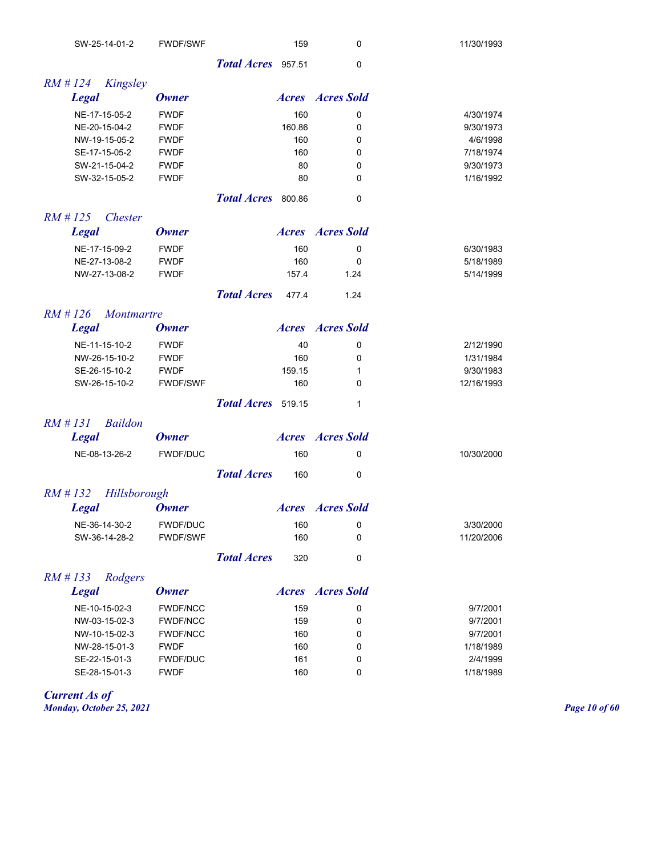| SW-25-14-01-2                   | <b>FWDF/SWF</b> |                    | 159    | 0                       | 11/30/1993 |
|---------------------------------|-----------------|--------------------|--------|-------------------------|------------|
|                                 |                 | Total Acres 957.51 |        | 0                       |            |
| $RM$ # 124<br>Kingsley          |                 |                    |        |                         |            |
| <b>Legal</b>                    | <b>Owner</b>    |                    |        | <b>Acres Acres</b> Sold |            |
| NE-17-15-05-2                   | <b>FWDF</b>     |                    | 160    | 0                       | 4/30/1974  |
| NE-20-15-04-2                   | <b>FWDF</b>     |                    | 160.86 | 0                       | 9/30/1973  |
| NW-19-15-05-2                   | <b>FWDF</b>     |                    | 160    | 0                       | 4/6/1998   |
| SE-17-15-05-2                   | <b>FWDF</b>     |                    | 160    | 0                       | 7/18/1974  |
| SW-21-15-04-2                   | <b>FWDF</b>     |                    | 80     | 0                       | 9/30/1973  |
| SW-32-15-05-2                   | <b>FWDF</b>     |                    | 80     | 0                       | 1/16/1992  |
|                                 |                 | Total Acres 800.86 |        | 0                       |            |
| $RM$ # 125<br><b>Chester</b>    |                 |                    |        |                         |            |
| <b>Legal</b>                    | <b>Owner</b>    |                    |        | <b>Acres Acres</b> Sold |            |
| NE-17-15-09-2                   | <b>FWDF</b>     |                    | 160    | 0                       | 6/30/1983  |
| NE-27-13-08-2                   | <b>FWDF</b>     |                    | 160    | 0                       | 5/18/1989  |
| NW-27-13-08-2                   | <b>FWDF</b>     |                    | 157.4  | 1.24                    | 5/14/1999  |
|                                 |                 | <b>Total Acres</b> | 477.4  | 1.24                    |            |
| $RM$ # 126<br><i>Montmartre</i> |                 |                    |        |                         |            |
| <b>Legal</b>                    | <b>Owner</b>    |                    |        | <b>Acres Acres</b> Sold |            |
| NE-11-15-10-2                   | <b>FWDF</b>     |                    | 40     | 0                       | 2/12/1990  |
| NW-26-15-10-2                   | <b>FWDF</b>     |                    | 160    | 0                       | 1/31/1984  |
| SE-26-15-10-2                   | <b>FWDF</b>     |                    | 159.15 | 1                       | 9/30/1983  |
| SW-26-15-10-2                   | <b>FWDF/SWF</b> |                    | 160    | 0                       | 12/16/1993 |
|                                 |                 | Total Acres 519.15 |        | 1                       |            |
| $RM$ # 131<br><b>Baildon</b>    |                 |                    |        |                         |            |
| <b>Legal</b>                    | <b>Owner</b>    |                    |        | <b>Acres Acres</b> Sold |            |
| NE-08-13-26-2                   | <b>FWDF/DUC</b> |                    | 160    | 0                       | 10/30/2000 |
|                                 |                 | <b>Total Acres</b> | 160    | 0                       |            |
| Hillsborough<br>$RM \# 132$     |                 |                    |        |                         |            |
| <b>Legal</b>                    | <b>Owner</b>    |                    |        | <b>Acres Acres Sold</b> |            |
| NE-36-14-30-2                   | FWDF/DUC        |                    | 160    | 0                       | 3/30/2000  |
| SW-36-14-28-2                   | <b>FWDF/SWF</b> |                    | 160    | 0                       | 11/20/2006 |
|                                 |                 | <b>Total Acres</b> | 320    | $\pmb{0}$               |            |
| $RM$ # 133<br>Rodgers           |                 |                    |        |                         |            |
| <b>Legal</b>                    | <b>Owner</b>    |                    |        | <b>Acres Acres</b> Sold |            |
| NE-10-15-02-3                   | <b>FWDF/NCC</b> |                    | 159    | 0                       | 9/7/2001   |
| NW-03-15-02-3                   | <b>FWDF/NCC</b> |                    | 159    | 0                       | 9/7/2001   |
| NW-10-15-02-3                   | <b>FWDF/NCC</b> |                    | 160    | 0                       | 9/7/2001   |
| NW-28-15-01-3                   | <b>FWDF</b>     |                    | 160    | 0                       | 1/18/1989  |
| SE-22-15-01-3                   | <b>FWDF/DUC</b> |                    | 161    | 0                       | 2/4/1999   |
| SE-28-15-01-3                   | <b>FWDF</b>     |                    | 160    | 0                       | 1/18/1989  |

*Current As of Monday, October 25, 2021 Page 10 of 60*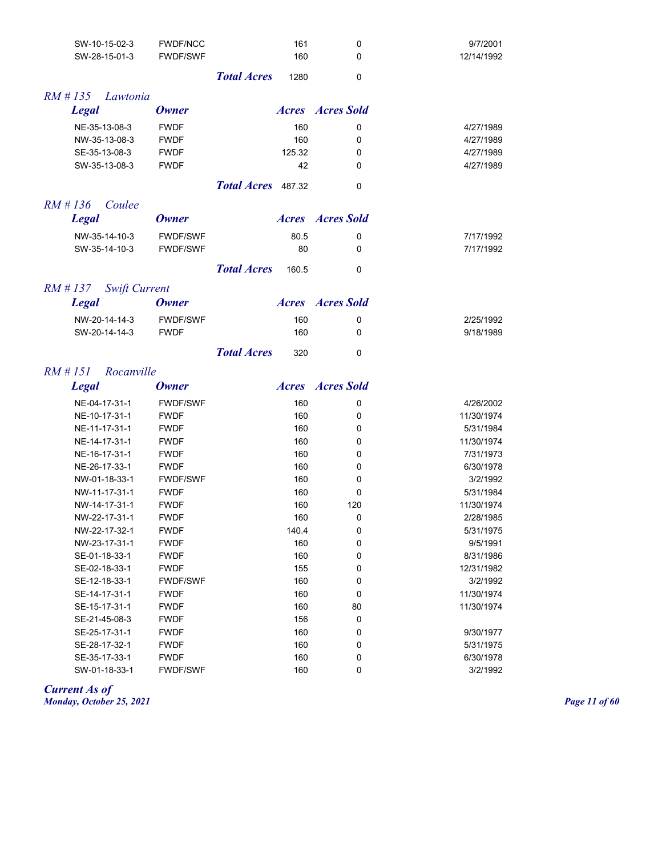| SW-10-15-02-3                      | <b>FWDF/NCC</b> | 161                         | 0                       | 9/7/2001   |
|------------------------------------|-----------------|-----------------------------|-------------------------|------------|
| SW-28-15-01-3                      | <b>FWDF/SWF</b> | 160                         | 0                       | 12/14/1992 |
|                                    |                 | <b>Total Acres</b><br>1280  | 0                       |            |
|                                    |                 |                             |                         |            |
| $RM$ # 135<br>Lawtonia             |                 |                             |                         |            |
| <b>Legal</b>                       | <b>Owner</b>    |                             | <b>Acres Acres</b> Sold |            |
| NE-35-13-08-3                      | <b>FWDF</b>     | 160                         | 0                       | 4/27/1989  |
| NW-35-13-08-3                      | <b>FWDF</b>     | 160                         | 0                       | 4/27/1989  |
| SE-35-13-08-3                      | <b>FWDF</b>     | 125.32                      | 0                       | 4/27/1989  |
| SW-35-13-08-3                      | <b>FWDF</b>     | 42                          | 0                       | 4/27/1989  |
|                                    |                 | Total Acres 487.32          | 0                       |            |
|                                    |                 |                             |                         |            |
| $RM$ # 136<br>Coulee               |                 |                             |                         |            |
| <b>Legal</b>                       | <b>Owner</b>    |                             | <b>Acres Acres</b> Sold |            |
| NW-35-14-10-3                      | <b>FWDF/SWF</b> | 80.5                        | 0                       | 7/17/1992  |
| SW-35-14-10-3                      | <b>FWDF/SWF</b> | 80                          | 0                       | 7/17/1992  |
|                                    |                 | <b>Total Acres</b><br>160.5 | 0                       |            |
|                                    |                 |                             |                         |            |
| $RM$ # 137<br><b>Swift Current</b> |                 |                             |                         |            |
| <b>Legal</b>                       | <b>Owner</b>    |                             | <b>Acres Acres</b> Sold |            |
| NW-20-14-14-3                      | <b>FWDF/SWF</b> | 160                         | 0                       | 2/25/1992  |
| SW-20-14-14-3                      | <b>FWDF</b>     | 160                         | 0                       | 9/18/1989  |
|                                    |                 | <b>Total Acres</b><br>320   | 0                       |            |
|                                    |                 |                             |                         |            |
| $RM$ # 151<br>Rocanville           |                 |                             | <b>Acres Acres</b> Sold |            |
| <b>Legal</b>                       | <b>Owner</b>    |                             |                         |            |
| NE-04-17-31-1                      | <b>FWDF/SWF</b> | 160                         | 0                       | 4/26/2002  |
| NE-10-17-31-1                      | <b>FWDF</b>     | 160                         | 0                       | 11/30/1974 |
| NE-11-17-31-1                      | <b>FWDF</b>     | 160                         | 0                       | 5/31/1984  |
| NE-14-17-31-1                      | <b>FWDF</b>     | 160                         | 0                       | 11/30/1974 |
| NE-16-17-31-1                      | <b>FWDF</b>     | 160                         | 0                       | 7/31/1973  |
| NE-26-17-33-1                      | <b>FWDF</b>     | 160                         | 0                       | 6/30/1978  |
| NW-01-18-33-1                      | <b>FWDF/SWF</b> | 160                         | 0                       | 3/2/1992   |
| NW-11-17-31-1                      | <b>FWDF</b>     | 160                         | 0                       | 5/31/1984  |
| NW-14-17-31-1                      | <b>FWDF</b>     | 160                         | 120                     | 11/30/1974 |
| NW-22-17-31-1                      | <b>FWDF</b>     | 160                         | $\mathbf 0$             | 2/28/1985  |
| NW-22-17-32-1                      | <b>FWDF</b>     | 140.4                       | 0                       | 5/31/1975  |
| NW-23-17-31-1                      | <b>FWDF</b>     | 160                         | 0                       | 9/5/1991   |
| SE-01-18-33-1                      | <b>FWDF</b>     | 160                         | 0                       | 8/31/1986  |
| SE-02-18-33-1                      | <b>FWDF</b>     | 155                         | 0                       | 12/31/1982 |
| SE-12-18-33-1                      | <b>FWDF/SWF</b> | 160                         | 0                       | 3/2/1992   |
| SE-14-17-31-1                      | <b>FWDF</b>     | 160                         | 0                       | 11/30/1974 |
| SE-15-17-31-1                      | <b>FWDF</b>     | 160                         | 80                      | 11/30/1974 |
| SE-21-45-08-3                      | <b>FWDF</b>     | 156                         | 0                       |            |

SE-25-17-31-1 FWDF 160 0 9/30/1977 SE-28-17-32-1 FWDF 160 0 5/31/1975 SE-35-17-33-1 FWDF 160 0 6/30/1978 SW-01-18-33-1 FWDF/SWF 160 0 3/2/1992

*Current As of Monday, October 25, 2021 Page 11 of 60*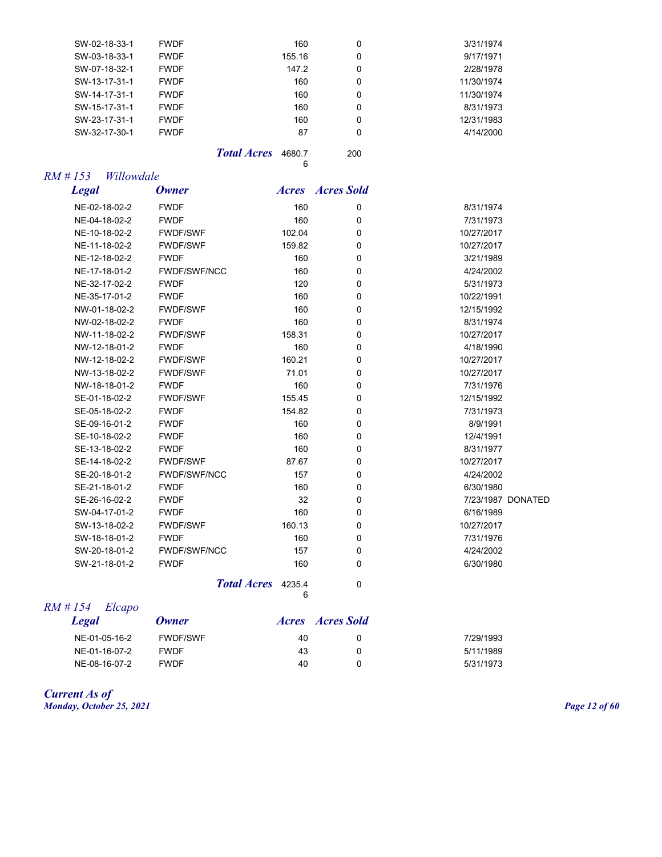| SW-02-18-33-1 | <b>FWDF</b> | 160    | 0 | 3/31/1974  |
|---------------|-------------|--------|---|------------|
| SW-03-18-33-1 | <b>FWDF</b> | 155.16 | 0 | 9/17/1971  |
| SW-07-18-32-1 | <b>FWDF</b> | 147.2  | 0 | 2/28/1978  |
| SW-13-17-31-1 | <b>FWDF</b> | 160    | 0 | 11/30/1974 |
| SW-14-17-31-1 | <b>FWDF</b> | 160    | 0 | 11/30/1974 |
| SW-15-17-31-1 | <b>FWDF</b> | 160    | 0 | 8/31/1973  |
| SW-23-17-31-1 | <b>FWDF</b> | 160    | 0 | 12/31/1983 |
| SW-32-17-30-1 | <b>FWDF</b> | 87     | 0 | 4/14/2000  |
|               |             |        |   |            |

*Total Acres* 4680.7 200 6

| RM # 153 | Willowdale |
|----------|------------|
|          |            |

*Legal Owner Acres Acres Sold*

| .             | <b>Total Acres</b> 4235.4 | 6      | 0        |            |                   |
|---------------|---------------------------|--------|----------|------------|-------------------|
| SW-21-18-01-2 | <b>FWDF</b>               | 160    | 0        | 6/30/1980  |                   |
| SW-20-18-01-2 | <b>FWDF/SWF/NCC</b>       | 157    | 0        | 4/24/2002  |                   |
| SW-18-18-01-2 | <b>FWDF</b>               | 160    | 0        | 7/31/1976  |                   |
| SW-13-18-02-2 | <b>FWDF/SWF</b>           | 160.13 | 0        | 10/27/2017 |                   |
| SW-04-17-01-2 | <b>FWDF</b>               | 160    | 0        | 6/16/1989  |                   |
| SE-26-16-02-2 | <b>FWDF</b>               | 32     | 0        |            | 7/23/1987 DONATED |
| SE-21-18-01-2 | <b>FWDF</b>               | 160    | 0        | 6/30/1980  |                   |
| SE-20-18-01-2 | <b>FWDF/SWF/NCC</b>       | 157    | 0        | 4/24/2002  |                   |
| SE-14-18-02-2 | <b>FWDF/SWF</b>           | 87.67  | 0        | 10/27/2017 |                   |
| SE-13-18-02-2 | <b>FWDF</b>               | 160    | 0        | 8/31/1977  |                   |
| SE-10-18-02-2 | <b>FWDF</b>               | 160    | 0        | 12/4/1991  |                   |
| SE-09-16-01-2 | <b>FWDF</b>               | 160    | 0        | 8/9/1991   |                   |
| SE-05-18-02-2 | <b>FWDF</b>               | 154.82 | 0        | 7/31/1973  |                   |
| SE-01-18-02-2 | <b>FWDF/SWF</b>           | 155.45 | 0        | 12/15/1992 |                   |
| NW-18-18-01-2 | <b>FWDF</b>               | 160    | 0        | 7/31/1976  |                   |
| NW-13-18-02-2 | <b>FWDF/SWF</b>           | 71.01  | 0        | 10/27/2017 |                   |
| NW-12-18-02-2 | <b>FWDF/SWF</b>           | 160.21 | 0        | 10/27/2017 |                   |
| NW-12-18-01-2 | <b>FWDF</b>               | 160    | $\Omega$ | 4/18/1990  |                   |
| NW-11-18-02-2 | <b>FWDF/SWF</b>           | 158.31 | 0        | 10/27/2017 |                   |
| NW-02-18-02-2 | <b>FWDF</b>               | 160    | 0        | 8/31/1974  |                   |
| NW-01-18-02-2 | <b>FWDF/SWF</b>           | 160    | 0        | 12/15/1992 |                   |
| NE-35-17-01-2 | <b>FWDF</b>               | 160    | 0        | 10/22/1991 |                   |
| NE-32-17-02-2 | <b>FWDF</b>               | 120    | 0        | 5/31/1973  |                   |
| NE-17-18-01-2 | <b>FWDF/SWF/NCC</b>       | 160    | $\Omega$ | 4/24/2002  |                   |
| NE-12-18-02-2 | <b>FWDF</b>               | 160    | 0        | 3/21/1989  |                   |
| NE-11-18-02-2 | <b>FWDF/SWF</b>           | 159.82 | 0        | 10/27/2017 |                   |
| NE-10-18-02-2 | <b>FWDF/SWF</b>           | 102.04 | 0        | 10/27/2017 |                   |
| NE-04-18-02-2 | <b>FWDF</b>               | 160    | 0        | 7/31/1973  |                   |
| NE-02-18-02-2 | <b>FWDF</b>               | 160    | 0        | 8/31/1974  |                   |
|               |                           |        |          |            |                   |

#### *RM # 154 Elcapo*

| Legal         | Owner           | <i>Acres Acres Sold</i> |           |
|---------------|-----------------|-------------------------|-----------|
| NE-01-05-16-2 | <b>FWDF/SWF</b> | 40                      | 7/29/1993 |
| NE-01-16-07-2 | <b>FWDF</b>     | 43                      | 5/11/1989 |
| NE-08-16-07-2 | <b>FWDF</b>     | 40                      | 5/31/1973 |

#### *Current As of Monday, October 25, 2021 Page 12 of 60*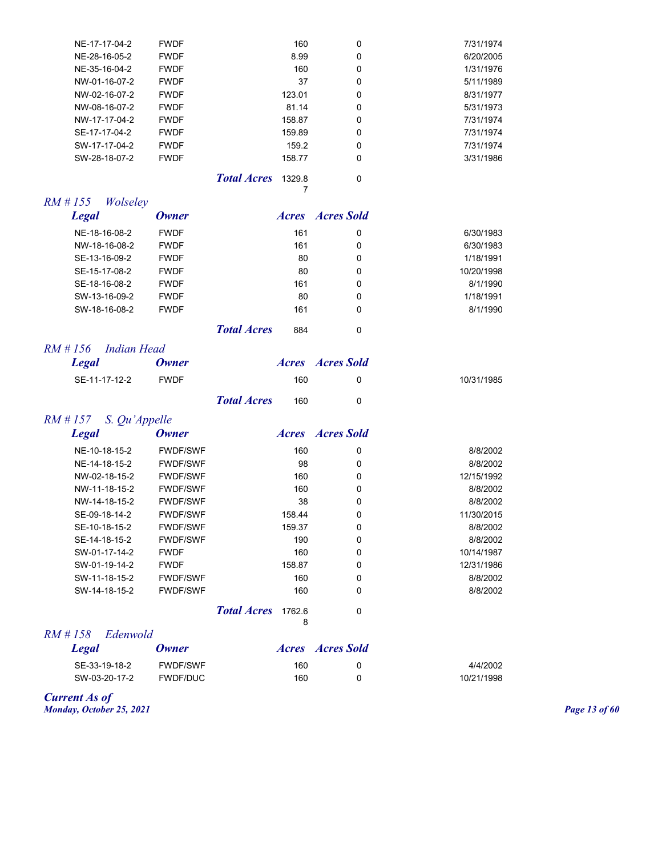| NE-17-17-04-2                | <b>FWDF</b>  |                    | 160    | 0                       | 7/31/1974  |
|------------------------------|--------------|--------------------|--------|-------------------------|------------|
| NE-28-16-05-2                | <b>FWDF</b>  |                    | 8.99   | $\mathbf 0$             | 6/20/2005  |
| NE-35-16-04-2                | <b>FWDF</b>  |                    | 160    | $\Omega$                | 1/31/1976  |
| NW-01-16-07-2                | <b>FWDF</b>  |                    | 37     | $\mathbf 0$             | 5/11/1989  |
| NW-02-16-07-2                | <b>FWDF</b>  |                    | 123.01 | $\Omega$                | 8/31/1977  |
| NW-08-16-07-2                | <b>FWDF</b>  |                    | 81.14  | $\Omega$                | 5/31/1973  |
| NW-17-17-04-2                | <b>FWDF</b>  |                    | 158.87 | 0                       | 7/31/1974  |
| SE-17-17-04-2                | <b>FWDF</b>  |                    | 159.89 | $\Omega$                | 7/31/1974  |
| SW-17-17-04-2                | <b>FWDF</b>  |                    | 159.2  | $\Omega$                | 7/31/1974  |
| SW-28-18-07-2                | <b>FWDF</b>  |                    | 158.77 | 0                       | 3/31/1986  |
|                              |              | <b>Total Acres</b> | 1329.8 | $\mathbf 0$             |            |
|                              |              |                    | 7      |                         |            |
| $RM$ # 155<br>Wolseley       |              |                    |        |                         |            |
|                              |              |                    |        |                         |            |
| <b>Legal</b>                 | <b>Owner</b> |                    |        | <b>Acres Acres</b> Sold |            |
| NE-18-16-08-2                | <b>FWDF</b>  |                    | 161    | 0                       | 6/30/1983  |
| NW-18-16-08-2                | <b>FWDF</b>  |                    | 161    | $\Omega$                | 6/30/1983  |
| SE-13-16-09-2                | <b>FWDF</b>  |                    | 80     | 0                       | 1/18/1991  |
| SE-15-17-08-2                | <b>FWDF</b>  |                    | 80     | 0                       | 10/20/1998 |
| SE-18-16-08-2                | <b>FWDF</b>  |                    | 161    | 0                       | 8/1/1990   |
| SW-13-16-09-2                | <b>FWDF</b>  |                    | 80     | 0                       | 1/18/1991  |
| SW-18-16-08-2                | <b>FWDF</b>  |                    | 161    | $\mathbf 0$             | 8/1/1990   |
|                              |              | <b>Total Acres</b> | 884    | $\Omega$                |            |
| <b>Indian Head</b><br>RM#156 |              |                    |        |                         |            |
| <b>Legal</b>                 | <b>Owner</b> |                    |        | <b>Acres Acres</b> Sold |            |

*Total Acres* 160 0

## *RM # 157 S. Qu'Appelle*

| <b>Legal</b>  | <b>Owner</b>    |                    | <i>Acres</i> | Acres Sold   |            |
|---------------|-----------------|--------------------|--------------|--------------|------------|
| NE-10-18-15-2 | <b>FWDF/SWF</b> |                    | 160          | 0            | 8/8/2002   |
| NE-14-18-15-2 | <b>FWDF/SWF</b> |                    | 98           | 0            | 8/8/2002   |
| NW-02-18-15-2 | <b>FWDF/SWF</b> |                    | 160          | 0            | 12/15/1992 |
| NW-11-18-15-2 | <b>FWDF/SWF</b> |                    | 160          | 0            | 8/8/2002   |
| NW-14-18-15-2 | <b>FWDF/SWF</b> |                    | 38           | 0            | 8/8/2002   |
| SE-09-18-14-2 | <b>FWDF/SWF</b> |                    | 158.44       | 0            | 11/30/2015 |
| SE-10-18-15-2 | <b>FWDF/SWF</b> |                    | 159.37       | 0            | 8/8/2002   |
| SE-14-18-15-2 | <b>FWDF/SWF</b> |                    | 190          | 0            | 8/8/2002   |
| SW-01-17-14-2 | <b>FWDF</b>     |                    | 160          | 0            | 10/14/1987 |
| SW-01-19-14-2 | <b>FWDF</b>     |                    | 158.87       | 0            | 12/31/1986 |
| SW-11-18-15-2 | <b>FWDF/SWF</b> |                    | 160          | $\mathbf{0}$ | 8/8/2002   |
| SW-14-18-15-2 | <b>FWDF/SWF</b> |                    | 160          | 0            | 8/8/2002   |
|               |                 | <b>Total Acres</b> | 1762.6<br>8  | 0            |            |

*RM # 158 Edenwold* 

| Legal         | Owner           |     | <i>Acres Acres Sold</i> |            |
|---------------|-----------------|-----|-------------------------|------------|
| SE-33-19-18-2 | <b>FWDF/SWF</b> | 160 |                         | 4/4/2002   |
| SW-03-20-17-2 | FWDF/DUC        | 160 |                         | 10/21/1998 |

*Current As of Monday, October 25, 2021 Page 13 of 60*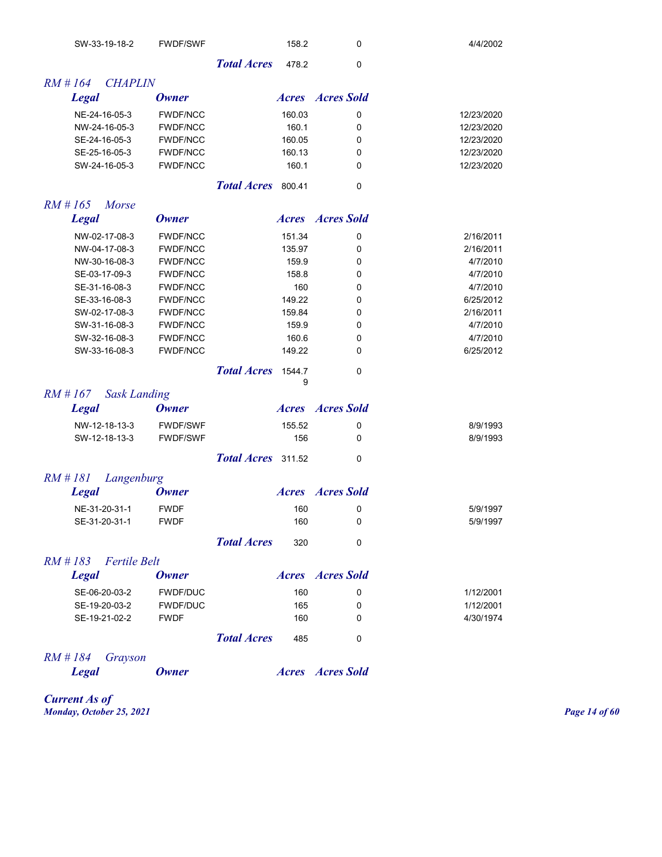| SW-33-19-18-2                     | <b>FWDF/SWF</b> |                    | 158.2       | 0                       | 4/4/2002   |
|-----------------------------------|-----------------|--------------------|-------------|-------------------------|------------|
|                                   |                 | <b>Total Acres</b> | 478.2       | 0                       |            |
| $RM$ # 164<br><b>CHAPLIN</b>      |                 |                    |             |                         |            |
| <b>Legal</b>                      | <b>Owner</b>    |                    |             | <b>Acres Acres</b> Sold |            |
| NE-24-16-05-3                     | <b>FWDF/NCC</b> |                    | 160.03      | 0                       | 12/23/2020 |
| NW-24-16-05-3                     | <b>FWDF/NCC</b> |                    | 160.1       | 0                       | 12/23/2020 |
| SE-24-16-05-3                     | <b>FWDF/NCC</b> |                    | 160.05      | 0                       | 12/23/2020 |
| SE-25-16-05-3                     | <b>FWDF/NCC</b> |                    | 160.13      | 0                       | 12/23/2020 |
| SW-24-16-05-3                     | <b>FWDF/NCC</b> |                    | 160.1       | 0                       | 12/23/2020 |
|                                   |                 | Total Acres 800.41 |             | 0                       |            |
| $RM$ # 165<br>Morse               |                 |                    |             |                         |            |
| <b>Legal</b>                      | <b>Owner</b>    |                    |             | <b>Acres Acres</b> Sold |            |
| NW-02-17-08-3                     | <b>FWDF/NCC</b> |                    | 151.34      | 0                       | 2/16/2011  |
| NW-04-17-08-3                     | <b>FWDF/NCC</b> |                    | 135.97      | 0                       | 2/16/2011  |
| NW-30-16-08-3                     | <b>FWDF/NCC</b> |                    | 159.9       | 0                       | 4/7/2010   |
| SE-03-17-09-3                     | <b>FWDF/NCC</b> |                    | 158.8       | 0                       | 4/7/2010   |
| SE-31-16-08-3                     | <b>FWDF/NCC</b> |                    | 160         | 0                       | 4/7/2010   |
| SE-33-16-08-3                     | <b>FWDF/NCC</b> |                    | 149.22      | 0                       | 6/25/2012  |
| SW-02-17-08-3                     | <b>FWDF/NCC</b> |                    | 159.84      | 0                       | 2/16/2011  |
| SW-31-16-08-3                     | <b>FWDF/NCC</b> |                    | 159.9       | 0                       | 4/7/2010   |
| SW-32-16-08-3                     | <b>FWDF/NCC</b> |                    | 160.6       | 0                       | 4/7/2010   |
| SW-33-16-08-3                     | <b>FWDF/NCC</b> |                    | 149.22      | 0                       | 6/25/2012  |
|                                   |                 | <b>Total Acres</b> | 1544.7<br>9 | 0                       |            |
| $RM$ # 167<br><b>Sask Landing</b> |                 |                    |             |                         |            |
| <b>Legal</b>                      | <b>Owner</b>    |                    |             | <b>Acres Acres</b> Sold |            |
|                                   |                 |                    |             |                         |            |
| NW-12-18-13-3                     | <b>FWDF/SWF</b> |                    | 155.52      | 0                       | 8/9/1993   |
| SW-12-18-13-3                     | <b>FWDF/SWF</b> |                    | 156         | 0                       | 8/9/1993   |
|                                   |                 | Total Acres 311.52 |             | 0                       |            |
| RM #181<br>Langenburg             |                 |                    |             |                         |            |
| <b>Legal</b>                      | <b>Owner</b>    |                    |             | <b>Acres Acres</b> Sold |            |
| NE-31-20-31-1                     | <b>FWDF</b>     |                    | 160         | 0                       | 5/9/1997   |
| SE-31-20-31-1                     | <b>FWDF</b>     |                    | 160         | 0                       | 5/9/1997   |
|                                   |                 | <b>Total Acres</b> | 320         | 0                       |            |
| $RM$ # 183<br><b>Fertile Belt</b> |                 |                    |             |                         |            |
| <b>Legal</b>                      | <b>Owner</b>    |                    |             | <b>Acres Acres</b> Sold |            |
| SE-06-20-03-2                     | <b>FWDF/DUC</b> |                    | 160         | 0                       | 1/12/2001  |
| SE-19-20-03-2                     | <b>FWDF/DUC</b> |                    | 165         | 0                       | 1/12/2001  |
| SE-19-21-02-2                     | <b>FWDF</b>     |                    | 160         | 0                       | 4/30/1974  |
|                                   |                 | <b>Total Acres</b> | 485         | 0                       |            |
| RM #184<br>Grayson                |                 |                    |             |                         |            |
| <b>Legal</b>                      | <b>Owner</b>    |                    |             | <b>Acres Acres</b> Sold |            |

*Current As of Monday, October 25, 2021 Page 14 of 60*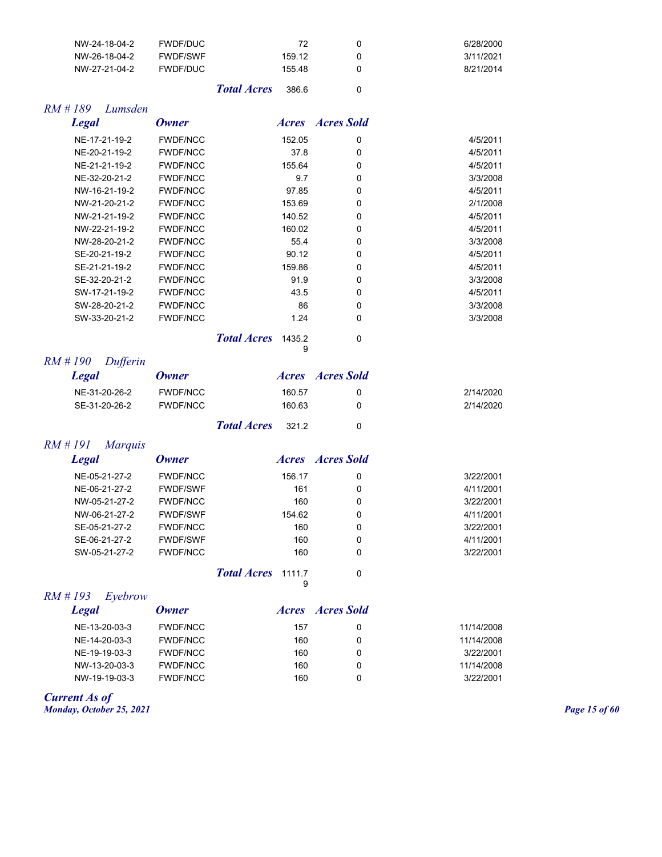| NW-24-18-04-2 | FWDF/DUC        |                    | 72     | 6/28/2000 |
|---------------|-----------------|--------------------|--------|-----------|
| NW-26-18-04-2 | <b>FWDF/SWF</b> |                    | 159.12 | 3/11/2021 |
| NW-27-21-04-2 | FWDF/DUC        |                    | 15548  | 8/21/2014 |
|               |                 | <b>Total Acres</b> | 386.6  |           |

#### *RM # 189 Lumsden*

| <b>Legal</b>  | Owner           |        | <b>Acres Acres</b> Sold |          |
|---------------|-----------------|--------|-------------------------|----------|
| NE-17-21-19-2 | <b>FWDF/NCC</b> | 152.05 | 0                       | 4/5/2011 |
| NE-20-21-19-2 | <b>FWDF/NCC</b> | 37.8   | 0                       | 4/5/2011 |
| NE-21-21-19-2 | <b>FWDF/NCC</b> | 155.64 | 0                       | 4/5/2011 |
| NE-32-20-21-2 | <b>FWDF/NCC</b> | 9.7    | 0                       | 3/3/2008 |
| NW-16-21-19-2 | <b>FWDF/NCC</b> | 97.85  | 0                       | 4/5/2011 |
| NW-21-20-21-2 | <b>FWDF/NCC</b> | 153.69 | 0                       | 2/1/2008 |
| NW-21-21-19-2 | <b>FWDF/NCC</b> | 140.52 | 0                       | 4/5/2011 |
| NW-22-21-19-2 | <b>FWDF/NCC</b> | 160.02 | 0                       | 4/5/2011 |
| NW-28-20-21-2 | <b>FWDF/NCC</b> | 55.4   | 0                       | 3/3/2008 |
| SE-20-21-19-2 | <b>FWDF/NCC</b> | 90.12  | 0                       | 4/5/2011 |
| SE-21-21-19-2 | <b>FWDF/NCC</b> | 159.86 | 0                       | 4/5/2011 |
| SE-32-20-21-2 | <b>FWDF/NCC</b> | 91.9   | 0                       | 3/3/2008 |
| SW-17-21-19-2 | <b>FWDF/NCC</b> | 43.5   | 0                       | 4/5/2011 |
| SW-28-20-21-2 | <b>FWDF/NCC</b> | 86     | 0                       | 3/3/2008 |
| SW-33-20-21-2 | <b>FWDF/NCC</b> | 1.24   | 0                       | 3/3/2008 |

*Total Acres* 1435.2 0 9

## *RM # 190 Dufferin*

| <b>Legal</b>  | Owner    |                          |        | <i>Acres Acres Sold</i> |           |
|---------------|----------|--------------------------|--------|-------------------------|-----------|
| NE-31-20-26-2 | FWDF/NCC |                          | 160.57 |                         | 2/14/2020 |
| SE-31-20-26-2 | FWDF/NCC |                          | 160.63 |                         | 2/14/2020 |
|               |          | <b>Total Acres</b> 321.2 |        |                         |           |

## *RM # 191 Marquis*

| Legal         | Owner           | <i>Acres Acres Sold</i> |   |           |
|---------------|-----------------|-------------------------|---|-----------|
| NE-05-21-27-2 | <b>FWDF/NCC</b> | 156.17                  | 0 | 3/22/2001 |
| NE-06-21-27-2 | <b>FWDF/SWF</b> | 161                     | 0 | 4/11/2001 |
| NW-05-21-27-2 | <b>FWDF/NCC</b> | 160                     | 0 | 3/22/2001 |
| NW-06-21-27-2 | <b>FWDF/SWF</b> | 154.62                  | 0 | 4/11/2001 |
| SE-05-21-27-2 | <b>FWDF/NCC</b> | 160                     | 0 | 3/22/2001 |
| SE-06-21-27-2 | <b>FWDF/SWF</b> | 160                     | 0 | 4/11/2001 |
| SW-05-21-27-2 | <b>FWDF/NCC</b> | 160                     | 0 | 3/22/2001 |
|               |                 |                         |   |           |

*Total Acres* 1111.7 0 9

#### *RM # 193 Eyebrow*

| Legal         | <b>Owner</b>    | <i>Acres</i> | Acres Sold |            |
|---------------|-----------------|--------------|------------|------------|
| NE-13-20-03-3 | <b>FWDF/NCC</b> | 157          |            | 11/14/2008 |
| NE-14-20-03-3 | <b>FWDF/NCC</b> | 160          |            | 11/14/2008 |
| NE-19-19-03-3 | <b>FWDF/NCC</b> | 160          |            | 3/22/2001  |
| NW-13-20-03-3 | <b>FWDF/NCC</b> | 160          |            | 11/14/2008 |
| NW-19-19-03-3 | <b>FWDF/NCC</b> | 160          |            | 3/22/2001  |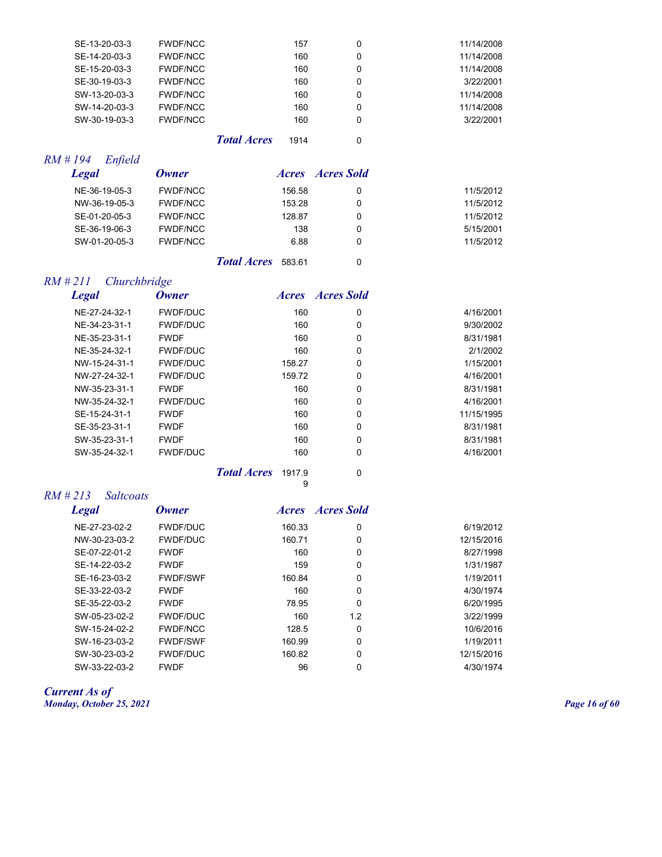| SE-13-20-03-3 | <b>FWDF/NCC</b> |                    | 157  | 0 | 11/14/2008 |
|---------------|-----------------|--------------------|------|---|------------|
| SE-14-20-03-3 | <b>FWDF/NCC</b> |                    | 160  | 0 | 11/14/2008 |
| SE-15-20-03-3 | <b>FWDF/NCC</b> |                    | 160  | 0 | 11/14/2008 |
| SE-30-19-03-3 | <b>FWDF/NCC</b> |                    | 160  | 0 | 3/22/2001  |
| SW-13-20-03-3 | <b>FWDF/NCC</b> |                    | 160  | 0 | 11/14/2008 |
| SW-14-20-03-3 | <b>FWDF/NCC</b> |                    | 160  | 0 | 11/14/2008 |
| SW-30-19-03-3 | <b>FWDF/NCC</b> |                    | 160  | 0 | 3/22/2001  |
|               |                 | <b>Total Acres</b> | 1914 | 0 |            |

## *RM # 194 Enfield*

| <b>Legal</b>  | Owner           | <i>Acres</i> | Acres Sold |           |
|---------------|-----------------|--------------|------------|-----------|
| NE-36-19-05-3 | <b>FWDF/NCC</b> | 156.58       | 0          | 11/5/2012 |
| NW-36-19-05-3 | <b>FWDF/NCC</b> | 153.28       | 0          | 11/5/2012 |
| SE-01-20-05-3 | <b>FWDF/NCC</b> | 128.87       | 0          | 11/5/2012 |
| SE-36-19-06-3 | <b>FWDF/NCC</b> | 138          | 0          | 5/15/2001 |
| SW-01-20-05-3 | <b>FWDF/NCC</b> | 6.88         | 0          | 11/5/2012 |
|               |                 |              |            |           |

*Total Acres* 583.61 0

## *RM # 211 Churchbridge*

| <b>Legal</b>  | <b>Owner</b>    | <i>Acres</i> | Acres Sold |            |
|---------------|-----------------|--------------|------------|------------|
| NE-27-24-32-1 | <b>FWDF/DUC</b> | 160          | 0          | 4/16/2001  |
| NE-34-23-31-1 | <b>FWDF/DUC</b> | 160          | 0          | 9/30/2002  |
| NE-35-23-31-1 | <b>FWDF</b>     | 160          | 0          | 8/31/1981  |
| NE-35-24-32-1 | <b>FWDF/DUC</b> | 160          | 0          | 2/1/2002   |
| NW-15-24-31-1 | <b>FWDF/DUC</b> | 158.27       | 0          | 1/15/2001  |
| NW-27-24-32-1 | <b>FWDF/DUC</b> | 159.72       | 0          | 4/16/2001  |
| NW-35-23-31-1 | <b>FWDF</b>     | 160          | 0          | 8/31/1981  |
| NW-35-24-32-1 | <b>FWDF/DUC</b> | 160          | 0          | 4/16/2001  |
| SE-15-24-31-1 | <b>FWDF</b>     | 160          | 0          | 11/15/1995 |
| SE-35-23-31-1 | <b>FWDF</b>     | 160          | 0          | 8/31/1981  |
| SW-35-23-31-1 | <b>FWDF</b>     | 160          | 0          | 8/31/1981  |
| SW-35-24-32-1 | <b>FWDF/DUC</b> | 160          | 0          | 4/16/2001  |
|               |                 |              |            |            |

*Total Acres* 1917.9 0

9

| <b>Legal</b>  | <b>Owner</b>    | <i>Acres</i> | Acres Sold |            |
|---------------|-----------------|--------------|------------|------------|
| NE-27-23-02-2 | <b>FWDF/DUC</b> | 160.33       | 0          | 6/19/2012  |
| NW-30-23-03-2 | <b>FWDF/DUC</b> | 160.71       | 0          | 12/15/2016 |
| SE-07-22-01-2 | <b>FWDF</b>     | 160          | 0          | 8/27/1998  |
| SE-14-22-03-2 | <b>FWDF</b>     | 159          | 0          | 1/31/1987  |
| SE-16-23-03-2 | <b>FWDF/SWF</b> | 160.84       | 0          | 1/19/2011  |
| SE-33-22-03-2 | <b>FWDF</b>     | 160          | $\Omega$   | 4/30/1974  |
| SE-35-22-03-2 | <b>FWDF</b>     | 78.95        | 0          | 6/20/1995  |
| SW-05-23-02-2 | <b>FWDF/DUC</b> | 160          | 1.2        | 3/22/1999  |
| SW-15-24-02-2 | <b>FWDF/NCC</b> | 128.5        | 0          | 10/6/2016  |
| SW-16-23-03-2 | <b>FWDF/SWF</b> | 160.99       | 0          | 1/19/2011  |
| SW-30-23-03-2 | <b>FWDF/DUC</b> | 160.82       | 0          | 12/15/2016 |
| SW-33-22-03-2 | <b>FWDF</b>     | 96           | 0          | 4/30/1974  |

#### *Current As of Monday, October 25, 2021 Page 16 of 60*

*RM # 213 Saltcoats*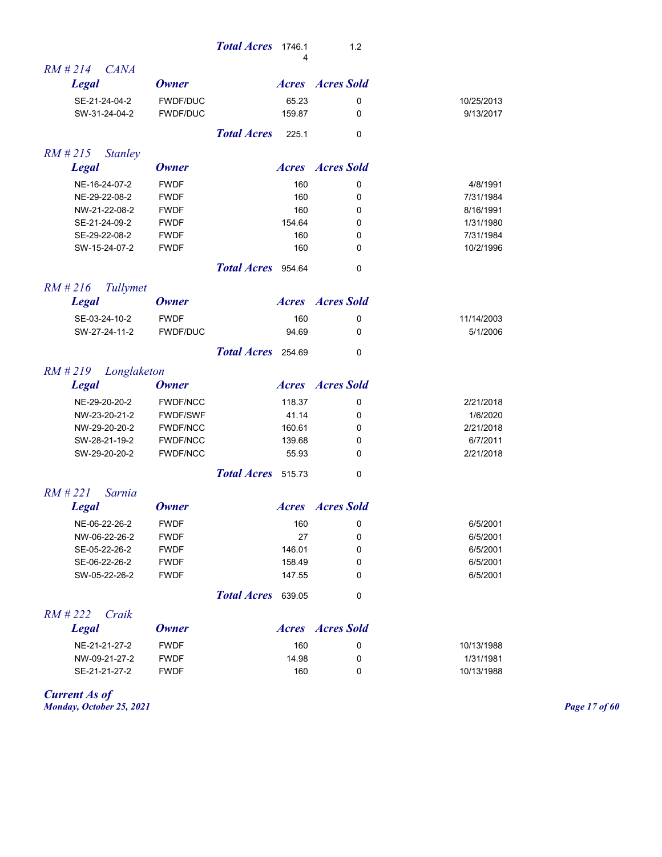|                              |                 | <b>Total Acres</b><br>1746.1<br>4 | 1.2                     |            |
|------------------------------|-----------------|-----------------------------------|-------------------------|------------|
| $RM$ #214<br><b>CANA</b>     |                 |                                   |                         |            |
| <b>Legal</b>                 | <b>Owner</b>    |                                   | <b>Acres Acres</b> Sold |            |
| SE-21-24-04-2                | <b>FWDF/DUC</b> | 65.23                             | 0                       | 10/25/2013 |
| SW-31-24-04-2                | FWDF/DUC        | 159.87                            | 0                       | 9/13/2017  |
|                              |                 | <b>Total Acres</b><br>225.1       | 0                       |            |
| $RM$ # 215<br><b>Stanley</b> |                 |                                   |                         |            |
| <b>Legal</b>                 | <b>Owner</b>    |                                   | <b>Acres Acres</b> Sold |            |
| NE-16-24-07-2                | <b>FWDF</b>     | 160                               | 0                       | 4/8/1991   |
| NE-29-22-08-2                | <b>FWDF</b>     | 160                               | 0                       | 7/31/1984  |
| NW-21-22-08-2                | <b>FWDF</b>     | 160                               | 0                       | 8/16/1991  |
| SE-21-24-09-2                | <b>FWDF</b>     | 154.64                            | 0                       | 1/31/1980  |
| SE-29-22-08-2                | <b>FWDF</b>     | 160                               | 0                       | 7/31/1984  |
| SW-15-24-07-2                | <b>FWDF</b>     | 160                               | 0                       | 10/2/1996  |
|                              |                 | Total Acres 954.64                | 0                       |            |
| $RM$ #216<br>Tullymet        |                 |                                   |                         |            |
| <b>Legal</b>                 | <b>Owner</b>    |                                   | <b>Acres Acres</b> Sold |            |
| SE-03-24-10-2                | <b>FWDF</b>     | 160                               | 0                       | 11/14/2003 |
| SW-27-24-11-2                | <b>FWDF/DUC</b> | 94.69                             | 0                       | 5/1/2006   |
|                              |                 | Total Acres 254.69                | 0                       |            |
| RM # 219<br>Longlaketon      |                 |                                   |                         |            |
| <b>Legal</b>                 | <b>Owner</b>    |                                   | <b>Acres Acres</b> Sold |            |
| NE-29-20-20-2                | <b>FWDF/NCC</b> | 118.37                            | 0                       | 2/21/2018  |
| NW-23-20-21-2                | <b>FWDF/SWF</b> | 41.14                             | 0                       | 1/6/2020   |
| NW-29-20-20-2                | <b>FWDF/NCC</b> | 160.61                            | 0                       | 2/21/2018  |
| SW-28-21-19-2                | <b>FWDF/NCC</b> | 139.68                            | 0                       | 6/7/2011   |
| SW-29-20-20-2                | <b>FWDF/NCC</b> | 55.93                             | 0                       | 2/21/2018  |
|                              |                 | Total Acres 515.73                | 0                       |            |
| $RM$ #221<br>Sarnia          |                 |                                   |                         |            |
| <b>Legal</b>                 | <b>Owner</b>    |                                   | <b>Acres Acres</b> Sold |            |
| NE-06-22-26-2                | <b>FWDF</b>     | 160                               | 0                       | 6/5/2001   |
| NW-06-22-26-2                | <b>FWDF</b>     | 27                                | 0                       | 6/5/2001   |
| SE-05-22-26-2                | <b>FWDF</b>     | 146.01                            | 0                       | 6/5/2001   |
| SE-06-22-26-2                | <b>FWDF</b>     | 158.49                            | 0                       | 6/5/2001   |
| SW-05-22-26-2                | <b>FWDF</b>     | 147.55                            | 0                       | 6/5/2001   |
|                              |                 | Total Acres 639.05                | 0                       |            |
| $RM$ #222<br>Craik           |                 |                                   |                         |            |
| <b>Legal</b>                 | <b>Owner</b>    |                                   | <b>Acres Acres</b> Sold |            |
| NE-21-21-27-2                | <b>FWDF</b>     | 160                               | 0                       | 10/13/1988 |
| NW-09-21-27-2                | <b>FWDF</b>     | 14.98                             | 0                       | 1/31/1981  |
| SE-21-21-27-2                | <b>FWDF</b>     | 160                               | 0                       | 10/13/1988 |
|                              |                 |                                   |                         |            |

*Current As of Monday, October 25, 2021 Page 17 of 60*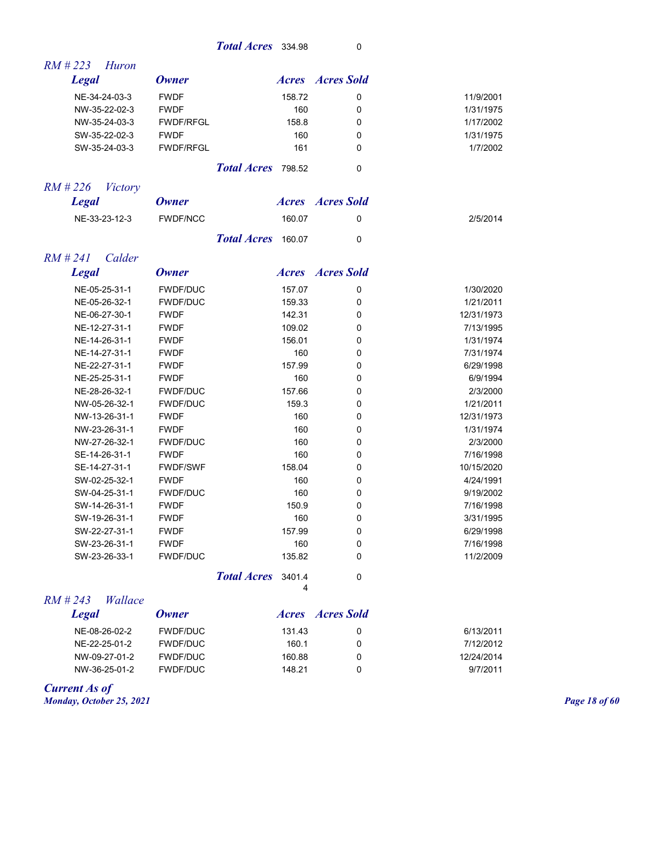## **Total Acres** 334.98 0

| $RM \# 223$<br>Huron       |                  |                    |             |                         |            |
|----------------------------|------------------|--------------------|-------------|-------------------------|------------|
| <b>Legal</b>               | <b>Owner</b>     |                    |             | <b>Acres Acres</b> Sold |            |
| NE-34-24-03-3              | <b>FWDF</b>      |                    | 158.72      | 0                       | 11/9/2001  |
| NW-35-22-02-3              | <b>FWDF</b>      |                    | 160         | 0                       | 1/31/1975  |
| NW-35-24-03-3              | <b>FWDF/RFGL</b> |                    | 158.8       | 0                       | 1/17/2002  |
| SW-35-22-02-3              | <b>FWDF</b>      |                    | 160         | $\mathbf{0}$            | 1/31/1975  |
| SW-35-24-03-3              | <b>FWDF/RFGL</b> |                    | 161         | 0                       | 1/7/2002   |
|                            |                  | Total Acres 798.52 |             | 0                       |            |
| RM # 226<br><b>Victory</b> |                  |                    |             |                         |            |
| <b>Legal</b>               | <b>Owner</b>     |                    |             | <b>Acres Acres</b> Sold |            |
| NE-33-23-12-3              | <b>FWDF/NCC</b>  |                    | 160.07      | 0                       | 2/5/2014   |
|                            |                  | <b>Total Acres</b> | 160.07      | $\Omega$                |            |
| $RM$ #241<br>Calder        |                  |                    |             |                         |            |
| <b>Legal</b>               | <b>Owner</b>     |                    |             | <b>Acres Acres</b> Sold |            |
| NE-05-25-31-1              | <b>FWDF/DUC</b>  |                    | 157.07      | 0                       | 1/30/2020  |
| NE-05-26-32-1              | <b>FWDF/DUC</b>  |                    | 159.33      | 0                       | 1/21/2011  |
| NE-06-27-30-1              | <b>FWDF</b>      |                    | 142.31      | 0                       | 12/31/1973 |
| NE-12-27-31-1              | <b>FWDF</b>      |                    | 109.02      | 0                       | 7/13/1995  |
| NE-14-26-31-1              | <b>FWDF</b>      |                    | 156.01      | 0                       | 1/31/1974  |
| NE-14-27-31-1              | <b>FWDF</b>      |                    | 160         | 0                       | 7/31/1974  |
| NE-22-27-31-1              | <b>FWDF</b>      |                    | 157.99      | 0                       | 6/29/1998  |
| NE-25-25-31-1              | <b>FWDF</b>      |                    | 160         | 0                       | 6/9/1994   |
| NE-28-26-32-1              | <b>FWDF/DUC</b>  |                    | 157.66      | 0                       | 2/3/2000   |
| NW-05-26-32-1              | <b>FWDF/DUC</b>  |                    | 159.3       | 0                       | 1/21/2011  |
| NW-13-26-31-1              | <b>FWDF</b>      |                    | 160         | 0                       | 12/31/1973 |
| NW-23-26-31-1              | <b>FWDF</b>      |                    | 160         | 0                       | 1/31/1974  |
| NW-27-26-32-1              | <b>FWDF/DUC</b>  |                    | 160         | 0                       | 2/3/2000   |
| SE-14-26-31-1              | <b>FWDF</b>      |                    | 160         | 0                       | 7/16/1998  |
| SE-14-27-31-1              | <b>FWDF/SWF</b>  |                    | 158.04      | 0                       | 10/15/2020 |
| SW-02-25-32-1              | <b>FWDF</b>      |                    | 160         | 0                       | 4/24/1991  |
| SW-04-25-31-1              | <b>FWDF/DUC</b>  |                    | 160         | 0                       | 9/19/2002  |
| SW-14-26-31-1              | <b>FWDF</b>      |                    | 150.9       | 0                       | 7/16/1998  |
| SW-19-26-31-1              | <b>FWDF</b>      |                    | 160         | 0                       | 3/31/1995  |
| SW-22-27-31-1              | <b>FWDF</b>      |                    | 157.99      | 0                       | 6/29/1998  |
| SW-23-26-31-1              | <b>FWDF</b>      |                    | 160         | 0                       | 7/16/1998  |
| SW-23-26-33-1              | <b>FWDF/DUC</b>  |                    | 135.82      | 0                       | 11/2/2009  |
|                            |                  | <b>Total Acres</b> | 3401.4<br>4 | 0                       |            |
| $RM$ # 243<br>Wallace      |                  |                    |             |                         |            |
| <b>Legal</b>               | <b>Owner</b>     |                    |             | <b>Acres Acres</b> Sold |            |

|            | 7 TET EN LITTLE |        | $\mathbf{v}$ mu | $L_{\rm V}$ at |
|------------|-----------------|--------|-----------------|----------------|
| 6/13/2011  |                 | 131.43 | FWDF/DUC        | NE-08-26-02-2  |
| 7/12/2012  |                 | 160.1  | FWDF/DUC        | NE-22-25-01-2  |
| 12/24/2014 |                 | 160.88 | FWDF/DUC        | NW-09-27-01-2  |
| 9/7/2011   |                 | 148.21 | FWDF/DUC        | NW-36-25-01-2  |

*Current As of Monday, October 25, 2021 Page 18 of 60*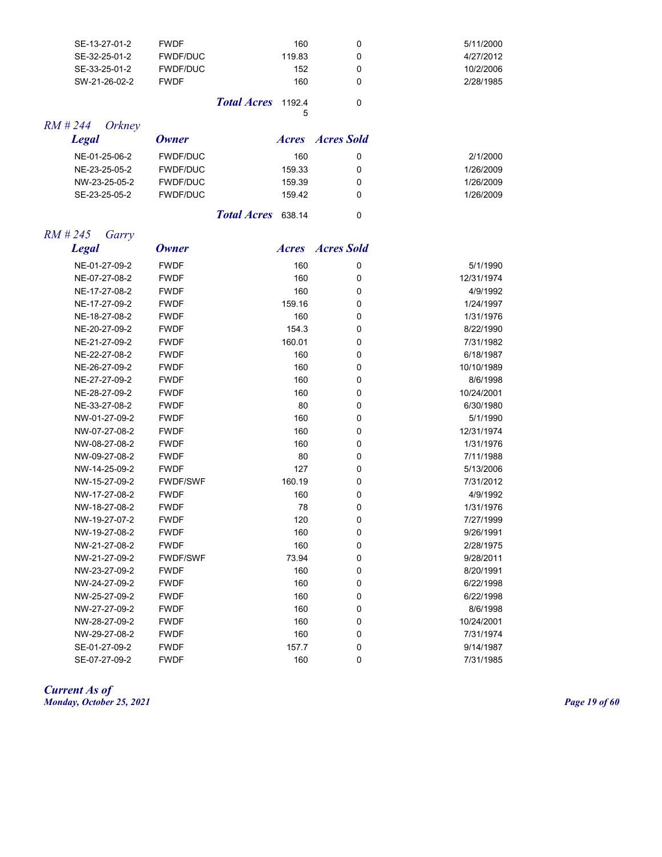| SE-13-27-01-2 | <b>FWDF</b>     |                           | 160    |   | 5/11/2000 |
|---------------|-----------------|---------------------------|--------|---|-----------|
| SE-32-25-01-2 | <b>FWDF/DUC</b> |                           | 119.83 |   | 4/27/2012 |
| SE-33-25-01-2 | <b>FWDF/DUC</b> |                           | 152    |   | 10/2/2006 |
| SW-21-26-02-2 | <b>FWDF</b>     |                           | 160    | 0 | 2/28/1985 |
|               |                 | <b>Total Acres</b> 1192.4 | Б.     |   |           |

5

## *RM # 244 Orkney*

| Legal         | Owner                     | <i>Acres Acres Sold</i> |   |           |
|---------------|---------------------------|-------------------------|---|-----------|
| NE-01-25-06-2 | <b>FWDF/DUC</b>           | 160                     | 0 | 2/1/2000  |
| NE-23-25-05-2 | <b>FWDF/DUC</b>           | 159.33                  | 0 | 1/26/2009 |
| NW-23-25-05-2 | <b>FWDF/DUC</b>           | 159.39                  | 0 | 1/26/2009 |
| SE-23-25-05-2 | <b>FWDF/DUC</b>           | 159.42                  | 0 | 1/26/2009 |
|               | <b>Total Acres</b> 638.14 |                         | 0 |           |

## *RM # 245 Garry*

| <b>Legal</b>  | <b>Owner</b>    |        | <b>Acres Acres</b> Sold |            |
|---------------|-----------------|--------|-------------------------|------------|
| NE-01-27-09-2 | <b>FWDF</b>     | 160    | 0                       | 5/1/1990   |
| NE-07-27-08-2 | <b>FWDF</b>     | 160    | 0                       | 12/31/1974 |
| NE-17-27-08-2 | <b>FWDF</b>     | 160    | 0                       | 4/9/1992   |
| NE-17-27-09-2 | <b>FWDF</b>     | 159.16 | 0                       | 1/24/1997  |
| NE-18-27-08-2 | <b>FWDF</b>     | 160    | 0                       | 1/31/1976  |
| NE-20-27-09-2 | <b>FWDF</b>     | 154.3  | 0                       | 8/22/1990  |
| NE-21-27-09-2 | <b>FWDF</b>     | 160.01 | 0                       | 7/31/1982  |
| NE-22-27-08-2 | <b>FWDF</b>     | 160    | 0                       | 6/18/1987  |
| NE-26-27-09-2 | <b>FWDF</b>     | 160    | 0                       | 10/10/1989 |
| NE-27-27-09-2 | <b>FWDF</b>     | 160    | 0                       | 8/6/1998   |
| NE-28-27-09-2 | <b>FWDF</b>     | 160    | 0                       | 10/24/2001 |
| NE-33-27-08-2 | <b>FWDF</b>     | 80     | $\mathbf 0$             | 6/30/1980  |
| NW-01-27-09-2 | <b>FWDF</b>     | 160    | 0                       | 5/1/1990   |
| NW-07-27-08-2 | <b>FWDF</b>     | 160    | $\Omega$                | 12/31/1974 |
| NW-08-27-08-2 | <b>FWDF</b>     | 160    | 0                       | 1/31/1976  |
| NW-09-27-08-2 | <b>FWDF</b>     | 80     | 0                       | 7/11/1988  |
| NW-14-25-09-2 | <b>FWDF</b>     | 127    | $\mathbf 0$             | 5/13/2006  |
| NW-15-27-09-2 | <b>FWDF/SWF</b> | 160.19 | 0                       | 7/31/2012  |
| NW-17-27-08-2 | <b>FWDF</b>     | 160    | 0                       | 4/9/1992   |
| NW-18-27-08-2 | <b>FWDF</b>     | 78     | 0                       | 1/31/1976  |
| NW-19-27-07-2 | <b>FWDF</b>     | 120    | 0                       | 7/27/1999  |
| NW-19-27-08-2 | <b>FWDF</b>     | 160    | 0                       | 9/26/1991  |
| NW-21-27-08-2 | <b>FWDF</b>     | 160    | 0                       | 2/28/1975  |
| NW-21-27-09-2 | <b>FWDF/SWF</b> | 73.94  | $\mathbf 0$             | 9/28/2011  |
| NW-23-27-09-2 | <b>FWDF</b>     | 160    | 0                       | 8/20/1991  |
| NW-24-27-09-2 | <b>FWDF</b>     | 160    | 0                       | 6/22/1998  |
| NW-25-27-09-2 | <b>FWDF</b>     | 160    | 0                       | 6/22/1998  |
| NW-27-27-09-2 | <b>FWDF</b>     | 160    | 0                       | 8/6/1998   |
| NW-28-27-09-2 | <b>FWDF</b>     | 160    | 0                       | 10/24/2001 |
| NW-29-27-08-2 | <b>FWDF</b>     | 160    | 0                       | 7/31/1974  |
| SE-01-27-09-2 | <b>FWDF</b>     | 157.7  | 0                       | 9/14/1987  |
| SE-07-27-09-2 | <b>FWDF</b>     | 160    | 0                       | 7/31/1985  |

*Current As of Monday, October 25, 2021 Page 19 of 60*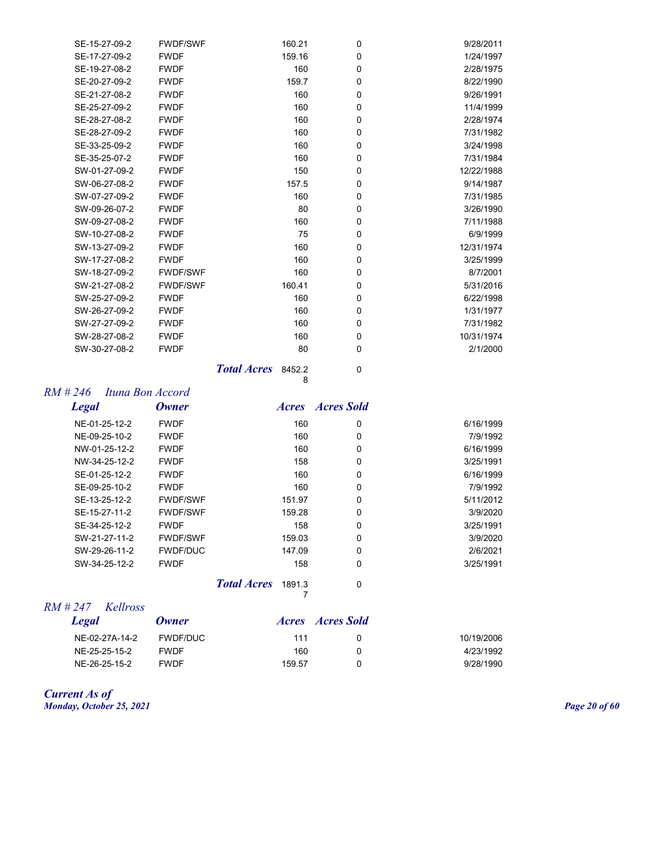| SE-15-27-09-2 | <b>FWDF/SWF</b> | 160.21 | 0 | 9/28/2011  |
|---------------|-----------------|--------|---|------------|
| SE-17-27-09-2 | <b>FWDF</b>     | 159.16 | 0 | 1/24/1997  |
| SE-19-27-08-2 | <b>FWDF</b>     | 160    | 0 | 2/28/1975  |
| SE-20-27-09-2 | <b>FWDF</b>     | 159.7  | 0 | 8/22/1990  |
| SE-21-27-08-2 | <b>FWDF</b>     | 160    | 0 | 9/26/1991  |
| SE-25-27-09-2 | <b>FWDF</b>     | 160    | 0 | 11/4/1999  |
| SE-28-27-08-2 | <b>FWDF</b>     | 160    | 0 | 2/28/1974  |
| SE-28-27-09-2 | <b>FWDF</b>     | 160    | 0 | 7/31/1982  |
| SE-33-25-09-2 | <b>FWDF</b>     | 160    | 0 | 3/24/1998  |
| SE-35-25-07-2 | <b>FWDF</b>     | 160    | 0 | 7/31/1984  |
| SW-01-27-09-2 | <b>FWDF</b>     | 150    | 0 | 12/22/1988 |
| SW-06-27-08-2 | <b>FWDF</b>     | 157.5  | 0 | 9/14/1987  |
| SW-07-27-09-2 | <b>FWDF</b>     | 160    | 0 | 7/31/1985  |
| SW-09-26-07-2 | <b>FWDF</b>     | 80     | 0 | 3/26/1990  |
| SW-09-27-08-2 | <b>FWDF</b>     | 160    | 0 | 7/11/1988  |
| SW-10-27-08-2 | <b>FWDF</b>     | 75     | 0 | 6/9/1999   |
| SW-13-27-09-2 | <b>FWDF</b>     | 160    | 0 | 12/31/1974 |
| SW-17-27-08-2 | <b>FWDF</b>     | 160    | 0 | 3/25/1999  |
| SW-18-27-09-2 | <b>FWDF/SWF</b> | 160    | 0 | 8/7/2001   |
| SW-21-27-08-2 | <b>FWDF/SWF</b> | 160.41 | 0 | 5/31/2016  |
| SW-25-27-09-2 | <b>FWDF</b>     | 160    | 0 | 6/22/1998  |
| SW-26-27-09-2 | <b>FWDF</b>     | 160    | 0 | 1/31/1977  |
| SW-27-27-09-2 | <b>FWDF</b>     | 160    | 0 | 7/31/1982  |
| SW-28-27-08-2 | <b>FWDF</b>     | 160    | 0 | 10/31/1974 |
| SW-30-27-08-2 | <b>FWDF</b>     | 80     | 0 | 2/1/2000   |
|               |                 |        |   |            |

*Total Acres* 8452.2 0 8

| $RM \# 246$   | Ituna Bon Accord |                           |        |                         |           |
|---------------|------------------|---------------------------|--------|-------------------------|-----------|
| <b>Legal</b>  | <b>Owner</b>     |                           |        | <b>Acres Acres</b> Sold |           |
| NE-01-25-12-2 | <b>FWDF</b>      |                           | 160    | $\Omega$                | 6/16/1999 |
| NE-09-25-10-2 | <b>FWDF</b>      |                           | 160    | 0                       | 7/9/1992  |
| NW-01-25-12-2 | <b>FWDF</b>      |                           | 160    | $\Omega$                | 6/16/1999 |
| NW-34-25-12-2 | <b>FWDF</b>      |                           | 158    | 0                       | 3/25/1991 |
| SE-01-25-12-2 | <b>FWDF</b>      |                           | 160    | $\Omega$                | 6/16/1999 |
| SE-09-25-10-2 | <b>FWDF</b>      |                           | 160    | $\Omega$                | 7/9/1992  |
| SE-13-25-12-2 | <b>FWDF/SWF</b>  |                           | 151.97 | 0                       | 5/11/2012 |
| SE-15-27-11-2 | <b>FWDF/SWF</b>  |                           | 159.28 | $\Omega$                | 3/9/2020  |
| SE-34-25-12-2 | <b>FWDF</b>      |                           | 158    | $\Omega$                | 3/25/1991 |
| SW-21-27-11-2 | <b>FWDF/SWF</b>  |                           | 159.03 | $\Omega$                | 3/9/2020  |
| SW-29-26-11-2 | <b>FWDF/DUC</b>  |                           | 147.09 | 0                       | 2/6/2021  |
| SW-34-25-12-2 | <b>FWDF</b>      |                           | 158    | $\Omega$                | 3/25/1991 |
|               |                  | <b>Total Acres</b> 1891.3 |        | $\Omega$                |           |

| $RM \# 247$ Kellross |                |                 |        |                         |            |
|----------------------|----------------|-----------------|--------|-------------------------|------------|
| <b>Legal</b>         |                | <b>Owner</b>    |        | <i>Acres Acres Sold</i> |            |
|                      | NE-02-27A-14-2 | <b>FWDF/DUC</b> | 111    |                         | 10/19/2006 |
|                      | NE-25-25-15-2  | <b>FWDF</b>     | 160    | Ω                       | 4/23/1992  |
|                      | NE-26-25-15-2  | <b>FWDF</b>     | 159.57 | Ω                       | 9/28/1990  |

*Current As of Monday, October 25, 2021 Page 20 of 60*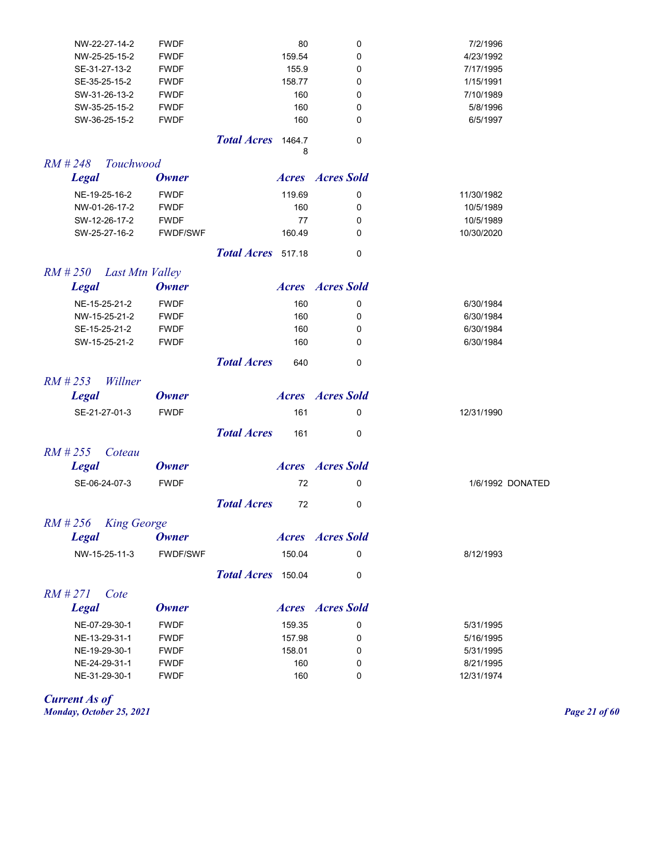| NW-22-27-14-2                 | <b>FWDF</b>     |                    | 80     | 0                       | 7/2/1996   |                  |
|-------------------------------|-----------------|--------------------|--------|-------------------------|------------|------------------|
| NW-25-25-15-2                 | <b>FWDF</b>     |                    | 159.54 | 0                       | 4/23/1992  |                  |
| SE-31-27-13-2                 | <b>FWDF</b>     |                    | 155.9  | 0                       | 7/17/1995  |                  |
| SE-35-25-15-2                 | <b>FWDF</b>     |                    | 158.77 | 0                       | 1/15/1991  |                  |
| SW-31-26-13-2                 | <b>FWDF</b>     |                    | 160    | 0                       | 7/10/1989  |                  |
| SW-35-25-15-2                 | <b>FWDF</b>     |                    | 160    | 0                       | 5/8/1996   |                  |
| SW-36-25-15-2                 | <b>FWDF</b>     |                    | 160    | 0                       | 6/5/1997   |                  |
|                               |                 | Total Acres 1464.7 | 8      | 0                       |            |                  |
| $RM$ # 248<br>Touchwood       |                 |                    |        |                         |            |                  |
| <b>Legal</b>                  | <b>Owner</b>    |                    |        | <b>Acres Acres</b> Sold |            |                  |
| NE-19-25-16-2                 | <b>FWDF</b>     |                    | 119.69 | 0                       | 11/30/1982 |                  |
| NW-01-26-17-2                 | <b>FWDF</b>     |                    | 160    | 0                       | 10/5/1989  |                  |
| SW-12-26-17-2                 | <b>FWDF</b>     |                    | 77     | 0                       | 10/5/1989  |                  |
| SW-25-27-16-2                 | <b>FWDF/SWF</b> |                    | 160.49 | 0                       | 10/30/2020 |                  |
|                               |                 | Total Acres 517.18 |        | 0                       |            |                  |
| $RM$ # 250<br>Last Mtn Valley |                 |                    |        |                         |            |                  |
| <b>Legal</b>                  | <b>Owner</b>    |                    |        | <b>Acres Acres</b> Sold |            |                  |
| NE-15-25-21-2                 | <b>FWDF</b>     |                    | 160    | 0                       | 6/30/1984  |                  |
| NW-15-25-21-2                 | <b>FWDF</b>     |                    | 160    | 0                       | 6/30/1984  |                  |
| SE-15-25-21-2                 | <b>FWDF</b>     |                    | 160    | 0                       | 6/30/1984  |                  |
| SW-15-25-21-2                 | <b>FWDF</b>     |                    | 160    | 0                       | 6/30/1984  |                  |
|                               |                 | <b>Total Acres</b> | 640    | 0                       |            |                  |
| $RM$ # 253<br>Willner         |                 |                    |        |                         |            |                  |
| <b>Legal</b>                  | <b>Owner</b>    |                    |        | <b>Acres Acres</b> Sold |            |                  |
| SE-21-27-01-3                 | <b>FWDF</b>     |                    | 161    | 0                       | 12/31/1990 |                  |
|                               |                 | <b>Total Acres</b> | 161    | 0                       |            |                  |
| $RM$ # 255<br>Coteau          |                 |                    |        |                         |            |                  |
| <b>Legal</b>                  | <b>Owner</b>    |                    |        | <b>Acres Acres</b> Sold |            |                  |
| SE-06-24-07-3                 | <b>FWDF</b>     |                    | 72     | 0                       |            | 1/6/1992 DONATED |
|                               |                 | <b>Total Acres</b> | 72     | 0                       |            |                  |
| RM #256 King George           |                 |                    |        |                         |            |                  |
| <b>Legal</b>                  | <b>Owner</b>    |                    |        | <b>Acres Acres</b> Sold |            |                  |
| NW-15-25-11-3                 | <b>FWDF/SWF</b> |                    | 150.04 | 0                       | 8/12/1993  |                  |
|                               |                 | Total Acres 150.04 |        | 0                       |            |                  |
| $RM$ #271<br>Cote             |                 |                    |        |                         |            |                  |
| <b>Legal</b>                  | <b>Owner</b>    |                    |        | <b>Acres Acres</b> Sold |            |                  |
| NE-07-29-30-1                 | <b>FWDF</b>     |                    | 159.35 | 0                       | 5/31/1995  |                  |
| NE-13-29-31-1                 | <b>FWDF</b>     |                    | 157.98 | 0                       | 5/16/1995  |                  |
| NE-19-29-30-1                 | <b>FWDF</b>     |                    | 158.01 | 0                       | 5/31/1995  |                  |
| NE-24-29-31-1                 | <b>FWDF</b>     |                    | 160    | 0                       | 8/21/1995  |                  |
| NE-31-29-30-1                 | <b>FWDF</b>     |                    | 160    | 0                       | 12/31/1974 |                  |

*Current As of Monday, October 25, 2021 Page 21 of 60*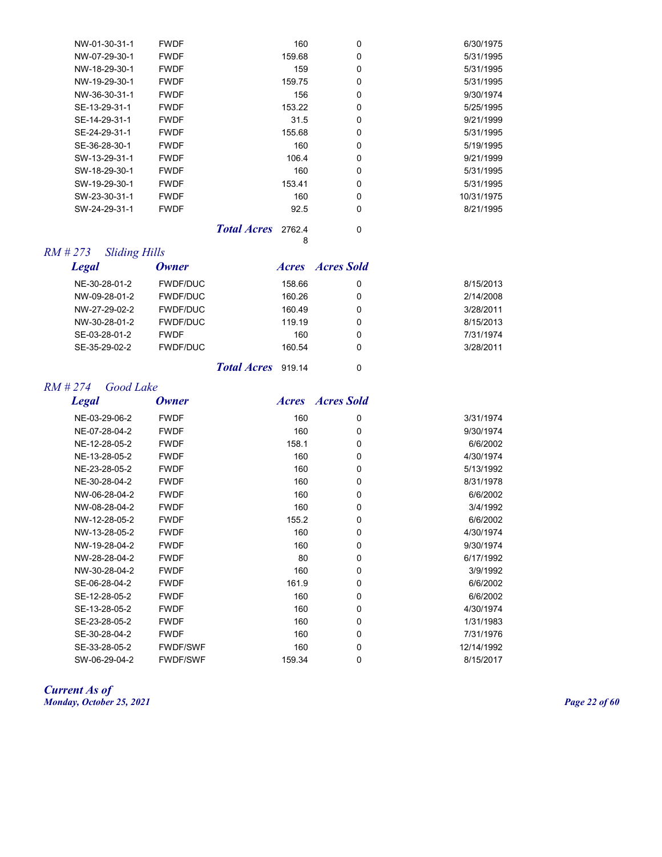| NW-01-30-31-1 | <b>FWDF</b> | 160    | 0 | 6/30/1975  |
|---------------|-------------|--------|---|------------|
| NW-07-29-30-1 | <b>FWDF</b> | 159.68 | 0 | 5/31/1995  |
| NW-18-29-30-1 | <b>FWDF</b> | 159    | 0 | 5/31/1995  |
| NW-19-29-30-1 | <b>FWDF</b> | 159.75 | 0 | 5/31/1995  |
| NW-36-30-31-1 | <b>FWDF</b> | 156    | 0 | 9/30/1974  |
| SE-13-29-31-1 | <b>FWDF</b> | 153.22 | 0 | 5/25/1995  |
| SE-14-29-31-1 | <b>FWDF</b> | 31.5   | 0 | 9/21/1999  |
| SE-24-29-31-1 | <b>FWDF</b> | 155.68 | 0 | 5/31/1995  |
| SE-36-28-30-1 | <b>FWDF</b> | 160    | 0 | 5/19/1995  |
| SW-13-29-31-1 | <b>FWDF</b> | 106.4  | 0 | 9/21/1999  |
| SW-18-29-30-1 | <b>FWDF</b> | 160    | 0 | 5/31/1995  |
| SW-19-29-30-1 | <b>FWDF</b> | 153.41 | 0 | 5/31/1995  |
| SW-23-30-31-1 | <b>FWDF</b> | 160    | 0 | 10/31/1975 |
| SW-24-29-31-1 | <b>FWDF</b> | 92.5   | 0 | 8/21/1995  |
|               |             | ___    |   |            |

*Total Acres* 2762.4 0

## *RM # 273 Sliding Hills*

| <b>Legal</b>  | Owner           | <i>Acres Acres Sold</i> |   |           |
|---------------|-----------------|-------------------------|---|-----------|
| NE-30-28-01-2 | <b>FWDF/DUC</b> | 158.66                  | 0 | 8/15/2013 |
| NW-09-28-01-2 | <b>FWDF/DUC</b> | 160.26                  | 0 | 2/14/2008 |
| NW-27-29-02-2 | <b>FWDF/DUC</b> | 160.49                  | 0 | 3/28/2011 |
| NW-30-28-01-2 | <b>FWDF/DUC</b> | 119 19                  | 0 | 8/15/2013 |
| SE-03-28-01-2 | <b>FWDF</b>     | 160                     | 0 | 7/31/1974 |
| SE-35-29-02-2 | <b>FWDF/DUC</b> | 160.54                  | 0 | 3/28/2011 |
|               |                 |                         |   |           |

8

## *Total Acres* 919.14 0

## *RM # 274 Good Lake*

| <b>Legal</b>  | <b>Owner</b>    | <i>Acres</i> | <b>Acres Sold</b> |            |
|---------------|-----------------|--------------|-------------------|------------|
| NE-03-29-06-2 | <b>FWDF</b>     | 160          | 0                 | 3/31/1974  |
| NE-07-28-04-2 | <b>FWDF</b>     | 160          | 0                 | 9/30/1974  |
| NE-12-28-05-2 | <b>FWDF</b>     | 158.1        | 0                 | 6/6/2002   |
| NE-13-28-05-2 | <b>FWDF</b>     | 160          | 0                 | 4/30/1974  |
| NE-23-28-05-2 | <b>FWDF</b>     | 160          | 0                 | 5/13/1992  |
| NE-30-28-04-2 | <b>FWDF</b>     | 160          | 0                 | 8/31/1978  |
| NW-06-28-04-2 | <b>FWDF</b>     | 160          | 0                 | 6/6/2002   |
| NW-08-28-04-2 | <b>FWDF</b>     | 160          | 0                 | 3/4/1992   |
| NW-12-28-05-2 | <b>FWDF</b>     | 155.2        | 0                 | 6/6/2002   |
| NW-13-28-05-2 | <b>FWDF</b>     | 160          | $\mathbf 0$       | 4/30/1974  |
| NW-19-28-04-2 | <b>FWDF</b>     | 160          | $\mathbf 0$       | 9/30/1974  |
| NW-28-28-04-2 | <b>FWDF</b>     | 80           | $\mathbf 0$       | 6/17/1992  |
| NW-30-28-04-2 | <b>FWDF</b>     | 160          | 0                 | 3/9/1992   |
| SE-06-28-04-2 | <b>FWDF</b>     | 161.9        | 0                 | 6/6/2002   |
| SE-12-28-05-2 | <b>FWDF</b>     | 160          | 0                 | 6/6/2002   |
| SE-13-28-05-2 | <b>FWDF</b>     | 160          | 0                 | 4/30/1974  |
| SE-23-28-05-2 | <b>FWDF</b>     | 160          | $\mathbf 0$       | 1/31/1983  |
| SE-30-28-04-2 | <b>FWDF</b>     | 160          | 0                 | 7/31/1976  |
| SE-33-28-05-2 | <b>FWDF/SWF</b> | 160          | 0                 | 12/14/1992 |
| SW-06-29-04-2 | <b>FWDF/SWF</b> | 159.34       | 0                 | 8/15/2017  |

*Current As of Monday, October 25, 2021 Page 22 of 60*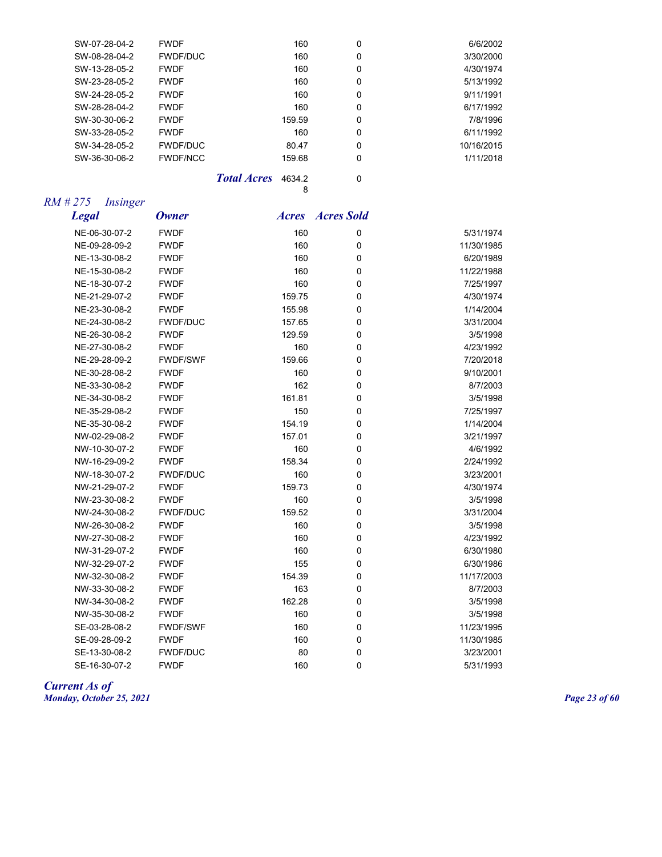| SW-07-28-04-2 | <b>FWDF</b>     | 160    | 0 | 6/6/2002   |
|---------------|-----------------|--------|---|------------|
| SW-08-28-04-2 | <b>FWDF/DUC</b> | 160    | 0 | 3/30/2000  |
| SW-13-28-05-2 | <b>FWDF</b>     | 160    | 0 | 4/30/1974  |
| SW-23-28-05-2 | <b>FWDF</b>     | 160    | 0 | 5/13/1992  |
| SW-24-28-05-2 | <b>FWDF</b>     | 160    | 0 | 9/11/1991  |
| SW-28-28-04-2 | <b>FWDF</b>     | 160    | 0 | 6/17/1992  |
| SW-30-30-06-2 | <b>FWDF</b>     | 159.59 | 0 | 7/8/1996   |
| SW-33-28-05-2 | <b>FWDF</b>     | 160    | 0 | 6/11/1992  |
| SW-34-28-05-2 | <b>FWDF/DUC</b> | 80.47  | 0 | 10/16/2015 |
| SW-36-30-06-2 | <b>FWDF/NCC</b> | 159.68 | 0 | 1/11/2018  |
|               |                 |        |   |            |

*Total Acres* 4634.2 0 8

## *RM # 275 Insinger*

| <b>Legal</b>  | <b>Owner</b>    | <b>Acres</b> | <b>Acres Sold</b> |            |
|---------------|-----------------|--------------|-------------------|------------|
| NE-06-30-07-2 | <b>FWDF</b>     | 160          | 0                 | 5/31/1974  |
| NE-09-28-09-2 | <b>FWDF</b>     | 160          | 0                 | 11/30/1985 |
| NE-13-30-08-2 | <b>FWDF</b>     | 160          | 0                 | 6/20/1989  |
| NE-15-30-08-2 | <b>FWDF</b>     | 160          | 0                 | 11/22/1988 |
| NE-18-30-07-2 | <b>FWDF</b>     | 160          | 0                 | 7/25/1997  |
| NE-21-29-07-2 | <b>FWDF</b>     | 159.75       | 0                 | 4/30/1974  |
| NE-23-30-08-2 | <b>FWDF</b>     | 155.98       | 0                 | 1/14/2004  |
| NE-24-30-08-2 | <b>FWDF/DUC</b> | 157.65       | 0                 | 3/31/2004  |
| NE-26-30-08-2 | <b>FWDF</b>     | 129.59       | 0                 | 3/5/1998   |
| NE-27-30-08-2 | <b>FWDF</b>     | 160          | 0                 | 4/23/1992  |
| NE-29-28-09-2 | <b>FWDF/SWF</b> | 159.66       | 0                 | 7/20/2018  |
| NE-30-28-08-2 | <b>FWDF</b>     | 160          | 0                 | 9/10/2001  |
| NE-33-30-08-2 | <b>FWDF</b>     | 162          | 0                 | 8/7/2003   |
| NE-34-30-08-2 | <b>FWDF</b>     | 161.81       | 0                 | 3/5/1998   |
| NE-35-29-08-2 | <b>FWDF</b>     | 150          | 0                 | 7/25/1997  |
| NE-35-30-08-2 | <b>FWDF</b>     | 154.19       | 0                 | 1/14/2004  |
| NW-02-29-08-2 | <b>FWDF</b>     | 157.01       | 0                 | 3/21/1997  |
| NW-10-30-07-2 | <b>FWDF</b>     | 160          | 0                 | 4/6/1992   |
| NW-16-29-09-2 | <b>FWDF</b>     | 158.34       | 0                 | 2/24/1992  |
| NW-18-30-07-2 | <b>FWDF/DUC</b> | 160          | 0                 | 3/23/2001  |
| NW-21-29-07-2 | <b>FWDF</b>     | 159.73       | 0                 | 4/30/1974  |
| NW-23-30-08-2 | <b>FWDF</b>     | 160          | 0                 | 3/5/1998   |
| NW-24-30-08-2 | <b>FWDF/DUC</b> | 159.52       | 0                 | 3/31/2004  |
| NW-26-30-08-2 | <b>FWDF</b>     | 160          | 0                 | 3/5/1998   |
| NW-27-30-08-2 | <b>FWDF</b>     | 160          | 0                 | 4/23/1992  |
| NW-31-29-07-2 | <b>FWDF</b>     | 160          | 0                 | 6/30/1980  |
| NW-32-29-07-2 | <b>FWDF</b>     | 155          | 0                 | 6/30/1986  |
| NW-32-30-08-2 | <b>FWDF</b>     | 154.39       | 0                 | 11/17/2003 |
| NW-33-30-08-2 | <b>FWDF</b>     | 163          | 0                 | 8/7/2003   |
| NW-34-30-08-2 | <b>FWDF</b>     | 162.28       | 0                 | 3/5/1998   |
| NW-35-30-08-2 | <b>FWDF</b>     | 160          | 0                 | 3/5/1998   |
| SE-03-28-08-2 | <b>FWDF/SWF</b> | 160          | 0                 | 11/23/1995 |
| SE-09-28-09-2 | <b>FWDF</b>     | 160          | 0                 | 11/30/1985 |
| SE-13-30-08-2 | <b>FWDF/DUC</b> | 80           | 0                 | 3/23/2001  |
| SE-16-30-07-2 | <b>FWDF</b>     | 160          | 0                 | 5/31/1993  |

#### *Current As of Monday, October 25, 2021 Page 23 of 60*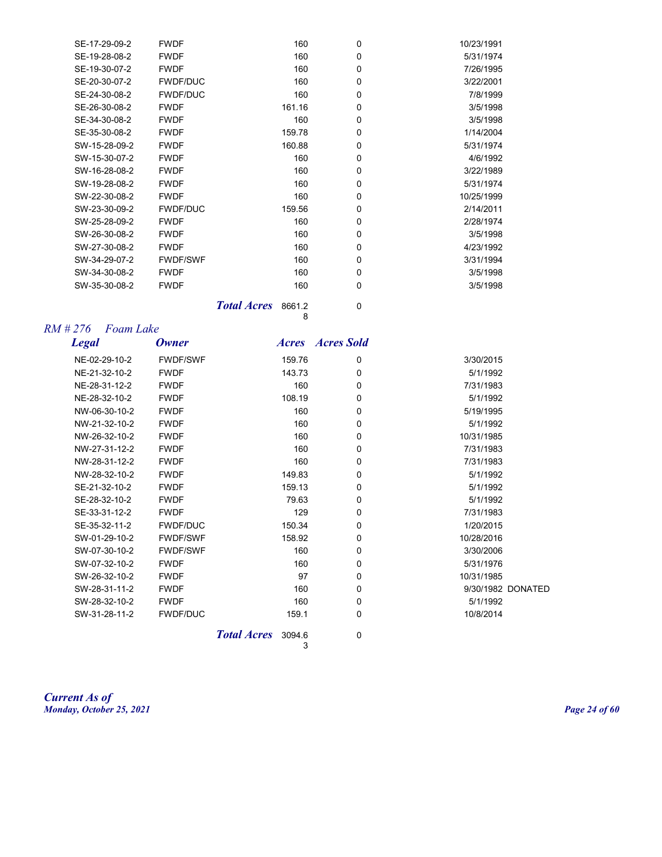| SE-17-29-09-2 | <b>FWDF</b>     | 160    | 0        | 10/23/1991 |
|---------------|-----------------|--------|----------|------------|
| SE-19-28-08-2 | <b>FWDF</b>     | 160    | $\Omega$ | 5/31/1974  |
| SE-19-30-07-2 | <b>FWDF</b>     | 160    | 0        | 7/26/1995  |
| SE-20-30-07-2 | <b>FWDF/DUC</b> | 160    | 0        | 3/22/2001  |
| SE-24-30-08-2 | <b>FWDF/DUC</b> | 160    | 0        | 7/8/1999   |
| SE-26-30-08-2 | <b>FWDF</b>     | 161.16 | 0        | 3/5/1998   |
| SE-34-30-08-2 | <b>FWDF</b>     | 160    | 0        | 3/5/1998   |
| SE-35-30-08-2 | <b>FWDF</b>     | 159.78 | 0        | 1/14/2004  |
| SW-15-28-09-2 | <b>FWDF</b>     | 160.88 | 0        | 5/31/1974  |
| SW-15-30-07-2 | <b>FWDF</b>     | 160    | 0        | 4/6/1992   |
| SW-16-28-08-2 | <b>FWDF</b>     | 160    | 0        | 3/22/1989  |
| SW-19-28-08-2 | <b>FWDF</b>     | 160    | 0        | 5/31/1974  |
| SW-22-30-08-2 | <b>FWDF</b>     | 160    | $\Omega$ | 10/25/1999 |
| SW-23-30-09-2 | <b>FWDF/DUC</b> | 159.56 | 0        | 2/14/2011  |
| SW-25-28-09-2 | <b>FWDF</b>     | 160    | 0        | 2/28/1974  |
| SW-26-30-08-2 | <b>FWDF</b>     | 160    | 0        | 3/5/1998   |
| SW-27-30-08-2 | <b>FWDF</b>     | 160    | 0        | 4/23/1992  |
| SW-34-29-07-2 | <b>FWDF/SWF</b> | 160    | 0        | 3/31/1994  |
| SW-34-30-08-2 | <b>FWDF</b>     | 160    | 0        | 3/5/1998   |
| SW-35-30-08-2 | <b>FWDF</b>     | 160    | 0        | 3/5/1998   |
|               |                 |        |          |            |

*Total Acres* 8661.2 0

# *RM # 276 Foam Lake*

| Foam Lake<br>#276 |                 |        |                         |                   |
|-------------------|-----------------|--------|-------------------------|-------------------|
| <b>Legal</b>      | <b>Owner</b>    |        | <i>Acres Acres Sold</i> |                   |
| NE-02-29-10-2     | <b>FWDF/SWF</b> | 159.76 | 0                       | 3/30/2015         |
| NE-21-32-10-2     | <b>FWDF</b>     | 143.73 | $\Omega$                | 5/1/1992          |
| NE-28-31-12-2     | <b>FWDF</b>     | 160    | $\mathbf 0$             | 7/31/1983         |
| NE-28-32-10-2     | <b>FWDF</b>     | 108.19 | 0                       | 5/1/1992          |
| NW-06-30-10-2     | <b>FWDF</b>     | 160    | $\mathbf 0$             | 5/19/1995         |
| NW-21-32-10-2     | <b>FWDF</b>     | 160    | 0                       | 5/1/1992          |
| NW-26-32-10-2     | <b>FWDF</b>     | 160    | 0                       | 10/31/1985        |
| NW-27-31-12-2     | <b>FWDF</b>     | 160    | 0                       | 7/31/1983         |
| NW-28-31-12-2     | <b>FWDF</b>     | 160    | 0                       | 7/31/1983         |
| NW-28-32-10-2     | <b>FWDF</b>     | 149.83 | $\mathbf 0$             | 5/1/1992          |
| SE-21-32-10-2     | <b>FWDF</b>     | 159.13 | 0                       | 5/1/1992          |
| SE-28-32-10-2     | <b>FWDF</b>     | 79.63  | $\mathbf 0$             | 5/1/1992          |
| SE-33-31-12-2     | <b>FWDF</b>     | 129    | 0                       | 7/31/1983         |
| SE-35-32-11-2     | <b>FWDF/DUC</b> | 150.34 | 0                       | 1/20/2015         |
| SW-01-29-10-2     | <b>FWDF/SWF</b> | 158.92 | 0                       | 10/28/2016        |
| SW-07-30-10-2     | <b>FWDF/SWF</b> | 160    | 0                       | 3/30/2006         |
| SW-07-32-10-2     | <b>FWDF</b>     | 160    | 0                       | 5/31/1976         |
| SW-26-32-10-2     | <b>FWDF</b>     | 97     | $\mathbf 0$             | 10/31/1985        |
| SW-28-31-11-2     | <b>FWDF</b>     | 160    | 0                       | 9/30/1982 DONATED |
| SW-28-32-10-2     | <b>FWDF</b>     | 160    | 0                       | 5/1/1992          |
| SW-31-28-11-2     | <b>FWDF/DUC</b> | 159.1  | 0                       | 10/8/2014         |
|                   |                 |        |                         |                   |

8

**Total Acres** 3094.6 0 3

*Current As of Monday, October 25, 2021 Page 24 of 60*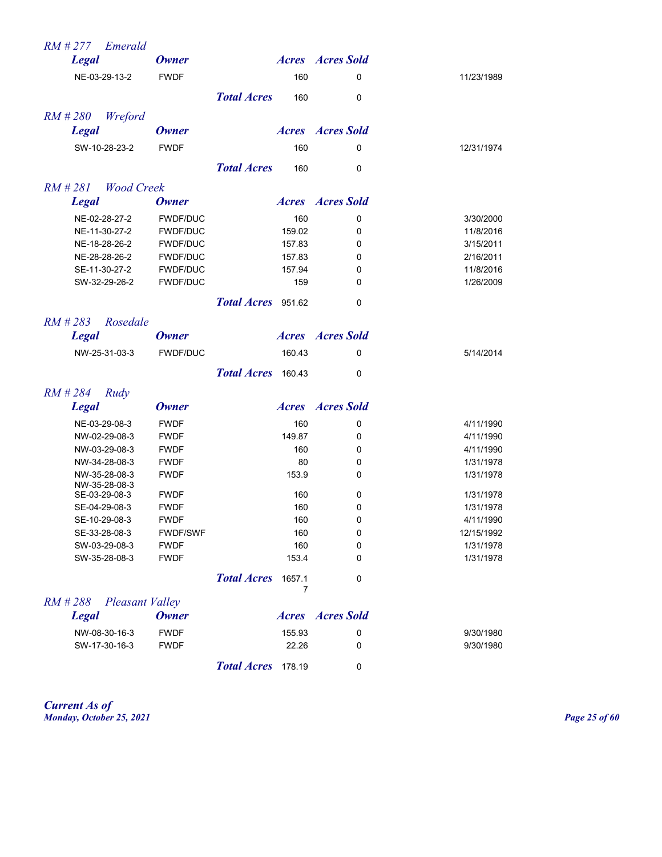| $RM \# 277$ Emerald              |                 |                                   |                         |            |
|----------------------------------|-----------------|-----------------------------------|-------------------------|------------|
| <b>Legal</b>                     | <b>Owner</b>    |                                   | <b>Acres Acres</b> Sold |            |
| NE-03-29-13-2                    | <b>FWDF</b>     | 160                               | 0                       | 11/23/1989 |
|                                  |                 | <b>Total Acres</b><br>160         | 0                       |            |
| $RM$ #280<br>Wreford             |                 |                                   |                         |            |
| <b>Legal</b>                     | <b>Owner</b>    |                                   | <b>Acres Acres</b> Sold |            |
| SW-10-28-23-2                    | <b>FWDF</b>     | 160                               | 0                       | 12/31/1974 |
|                                  |                 | <b>Total Acres</b><br>160         | 0                       |            |
| $RM \# 281$<br>Wood Creek        |                 |                                   |                         |            |
| <b>Legal</b>                     | <b>Owner</b>    |                                   | <b>Acres Acres</b> Sold |            |
| NE-02-28-27-2                    | <b>FWDF/DUC</b> | 160                               | 0                       | 3/30/2000  |
| NE-11-30-27-2                    | <b>FWDF/DUC</b> | 159.02                            | 0                       | 11/8/2016  |
| NE-18-28-26-2                    | <b>FWDF/DUC</b> | 157.83                            | 0                       | 3/15/2011  |
| NE-28-28-26-2                    | <b>FWDF/DUC</b> | 157.83                            | 0                       | 2/16/2011  |
| SE-11-30-27-2                    | <b>FWDF/DUC</b> | 157.94                            | 0                       | 11/8/2016  |
| SW-32-29-26-2                    | <b>FWDF/DUC</b> | 159                               | 0                       | 1/26/2009  |
|                                  |                 | Total Acres 951.62                | 0                       |            |
| $RM$ # 283<br>Rosedale           |                 |                                   |                         |            |
| <b>Legal</b>                     | <b>Owner</b>    |                                   | <b>Acres Acres</b> Sold |            |
| NW-25-31-03-3                    | <b>FWDF/DUC</b> | 160.43                            | 0                       | 5/14/2014  |
|                                  |                 | Total Acres 160.43                | 0                       |            |
| $RM$ # 284<br>Rudy               |                 |                                   |                         |            |
| <b>Legal</b>                     | <b>Owner</b>    |                                   | <b>Acres Acres</b> Sold |            |
| NE-03-29-08-3                    | <b>FWDF</b>     | 160                               | 0                       | 4/11/1990  |
| NW-02-29-08-3                    | <b>FWDF</b>     | 149.87                            | 0                       | 4/11/1990  |
| NW-03-29-08-3                    | <b>FWDF</b>     | 160                               | 0                       | 4/11/1990  |
| NW-34-28-08-3                    | <b>FWDF</b>     | 80                                | 0                       | 1/31/1978  |
| NW-35-28-08-3                    | <b>FWDF</b>     | 153.9                             | 0                       | 1/31/1978  |
| NW-35-28-08-3                    |                 |                                   |                         |            |
| SE-03-29-08-3                    | <b>FWDF</b>     | 160                               | 0                       | 1/31/1978  |
| SE-04-29-08-3                    | <b>FWDF</b>     | 160                               | 0                       | 1/31/1978  |
| SE-10-29-08-3                    | <b>FWDF</b>     | 160                               | 0                       | 4/11/1990  |
| SE-33-28-08-3                    | FWDF/SWF        | 160                               | 0                       | 12/15/1992 |
| SW-03-29-08-3                    | <b>FWDF</b>     | 160                               | 0                       | 1/31/1978  |
| SW-35-28-08-3                    | <b>FWDF</b>     | 153.4                             | 0                       | 1/31/1978  |
|                                  |                 | <b>Total Acres</b><br>1657.1<br>7 | 0                       |            |
| RM#288<br><b>Pleasant Valley</b> |                 |                                   |                         |            |
| <b>Legal</b>                     | <b>Owner</b>    |                                   | <b>Acres Acres</b> Sold |            |
| NW-08-30-16-3                    | <b>FWDF</b>     | 155.93                            | 0                       | 9/30/1980  |
| SW-17-30-16-3                    | <b>FWDF</b>     | 22.26                             | 0                       | 9/30/1980  |
|                                  |                 | <b>Total Acres</b><br>178.19      | 0                       |            |

*Current As of Monday, October 25, 2021 Page 25 of 60*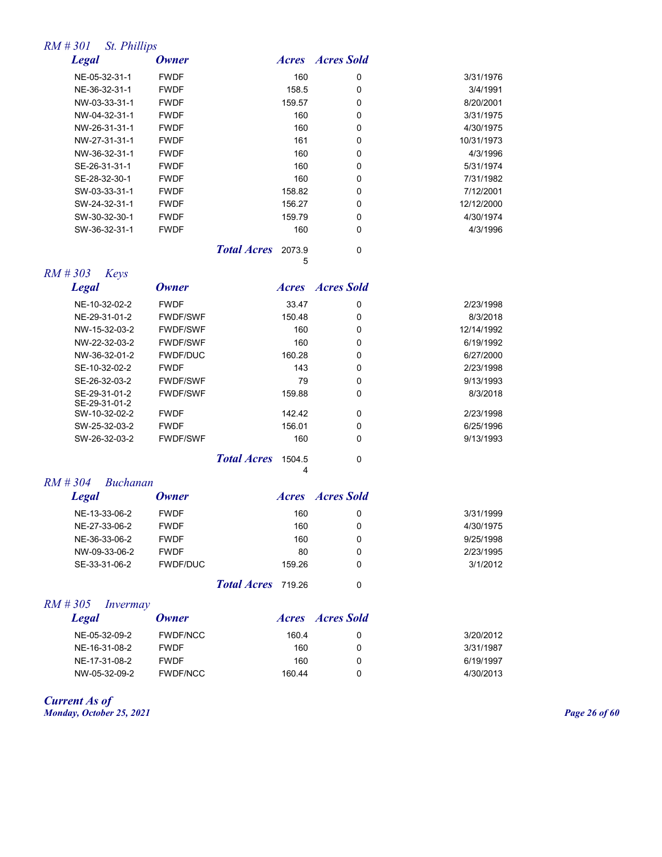## *RM # 301 St. Phillips*

| <b>Legal</b>  | Owner       |                    | <i>Acres</i> | Acres Sold |            |
|---------------|-------------|--------------------|--------------|------------|------------|
| NE-05-32-31-1 | <b>FWDF</b> |                    | 160          | 0          | 3/31/1976  |
| NE-36-32-31-1 | <b>FWDF</b> |                    | 158.5        | 0          | 3/4/1991   |
| NW-03-33-31-1 | <b>FWDF</b> |                    | 159.57       | 0          | 8/20/2001  |
| NW-04-32-31-1 | <b>FWDF</b> |                    | 160          | 0          | 3/31/1975  |
| NW-26-31-31-1 | <b>FWDF</b> |                    | 160          | 0          | 4/30/1975  |
| NW-27-31-31-1 | <b>FWDF</b> |                    | 161          | 0          | 10/31/1973 |
| NW-36-32-31-1 | <b>FWDF</b> |                    | 160          | 0          | 4/3/1996   |
| SE-26-31-31-1 | <b>FWDF</b> |                    | 160          | 0          | 5/31/1974  |
| SE-28-32-30-1 | <b>FWDF</b> |                    | 160          | 0          | 7/31/1982  |
| SW-03-33-31-1 | <b>FWDF</b> |                    | 158.82       | 0          | 7/12/2001  |
| SW-24-32-31-1 | <b>FWDF</b> |                    | 156.27       | 0          | 12/12/2000 |
| SW-30-32-30-1 | <b>FWDF</b> |                    | 159.79       | 0          | 4/30/1974  |
| SW-36-32-31-1 | <b>FWDF</b> |                    | 160          | 0          | 4/3/1996   |
|               |             | <b>Total Acres</b> | 2073.9       | 0          |            |

*RM # 303 Keys*

| <b>Legal</b>                   | Owner           | <b>Acres</b> | <b>Acres Sold</b> |            |
|--------------------------------|-----------------|--------------|-------------------|------------|
| NE-10-32-02-2                  | <b>FWDF</b>     | 33.47        | 0                 | 2/23/1998  |
| NE-29-31-01-2                  | <b>FWDF/SWF</b> | 150.48       | 0                 | 8/3/2018   |
| NW-15-32-03-2                  | <b>FWDF/SWF</b> | 160          | 0                 | 12/14/1992 |
| NW-22-32-03-2                  | <b>FWDF/SWF</b> | 160          | 0                 | 6/19/1992  |
| NW-36-32-01-2                  | <b>FWDF/DUC</b> | 160.28       | 0                 | 6/27/2000  |
| SE-10-32-02-2                  | <b>FWDF</b>     | 143          | 0                 | 2/23/1998  |
| SE-26-32-03-2                  | <b>FWDF/SWF</b> | 79           | 0                 | 9/13/1993  |
| SE-29-31-01-2<br>SE-29-31-01-2 | <b>FWDF/SWF</b> | 159.88       | 0                 | 8/3/2018   |
| SW-10-32-02-2                  | <b>FWDF</b>     | 142.42       | 0                 | 2/23/1998  |
| SW-25-32-03-2                  | <b>FWDF</b>     | 156.01       | 0                 | 6/25/1996  |
| SW-26-32-03-2                  | <b>FWDF/SWF</b> | 160          | 0                 | 9/13/1993  |

5

*Total Acres* 1504.5 0 4

#### *RM # 304 Buchanan*

| <b>Legal</b>  | Owner           |                           | <i><b>Acres</b></i> | Acres Sold |           |
|---------------|-----------------|---------------------------|---------------------|------------|-----------|
| NE-13-33-06-2 | <b>FWDF</b>     |                           | 160                 | 0          | 3/31/1999 |
| NE-27-33-06-2 | <b>FWDF</b>     |                           | 160                 | 0          | 4/30/1975 |
| NE-36-33-06-2 | <b>FWDF</b>     |                           | 160                 | 0          | 9/25/1998 |
| NW-09-33-06-2 | <b>FWDF</b>     |                           | 80                  | 0          | 2/23/1995 |
| SE-33-31-06-2 | <b>FWDF/DUC</b> |                           | 159.26              | 0          | 3/1/2012  |
|               |                 | <b>Total Acres</b> 719.26 |                     | 0          |           |

*RM # 305 Invermay*

| <b>Owner</b>                     |        |              |            |
|----------------------------------|--------|--------------|------------|
| <b>FWDF/NCC</b><br>NE-05-32-09-2 | 160.4  |              | 3/20/2012  |
| NE-16-31-08-2<br><b>FWDF</b>     | 160    |              | 3/31/1987  |
| NE-17-31-08-2<br><b>FWDF</b>     | 160    |              | 6/19/1997  |
| NW-05-32-09-2<br><b>FWDF/NCC</b> | 160.44 |              | 4/30/2013  |
|                                  |        | <i>Acres</i> | Acres Sold |

*Current As of Monday, October 25, 2021 Page 26 of 60*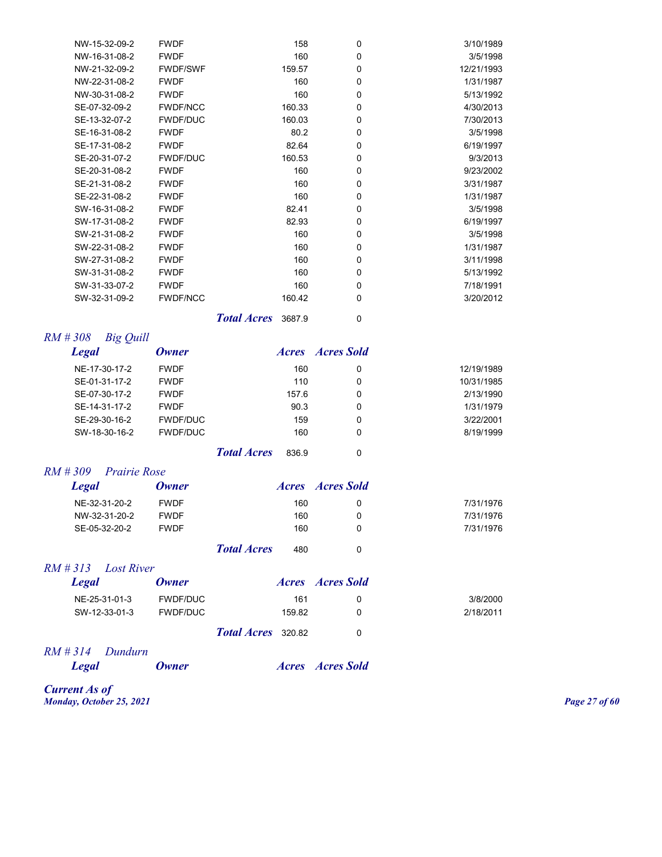| NW-15-32-09-2 | <b>FWDF</b>     | 158    | 0 | 3/10/1989  |
|---------------|-----------------|--------|---|------------|
| NW-16-31-08-2 | <b>FWDF</b>     | 160    | 0 | 3/5/1998   |
| NW-21-32-09-2 | <b>FWDF/SWF</b> | 159.57 | 0 | 12/21/1993 |
| NW-22-31-08-2 | <b>FWDF</b>     | 160    | 0 | 1/31/1987  |
| NW-30-31-08-2 | <b>FWDF</b>     | 160    | 0 | 5/13/1992  |
| SE-07-32-09-2 | <b>FWDF/NCC</b> | 160.33 | 0 | 4/30/2013  |
| SE-13-32-07-2 | <b>FWDF/DUC</b> | 160.03 | 0 | 7/30/2013  |
| SE-16-31-08-2 | <b>FWDF</b>     | 80.2   | 0 | 3/5/1998   |
| SE-17-31-08-2 | <b>FWDF</b>     | 82.64  | 0 | 6/19/1997  |
| SE-20-31-07-2 | <b>FWDF/DUC</b> | 160.53 | 0 | 9/3/2013   |
| SE-20-31-08-2 | <b>FWDF</b>     | 160    | 0 | 9/23/2002  |
| SE-21-31-08-2 | <b>FWDF</b>     | 160    | 0 | 3/31/1987  |
| SE-22-31-08-2 | <b>FWDF</b>     | 160    | 0 | 1/31/1987  |
| SW-16-31-08-2 | <b>FWDF</b>     | 82.41  | 0 | 3/5/1998   |
| SW-17-31-08-2 | <b>FWDF</b>     | 82.93  | 0 | 6/19/1997  |
| SW-21-31-08-2 | <b>FWDF</b>     | 160    | 0 | 3/5/1998   |
| SW-22-31-08-2 | <b>FWDF</b>     | 160    | 0 | 1/31/1987  |
| SW-27-31-08-2 | <b>FWDF</b>     | 160    | 0 | 3/11/1998  |
| SW-31-31-08-2 | <b>FWDF</b>     | 160    | 0 | 5/13/1992  |
| SW-31-33-07-2 | <b>FWDF</b>     | 160    | 0 | 7/18/1991  |
| SW-32-31-09-2 | <b>FWDF/NCC</b> | 160.42 | 0 | 3/20/2012  |
|               |                 |        |   |            |

*Total Acres* 3687.9 0

| $RM \# 308$<br><b>Big Quill</b> |                 |                    |       |                         |            |
|---------------------------------|-----------------|--------------------|-------|-------------------------|------------|
| <b>Legal</b>                    | Owner           |                    |       | <i>Acres Acres Sold</i> |            |
| NE-17-30-17-2                   | <b>FWDF</b>     |                    | 160   | 0                       | 12/19/1989 |
| SE-01-31-17-2                   | <b>FWDF</b>     |                    | 110   | 0                       | 10/31/1985 |
| SE-07-30-17-2                   | <b>FWDF</b>     |                    | 157.6 | 0                       | 2/13/1990  |
| SE-14-31-17-2                   | <b>FWDF</b>     |                    | 90.3  | 0                       | 1/31/1979  |
| SE-29-30-16-2                   | <b>FWDF/DUC</b> |                    | 159   | 0                       | 3/22/2001  |
| SW-18-30-16-2                   | <b>FWDF/DUC</b> |                    | 160   | 0                       | 8/19/1999  |
|                                 |                 | <b>Total Acres</b> | 836.9 | 0                       |            |

#### *RM # 309 Prairie Rose*

| Legal         | <b>Owner</b> |                    |     | Acres Acres Sold |           |
|---------------|--------------|--------------------|-----|------------------|-----------|
| NE-32-31-20-2 | <b>FWDF</b>  |                    | 160 |                  | 7/31/1976 |
| NW-32-31-20-2 | <b>FWDF</b>  |                    | 160 |                  | 7/31/1976 |
| SE-05-32-20-2 | <b>FWDF</b>  |                    | 160 |                  | 7/31/1976 |
|               |              | <b>Total Acres</b> | 480 |                  |           |

#### *RM # 313 Lost River*

| Legal         | <b>Owner</b> |                           |        | <i>Acres Acres Sold</i> |           |
|---------------|--------------|---------------------------|--------|-------------------------|-----------|
| NE-25-31-01-3 | FWDF/DUC     |                           | 161    |                         | 3/8/2000  |
| SW-12-33-01-3 | FWDF/DUC     |                           | 159.82 |                         | 2/18/2011 |
|               |              | <b>Total Acres</b> 320.82 |        |                         |           |

# *RM # 314 Dundurn*

*Acres Acres Sold* 

*Current As of Monday, October 25, 2021 Page 27 of 60*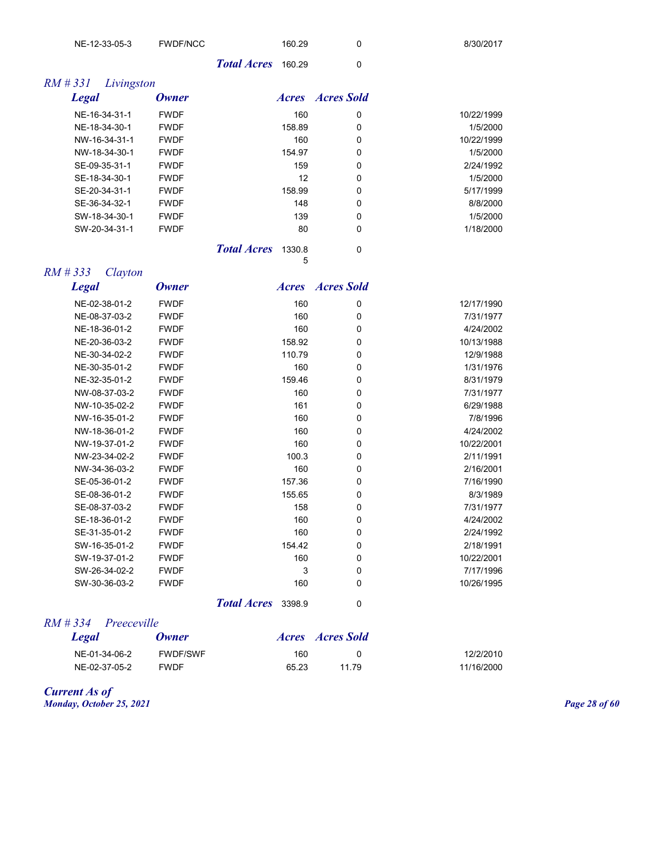| FWDF/NCC<br>NE-12-33-05-3 |                           | 160.29 | 8/30/2017 |
|---------------------------|---------------------------|--------|-----------|
|                           | <b>Total Acres</b> 160.29 |        |           |

| RM # 331<br>Livingston |             |                              |                         |            |
|------------------------|-------------|------------------------------|-------------------------|------------|
| <b>Legal</b>           | Owner       |                              | <i>Acres Acres Sold</i> |            |
| NE-16-34-31-1          | <b>FWDF</b> | 160                          | 0                       | 10/22/1999 |
| NE-18-34-30-1          | <b>FWDF</b> | 158.89                       | 0                       | 1/5/2000   |
| NW-16-34-31-1          | <b>FWDF</b> | 160                          | 0                       | 10/22/1999 |
| NW-18-34-30-1          | <b>FWDF</b> | 154.97                       | 0                       | 1/5/2000   |
| SE-09-35-31-1          | <b>FWDF</b> | 159                          | 0                       | 2/24/1992  |
| SE-18-34-30-1          | <b>FWDF</b> | 12                           | 0                       | 1/5/2000   |
| SE-20-34-31-1          | <b>FWDF</b> | 158.99                       | 0                       | 5/17/1999  |
| SE-36-34-32-1          | <b>FWDF</b> | 148                          | 0                       | 8/8/2000   |
| SW-18-34-30-1          | <b>FWDF</b> | 139                          | 0                       | 1/5/2000   |
| SW-20-34-31-1          | <b>FWDF</b> | 80                           | 0                       | 1/18/2000  |
|                        |             | <b>Total Acres</b><br>1330.8 | 0                       |            |

5

| <b>Legal</b>  | <b>Owner</b> | <i>Acres</i> | <b>Acres Sold</b> |            |
|---------------|--------------|--------------|-------------------|------------|
| NE-02-38-01-2 | <b>FWDF</b>  | 160          | 0                 | 12/17/1990 |
| NE-08-37-03-2 | <b>FWDF</b>  | 160          | 0                 | 7/31/1977  |
| NE-18-36-01-2 | <b>FWDF</b>  | 160          | 0                 | 4/24/2002  |
| NE-20-36-03-2 | <b>FWDF</b>  | 158.92       | 0                 | 10/13/1988 |
| NE-30-34-02-2 | <b>FWDF</b>  | 110.79       | 0                 | 12/9/1988  |
| NE-30-35-01-2 | <b>FWDF</b>  | 160          | $\mathbf 0$       | 1/31/1976  |
| NE-32-35-01-2 | <b>FWDF</b>  | 159.46       | 0                 | 8/31/1979  |
| NW-08-37-03-2 | <b>FWDF</b>  | 160          | 0                 | 7/31/1977  |
| NW-10-35-02-2 | <b>FWDF</b>  | 161          | 0                 | 6/29/1988  |
| NW-16-35-01-2 | <b>FWDF</b>  | 160          | 0                 | 7/8/1996   |
| NW-18-36-01-2 | <b>FWDF</b>  | 160          | 0                 | 4/24/2002  |
| NW-19-37-01-2 | <b>FWDF</b>  | 160          | $\mathbf 0$       | 10/22/2001 |
| NW-23-34-02-2 | <b>FWDF</b>  | 100.3        | 0                 | 2/11/1991  |
| NW-34-36-03-2 | <b>FWDF</b>  | 160          | $\mathbf 0$       | 2/16/2001  |
| SE-05-36-01-2 | <b>FWDF</b>  | 157.36       | 0                 | 7/16/1990  |
| SE-08-36-01-2 | <b>FWDF</b>  | 155.65       | 0                 | 8/3/1989   |
| SE-08-37-03-2 | <b>FWDF</b>  | 158          | $\mathbf 0$       | 7/31/1977  |
| SE-18-36-01-2 | <b>FWDF</b>  | 160          | 0                 | 4/24/2002  |
| SE-31-35-01-2 | <b>FWDF</b>  | 160          | $\mathbf 0$       | 2/24/1992  |
| SW-16-35-01-2 | <b>FWDF</b>  | 154.42       | 0                 | 2/18/1991  |
| SW-19-37-01-2 | <b>FWDF</b>  | 160          | $\mathbf 0$       | 10/22/2001 |
| SW-26-34-02-2 | <b>FWDF</b>  | 3            | $\mathbf 0$       | 7/17/1996  |
| SW-30-36-03-2 | <b>FWDF</b>  | 160          | 0                 | 10/26/1995 |
|               |              |              |                   |            |

*Total Acres* 3398.9 0

#### *RM # 334 Preeceville*

*RM # 333 Clayton* 

| Legal         | <b>Owner</b>    |       | <i>Acres Acres Sold</i> |            |
|---------------|-----------------|-------|-------------------------|------------|
| NE-01-34-06-2 | <b>FWDF/SWF</b> | 160   |                         | 12/2/2010  |
| NE-02-37-05-2 | <b>FWDF</b>     | 65.23 | 11 79                   | 11/16/2000 |

*Current As of Monday, October 25, 2021 Page 28 of 60*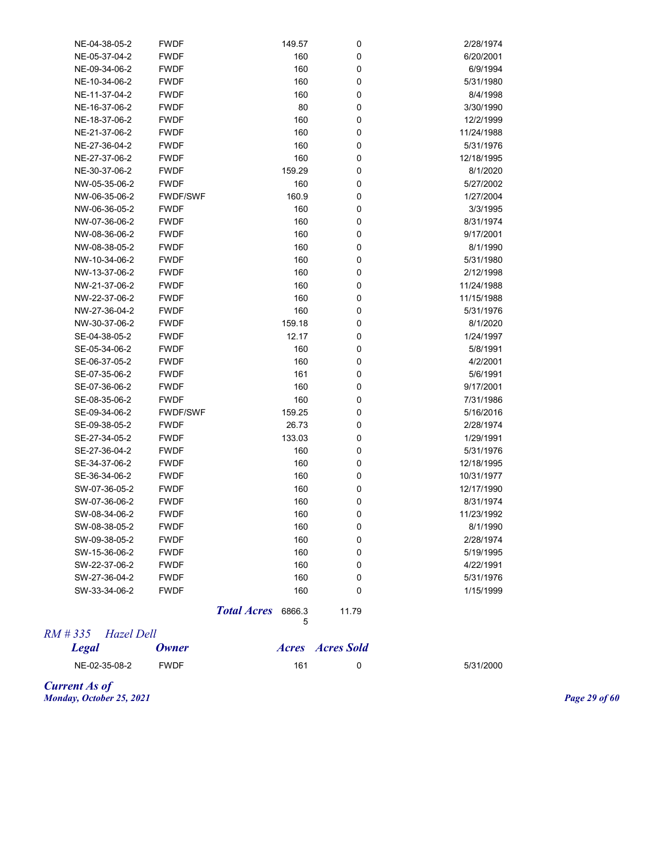| NE-04-38-05-2 | <b>FWDF</b>     | 149.57 | 0           | 2/28/1974  |
|---------------|-----------------|--------|-------------|------------|
| NE-05-37-04-2 | <b>FWDF</b>     | 160    | 0           | 6/20/2001  |
| NE-09-34-06-2 | <b>FWDF</b>     | 160    | 0           | 6/9/1994   |
| NE-10-34-06-2 | <b>FWDF</b>     | 160    | $\mathbf 0$ | 5/31/1980  |
| NE-11-37-04-2 | <b>FWDF</b>     | 160    | 0           | 8/4/1998   |
| NE-16-37-06-2 | <b>FWDF</b>     | 80     | $\mathbf 0$ | 3/30/1990  |
| NE-18-37-06-2 | <b>FWDF</b>     | 160    | 0           | 12/2/1999  |
| NE-21-37-06-2 | <b>FWDF</b>     | 160    | $\mathbf 0$ | 11/24/1988 |
| NE-27-36-04-2 | <b>FWDF</b>     | 160    | 0           | 5/31/1976  |
| NE-27-37-06-2 | <b>FWDF</b>     | 160    | 0           | 12/18/1995 |
| NE-30-37-06-2 | <b>FWDF</b>     | 159.29 | 0           | 8/1/2020   |
| NW-05-35-06-2 | <b>FWDF</b>     | 160    | $\mathbf 0$ | 5/27/2002  |
| NW-06-35-06-2 | <b>FWDF/SWF</b> | 160.9  | 0           | 1/27/2004  |
| NW-06-36-05-2 | <b>FWDF</b>     | 160    | 0           | 3/3/1995   |
| NW-07-36-06-2 | <b>FWDF</b>     | 160    | $\mathbf 0$ | 8/31/1974  |
| NW-08-36-06-2 | <b>FWDF</b>     | 160    | 0           | 9/17/2001  |
| NW-08-38-05-2 | <b>FWDF</b>     | 160    | 0           | 8/1/1990   |
| NW-10-34-06-2 | <b>FWDF</b>     | 160    | 0           | 5/31/1980  |
| NW-13-37-06-2 | <b>FWDF</b>     | 160    | $\mathbf 0$ | 2/12/1998  |
| NW-21-37-06-2 | <b>FWDF</b>     | 160    | 0           | 11/24/1988 |
| NW-22-37-06-2 | <b>FWDF</b>     | 160    | 0           | 11/15/1988 |
| NW-27-36-04-2 | <b>FWDF</b>     | 160    | 0           | 5/31/1976  |
| NW-30-37-06-2 | <b>FWDF</b>     | 159.18 | $\mathbf 0$ | 8/1/2020   |
| SE-04-38-05-2 | <b>FWDF</b>     | 12.17  | 0           | 1/24/1997  |
| SE-05-34-06-2 | <b>FWDF</b>     | 160    | 0           | 5/8/1991   |
| SE-06-37-05-2 | <b>FWDF</b>     | 160    | $\mathbf 0$ | 4/2/2001   |
| SE-07-35-06-2 | <b>FWDF</b>     | 161    | 0           | 5/6/1991   |
| SE-07-36-06-2 | <b>FWDF</b>     | 160    | $\mathbf 0$ | 9/17/2001  |
| SE-08-35-06-2 | <b>FWDF</b>     | 160    | $\mathbf 0$ | 7/31/1986  |
| SE-09-34-06-2 | FWDF/SWF        | 159.25 | $\mathbf 0$ | 5/16/2016  |
| SE-09-38-05-2 | <b>FWDF</b>     | 26.73  | 0           | 2/28/1974  |
| SE-27-34-05-2 | <b>FWDF</b>     | 133.03 | $\mathbf 0$ | 1/29/1991  |
| SE-27-36-04-2 | <b>FWDF</b>     | 160    | 0           | 5/31/1976  |
| SE-34-37-06-2 | <b>FWDF</b>     | 160    | $\mathbf 0$ | 12/18/1995 |
| SE-36-34-06-2 | <b>FWDF</b>     | 160    | 0           | 10/31/1977 |
| SW-07-36-05-2 | <b>FWDF</b>     | 160    | 0           | 12/17/1990 |
| SW-07-36-06-2 | <b>FWDF</b>     | 160    | 0           | 8/31/1974  |
| SW-08-34-06-2 | <b>FWDF</b>     | 160    | 0           | 11/23/1992 |
| SW-08-38-05-2 | <b>FWDF</b>     | 160    | 0           | 8/1/1990   |
| SW-09-38-05-2 | <b>FWDF</b>     | 160    | 0           | 2/28/1974  |
| SW-15-36-06-2 | <b>FWDF</b>     | 160    | $\mathbf 0$ | 5/19/1995  |
| SW-22-37-06-2 | <b>FWDF</b>     | 160    | 0           | 4/22/1991  |
| SW-27-36-04-2 | <b>FWDF</b>     | 160    | 0           | 5/31/1976  |
| SW-33-34-06-2 | <b>FWDF</b>     | 160    | $\mathbf 0$ | 1/15/1999  |
|               |                 |        |             |            |

**Total Acres** 6866.3 11.79 5

## *RM # 335 Hazel Dell*

| <b>Legal</b>  | <b>Owner</b> | <b>Acres Acres</b> Sold |           |
|---------------|--------------|-------------------------|-----------|
| NE-02-35-08-2 | <b>FWDF</b>  | 161                     | 5/31/2000 |

*Current As of Monday, October 25, 2021 Page 29 of 60*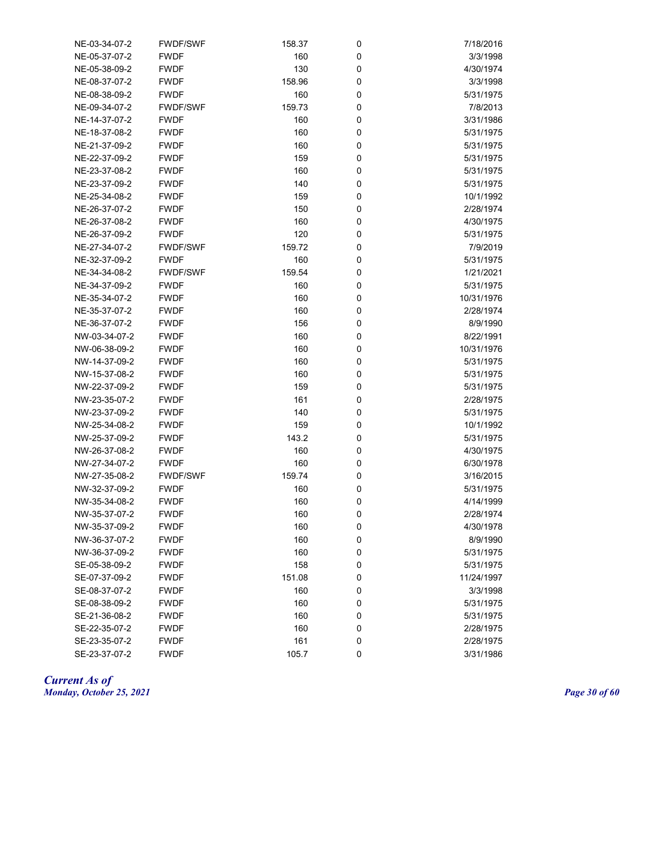| NE-05-37-07-2<br><b>FWDF</b><br>160<br>0<br>3/3/1998<br>130<br>0<br>NE-05-38-09-2<br><b>FWDF</b><br>4/30/1974<br>0<br>NE-08-37-07-2<br><b>FWDF</b><br>158.96<br>3/3/1998<br>NE-08-38-09-2<br><b>FWDF</b><br>160<br>0<br>5/31/1975<br>NE-09-34-07-2<br><b>FWDF/SWF</b><br>159.73<br>0<br>7/8/2013<br>160<br>NE-14-37-07-2<br><b>FWDF</b><br>0<br>3/31/1986<br><b>FWDF</b><br>160<br>NE-18-37-08-2<br>0<br>5/31/1975<br>160<br>NE-21-37-09-2<br><b>FWDF</b><br>0<br>5/31/1975<br>159<br>NE-22-37-09-2<br><b>FWDF</b><br>0<br>5/31/1975<br>160<br>NE-23-37-08-2<br><b>FWDF</b><br>0<br>5/31/1975<br>140<br>NE-23-37-09-2<br><b>FWDF</b><br>0<br>5/31/1975<br>NE-25-34-08-2<br><b>FWDF</b><br>159<br>0<br>10/1/1992<br>150<br>NE-26-37-07-2<br><b>FWDF</b><br>0<br>2/28/1974<br>160<br>NE-26-37-08-2<br><b>FWDF</b><br>0<br>4/30/1975<br>120<br>NE-26-37-09-2<br><b>FWDF</b><br>0<br>5/31/1975<br>NE-27-34-07-2<br><b>FWDF/SWF</b><br>159.72<br>0<br>7/9/2019<br>NE-32-37-09-2<br><b>FWDF</b><br>160<br>0<br>5/31/1975<br>NE-34-34-08-2<br>159.54<br>0<br>1/21/2021<br><b>FWDF/SWF</b><br>NE-34-37-09-2<br><b>FWDF</b><br>160<br>0<br>5/31/1975<br>NE-35-34-07-2<br>160<br>0<br>10/31/1976<br><b>FWDF</b><br>NE-35-37-07-2<br>160<br>0<br>2/28/1974<br><b>FWDF</b><br>NE-36-37-07-2<br>156<br>0<br>8/9/1990<br><b>FWDF</b><br>160<br>0<br>8/22/1991<br>NW-03-34-07-2<br><b>FWDF</b><br>NW-06-38-09-2<br>160<br>0<br>10/31/1976<br><b>FWDF</b><br>NW-14-37-09-2<br><b>FWDF</b><br>160<br>0<br>5/31/1975<br>NW-15-37-08-2<br><b>FWDF</b><br>160<br>0<br>5/31/1975<br>NW-22-37-09-2<br><b>FWDF</b><br>159<br>0<br>5/31/1975<br>NW-23-35-07-2<br><b>FWDF</b><br>161<br>0<br>2/28/1975<br>NW-23-37-09-2<br><b>FWDF</b><br>140<br>0<br>5/31/1975<br>NW-25-34-08-2<br><b>FWDF</b><br>159<br>0<br>10/1/1992<br>143.2<br>NW-25-37-09-2<br><b>FWDF</b><br>0<br>5/31/1975<br>NW-26-37-08-2<br><b>FWDF</b><br>160<br>0<br>4/30/1975<br>160<br>NW-27-34-07-2<br><b>FWDF</b><br>0<br>6/30/1978<br>NW-27-35-08-2<br><b>FWDF/SWF</b><br>159.74<br>0<br>3/16/2015<br>160<br>NW-32-37-09-2<br><b>FWDF</b><br>0<br>5/31/1975<br>160<br>0<br>4/14/1999<br>NW-35-34-08-2<br><b>FWDF</b><br>160<br><b>FWDF</b><br>0<br>2/28/1974<br>NW-35-37-07-2<br>160<br>NW-35-37-09-2<br><b>FWDF</b><br>4/30/1978<br>U<br>NW-36-37-07-2<br><b>FWDF</b><br>160<br>0<br>8/9/1990<br>160<br>0<br>NW-36-37-09-2<br><b>FWDF</b><br>5/31/1975<br>158<br>SE-05-38-09-2<br><b>FWDF</b><br>0<br>5/31/1975<br>SE-07-37-09-2<br><b>FWDF</b><br>151.08<br>0<br>11/24/1997<br>160<br>SE-08-37-07-2<br><b>FWDF</b><br>0<br>3/3/1998<br>SE-08-38-09-2<br>160<br>0<br>5/31/1975<br><b>FWDF</b><br>SE-21-36-08-2<br><b>FWDF</b><br>160<br>0<br>5/31/1975<br>SE-22-35-07-2<br><b>FWDF</b><br>160<br>0<br>2/28/1975<br>161<br>SE-23-35-07-2<br>0<br>2/28/1975<br><b>FWDF</b><br>SE-23-37-07-2<br><b>FWDF</b><br>105.7<br>0<br>3/31/1986 | NE-03-34-07-2 | <b>FWDF/SWF</b> | 158.37 | 0 | 7/18/2016 |
|--------------------------------------------------------------------------------------------------------------------------------------------------------------------------------------------------------------------------------------------------------------------------------------------------------------------------------------------------------------------------------------------------------------------------------------------------------------------------------------------------------------------------------------------------------------------------------------------------------------------------------------------------------------------------------------------------------------------------------------------------------------------------------------------------------------------------------------------------------------------------------------------------------------------------------------------------------------------------------------------------------------------------------------------------------------------------------------------------------------------------------------------------------------------------------------------------------------------------------------------------------------------------------------------------------------------------------------------------------------------------------------------------------------------------------------------------------------------------------------------------------------------------------------------------------------------------------------------------------------------------------------------------------------------------------------------------------------------------------------------------------------------------------------------------------------------------------------------------------------------------------------------------------------------------------------------------------------------------------------------------------------------------------------------------------------------------------------------------------------------------------------------------------------------------------------------------------------------------------------------------------------------------------------------------------------------------------------------------------------------------------------------------------------------------------------------------------------------------------------------------------------------------------------------------------------------------------------------------------------------------------------------------------------------------------------------------------------------------------------------------------------------------------------------------------------------------------------------------------------------------------|---------------|-----------------|--------|---|-----------|
|                                                                                                                                                                                                                                                                                                                                                                                                                                                                                                                                                                                                                                                                                                                                                                                                                                                                                                                                                                                                                                                                                                                                                                                                                                                                                                                                                                                                                                                                                                                                                                                                                                                                                                                                                                                                                                                                                                                                                                                                                                                                                                                                                                                                                                                                                                                                                                                                                                                                                                                                                                                                                                                                                                                                                                                                                                                                                |               |                 |        |   |           |
|                                                                                                                                                                                                                                                                                                                                                                                                                                                                                                                                                                                                                                                                                                                                                                                                                                                                                                                                                                                                                                                                                                                                                                                                                                                                                                                                                                                                                                                                                                                                                                                                                                                                                                                                                                                                                                                                                                                                                                                                                                                                                                                                                                                                                                                                                                                                                                                                                                                                                                                                                                                                                                                                                                                                                                                                                                                                                |               |                 |        |   |           |
|                                                                                                                                                                                                                                                                                                                                                                                                                                                                                                                                                                                                                                                                                                                                                                                                                                                                                                                                                                                                                                                                                                                                                                                                                                                                                                                                                                                                                                                                                                                                                                                                                                                                                                                                                                                                                                                                                                                                                                                                                                                                                                                                                                                                                                                                                                                                                                                                                                                                                                                                                                                                                                                                                                                                                                                                                                                                                |               |                 |        |   |           |
|                                                                                                                                                                                                                                                                                                                                                                                                                                                                                                                                                                                                                                                                                                                                                                                                                                                                                                                                                                                                                                                                                                                                                                                                                                                                                                                                                                                                                                                                                                                                                                                                                                                                                                                                                                                                                                                                                                                                                                                                                                                                                                                                                                                                                                                                                                                                                                                                                                                                                                                                                                                                                                                                                                                                                                                                                                                                                |               |                 |        |   |           |
|                                                                                                                                                                                                                                                                                                                                                                                                                                                                                                                                                                                                                                                                                                                                                                                                                                                                                                                                                                                                                                                                                                                                                                                                                                                                                                                                                                                                                                                                                                                                                                                                                                                                                                                                                                                                                                                                                                                                                                                                                                                                                                                                                                                                                                                                                                                                                                                                                                                                                                                                                                                                                                                                                                                                                                                                                                                                                |               |                 |        |   |           |
|                                                                                                                                                                                                                                                                                                                                                                                                                                                                                                                                                                                                                                                                                                                                                                                                                                                                                                                                                                                                                                                                                                                                                                                                                                                                                                                                                                                                                                                                                                                                                                                                                                                                                                                                                                                                                                                                                                                                                                                                                                                                                                                                                                                                                                                                                                                                                                                                                                                                                                                                                                                                                                                                                                                                                                                                                                                                                |               |                 |        |   |           |
|                                                                                                                                                                                                                                                                                                                                                                                                                                                                                                                                                                                                                                                                                                                                                                                                                                                                                                                                                                                                                                                                                                                                                                                                                                                                                                                                                                                                                                                                                                                                                                                                                                                                                                                                                                                                                                                                                                                                                                                                                                                                                                                                                                                                                                                                                                                                                                                                                                                                                                                                                                                                                                                                                                                                                                                                                                                                                |               |                 |        |   |           |
|                                                                                                                                                                                                                                                                                                                                                                                                                                                                                                                                                                                                                                                                                                                                                                                                                                                                                                                                                                                                                                                                                                                                                                                                                                                                                                                                                                                                                                                                                                                                                                                                                                                                                                                                                                                                                                                                                                                                                                                                                                                                                                                                                                                                                                                                                                                                                                                                                                                                                                                                                                                                                                                                                                                                                                                                                                                                                |               |                 |        |   |           |
|                                                                                                                                                                                                                                                                                                                                                                                                                                                                                                                                                                                                                                                                                                                                                                                                                                                                                                                                                                                                                                                                                                                                                                                                                                                                                                                                                                                                                                                                                                                                                                                                                                                                                                                                                                                                                                                                                                                                                                                                                                                                                                                                                                                                                                                                                                                                                                                                                                                                                                                                                                                                                                                                                                                                                                                                                                                                                |               |                 |        |   |           |
|                                                                                                                                                                                                                                                                                                                                                                                                                                                                                                                                                                                                                                                                                                                                                                                                                                                                                                                                                                                                                                                                                                                                                                                                                                                                                                                                                                                                                                                                                                                                                                                                                                                                                                                                                                                                                                                                                                                                                                                                                                                                                                                                                                                                                                                                                                                                                                                                                                                                                                                                                                                                                                                                                                                                                                                                                                                                                |               |                 |        |   |           |
|                                                                                                                                                                                                                                                                                                                                                                                                                                                                                                                                                                                                                                                                                                                                                                                                                                                                                                                                                                                                                                                                                                                                                                                                                                                                                                                                                                                                                                                                                                                                                                                                                                                                                                                                                                                                                                                                                                                                                                                                                                                                                                                                                                                                                                                                                                                                                                                                                                                                                                                                                                                                                                                                                                                                                                                                                                                                                |               |                 |        |   |           |
|                                                                                                                                                                                                                                                                                                                                                                                                                                                                                                                                                                                                                                                                                                                                                                                                                                                                                                                                                                                                                                                                                                                                                                                                                                                                                                                                                                                                                                                                                                                                                                                                                                                                                                                                                                                                                                                                                                                                                                                                                                                                                                                                                                                                                                                                                                                                                                                                                                                                                                                                                                                                                                                                                                                                                                                                                                                                                |               |                 |        |   |           |
|                                                                                                                                                                                                                                                                                                                                                                                                                                                                                                                                                                                                                                                                                                                                                                                                                                                                                                                                                                                                                                                                                                                                                                                                                                                                                                                                                                                                                                                                                                                                                                                                                                                                                                                                                                                                                                                                                                                                                                                                                                                                                                                                                                                                                                                                                                                                                                                                                                                                                                                                                                                                                                                                                                                                                                                                                                                                                |               |                 |        |   |           |
|                                                                                                                                                                                                                                                                                                                                                                                                                                                                                                                                                                                                                                                                                                                                                                                                                                                                                                                                                                                                                                                                                                                                                                                                                                                                                                                                                                                                                                                                                                                                                                                                                                                                                                                                                                                                                                                                                                                                                                                                                                                                                                                                                                                                                                                                                                                                                                                                                                                                                                                                                                                                                                                                                                                                                                                                                                                                                |               |                 |        |   |           |
|                                                                                                                                                                                                                                                                                                                                                                                                                                                                                                                                                                                                                                                                                                                                                                                                                                                                                                                                                                                                                                                                                                                                                                                                                                                                                                                                                                                                                                                                                                                                                                                                                                                                                                                                                                                                                                                                                                                                                                                                                                                                                                                                                                                                                                                                                                                                                                                                                                                                                                                                                                                                                                                                                                                                                                                                                                                                                |               |                 |        |   |           |
|                                                                                                                                                                                                                                                                                                                                                                                                                                                                                                                                                                                                                                                                                                                                                                                                                                                                                                                                                                                                                                                                                                                                                                                                                                                                                                                                                                                                                                                                                                                                                                                                                                                                                                                                                                                                                                                                                                                                                                                                                                                                                                                                                                                                                                                                                                                                                                                                                                                                                                                                                                                                                                                                                                                                                                                                                                                                                |               |                 |        |   |           |
|                                                                                                                                                                                                                                                                                                                                                                                                                                                                                                                                                                                                                                                                                                                                                                                                                                                                                                                                                                                                                                                                                                                                                                                                                                                                                                                                                                                                                                                                                                                                                                                                                                                                                                                                                                                                                                                                                                                                                                                                                                                                                                                                                                                                                                                                                                                                                                                                                                                                                                                                                                                                                                                                                                                                                                                                                                                                                |               |                 |        |   |           |
|                                                                                                                                                                                                                                                                                                                                                                                                                                                                                                                                                                                                                                                                                                                                                                                                                                                                                                                                                                                                                                                                                                                                                                                                                                                                                                                                                                                                                                                                                                                                                                                                                                                                                                                                                                                                                                                                                                                                                                                                                                                                                                                                                                                                                                                                                                                                                                                                                                                                                                                                                                                                                                                                                                                                                                                                                                                                                |               |                 |        |   |           |
|                                                                                                                                                                                                                                                                                                                                                                                                                                                                                                                                                                                                                                                                                                                                                                                                                                                                                                                                                                                                                                                                                                                                                                                                                                                                                                                                                                                                                                                                                                                                                                                                                                                                                                                                                                                                                                                                                                                                                                                                                                                                                                                                                                                                                                                                                                                                                                                                                                                                                                                                                                                                                                                                                                                                                                                                                                                                                |               |                 |        |   |           |
|                                                                                                                                                                                                                                                                                                                                                                                                                                                                                                                                                                                                                                                                                                                                                                                                                                                                                                                                                                                                                                                                                                                                                                                                                                                                                                                                                                                                                                                                                                                                                                                                                                                                                                                                                                                                                                                                                                                                                                                                                                                                                                                                                                                                                                                                                                                                                                                                                                                                                                                                                                                                                                                                                                                                                                                                                                                                                |               |                 |        |   |           |
|                                                                                                                                                                                                                                                                                                                                                                                                                                                                                                                                                                                                                                                                                                                                                                                                                                                                                                                                                                                                                                                                                                                                                                                                                                                                                                                                                                                                                                                                                                                                                                                                                                                                                                                                                                                                                                                                                                                                                                                                                                                                                                                                                                                                                                                                                                                                                                                                                                                                                                                                                                                                                                                                                                                                                                                                                                                                                |               |                 |        |   |           |
|                                                                                                                                                                                                                                                                                                                                                                                                                                                                                                                                                                                                                                                                                                                                                                                                                                                                                                                                                                                                                                                                                                                                                                                                                                                                                                                                                                                                                                                                                                                                                                                                                                                                                                                                                                                                                                                                                                                                                                                                                                                                                                                                                                                                                                                                                                                                                                                                                                                                                                                                                                                                                                                                                                                                                                                                                                                                                |               |                 |        |   |           |
|                                                                                                                                                                                                                                                                                                                                                                                                                                                                                                                                                                                                                                                                                                                                                                                                                                                                                                                                                                                                                                                                                                                                                                                                                                                                                                                                                                                                                                                                                                                                                                                                                                                                                                                                                                                                                                                                                                                                                                                                                                                                                                                                                                                                                                                                                                                                                                                                                                                                                                                                                                                                                                                                                                                                                                                                                                                                                |               |                 |        |   |           |
|                                                                                                                                                                                                                                                                                                                                                                                                                                                                                                                                                                                                                                                                                                                                                                                                                                                                                                                                                                                                                                                                                                                                                                                                                                                                                                                                                                                                                                                                                                                                                                                                                                                                                                                                                                                                                                                                                                                                                                                                                                                                                                                                                                                                                                                                                                                                                                                                                                                                                                                                                                                                                                                                                                                                                                                                                                                                                |               |                 |        |   |           |
|                                                                                                                                                                                                                                                                                                                                                                                                                                                                                                                                                                                                                                                                                                                                                                                                                                                                                                                                                                                                                                                                                                                                                                                                                                                                                                                                                                                                                                                                                                                                                                                                                                                                                                                                                                                                                                                                                                                                                                                                                                                                                                                                                                                                                                                                                                                                                                                                                                                                                                                                                                                                                                                                                                                                                                                                                                                                                |               |                 |        |   |           |
|                                                                                                                                                                                                                                                                                                                                                                                                                                                                                                                                                                                                                                                                                                                                                                                                                                                                                                                                                                                                                                                                                                                                                                                                                                                                                                                                                                                                                                                                                                                                                                                                                                                                                                                                                                                                                                                                                                                                                                                                                                                                                                                                                                                                                                                                                                                                                                                                                                                                                                                                                                                                                                                                                                                                                                                                                                                                                |               |                 |        |   |           |
|                                                                                                                                                                                                                                                                                                                                                                                                                                                                                                                                                                                                                                                                                                                                                                                                                                                                                                                                                                                                                                                                                                                                                                                                                                                                                                                                                                                                                                                                                                                                                                                                                                                                                                                                                                                                                                                                                                                                                                                                                                                                                                                                                                                                                                                                                                                                                                                                                                                                                                                                                                                                                                                                                                                                                                                                                                                                                |               |                 |        |   |           |
|                                                                                                                                                                                                                                                                                                                                                                                                                                                                                                                                                                                                                                                                                                                                                                                                                                                                                                                                                                                                                                                                                                                                                                                                                                                                                                                                                                                                                                                                                                                                                                                                                                                                                                                                                                                                                                                                                                                                                                                                                                                                                                                                                                                                                                                                                                                                                                                                                                                                                                                                                                                                                                                                                                                                                                                                                                                                                |               |                 |        |   |           |
|                                                                                                                                                                                                                                                                                                                                                                                                                                                                                                                                                                                                                                                                                                                                                                                                                                                                                                                                                                                                                                                                                                                                                                                                                                                                                                                                                                                                                                                                                                                                                                                                                                                                                                                                                                                                                                                                                                                                                                                                                                                                                                                                                                                                                                                                                                                                                                                                                                                                                                                                                                                                                                                                                                                                                                                                                                                                                |               |                 |        |   |           |
|                                                                                                                                                                                                                                                                                                                                                                                                                                                                                                                                                                                                                                                                                                                                                                                                                                                                                                                                                                                                                                                                                                                                                                                                                                                                                                                                                                                                                                                                                                                                                                                                                                                                                                                                                                                                                                                                                                                                                                                                                                                                                                                                                                                                                                                                                                                                                                                                                                                                                                                                                                                                                                                                                                                                                                                                                                                                                |               |                 |        |   |           |
|                                                                                                                                                                                                                                                                                                                                                                                                                                                                                                                                                                                                                                                                                                                                                                                                                                                                                                                                                                                                                                                                                                                                                                                                                                                                                                                                                                                                                                                                                                                                                                                                                                                                                                                                                                                                                                                                                                                                                                                                                                                                                                                                                                                                                                                                                                                                                                                                                                                                                                                                                                                                                                                                                                                                                                                                                                                                                |               |                 |        |   |           |
|                                                                                                                                                                                                                                                                                                                                                                                                                                                                                                                                                                                                                                                                                                                                                                                                                                                                                                                                                                                                                                                                                                                                                                                                                                                                                                                                                                                                                                                                                                                                                                                                                                                                                                                                                                                                                                                                                                                                                                                                                                                                                                                                                                                                                                                                                                                                                                                                                                                                                                                                                                                                                                                                                                                                                                                                                                                                                |               |                 |        |   |           |
|                                                                                                                                                                                                                                                                                                                                                                                                                                                                                                                                                                                                                                                                                                                                                                                                                                                                                                                                                                                                                                                                                                                                                                                                                                                                                                                                                                                                                                                                                                                                                                                                                                                                                                                                                                                                                                                                                                                                                                                                                                                                                                                                                                                                                                                                                                                                                                                                                                                                                                                                                                                                                                                                                                                                                                                                                                                                                |               |                 |        |   |           |
|                                                                                                                                                                                                                                                                                                                                                                                                                                                                                                                                                                                                                                                                                                                                                                                                                                                                                                                                                                                                                                                                                                                                                                                                                                                                                                                                                                                                                                                                                                                                                                                                                                                                                                                                                                                                                                                                                                                                                                                                                                                                                                                                                                                                                                                                                                                                                                                                                                                                                                                                                                                                                                                                                                                                                                                                                                                                                |               |                 |        |   |           |
|                                                                                                                                                                                                                                                                                                                                                                                                                                                                                                                                                                                                                                                                                                                                                                                                                                                                                                                                                                                                                                                                                                                                                                                                                                                                                                                                                                                                                                                                                                                                                                                                                                                                                                                                                                                                                                                                                                                                                                                                                                                                                                                                                                                                                                                                                                                                                                                                                                                                                                                                                                                                                                                                                                                                                                                                                                                                                |               |                 |        |   |           |
|                                                                                                                                                                                                                                                                                                                                                                                                                                                                                                                                                                                                                                                                                                                                                                                                                                                                                                                                                                                                                                                                                                                                                                                                                                                                                                                                                                                                                                                                                                                                                                                                                                                                                                                                                                                                                                                                                                                                                                                                                                                                                                                                                                                                                                                                                                                                                                                                                                                                                                                                                                                                                                                                                                                                                                                                                                                                                |               |                 |        |   |           |
|                                                                                                                                                                                                                                                                                                                                                                                                                                                                                                                                                                                                                                                                                                                                                                                                                                                                                                                                                                                                                                                                                                                                                                                                                                                                                                                                                                                                                                                                                                                                                                                                                                                                                                                                                                                                                                                                                                                                                                                                                                                                                                                                                                                                                                                                                                                                                                                                                                                                                                                                                                                                                                                                                                                                                                                                                                                                                |               |                 |        |   |           |
|                                                                                                                                                                                                                                                                                                                                                                                                                                                                                                                                                                                                                                                                                                                                                                                                                                                                                                                                                                                                                                                                                                                                                                                                                                                                                                                                                                                                                                                                                                                                                                                                                                                                                                                                                                                                                                                                                                                                                                                                                                                                                                                                                                                                                                                                                                                                                                                                                                                                                                                                                                                                                                                                                                                                                                                                                                                                                |               |                 |        |   |           |
|                                                                                                                                                                                                                                                                                                                                                                                                                                                                                                                                                                                                                                                                                                                                                                                                                                                                                                                                                                                                                                                                                                                                                                                                                                                                                                                                                                                                                                                                                                                                                                                                                                                                                                                                                                                                                                                                                                                                                                                                                                                                                                                                                                                                                                                                                                                                                                                                                                                                                                                                                                                                                                                                                                                                                                                                                                                                                |               |                 |        |   |           |
|                                                                                                                                                                                                                                                                                                                                                                                                                                                                                                                                                                                                                                                                                                                                                                                                                                                                                                                                                                                                                                                                                                                                                                                                                                                                                                                                                                                                                                                                                                                                                                                                                                                                                                                                                                                                                                                                                                                                                                                                                                                                                                                                                                                                                                                                                                                                                                                                                                                                                                                                                                                                                                                                                                                                                                                                                                                                                |               |                 |        |   |           |
|                                                                                                                                                                                                                                                                                                                                                                                                                                                                                                                                                                                                                                                                                                                                                                                                                                                                                                                                                                                                                                                                                                                                                                                                                                                                                                                                                                                                                                                                                                                                                                                                                                                                                                                                                                                                                                                                                                                                                                                                                                                                                                                                                                                                                                                                                                                                                                                                                                                                                                                                                                                                                                                                                                                                                                                                                                                                                |               |                 |        |   |           |
|                                                                                                                                                                                                                                                                                                                                                                                                                                                                                                                                                                                                                                                                                                                                                                                                                                                                                                                                                                                                                                                                                                                                                                                                                                                                                                                                                                                                                                                                                                                                                                                                                                                                                                                                                                                                                                                                                                                                                                                                                                                                                                                                                                                                                                                                                                                                                                                                                                                                                                                                                                                                                                                                                                                                                                                                                                                                                |               |                 |        |   |           |
|                                                                                                                                                                                                                                                                                                                                                                                                                                                                                                                                                                                                                                                                                                                                                                                                                                                                                                                                                                                                                                                                                                                                                                                                                                                                                                                                                                                                                                                                                                                                                                                                                                                                                                                                                                                                                                                                                                                                                                                                                                                                                                                                                                                                                                                                                                                                                                                                                                                                                                                                                                                                                                                                                                                                                                                                                                                                                |               |                 |        |   |           |
|                                                                                                                                                                                                                                                                                                                                                                                                                                                                                                                                                                                                                                                                                                                                                                                                                                                                                                                                                                                                                                                                                                                                                                                                                                                                                                                                                                                                                                                                                                                                                                                                                                                                                                                                                                                                                                                                                                                                                                                                                                                                                                                                                                                                                                                                                                                                                                                                                                                                                                                                                                                                                                                                                                                                                                                                                                                                                |               |                 |        |   |           |
|                                                                                                                                                                                                                                                                                                                                                                                                                                                                                                                                                                                                                                                                                                                                                                                                                                                                                                                                                                                                                                                                                                                                                                                                                                                                                                                                                                                                                                                                                                                                                                                                                                                                                                                                                                                                                                                                                                                                                                                                                                                                                                                                                                                                                                                                                                                                                                                                                                                                                                                                                                                                                                                                                                                                                                                                                                                                                |               |                 |        |   |           |
|                                                                                                                                                                                                                                                                                                                                                                                                                                                                                                                                                                                                                                                                                                                                                                                                                                                                                                                                                                                                                                                                                                                                                                                                                                                                                                                                                                                                                                                                                                                                                                                                                                                                                                                                                                                                                                                                                                                                                                                                                                                                                                                                                                                                                                                                                                                                                                                                                                                                                                                                                                                                                                                                                                                                                                                                                                                                                |               |                 |        |   |           |
|                                                                                                                                                                                                                                                                                                                                                                                                                                                                                                                                                                                                                                                                                                                                                                                                                                                                                                                                                                                                                                                                                                                                                                                                                                                                                                                                                                                                                                                                                                                                                                                                                                                                                                                                                                                                                                                                                                                                                                                                                                                                                                                                                                                                                                                                                                                                                                                                                                                                                                                                                                                                                                                                                                                                                                                                                                                                                |               |                 |        |   |           |
|                                                                                                                                                                                                                                                                                                                                                                                                                                                                                                                                                                                                                                                                                                                                                                                                                                                                                                                                                                                                                                                                                                                                                                                                                                                                                                                                                                                                                                                                                                                                                                                                                                                                                                                                                                                                                                                                                                                                                                                                                                                                                                                                                                                                                                                                                                                                                                                                                                                                                                                                                                                                                                                                                                                                                                                                                                                                                |               |                 |        |   |           |

*Current As of Monday, October 25, 2021 Page 30 of 60*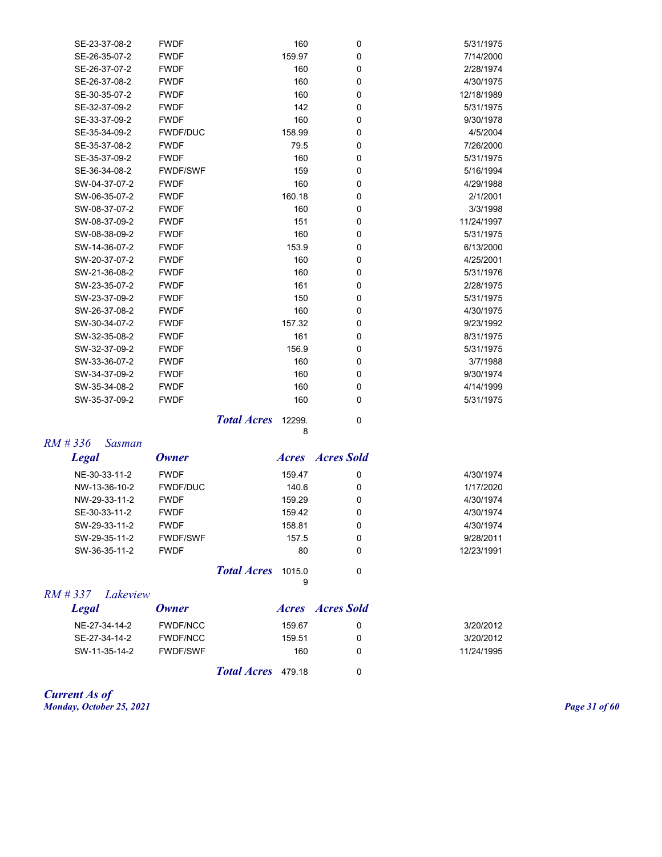| SE-23-37-08-2 | <b>FWDF</b>     | 160    | 0           | 5/31/1975  |
|---------------|-----------------|--------|-------------|------------|
| SE-26-35-07-2 | <b>FWDF</b>     | 159.97 | 0           | 7/14/2000  |
| SE-26-37-07-2 | <b>FWDF</b>     | 160    | $\mathbf 0$ | 2/28/1974  |
| SE-26-37-08-2 | <b>FWDF</b>     | 160    | $\mathbf 0$ | 4/30/1975  |
| SE-30-35-07-2 | <b>FWDF</b>     | 160    | $\mathbf 0$ | 12/18/1989 |
| SE-32-37-09-2 | <b>FWDF</b>     | 142    | $\mathbf 0$ | 5/31/1975  |
| SE-33-37-09-2 | <b>FWDF</b>     | 160    | $\mathbf 0$ | 9/30/1978  |
| SE-35-34-09-2 | <b>FWDF/DUC</b> | 158.99 | $\mathbf 0$ | 4/5/2004   |
| SE-35-37-08-2 | <b>FWDF</b>     | 79.5   | $\mathbf 0$ | 7/26/2000  |
| SE-35-37-09-2 | <b>FWDF</b>     | 160    | $\mathbf 0$ | 5/31/1975  |
| SE-36-34-08-2 | <b>FWDF/SWF</b> | 159    | $\mathbf 0$ | 5/16/1994  |
| SW-04-37-07-2 | <b>FWDF</b>     | 160    | $\mathbf 0$ | 4/29/1988  |
| SW-06-35-07-2 | <b>FWDF</b>     | 160.18 | $\mathbf 0$ | 2/1/2001   |
| SW-08-37-07-2 | <b>FWDF</b>     | 160    | $\mathbf 0$ | 3/3/1998   |
| SW-08-37-09-2 | <b>FWDF</b>     | 151    | $\mathbf 0$ | 11/24/1997 |
| SW-08-38-09-2 | <b>FWDF</b>     | 160    | $\mathbf 0$ | 5/31/1975  |
| SW-14-36-07-2 | <b>FWDF</b>     | 153.9  | $\mathbf 0$ | 6/13/2000  |
| SW-20-37-07-2 | <b>FWDF</b>     | 160    | $\mathbf 0$ | 4/25/2001  |
| SW-21-36-08-2 | <b>FWDF</b>     | 160    | $\mathbf 0$ | 5/31/1976  |
| SW-23-35-07-2 | <b>FWDF</b>     | 161    | $\mathbf 0$ | 2/28/1975  |
| SW-23-37-09-2 | <b>FWDF</b>     | 150    | $\mathbf 0$ | 5/31/1975  |
| SW-26-37-08-2 | <b>FWDF</b>     | 160    | $\mathbf 0$ | 4/30/1975  |
| SW-30-34-07-2 | <b>FWDF</b>     | 157.32 | $\Omega$    | 9/23/1992  |
| SW-32-35-08-2 | <b>FWDF</b>     | 161    | $\mathbf 0$ | 8/31/1975  |
| SW-32-37-09-2 | <b>FWDF</b>     | 156.9  | $\mathbf 0$ | 5/31/1975  |
| SW-33-36-07-2 | <b>FWDF</b>     | 160    | $\mathbf 0$ | 3/7/1988   |
| SW-34-37-09-2 | <b>FWDF</b>     | 160    | $\mathbf 0$ | 9/30/1974  |
| SW-35-34-08-2 | <b>FWDF</b>     | 160    | $\mathbf 0$ | 4/14/1999  |
| SW-35-37-09-2 | <b>FWDF</b>     | 160    | $\mathbf 0$ | 5/31/1975  |
|               |                 |        |             |            |

**Total Acres** 12299. 0 8

*RM # 336 Sasman* 

| <b>Legal</b>  | Owner                     | <i>Acres</i> | <b>Acres Sold</b> |            |
|---------------|---------------------------|--------------|-------------------|------------|
| NE-30-33-11-2 | <b>FWDF</b>               | 159.47       | 0                 | 4/30/1974  |
| NW-13-36-10-2 | <b>FWDF/DUC</b>           | 140.6        | 0                 | 1/17/2020  |
| NW-29-33-11-2 | <b>FWDF</b>               | 159.29       | 0                 | 4/30/1974  |
| SE-30-33-11-2 | <b>FWDF</b>               | 159.42       | 0                 | 4/30/1974  |
| SW-29-33-11-2 | <b>FWDF</b>               | 158.81       | 0                 | 4/30/1974  |
| SW-29-35-11-2 | <b>FWDF/SWF</b>           | 157.5        | 0                 | 9/28/2011  |
| SW-36-35-11-2 | <b>FWDF</b>               | 80           | 0                 | 12/23/1991 |
|               | <b>Total Acres</b> 1015.0 |              | 0                 |            |
|               |                           | 9            |                   |            |

*RM # 337 Lakeview*

| <b>Legal</b>  | <b>Owner</b>    |                           |        | <i>Acres Acres Sold</i> |            |
|---------------|-----------------|---------------------------|--------|-------------------------|------------|
| NE-27-34-14-2 | <b>FWDF/NCC</b> |                           | 159.67 |                         | 3/20/2012  |
| SE-27-34-14-2 | <b>FWDF/NCC</b> |                           | 159.51 |                         | 3/20/2012  |
| SW-11-35-14-2 | <b>FWDF/SWF</b> |                           | 160    |                         | 11/24/1995 |
|               |                 | <b>Total Acres</b> 479.18 |        |                         |            |

*Current As of Monday, October 25, 2021 Page 31 of 60*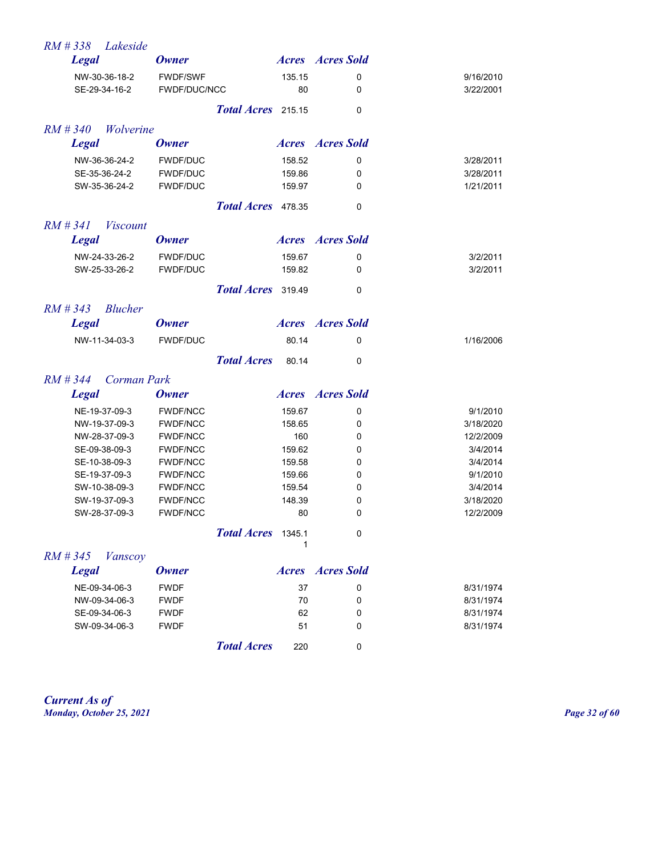| RM#338<br>Lakeside             |                                    |                    |                  |                         |                      |
|--------------------------------|------------------------------------|--------------------|------------------|-------------------------|----------------------|
| <b>Legal</b>                   | <b>Owner</b>                       |                    |                  | <b>Acres Acres</b> Sold |                      |
| NW-30-36-18-2                  | <b>FWDF/SWF</b>                    |                    | 135.15           | 0                       | 9/16/2010            |
| SE-29-34-16-2                  | FWDF/DUC/NCC                       |                    | 80               | 0                       | 3/22/2001            |
|                                |                                    | Total Acres 215.15 |                  | 0                       |                      |
| $RM \# 340$<br>Wolverine       |                                    |                    |                  |                         |                      |
| <b>Legal</b>                   | <b>Owner</b>                       |                    |                  | <b>Acres Acres</b> Sold |                      |
| NW-36-36-24-2                  | <b>FWDF/DUC</b>                    |                    | 158.52           | 0                       | 3/28/2011            |
| SE-35-36-24-2                  | <b>FWDF/DUC</b>                    |                    | 159.86           | 0                       | 3/28/2011            |
| SW-35-36-24-2                  | FWDF/DUC                           |                    | 159.97           | 0                       | 1/21/2011            |
|                                |                                    | Total Acres 478.35 |                  | 0                       |                      |
| $RM \# 341$<br><i>Viscount</i> |                                    |                    |                  |                         |                      |
| <b>Legal</b>                   | <b>Owner</b>                       |                    |                  | <b>Acres Acres</b> Sold |                      |
| NW-24-33-26-2                  | <b>FWDF/DUC</b>                    |                    | 159.67           | 0                       | 3/2/2011             |
| SW-25-33-26-2                  | <b>FWDF/DUC</b>                    |                    | 159.82           | 0                       | 3/2/2011             |
|                                |                                    | Total Acres 319.49 |                  | 0                       |                      |
| $RM \# 343$<br><b>Blucher</b>  |                                    |                    |                  |                         |                      |
| <b>Legal</b>                   | <b>Owner</b>                       |                    |                  | <b>Acres Acres</b> Sold |                      |
| NW-11-34-03-3                  | <b>FWDF/DUC</b>                    |                    | 80.14            | 0                       | 1/16/2006            |
|                                |                                    | <b>Total Acres</b> | 80.14            | 0                       |                      |
| $RM \# 344$<br>Corman Park     |                                    |                    |                  |                         |                      |
| <b>Legal</b>                   | <b>Owner</b>                       |                    |                  | <b>Acres Acres</b> Sold |                      |
| NE-19-37-09-3                  | <b>FWDF/NCC</b>                    |                    | 159.67           | 0                       | 9/1/2010             |
| NW-19-37-09-3                  | <b>FWDF/NCC</b>                    |                    | 158.65           | 0                       | 3/18/2020            |
| NW-28-37-09-3                  | <b>FWDF/NCC</b>                    |                    | 160              | 0                       | 12/2/2009            |
| SE-09-38-09-3                  | <b>FWDF/NCC</b>                    |                    | 159.62           | 0                       | 3/4/2014             |
| SE-10-38-09-3                  | <b>FWDF/NCC</b>                    |                    | 159.58<br>159.66 | 0                       | 3/4/2014<br>9/1/2010 |
| SE-19-37-09-3<br>SW-10-38-09-3 | <b>FWDF/NCC</b><br><b>FWDF/NCC</b> |                    | 159.54           | 0<br>0                  | 3/4/2014             |
| SW-19-37-09-3                  | <b>FWDF/NCC</b>                    |                    | 148.39           | 0                       | 3/18/2020            |
| SW-28-37-09-3                  | <b>FWDF/NCC</b>                    |                    | 80               | 0                       | 12/2/2009            |
|                                |                                    | Total Acres 1345.1 |                  | 0                       |                      |
| $RM \# 345$<br><b>Vanscoy</b>  |                                    |                    | 1                |                         |                      |
| <b>Legal</b>                   | <b>Owner</b>                       |                    |                  | <b>Acres Acres</b> Sold |                      |
| NE-09-34-06-3                  | <b>FWDF</b>                        |                    | 37               | 0                       | 8/31/1974            |
| NW-09-34-06-3                  | <b>FWDF</b>                        |                    | 70               | 0                       | 8/31/1974            |
| SE-09-34-06-3                  | <b>FWDF</b>                        |                    | 62               | 0                       | 8/31/1974            |
| SW-09-34-06-3                  | <b>FWDF</b>                        |                    | 51               | 0                       | 8/31/1974            |
|                                |                                    | <b>Total Acres</b> | 220              | 0                       |                      |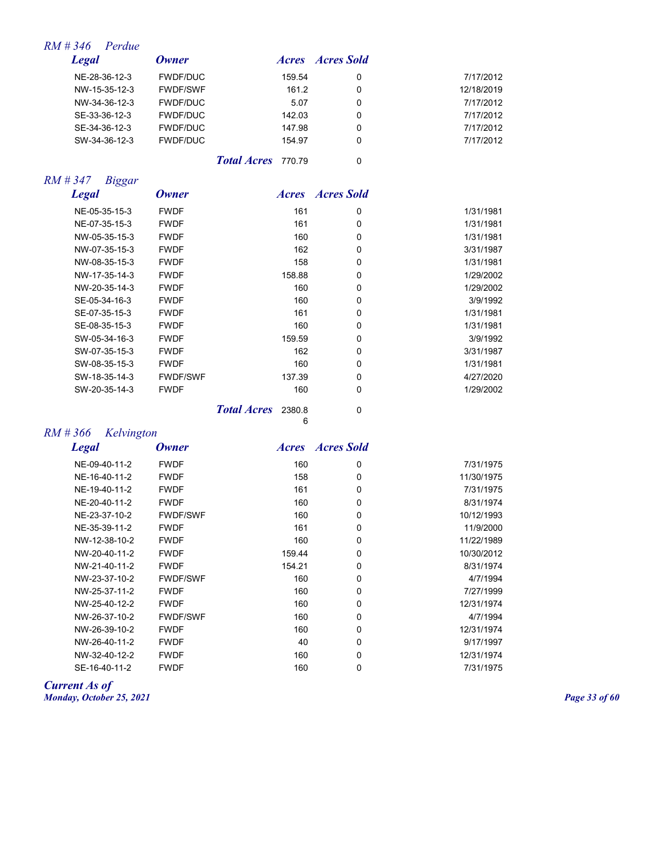|            | <i>Acres Acres Sold</i> |        | Owner           | <b>Legal</b>  |
|------------|-------------------------|--------|-----------------|---------------|
| 7/17/2012  | 0                       | 159.54 | <b>FWDF/DUC</b> | NE-28-36-12-3 |
| 12/18/2019 | 0                       | 161.2  | <b>FWDF/SWF</b> | NW-15-35-12-3 |
| 7/17/2012  | 0                       | 5.07   | <b>FWDF/DUC</b> | NW-34-36-12-3 |
| 7/17/2012  | 0                       | 142.03 | <b>FWDF/DUC</b> | SE-33-36-12-3 |
| 7/17/2012  | 0                       | 147.98 | <b>FWDF/DUC</b> | SE-34-36-12-3 |
| 7/17/2012  | 0                       | 154.97 | <b>FWDF/DUC</b> | SW-34-36-12-3 |

**Total Acres** 770.79 0

## *RM # 347 Biggar*

| <b>Legal</b>  | <b>Owner</b>    |                    | <i><b>Acres</b></i> | <b>Acres Sold</b> |           |
|---------------|-----------------|--------------------|---------------------|-------------------|-----------|
| NE-05-35-15-3 | <b>FWDF</b>     |                    | 161                 | 0                 | 1/31/1981 |
| NE-07-35-15-3 | <b>FWDF</b>     |                    | 161                 | 0                 | 1/31/1981 |
| NW-05-35-15-3 | <b>FWDF</b>     |                    | 160                 | 0                 | 1/31/1981 |
| NW-07-35-15-3 | <b>FWDF</b>     |                    | 162                 | 0                 | 3/31/1987 |
| NW-08-35-15-3 | <b>FWDF</b>     |                    | 158                 | 0                 | 1/31/1981 |
| NW-17-35-14-3 | <b>FWDF</b>     |                    | 158.88              | 0                 | 1/29/2002 |
| NW-20-35-14-3 | <b>FWDF</b>     |                    | 160                 | 0                 | 1/29/2002 |
| SE-05-34-16-3 | <b>FWDF</b>     |                    | 160                 | 0                 | 3/9/1992  |
| SE-07-35-15-3 | <b>FWDF</b>     |                    | 161                 | 0                 | 1/31/1981 |
| SE-08-35-15-3 | <b>FWDF</b>     |                    | 160                 | 0                 | 1/31/1981 |
| SW-05-34-16-3 | <b>FWDF</b>     |                    | 159.59              | 0                 | 3/9/1992  |
| SW-07-35-15-3 | <b>FWDF</b>     |                    | 162                 | 0                 | 3/31/1987 |
| SW-08-35-15-3 | <b>FWDF</b>     |                    | 160                 | 0                 | 1/31/1981 |
| SW-18-35-14-3 | <b>FWDF/SWF</b> |                    | 137.39              | 0                 | 4/27/2020 |
| SW-20-35-14-3 | <b>FWDF</b>     |                    | 160                 | 0                 | 1/29/2002 |
|               |                 | <b>Total Acres</b> | 2380.8<br>ĥ         | 0                 |           |

6

## *RM # 366 Kelvington*

| <b>Legal</b>  | <b>Owner</b>    | <i>Acres</i> | <b>Acres Sold</b> |            |
|---------------|-----------------|--------------|-------------------|------------|
| NE-09-40-11-2 | <b>FWDF</b>     | 160          | 0                 | 7/31/1975  |
| NE-16-40-11-2 | <b>FWDF</b>     | 158          | 0                 | 11/30/1975 |
| NE-19-40-11-2 | <b>FWDF</b>     | 161          | 0                 | 7/31/1975  |
| NE-20-40-11-2 | <b>FWDF</b>     | 160          | 0                 | 8/31/1974  |
| NE-23-37-10-2 | <b>FWDF/SWF</b> | 160          | 0                 | 10/12/1993 |
| NE-35-39-11-2 | <b>FWDF</b>     | 161          | 0                 | 11/9/2000  |
| NW-12-38-10-2 | <b>FWDF</b>     | 160          | $\mathbf 0$       | 11/22/1989 |
| NW-20-40-11-2 | <b>FWDF</b>     | 159.44       | $\mathbf 0$       | 10/30/2012 |
| NW-21-40-11-2 | <b>FWDF</b>     | 154.21       | 0                 | 8/31/1974  |
| NW-23-37-10-2 | <b>FWDF/SWF</b> | 160          | 0                 | 4/7/1994   |
| NW-25-37-11-2 | <b>FWDF</b>     | 160          | 0                 | 7/27/1999  |
| NW-25-40-12-2 | <b>FWDF</b>     | 160          | 0                 | 12/31/1974 |
| NW-26-37-10-2 | <b>FWDF/SWF</b> | 160          | 0                 | 4/7/1994   |
| NW-26-39-10-2 | <b>FWDF</b>     | 160          | 0                 | 12/31/1974 |
| NW-26-40-11-2 | <b>FWDF</b>     | 40           | 0                 | 9/17/1997  |
| NW-32-40-12-2 | <b>FWDF</b>     | 160          | 0                 | 12/31/1974 |
| SE-16-40-11-2 | <b>FWDF</b>     | 160          | 0                 | 7/31/1975  |

*Current As of Monday, October 25, 2021 Page 33 of 60*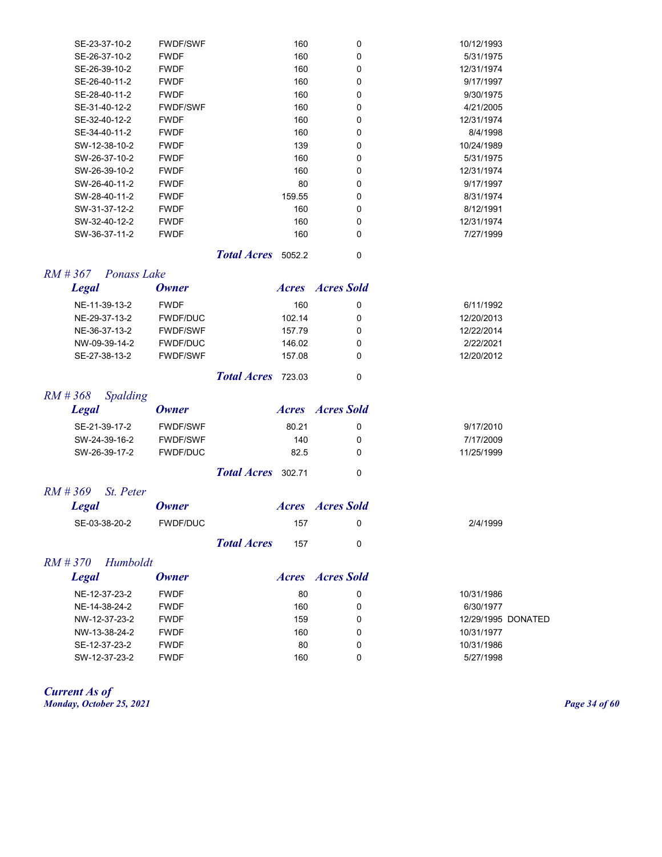| SE-23-37-10-2 | <b>FWDF/SWF</b> | 160    | 0        | 10/12/1993 |
|---------------|-----------------|--------|----------|------------|
| SE-26-37-10-2 | <b>FWDF</b>     | 160    | $\Omega$ | 5/31/1975  |
| SE-26-39-10-2 | <b>FWDF</b>     | 160    | 0        | 12/31/1974 |
| SE-26-40-11-2 | <b>FWDF</b>     | 160    | 0        | 9/17/1997  |
| SE-28-40-11-2 | <b>FWDF</b>     | 160    | 0        | 9/30/1975  |
| SE-31-40-12-2 | <b>FWDF/SWF</b> | 160    | 0        | 4/21/2005  |
| SE-32-40-12-2 | <b>FWDF</b>     | 160    | 0        | 12/31/1974 |
| SE-34-40-11-2 | <b>FWDF</b>     | 160    | 0        | 8/4/1998   |
| SW-12-38-10-2 | <b>FWDF</b>     | 139    | 0        | 10/24/1989 |
| SW-26-37-10-2 | <b>FWDF</b>     | 160    | 0        | 5/31/1975  |
| SW-26-39-10-2 | <b>FWDF</b>     | 160    | 0        | 12/31/1974 |
| SW-26-40-11-2 | <b>FWDF</b>     | 80     | 0        | 9/17/1997  |
| SW-28-40-11-2 | <b>FWDF</b>     | 159.55 | 0        | 8/31/1974  |
| SW-31-37-12-2 | <b>FWDF</b>     | 160    | 0        | 8/12/1991  |
| SW-32-40-12-2 | <b>FWDF</b>     | 160    | 0        | 12/31/1974 |
| SW-36-37-11-2 | <b>FWDF</b>     | 160    | 0        | 7/27/1999  |
|               |                 |        |          |            |

*Total Acres* 5052.2 0

#### *RM # 367 Ponass Lake*

| <b>Legal</b>  | <b>Owner</b>    |                       |        | <i>Acres Acres Sold</i> |            |
|---------------|-----------------|-----------------------|--------|-------------------------|------------|
| NE-11-39-13-2 | <b>FWDF</b>     |                       | 160    | 0                       | 6/11/1992  |
| NE-29-37-13-2 | <b>FWDF/DUC</b> |                       | 102.14 | 0                       | 12/20/2013 |
| NE-36-37-13-2 | <b>FWDF/SWF</b> |                       | 157.79 | 0                       | 12/22/2014 |
| NW-09-39-14-2 | <b>FWDF/DUC</b> |                       | 146.02 | 0                       | 2/22/2021  |
| SE-27-38-13-2 | <b>FWDF/SWF</b> |                       | 157.08 | 0                       | 12/20/2012 |
|               |                 | $T_{c4}$ dense $\tau$ |        | $\sim$                  |            |

*Total Acres* 723.03 0

## *RM # 368 Spalding*

| Legal         | Owner           |                           |       | <i>Acres Acres Sold</i> |            |
|---------------|-----------------|---------------------------|-------|-------------------------|------------|
| SE-21-39-17-2 | <b>FWDF/SWF</b> |                           | 80.21 |                         | 9/17/2010  |
| SW-24-39-16-2 | <b>FWDF/SWF</b> |                           | 140   | O                       | 7/17/2009  |
| SW-26-39-17-2 | FWDF/DUC        |                           | 82.5  | O                       | 11/25/1999 |
|               |                 | <b>Total Acres</b> 302.71 |       |                         |            |

*RM # 369 St. Peter* 

| <b>Legal</b>  | <b>Owner</b> |                    | <i>Acres Acres Sold</i> |          |
|---------------|--------------|--------------------|-------------------------|----------|
| SE-03-38-20-2 | FWDF/DUC     |                    | 157                     | 2/4/1999 |
|               |              | <b>Total Acres</b> | 157                     |          |

#### *RM # 370 Humboldt*

| Legal         | <b>Owner</b> | <i>Acres</i> | Acres Sold |                    |
|---------------|--------------|--------------|------------|--------------------|
| NE-12-37-23-2 | <b>FWDF</b>  | 80           | 0          | 10/31/1986         |
| NE-14-38-24-2 | <b>FWDF</b>  | 160          | 0          | 6/30/1977          |
| NW-12-37-23-2 | <b>FWDF</b>  | 159          | 0          | 12/29/1995 DONATED |
| NW-13-38-24-2 | <b>FWDF</b>  | 160          | 0          | 10/31/1977         |
| SE-12-37-23-2 | <b>FWDF</b>  | 80           | 0          | 10/31/1986         |
| SW-12-37-23-2 | <b>FWDF</b>  | 160          | 0          | 5/27/1998          |
|               |              |              |            |                    |

*Current As of Monday, October 25, 2021 Page 34 of 60*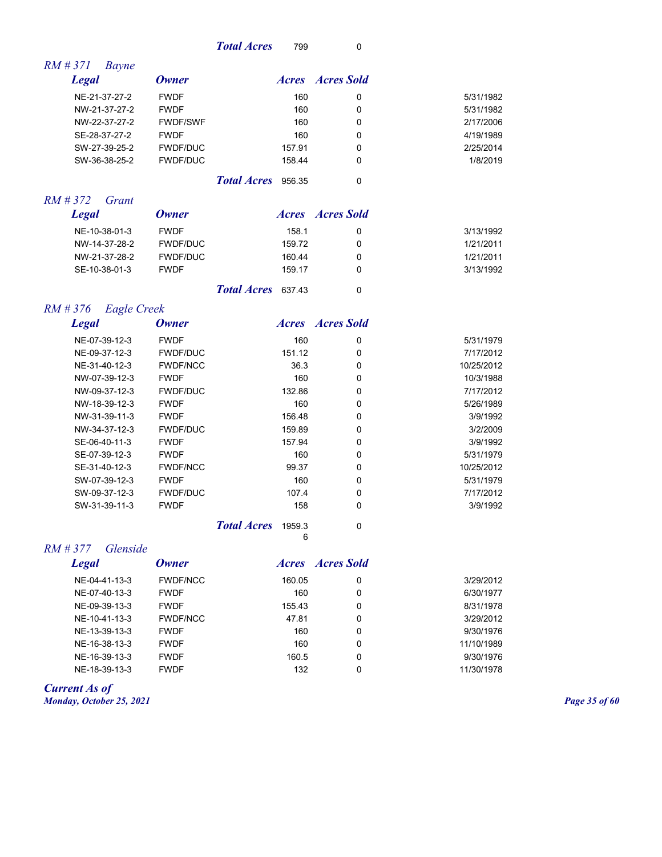| <b>Total Acres</b><br>799 |  |
|---------------------------|--|
|---------------------------|--|

| I<br>$\sim$ |
|-------------|
|-------------|

| $RM \# 371$<br>Bayne                  |                 |                                   |                         |            |
|---------------------------------------|-----------------|-----------------------------------|-------------------------|------------|
| <b>Legal</b>                          | <b>Owner</b>    |                                   | <b>Acres Acres</b> Sold |            |
| NE-21-37-27-2                         | <b>FWDF</b>     | 160                               | 0                       | 5/31/1982  |
| NW-21-37-27-2                         | <b>FWDF</b>     | 160                               | 0                       | 5/31/1982  |
| NW-22-37-27-2                         | <b>FWDF/SWF</b> | 160                               | 0                       | 2/17/2006  |
| SE-28-37-27-2                         | <b>FWDF</b>     | 160                               | 0                       | 4/19/1989  |
| SW-27-39-25-2                         | <b>FWDF/DUC</b> | 157.91                            | 0                       | 2/25/2014  |
| SW-36-38-25-2                         | <b>FWDF/DUC</b> | 158.44                            | 0                       | 1/8/2019   |
|                                       |                 | Total Acres 956.35                | $\mathbf 0$             |            |
| $RM \# 372$<br>Grant                  |                 |                                   |                         |            |
| <b>Legal</b>                          | <b>Owner</b>    |                                   | <b>Acres Acres</b> Sold |            |
| NE-10-38-01-3                         | <b>FWDF</b>     | 158.1                             | 0                       | 3/13/1992  |
| NW-14-37-28-2                         | <b>FWDF/DUC</b> | 159.72                            | 0                       | 1/21/2011  |
| NW-21-37-28-2                         | <b>FWDF/DUC</b> | 160.44                            | 0                       | 1/21/2011  |
| SE-10-38-01-3                         | <b>FWDF</b>     | 159.17                            | 0                       | 3/13/1992  |
|                                       |                 | <b>Total Acres</b><br>637.43      | $\mathbf 0$             |            |
| $RM \# 376$<br><b>Eagle Creek</b>     |                 |                                   |                         |            |
| <b>Legal</b>                          | <b>Owner</b>    |                                   | <b>Acres Acres</b> Sold |            |
| NE-07-39-12-3                         | <b>FWDF</b>     | 160                               | 0                       | 5/31/1979  |
| NE-09-37-12-3                         | <b>FWDF/DUC</b> | 151.12                            | 0                       | 7/17/2012  |
| NE-31-40-12-3                         | <b>FWDF/NCC</b> | 36.3                              | 0                       | 10/25/2012 |
| NW-07-39-12-3                         | <b>FWDF</b>     | 160                               | 0                       | 10/3/1988  |
| NW-09-37-12-3                         | <b>FWDF/DUC</b> | 132.86                            | 0                       | 7/17/2012  |
| NW-18-39-12-3                         | <b>FWDF</b>     | 160                               | 0                       | 5/26/1989  |
| NW-31-39-11-3                         | <b>FWDF</b>     | 156.48                            | 0                       | 3/9/1992   |
| NW-34-37-12-3                         | FWDF/DUC        | 159.89                            | 0                       | 3/2/2009   |
| SE-06-40-11-3                         | <b>FWDF</b>     | 157.94                            | 0                       | 3/9/1992   |
| SE-07-39-12-3                         | <b>FWDF</b>     | 160                               | 0                       | 5/31/1979  |
| SE-31-40-12-3                         | <b>FWDF/NCC</b> | 99.37                             | 0                       | 10/25/2012 |
| SW-07-39-12-3                         | <b>FWDF</b>     | 160                               | 0                       | 5/31/1979  |
| SW-09-37-12-3                         | <b>FWDF/DUC</b> | 107.4                             | 0                       | 7/17/2012  |
| SW-31-39-11-3                         | <b>FWDF</b>     | 158                               | 0                       | 3/9/1992   |
|                                       |                 | <b>Total Acres</b><br>1959.3<br>6 | $\mathbf 0$             |            |
| $RM \# 377$<br><i><b>Glenside</b></i> |                 |                                   |                         |            |
| <b>Legal</b>                          | <b>Owner</b>    |                                   | <b>Acres Acres</b> Sold |            |
| NE-04-41-13-3                         | <b>FWDF/NCC</b> | 160.05                            | 0                       | 3/29/2012  |
| NE-07-40-13-3                         | <b>FWDF</b>     | 160                               | 0                       | 6/30/1977  |
| NE-09-39-13-3                         | <b>FWDF</b>     | 155.43                            | 0                       | 8/31/1978  |
| NE-10-41-13-3                         | <b>FWDF/NCC</b> | 47.81                             | 0                       | 3/29/2012  |
| NE-13-39-13-3                         | <b>FWDF</b>     | 160                               | 0                       | 9/30/1976  |
| NE-16-38-13-3                         | <b>FWDF</b>     | 160                               | 0                       | 11/10/1989 |

NE-16-39-13-3 FWDF 160.5 0 9/30/1976 NE-18-39-13-3 FWDF 132 0 11/30/1978

*Current As of*

*Monday, October 25, 2021 Page 35 of 60*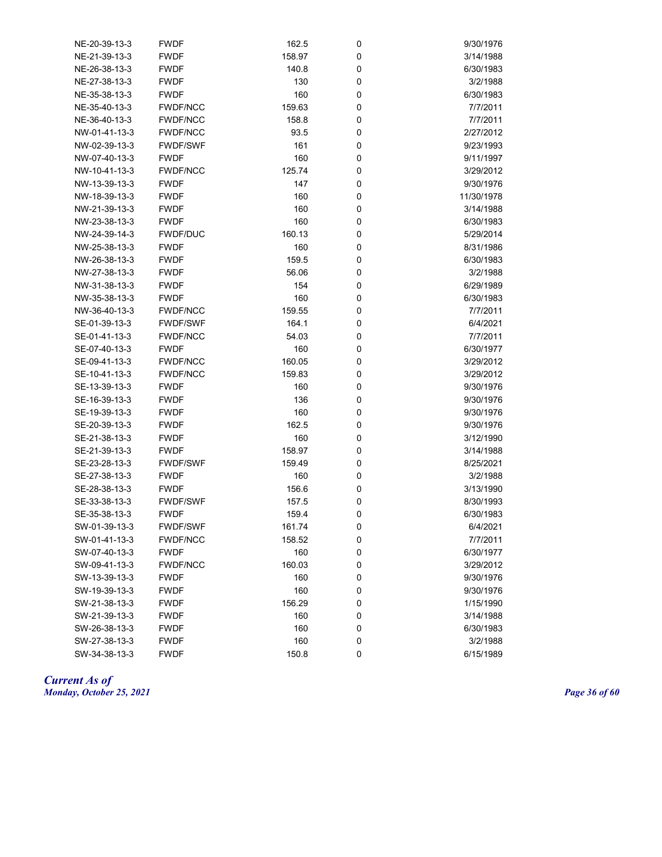| NE-20-39-13-3 | <b>FWDF</b>     | 162.5  | 0 | 9/30/1976  |
|---------------|-----------------|--------|---|------------|
| NE-21-39-13-3 | <b>FWDF</b>     | 158.97 | 0 | 3/14/1988  |
| NE-26-38-13-3 | <b>FWDF</b>     | 140.8  | 0 | 6/30/1983  |
| NE-27-38-13-3 | <b>FWDF</b>     | 130    | 0 | 3/2/1988   |
| NE-35-38-13-3 | <b>FWDF</b>     | 160    | 0 | 6/30/1983  |
| NE-35-40-13-3 | <b>FWDF/NCC</b> | 159.63 | 0 | 7/7/2011   |
| NE-36-40-13-3 | <b>FWDF/NCC</b> | 158.8  | 0 | 7/7/2011   |
| NW-01-41-13-3 | <b>FWDF/NCC</b> | 93.5   | 0 | 2/27/2012  |
| NW-02-39-13-3 | <b>FWDF/SWF</b> | 161    | 0 | 9/23/1993  |
| NW-07-40-13-3 | <b>FWDF</b>     | 160    | 0 | 9/11/1997  |
| NW-10-41-13-3 | <b>FWDF/NCC</b> | 125.74 | 0 | 3/29/2012  |
| NW-13-39-13-3 | <b>FWDF</b>     | 147    | 0 | 9/30/1976  |
| NW-18-39-13-3 | <b>FWDF</b>     | 160    | 0 | 11/30/1978 |
| NW-21-39-13-3 | <b>FWDF</b>     | 160    | 0 | 3/14/1988  |
| NW-23-38-13-3 | <b>FWDF</b>     | 160    | 0 | 6/30/1983  |
| NW-24-39-14-3 | <b>FWDF/DUC</b> | 160.13 | 0 | 5/29/2014  |
| NW-25-38-13-3 | <b>FWDF</b>     | 160    | 0 | 8/31/1986  |
| NW-26-38-13-3 | <b>FWDF</b>     | 159.5  | 0 | 6/30/1983  |
| NW-27-38-13-3 | <b>FWDF</b>     | 56.06  | 0 | 3/2/1988   |
| NW-31-38-13-3 | <b>FWDF</b>     | 154    | 0 | 6/29/1989  |
| NW-35-38-13-3 | <b>FWDF</b>     | 160    | 0 | 6/30/1983  |
| NW-36-40-13-3 | <b>FWDF/NCC</b> | 159.55 | 0 | 7/7/2011   |
| SE-01-39-13-3 | <b>FWDF/SWF</b> | 164.1  | 0 | 6/4/2021   |
| SE-01-41-13-3 | <b>FWDF/NCC</b> | 54.03  | 0 | 7/7/2011   |
| SE-07-40-13-3 | <b>FWDF</b>     | 160    | 0 | 6/30/1977  |
| SE-09-41-13-3 | <b>FWDF/NCC</b> | 160.05 | 0 | 3/29/2012  |
| SE-10-41-13-3 | <b>FWDF/NCC</b> | 159.83 | 0 | 3/29/2012  |
| SE-13-39-13-3 | <b>FWDF</b>     | 160    | 0 | 9/30/1976  |
| SE-16-39-13-3 | <b>FWDF</b>     | 136    | 0 | 9/30/1976  |
| SE-19-39-13-3 | <b>FWDF</b>     | 160    | 0 | 9/30/1976  |
| SE-20-39-13-3 | <b>FWDF</b>     | 162.5  | 0 | 9/30/1976  |
| SE-21-38-13-3 | <b>FWDF</b>     | 160    | 0 | 3/12/1990  |
| SE-21-39-13-3 | <b>FWDF</b>     | 158.97 | 0 | 3/14/1988  |
| SE-23-28-13-3 | <b>FWDF/SWF</b> | 159.49 | 0 | 8/25/2021  |
| SE-27-38-13-3 | <b>FWDF</b>     | 160    | 0 | 3/2/1988   |
| SE-28-38-13-3 | <b>FWDF</b>     | 156.6  | 0 | 3/13/1990  |
| SE-33-38-13-3 | <b>FWDF/SWF</b> | 157.5  | 0 | 8/30/1993  |
| SE-35-38-13-3 | <b>FWDF</b>     | 159.4  | 0 | 6/30/1983  |
| SW-01-39-13-3 | <b>FWDF/SWF</b> | 161.74 | U | 6/4/2021   |
| SW-01-41-13-3 | <b>FWDF/NCC</b> | 158.52 | 0 | 7/7/2011   |
| SW-07-40-13-3 | <b>FWDF</b>     | 160    | 0 | 6/30/1977  |
| SW-09-41-13-3 | <b>FWDF/NCC</b> | 160.03 | 0 | 3/29/2012  |
| SW-13-39-13-3 | <b>FWDF</b>     | 160    | 0 | 9/30/1976  |
| SW-19-39-13-3 | FWDF            | 160    | 0 | 9/30/1976  |
| SW-21-38-13-3 | FWDF            | 156.29 | 0 | 1/15/1990  |
| SW-21-39-13-3 | FWDF            | 160    | 0 | 3/14/1988  |
| SW-26-38-13-3 | <b>FWDF</b>     | 160    | 0 | 6/30/1983  |
| SW-27-38-13-3 | <b>FWDF</b>     | 160    | 0 | 3/2/1988   |
| SW-34-38-13-3 | <b>FWDF</b>     | 150.8  | 0 | 6/15/1989  |

*Current As of Monday, October 25, 2021 Page 36 of 60*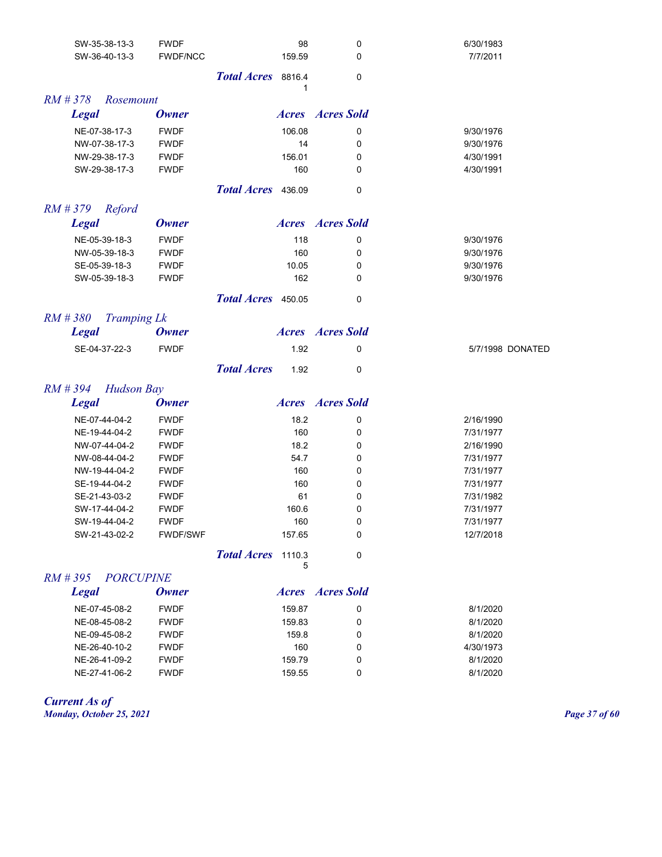| SW-35-38-13-3                    | <b>FWDF</b>     | 98                         | 0                       | 6/30/1983        |
|----------------------------------|-----------------|----------------------------|-------------------------|------------------|
| SW-36-40-13-3                    | <b>FWDF/NCC</b> | 159.59                     | 0                       | 7/7/2011         |
|                                  |                 | Total Acres 8816.4         | 0                       |                  |
|                                  |                 |                            |                         |                  |
| $RM$ # 378<br>Rosemount          |                 |                            |                         |                  |
| <b>Legal</b>                     | <b>Owner</b>    |                            | <b>Acres Acres</b> Sold |                  |
| NE-07-38-17-3                    | <b>FWDF</b>     | 106.08                     | 0                       | 9/30/1976        |
| NW-07-38-17-3                    | <b>FWDF</b>     | 14                         | 0                       | 9/30/1976        |
| NW-29-38-17-3                    | <b>FWDF</b>     | 156.01                     | 0                       | 4/30/1991        |
| SW-29-38-17-3                    | <b>FWDF</b>     | 160                        | 0                       | 4/30/1991        |
|                                  |                 | Total Acres 436.09         | 0                       |                  |
| $RM \# 379$<br>Reford            |                 |                            |                         |                  |
| <b>Legal</b>                     | <b>Owner</b>    |                            | <b>Acres Acres</b> Sold |                  |
|                                  |                 |                            |                         |                  |
| NE-05-39-18-3                    | <b>FWDF</b>     | 118                        | 0                       | 9/30/1976        |
| NW-05-39-18-3                    | <b>FWDF</b>     | 160                        | 0                       | 9/30/1976        |
| SE-05-39-18-3                    | <b>FWDF</b>     | 10.05                      | 0                       | 9/30/1976        |
| SW-05-39-18-3                    | <b>FWDF</b>     | 162                        | 0                       | 9/30/1976        |
|                                  |                 | Total Acres 450.05         | 0                       |                  |
| $RM$ # 380<br><b>Tramping Lk</b> |                 |                            |                         |                  |
| <b>Legal</b>                     | <b>Owner</b>    |                            | <b>Acres Acres</b> Sold |                  |
| SE-04-37-22-3                    | <b>FWDF</b>     | 1.92                       | 0                       | 5/7/1998 DONATED |
|                                  |                 | <b>Total Acres</b><br>1.92 | 0                       |                  |
| $RM$ # 394<br><b>Hudson Bay</b>  |                 |                            |                         |                  |
| <b>Legal</b>                     | <b>Owner</b>    |                            | <b>Acres Acres</b> Sold |                  |
| NE-07-44-04-2                    | <b>FWDF</b>     | 18.2                       | 0                       | 2/16/1990        |
| NE-19-44-04-2                    | <b>FWDF</b>     | 160                        | 0                       | 7/31/1977        |
| NW-07-44-04-2                    | <b>FWDF</b>     | 18.2                       | 0                       | 2/16/1990        |
| NW-08-44-04-2                    | <b>FWDF</b>     | 54.7                       | 0                       | 7/31/1977        |
| NW-19-44-04-2                    | <b>FWDF</b>     | 160                        | 0                       | 7/31/1977        |
| SE-19-44-04-2                    | <b>FWDF</b>     | 160                        | 0                       | 7/31/1977        |
| SE-21-43-03-2                    | <b>FWDF</b>     | 61                         | 0                       | 7/31/1982        |
| SW-17-44-04-2                    | <b>FWDF</b>     | 160.6                      | 0                       | 7/31/1977        |
| SW-19-44-04-2                    | <b>FWDF</b>     | 160                        | 0                       | 7/31/1977        |
| SW-21-43-02-2                    | <b>FWDF/SWF</b> | 157.65                     | 0                       | 12/7/2018        |
|                                  |                 | Total Acres 1110.3         | 0                       |                  |
| $RM \# 395$<br><b>PORCUPINE</b>  |                 | 5                          |                         |                  |
| <b>Legal</b>                     | <b>Owner</b>    |                            | <b>Acres Acres</b> Sold |                  |
|                                  |                 |                            |                         |                  |
| NE-07-45-08-2                    | <b>FWDF</b>     | 159.87                     | 0                       | 8/1/2020         |
| NE-08-45-08-2                    | <b>FWDF</b>     | 159.83                     | 0                       | 8/1/2020         |
| NE-09-45-08-2                    | <b>FWDF</b>     | 159.8                      | 0                       | 8/1/2020         |
| NE-26-40-10-2                    | <b>FWDF</b>     | 160                        | 0                       | 4/30/1973        |
| NE-26-41-09-2                    | <b>FWDF</b>     | 159.79                     | 0                       | 8/1/2020         |
| NE-27-41-06-2                    | <b>FWDF</b>     | 159.55                     | 0                       | 8/1/2020         |
|                                  |                 |                            |                         |                  |

*Current As of Monday, October 25, 2021 Page 37 of 60*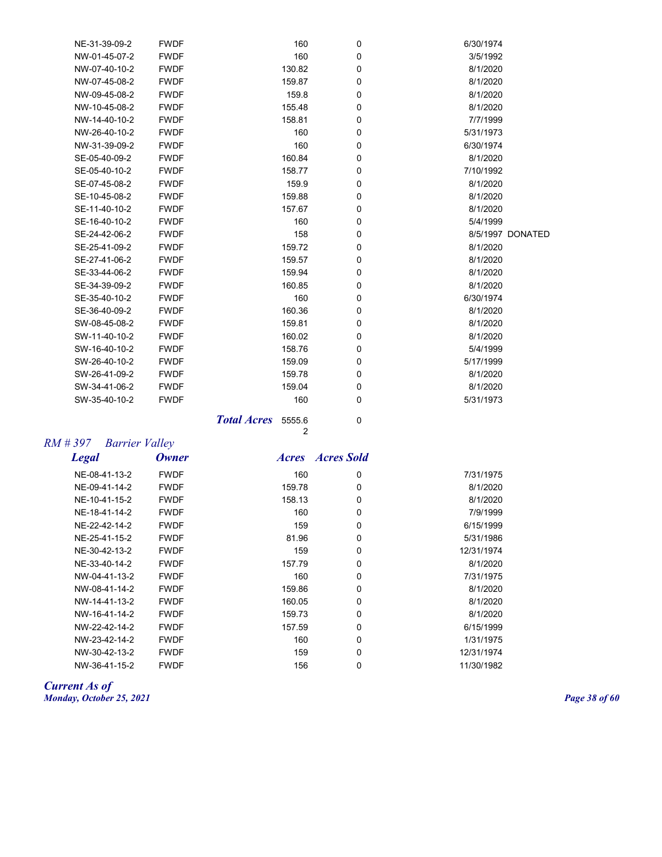| NE-31-39-09-2 | <b>FWDF</b> | 160    | 0           | 6/30/1974        |
|---------------|-------------|--------|-------------|------------------|
| NW-01-45-07-2 | <b>FWDF</b> | 160    | 0           | 3/5/1992         |
| NW-07-40-10-2 | <b>FWDF</b> | 130.82 | 0           | 8/1/2020         |
| NW-07-45-08-2 | <b>FWDF</b> | 159.87 | 0           | 8/1/2020         |
| NW-09-45-08-2 | <b>FWDF</b> | 159.8  | 0           | 8/1/2020         |
| NW-10-45-08-2 | <b>FWDF</b> | 155.48 | 0           | 8/1/2020         |
| NW-14-40-10-2 | <b>FWDF</b> | 158.81 | 0           | 7/7/1999         |
| NW-26-40-10-2 | <b>FWDF</b> | 160    | 0           | 5/31/1973        |
| NW-31-39-09-2 | <b>FWDF</b> | 160    | 0           | 6/30/1974        |
| SE-05-40-09-2 | <b>FWDF</b> | 160.84 | 0           | 8/1/2020         |
| SE-05-40-10-2 | <b>FWDF</b> | 158.77 | 0           | 7/10/1992        |
| SE-07-45-08-2 | <b>FWDF</b> | 159.9  | 0           | 8/1/2020         |
| SE-10-45-08-2 | <b>FWDF</b> | 159.88 | 0           | 8/1/2020         |
| SE-11-40-10-2 | <b>FWDF</b> | 157.67 | 0           | 8/1/2020         |
| SE-16-40-10-2 | <b>FWDF</b> | 160    | 0           | 5/4/1999         |
| SE-24-42-06-2 | <b>FWDF</b> | 158    | 0           | 8/5/1997 DONATED |
| SE-25-41-09-2 | <b>FWDF</b> | 159.72 | 0           | 8/1/2020         |
| SE-27-41-06-2 | <b>FWDF</b> | 159.57 | 0           | 8/1/2020         |
| SE-33-44-06-2 | <b>FWDF</b> | 159.94 | 0           | 8/1/2020         |
| SE-34-39-09-2 | <b>FWDF</b> | 160.85 | 0           | 8/1/2020         |
| SE-35-40-10-2 | <b>FWDF</b> | 160    | 0           | 6/30/1974        |
| SE-36-40-09-2 | <b>FWDF</b> | 160.36 | 0           | 8/1/2020         |
| SW-08-45-08-2 | <b>FWDF</b> | 159.81 | 0           | 8/1/2020         |
| SW-11-40-10-2 | <b>FWDF</b> | 160.02 | 0           | 8/1/2020         |
| SW-16-40-10-2 | <b>FWDF</b> | 158.76 | 0           | 5/4/1999         |
| SW-26-40-10-2 | <b>FWDF</b> | 159.09 | 0           | 5/17/1999        |
| SW-26-41-09-2 | <b>FWDF</b> | 159.78 | $\mathbf 0$ | 8/1/2020         |
| SW-34-41-06-2 | <b>FWDF</b> | 159.04 | 0           | 8/1/2020         |
| SW-35-40-10-2 | <b>FWDF</b> | 160    | 0           | 5/31/1973        |
|               |             |        |             |                  |

**Total Acres** 5555.6 0 2

# *RM # 397 Barrier Valley*

*Legal Owner Acres Acres Sold*

| NE-08-41-13-2 | <b>FWDF</b> | 160    | 0 | 7/31/1975  |
|---------------|-------------|--------|---|------------|
| NF-09-41-14-2 | <b>FWDF</b> | 159.78 | 0 | 8/1/2020   |
| NE-10-41-15-2 | <b>FWDF</b> | 158.13 | 0 | 8/1/2020   |
| NE-18-41-14-2 | <b>FWDF</b> | 160    | 0 | 7/9/1999   |
| NE-22-42-14-2 | <b>FWDF</b> | 159    | 0 | 6/15/1999  |
| NE-25-41-15-2 | <b>FWDF</b> | 81.96  | 0 | 5/31/1986  |
| NE-30-42-13-2 | <b>FWDF</b> | 159    | 0 | 12/31/1974 |
| NE-33-40-14-2 | <b>FWDF</b> | 157.79 | 0 | 8/1/2020   |
| NW-04-41-13-2 | <b>FWDF</b> | 160    | 0 | 7/31/1975  |
| NW-08-41-14-2 | <b>FWDF</b> | 159.86 | 0 | 8/1/2020   |
| NW-14-41-13-2 | <b>FWDF</b> | 160.05 | 0 | 8/1/2020   |
| NW-16-41-14-2 | <b>FWDF</b> | 159.73 | 0 | 8/1/2020   |
| NW-22-42-14-2 | <b>FWDF</b> | 157.59 | 0 | 6/15/1999  |
| NW-23-42-14-2 | <b>FWDF</b> | 160    | 0 | 1/31/1975  |
| NW-30-42-13-2 | <b>FWDF</b> | 159    | 0 | 12/31/1974 |
| NW-36-41-15-2 | <b>FWDF</b> | 156    | 0 | 11/30/1982 |
|               |             |        |   |            |

#### *Current As of Monday, October 25, 2021 Page 38 of 60*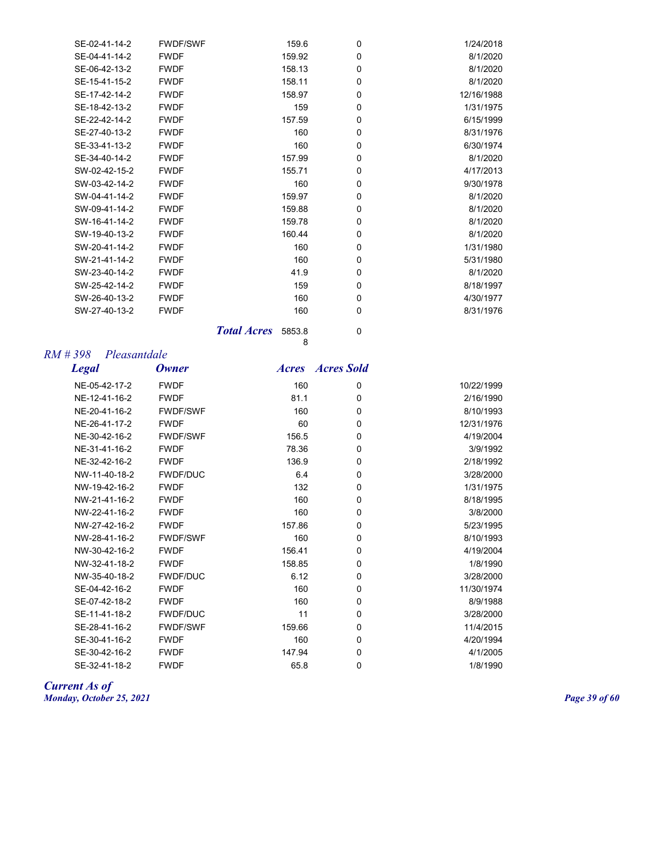| SE-02-41-14-2 | <b>FWDF/SWF</b> | 159.6  | 0           | 1/24/2018  |
|---------------|-----------------|--------|-------------|------------|
| SE-04-41-14-2 | <b>FWDF</b>     | 159.92 | $\mathbf 0$ | 8/1/2020   |
| SE-06-42-13-2 | <b>FWDF</b>     | 158.13 | $\mathbf 0$ | 8/1/2020   |
| SE-15-41-15-2 | <b>FWDF</b>     | 158.11 | $\mathbf 0$ | 8/1/2020   |
| SE-17-42-14-2 | <b>FWDF</b>     | 158.97 | $\mathbf 0$ | 12/16/1988 |
| SE-18-42-13-2 | <b>FWDF</b>     | 159    | $\mathbf 0$ | 1/31/1975  |
| SE-22-42-14-2 | <b>FWDF</b>     | 157.59 | $\mathbf 0$ | 6/15/1999  |
| SE-27-40-13-2 | <b>FWDF</b>     | 160    | $\mathbf 0$ | 8/31/1976  |
| SE-33-41-13-2 | <b>FWDF</b>     | 160    | $\mathbf 0$ | 6/30/1974  |
| SE-34-40-14-2 | <b>FWDF</b>     | 157.99 | $\mathbf 0$ | 8/1/2020   |
| SW-02-42-15-2 | <b>FWDF</b>     | 155.71 | 0           | 4/17/2013  |
| SW-03-42-14-2 | <b>FWDF</b>     | 160    | $\mathbf 0$ | 9/30/1978  |
| SW-04-41-14-2 | <b>FWDF</b>     | 159.97 | 0           | 8/1/2020   |
| SW-09-41-14-2 | <b>FWDF</b>     | 159.88 | $\mathbf 0$ | 8/1/2020   |
| SW-16-41-14-2 | <b>FWDF</b>     | 159.78 | $\mathbf 0$ | 8/1/2020   |
| SW-19-40-13-2 | <b>FWDF</b>     | 160.44 | $\mathbf 0$ | 8/1/2020   |
| SW-20-41-14-2 | <b>FWDF</b>     | 160    | $\mathbf 0$ | 1/31/1980  |
| SW-21-41-14-2 | <b>FWDF</b>     | 160    | 0           | 5/31/1980  |
| SW-23-40-14-2 | <b>FWDF</b>     | 41.9   | $\mathbf 0$ | 8/1/2020   |
| SW-25-42-14-2 | <b>FWDF</b>     | 159    | $\mathbf 0$ | 8/18/1997  |
| SW-26-40-13-2 | <b>FWDF</b>     | 160    | $\mathbf 0$ | 4/30/1977  |
| SW-27-40-13-2 | <b>FWDF</b>     | 160    | 0           | 8/31/1976  |

**Total Acres** 5853.8 0

8

## *RM # 398 Pleasantdale*

| <b>Legal</b>  | <b>Owner</b>    | <i><b>Acres</b></i> | <b>Acres Sold</b> |            |
|---------------|-----------------|---------------------|-------------------|------------|
| NE-05-42-17-2 | <b>FWDF</b>     | 160                 | 0                 | 10/22/1999 |
| NE-12-41-16-2 | <b>FWDF</b>     | 81.1                | $\mathbf 0$       | 2/16/1990  |
| NE-20-41-16-2 | <b>FWDF/SWF</b> | 160                 | $\mathbf 0$       | 8/10/1993  |
| NE-26-41-17-2 | <b>FWDF</b>     | 60                  | 0                 | 12/31/1976 |
| NE-30-42-16-2 | <b>FWDF/SWF</b> | 156.5               | $\mathbf 0$       | 4/19/2004  |
| NE-31-41-16-2 | <b>FWDF</b>     | 78.36               | $\mathbf 0$       | 3/9/1992   |
| NE-32-42-16-2 | <b>FWDF</b>     | 136.9               | $\mathbf 0$       | 2/18/1992  |
| NW-11-40-18-2 | <b>FWDF/DUC</b> | 6.4                 | 0                 | 3/28/2000  |
| NW-19-42-16-2 | <b>FWDF</b>     | 132                 | $\mathbf 0$       | 1/31/1975  |
| NW-21-41-16-2 | <b>FWDF</b>     | 160                 | 0                 | 8/18/1995  |
| NW-22-41-16-2 | <b>FWDF</b>     | 160                 | 0                 | 3/8/2000   |
| NW-27-42-16-2 | <b>FWDF</b>     | 157.86              | 0                 | 5/23/1995  |
| NW-28-41-16-2 | <b>FWDF/SWF</b> | 160                 | $\mathbf 0$       | 8/10/1993  |
| NW-30-42-16-2 | <b>FWDF</b>     | 156.41              | 0                 | 4/19/2004  |
| NW-32-41-18-2 | <b>FWDF</b>     | 158.85              | 0                 | 1/8/1990   |
| NW-35-40-18-2 | <b>FWDF/DUC</b> | 6.12                | 0                 | 3/28/2000  |
| SE-04-42-16-2 | <b>FWDF</b>     | 160                 | 0                 | 11/30/1974 |
| SE-07-42-18-2 | <b>FWDF</b>     | 160                 | 0                 | 8/9/1988   |
| SE-11-41-18-2 | <b>FWDF/DUC</b> | 11                  | 0                 | 3/28/2000  |
| SE-28-41-16-2 | <b>FWDF/SWF</b> | 159.66              | 0                 | 11/4/2015  |
| SE-30-41-16-2 | <b>FWDF</b>     | 160                 | $\mathbf 0$       | 4/20/1994  |
| SE-30-42-16-2 | <b>FWDF</b>     | 147.94              | 0                 | 4/1/2005   |
| SE-32-41-18-2 | <b>FWDF</b>     | 65.8                | 0                 | 1/8/1990   |

#### *Current As of Monday, October 25, 2021 Page 39 of 60*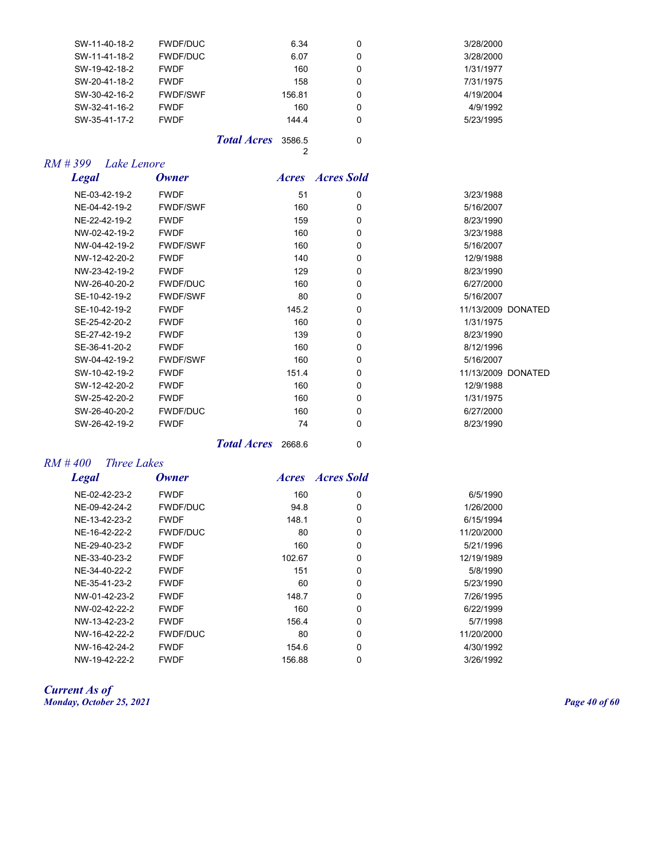| SW-11-40-18-2 | <b>FWDF/DUC</b> |                    | 6.34   | 0 | 3/28/2000 |
|---------------|-----------------|--------------------|--------|---|-----------|
| SW-11-41-18-2 | <b>FWDF/DUC</b> |                    | 6.07   | 0 | 3/28/2000 |
| SW-19-42-18-2 | <b>FWDF</b>     |                    | 160    | 0 | 1/31/1977 |
| SW-20-41-18-2 | <b>FWDF</b>     |                    | 158    | 0 | 7/31/1975 |
| SW-30-42-16-2 | <b>FWDF/SWF</b> |                    | 156.81 | 0 | 4/19/2004 |
| SW-32-41-16-2 | <b>FWDF</b>     |                    | 160    | 0 | 4/9/1992  |
| SW-35-41-17-2 | <b>FWDF</b>     |                    | 144.4  | 0 | 5/23/1995 |
|               |                 | <b>Total Acres</b> | 3586.5 | 0 |           |

2

## *RM # 399 Lake Lenore*

| <b>Legal</b>  | <b>Owner</b>    |       | <b>Acres Acres</b> Sold |                    |
|---------------|-----------------|-------|-------------------------|--------------------|
| NE-03-42-19-2 | <b>FWDF</b>     | 51    | 0                       | 3/23/1988          |
| NE-04-42-19-2 | <b>FWDF/SWF</b> | 160   | 0                       | 5/16/2007          |
| NE-22-42-19-2 | <b>FWDF</b>     | 159   | 0                       | 8/23/1990          |
| NW-02-42-19-2 | <b>FWDF</b>     | 160   | $\Omega$                | 3/23/1988          |
| NW-04-42-19-2 | <b>FWDF/SWF</b> | 160   | 0                       | 5/16/2007          |
| NW-12-42-20-2 | <b>FWDF</b>     | 140   | 0                       | 12/9/1988          |
| NW-23-42-19-2 | <b>FWDF</b>     | 129   | 0                       | 8/23/1990          |
| NW-26-40-20-2 | <b>FWDF/DUC</b> | 160   | 0                       | 6/27/2000          |
| SE-10-42-19-2 | <b>FWDF/SWF</b> | 80    | $\Omega$                | 5/16/2007          |
| SE-10-42-19-2 | <b>FWDF</b>     | 145.2 | 0                       | 11/13/2009 DONATED |
| SE-25-42-20-2 | <b>FWDF</b>     | 160   | 0                       | 1/31/1975          |
| SE-27-42-19-2 | <b>FWDF</b>     | 139   | 0                       | 8/23/1990          |
| SE-36-41-20-2 | <b>FWDF</b>     | 160   | 0                       | 8/12/1996          |
| SW-04-42-19-2 | <b>FWDF/SWF</b> | 160   | 0                       | 5/16/2007          |
| SW-10-42-19-2 | <b>FWDF</b>     | 151.4 | 0                       | 11/13/2009 DONATED |
| SW-12-42-20-2 | <b>FWDF</b>     | 160   | 0                       | 12/9/1988          |
| SW-25-42-20-2 | <b>FWDF</b>     | 160   | 0                       | 1/31/1975          |
| SW-26-40-20-2 | <b>FWDF/DUC</b> | 160   | 0                       | 6/27/2000          |
| SW-26-42-19-2 | <b>FWDF</b>     | 74    | 0                       | 8/23/1990          |
|               |                 |       |                         |                    |

*Total Acres* 2668.6 0

## *RM # 400 Three Lakes*

| <b>Legal</b>  | Owner           |        | <b>Acres Acres</b> Sold |            |
|---------------|-----------------|--------|-------------------------|------------|
| NE-02-42-23-2 | <b>FWDF</b>     | 160    | 0                       | 6/5/1990   |
| NE-09-42-24-2 | <b>FWDF/DUC</b> | 94.8   | $\Omega$                | 1/26/2000  |
| NE-13-42-23-2 | <b>FWDF</b>     | 148.1  | 0                       | 6/15/1994  |
| NE-16-42-22-2 | <b>FWDF/DUC</b> | 80     | $\Omega$                | 11/20/2000 |
| NE-29-40-23-2 | <b>FWDF</b>     | 160    | 0                       | 5/21/1996  |
| NE-33-40-23-2 | <b>FWDF</b>     | 102.67 | 0                       | 12/19/1989 |
| NE-34-40-22-2 | <b>FWDF</b>     | 151    | 0                       | 5/8/1990   |
| NE-35-41-23-2 | <b>FWDF</b>     | 60     | 0                       | 5/23/1990  |
| NW-01-42-23-2 | <b>FWDF</b>     | 148.7  | $\Omega$                | 7/26/1995  |
| NW-02-42-22-2 | <b>FWDF</b>     | 160    | 0                       | 6/22/1999  |
| NW-13-42-23-2 | <b>FWDF</b>     | 156.4  | $\Omega$                | 5/7/1998   |
| NW-16-42-22-2 | <b>FWDF/DUC</b> | 80     | 0                       | 11/20/2000 |
| NW-16-42-24-2 | <b>FWDF</b>     | 154.6  | $\Omega$                | 4/30/1992  |
| NW-19-42-22-2 | <b>FWDF</b>     | 156.88 | 0                       | 3/26/1992  |

*Current As of Monday, October 25, 2021 Page 40 of 60*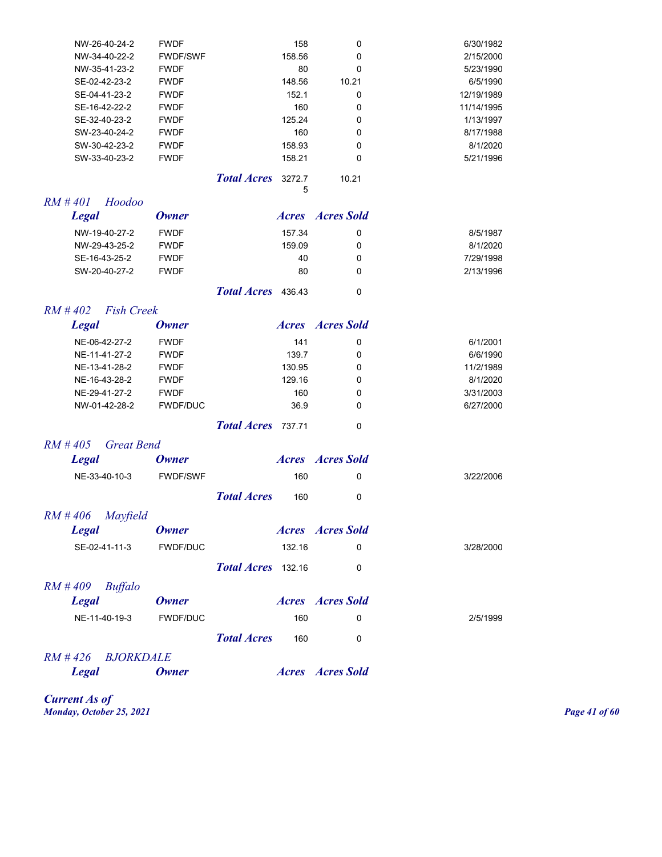| NW-26-40-24-2                   | <b>FWDF</b>     |                    | 158         | 0                       | 6/30/1982  |
|---------------------------------|-----------------|--------------------|-------------|-------------------------|------------|
| NW-34-40-22-2                   | <b>FWDF/SWF</b> |                    | 158.56      | 0                       | 2/15/2000  |
| NW-35-41-23-2                   | <b>FWDF</b>     |                    | 80          | 0                       | 5/23/1990  |
| SE-02-42-23-2                   | <b>FWDF</b>     |                    | 148.56      | 10.21                   | 6/5/1990   |
| SE-04-41-23-2                   | <b>FWDF</b>     |                    | 152.1       | 0                       | 12/19/1989 |
| SE-16-42-22-2                   | <b>FWDF</b>     |                    | 160         | 0                       | 11/14/1995 |
| SE-32-40-23-2                   | <b>FWDF</b>     |                    | 125.24      | 0                       | 1/13/1997  |
| SW-23-40-24-2                   | <b>FWDF</b>     |                    | 160         | 0                       | 8/17/1988  |
| SW-30-42-23-2                   | <b>FWDF</b>     |                    | 158.93      | 0                       | 8/1/2020   |
| SW-33-40-23-2                   | <b>FWDF</b>     |                    | 158.21      | 0                       | 5/21/1996  |
|                                 |                 | <b>Total Acres</b> | 3272.7<br>5 | 10.21                   |            |
| $RM$ #401<br>Hoodoo             |                 |                    |             |                         |            |
| <b>Legal</b>                    | <b>Owner</b>    |                    |             | <b>Acres Acres</b> Sold |            |
| NW-19-40-27-2                   | <b>FWDF</b>     |                    | 157.34      | 0                       | 8/5/1987   |
| NW-29-43-25-2                   | <b>FWDF</b>     |                    | 159.09      | 0                       | 8/1/2020   |
| SE-16-43-25-2                   | <b>FWDF</b>     |                    | 40          | 0                       | 7/29/1998  |
| SW-20-40-27-2                   | <b>FWDF</b>     |                    | 80          | 0                       | 2/13/1996  |
|                                 |                 | Total Acres 436.43 |             | 0                       |            |
| $RM$ #402<br><b>Fish Creek</b>  |                 |                    |             |                         |            |
| <b>Legal</b>                    | <b>Owner</b>    |                    |             | <b>Acres Acres</b> Sold |            |
| NE-06-42-27-2                   | <b>FWDF</b>     |                    | 141         | 0                       | 6/1/2001   |
| NE-11-41-27-2                   | <b>FWDF</b>     |                    | 139.7       | 0                       | 6/6/1990   |
| NE-13-41-28-2                   | <b>FWDF</b>     |                    | 130.95      | 0                       | 11/2/1989  |
| NE-16-43-28-2                   | <b>FWDF</b>     |                    | 129.16      | 0                       | 8/1/2020   |
| NE-29-41-27-2                   | <b>FWDF</b>     |                    | 160         | 0                       | 3/31/2003  |
| NW-01-42-28-2                   | <b>FWDF/DUC</b> |                    | 36.9        | 0                       | 6/27/2000  |
|                                 |                 | <b>Total Acres</b> | 737.71      | 0                       |            |
| $RM$ #405<br><b>Great Bend</b>  |                 |                    |             |                         |            |
| <b>Legal</b>                    | Owner           |                    |             | <b>Acres Acres</b> Sold |            |
| NE-33-40-10-3                   | <b>FWDF/SWF</b> |                    | 160         | 0                       | 3/22/2006  |
|                                 |                 | <b>Total Acres</b> | 160         | 0                       |            |
| $RM$ #406<br>Mayfield           |                 |                    |             |                         |            |
| <b>Legal</b>                    | <b>Owner</b>    |                    |             | <b>Acres Acres</b> Sold |            |
| SE-02-41-11-3                   | FWDF/DUC        |                    | 132.16      | 0                       | 3/28/2000  |
|                                 |                 | Total Acres 132.16 |             | 0                       |            |
| $RM$ #409<br><b>Buffalo</b>     |                 |                    |             |                         |            |
| <b>Legal</b>                    | <b>Owner</b>    |                    |             | <b>Acres Acres</b> Sold |            |
| NE-11-40-19-3                   | FWDF/DUC        |                    | 160         | 0                       | 2/5/1999   |
|                                 |                 |                    |             |                         |            |
|                                 |                 | <b>Total Acres</b> | 160         | 0                       |            |
| $RM \# 426$<br><b>BJORKDALE</b> |                 |                    |             |                         |            |
| <b>Legal</b>                    | <b>Owner</b>    |                    |             | <b>Acres Acres</b> Sold |            |

*Current As of Monday, October 25, 2021 Page 41 of 60*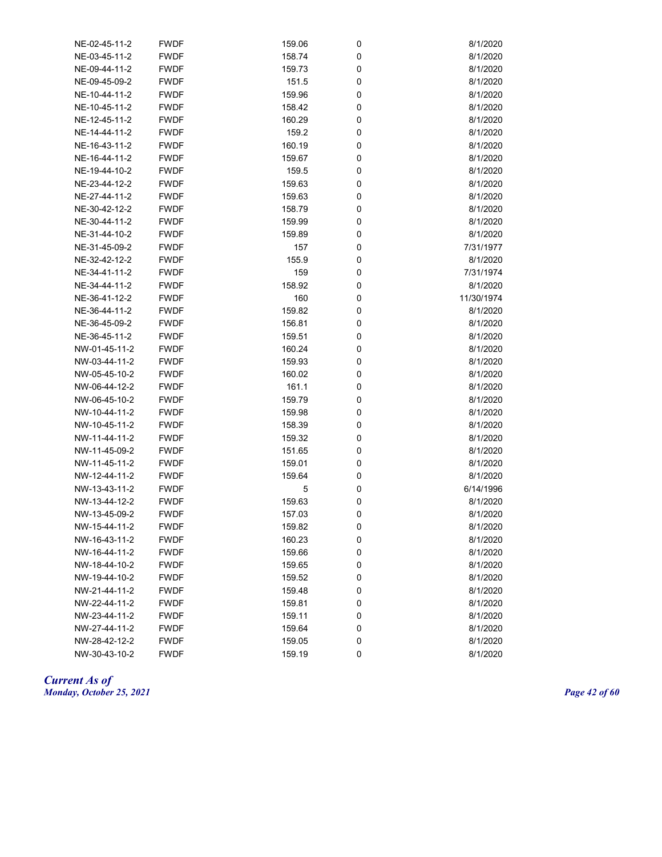| NE-02-45-11-2 | <b>FWDF</b> | 159.06 | 0 | 8/1/2020   |
|---------------|-------------|--------|---|------------|
| NE-03-45-11-2 | <b>FWDF</b> | 158.74 | 0 | 8/1/2020   |
| NE-09-44-11-2 | <b>FWDF</b> | 159.73 | 0 | 8/1/2020   |
| NE-09-45-09-2 | <b>FWDF</b> | 151.5  | 0 | 8/1/2020   |
| NE-10-44-11-2 | <b>FWDF</b> | 159.96 | 0 | 8/1/2020   |
| NE-10-45-11-2 | <b>FWDF</b> | 158.42 | 0 | 8/1/2020   |
| NE-12-45-11-2 | <b>FWDF</b> | 160.29 | 0 | 8/1/2020   |
| NE-14-44-11-2 | <b>FWDF</b> | 159.2  | 0 | 8/1/2020   |
| NE-16-43-11-2 | <b>FWDF</b> | 160.19 | 0 | 8/1/2020   |
| NE-16-44-11-2 | <b>FWDF</b> | 159.67 | 0 | 8/1/2020   |
| NE-19-44-10-2 | <b>FWDF</b> | 159.5  | 0 | 8/1/2020   |
| NE-23-44-12-2 | <b>FWDF</b> | 159.63 | 0 | 8/1/2020   |
| NE-27-44-11-2 | <b>FWDF</b> | 159.63 | 0 | 8/1/2020   |
| NE-30-42-12-2 | <b>FWDF</b> | 158.79 | 0 | 8/1/2020   |
| NE-30-44-11-2 | <b>FWDF</b> | 159.99 | 0 | 8/1/2020   |
| NE-31-44-10-2 | <b>FWDF</b> | 159.89 | 0 | 8/1/2020   |
| NE-31-45-09-2 | <b>FWDF</b> | 157    | 0 | 7/31/1977  |
| NE-32-42-12-2 | <b>FWDF</b> | 155.9  | 0 | 8/1/2020   |
| NE-34-41-11-2 | <b>FWDF</b> | 159    | 0 | 7/31/1974  |
| NE-34-44-11-2 | <b>FWDF</b> | 158.92 | 0 | 8/1/2020   |
| NE-36-41-12-2 | <b>FWDF</b> | 160    | 0 | 11/30/1974 |
| NE-36-44-11-2 | <b>FWDF</b> | 159.82 | 0 | 8/1/2020   |
| NE-36-45-09-2 | <b>FWDF</b> | 156.81 | 0 | 8/1/2020   |
| NE-36-45-11-2 | <b>FWDF</b> | 159.51 | 0 | 8/1/2020   |
| NW-01-45-11-2 | <b>FWDF</b> | 160.24 | 0 | 8/1/2020   |
| NW-03-44-11-2 | <b>FWDF</b> | 159.93 | 0 | 8/1/2020   |
| NW-05-45-10-2 | <b>FWDF</b> | 160.02 | 0 | 8/1/2020   |
| NW-06-44-12-2 | <b>FWDF</b> | 161.1  | 0 | 8/1/2020   |
| NW-06-45-10-2 | <b>FWDF</b> | 159.79 | 0 | 8/1/2020   |
| NW-10-44-11-2 | <b>FWDF</b> | 159.98 | 0 | 8/1/2020   |
| NW-10-45-11-2 | <b>FWDF</b> | 158.39 | 0 | 8/1/2020   |
| NW-11-44-11-2 | <b>FWDF</b> | 159.32 | 0 | 8/1/2020   |
| NW-11-45-09-2 | <b>FWDF</b> | 151.65 | 0 | 8/1/2020   |
| NW-11-45-11-2 | <b>FWDF</b> | 159.01 | 0 | 8/1/2020   |
| NW-12-44-11-2 | <b>FWDF</b> | 159.64 | 0 | 8/1/2020   |
| NW-13-43-11-2 | <b>FWDF</b> | 5      | 0 | 6/14/1996  |
| NW-13-44-12-2 | <b>FWDF</b> | 159.63 | 0 | 8/1/2020   |
| NW-13-45-09-2 | <b>FWDF</b> | 157.03 | 0 | 8/1/2020   |
| NW-15-44-11-2 | <b>FWDF</b> | 159.82 | 0 | 8/1/2020   |
| NW-16-43-11-2 | <b>FWDF</b> | 160.23 | 0 | 8/1/2020   |
| NW-16-44-11-2 | <b>FWDF</b> | 159.66 | 0 | 8/1/2020   |
| NW-18-44-10-2 | <b>FWDF</b> | 159.65 | 0 | 8/1/2020   |
| NW-19-44-10-2 | <b>FWDF</b> | 159.52 | 0 | 8/1/2020   |
| NW-21-44-11-2 | FWDF        | 159.48 | 0 | 8/1/2020   |
| NW-22-44-11-2 | FWDF        | 159.81 | 0 | 8/1/2020   |
| NW-23-44-11-2 | FWDF        | 159.11 | 0 | 8/1/2020   |
| NW-27-44-11-2 | FWDF        | 159.64 | 0 | 8/1/2020   |
| NW-28-42-12-2 | <b>FWDF</b> | 159.05 | 0 | 8/1/2020   |
| NW-30-43-10-2 | <b>FWDF</b> | 159.19 | 0 | 8/1/2020   |

*Current As of Monday, October 25, 2021 Page 42 of 60*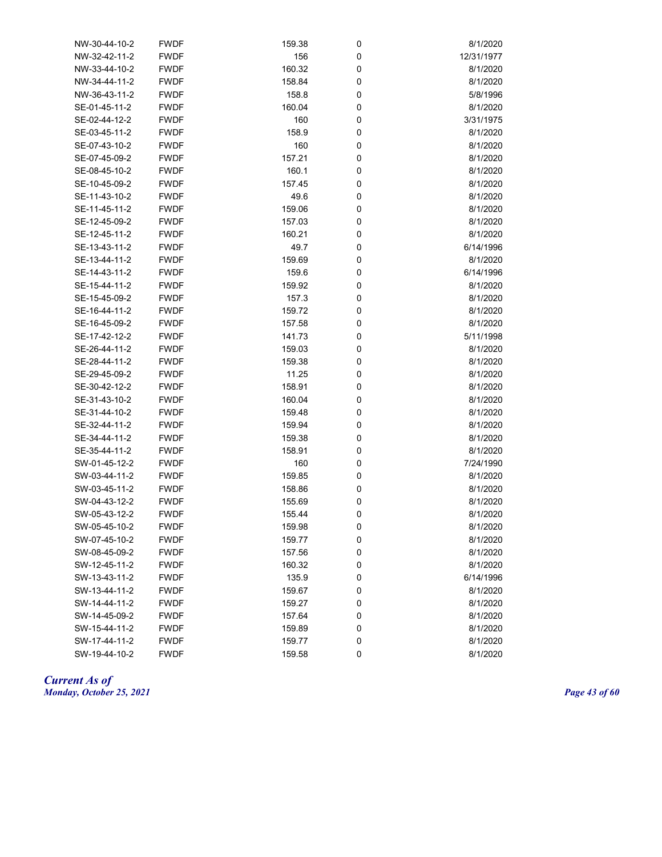| NW-30-44-10-2 | <b>FWDF</b> | 159.38 | 0 | 8/1/2020   |
|---------------|-------------|--------|---|------------|
| NW-32-42-11-2 | <b>FWDF</b> | 156    | 0 | 12/31/1977 |
| NW-33-44-10-2 | <b>FWDF</b> | 160.32 | 0 | 8/1/2020   |
| NW-34-44-11-2 | <b>FWDF</b> | 158.84 | 0 | 8/1/2020   |
| NW-36-43-11-2 | <b>FWDF</b> | 158.8  | 0 | 5/8/1996   |
| SE-01-45-11-2 | <b>FWDF</b> | 160.04 | 0 | 8/1/2020   |
| SE-02-44-12-2 | <b>FWDF</b> | 160    | 0 | 3/31/1975  |
| SE-03-45-11-2 | <b>FWDF</b> | 158.9  | 0 | 8/1/2020   |
| SE-07-43-10-2 | <b>FWDF</b> | 160    | 0 | 8/1/2020   |
| SE-07-45-09-2 | <b>FWDF</b> | 157.21 | 0 | 8/1/2020   |
| SE-08-45-10-2 | <b>FWDF</b> | 160.1  | 0 | 8/1/2020   |
| SE-10-45-09-2 | <b>FWDF</b> | 157.45 | 0 | 8/1/2020   |
| SE-11-43-10-2 | <b>FWDF</b> | 49.6   | 0 | 8/1/2020   |
| SE-11-45-11-2 | <b>FWDF</b> | 159.06 | 0 | 8/1/2020   |
| SE-12-45-09-2 | <b>FWDF</b> | 157.03 | 0 | 8/1/2020   |
| SE-12-45-11-2 | <b>FWDF</b> | 160.21 | 0 | 8/1/2020   |
| SE-13-43-11-2 | <b>FWDF</b> | 49.7   | 0 | 6/14/1996  |
| SE-13-44-11-2 | <b>FWDF</b> | 159.69 | 0 | 8/1/2020   |
| SE-14-43-11-2 | <b>FWDF</b> | 159.6  | 0 | 6/14/1996  |
| SE-15-44-11-2 | <b>FWDF</b> | 159.92 | 0 | 8/1/2020   |
| SE-15-45-09-2 | <b>FWDF</b> | 157.3  | 0 | 8/1/2020   |
| SE-16-44-11-2 | <b>FWDF</b> | 159.72 | 0 | 8/1/2020   |
| SE-16-45-09-2 | <b>FWDF</b> | 157.58 | 0 | 8/1/2020   |
| SE-17-42-12-2 | <b>FWDF</b> | 141.73 | 0 | 5/11/1998  |
| SE-26-44-11-2 | <b>FWDF</b> | 159.03 | 0 | 8/1/2020   |
| SE-28-44-11-2 | <b>FWDF</b> | 159.38 | 0 | 8/1/2020   |
| SE-29-45-09-2 | <b>FWDF</b> | 11.25  | 0 | 8/1/2020   |
| SE-30-42-12-2 | <b>FWDF</b> | 158.91 | 0 | 8/1/2020   |
| SE-31-43-10-2 | <b>FWDF</b> | 160.04 | 0 | 8/1/2020   |
| SE-31-44-10-2 | <b>FWDF</b> | 159.48 | 0 | 8/1/2020   |
| SE-32-44-11-2 | <b>FWDF</b> | 159.94 | 0 | 8/1/2020   |
| SE-34-44-11-2 | <b>FWDF</b> | 159.38 | 0 | 8/1/2020   |
| SE-35-44-11-2 | <b>FWDF</b> | 158.91 | 0 | 8/1/2020   |
| SW-01-45-12-2 | <b>FWDF</b> | 160    | 0 | 7/24/1990  |
| SW-03-44-11-2 | <b>FWDF</b> | 159.85 | 0 | 8/1/2020   |
| SW-03-45-11-2 | <b>FWDF</b> | 158.86 | 0 | 8/1/2020   |
| SW-04-43-12-2 | <b>FWDF</b> | 155.69 | 0 | 8/1/2020   |
| SW-05-43-12-2 | <b>FWDF</b> | 155.44 | 0 | 8/1/2020   |
| SW-05-45-10-2 | <b>FWDF</b> | 159.98 | 0 | 8/1/2020   |
| SW-07-45-10-2 | <b>FWDF</b> | 159.77 | 0 | 8/1/2020   |
| SW-08-45-09-2 | <b>FWDF</b> | 157.56 | 0 | 8/1/2020   |
| SW-12-45-11-2 | <b>FWDF</b> | 160.32 | 0 | 8/1/2020   |
| SW-13-43-11-2 | <b>FWDF</b> | 135.9  | 0 | 6/14/1996  |
| SW-13-44-11-2 | <b>FWDF</b> | 159.67 | 0 | 8/1/2020   |
| SW-14-44-11-2 | <b>FWDF</b> | 159.27 | 0 | 8/1/2020   |
| SW-14-45-09-2 | <b>FWDF</b> | 157.64 | 0 | 8/1/2020   |
| SW-15-44-11-2 | <b>FWDF</b> | 159.89 | 0 | 8/1/2020   |
| SW-17-44-11-2 | <b>FWDF</b> | 159.77 | 0 | 8/1/2020   |
| SW-19-44-10-2 | <b>FWDF</b> | 159.58 | 0 | 8/1/2020   |

*Current As of Monday, October 25, 2021 Page 43 of 60*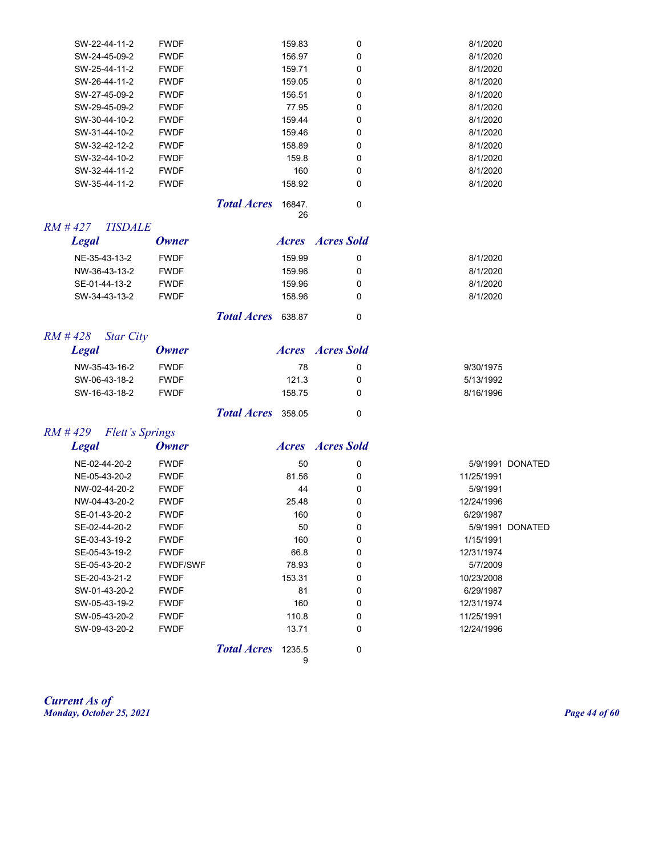| SW-22-44-11-2 | <b>FWDF</b> | 159.83 | $\Omega$ | 8/1/2020 |
|---------------|-------------|--------|----------|----------|
| SW-24-45-09-2 | <b>FWDF</b> | 156.97 | 0        | 8/1/2020 |
| SW-25-44-11-2 | <b>FWDF</b> | 159.71 | 0        | 8/1/2020 |
| SW-26-44-11-2 | <b>FWDF</b> | 159.05 | 0        | 8/1/2020 |
| SW-27-45-09-2 | <b>FWDF</b> | 156.51 | 0        | 8/1/2020 |
| SW-29-45-09-2 | <b>FWDF</b> | 77.95  | 0        | 8/1/2020 |
| SW-30-44-10-2 | <b>FWDF</b> | 159.44 | $\Omega$ | 8/1/2020 |
| SW-31-44-10-2 | <b>FWDF</b> | 159.46 | 0        | 8/1/2020 |
| SW-32-42-12-2 | <b>FWDF</b> | 158.89 | $\Omega$ | 8/1/2020 |
| SW-32-44-10-2 | <b>FWDF</b> | 159.8  | $\Omega$ | 8/1/2020 |
| SW-32-44-11-2 | <b>FWDF</b> | 160    | $\Omega$ | 8/1/2020 |
| SW-35-44-11-2 | <b>FWDF</b> | 158.92 | 0        | 8/1/2020 |

*Total Acres* 16847. 0

26

|                                                      |              |                    | ∼      |                  |          |
|------------------------------------------------------|--------------|--------------------|--------|------------------|----------|
| $RM \# 427$<br><i><b>TISDALE</b></i><br><b>Legal</b> | <b>Owner</b> |                    |        | Acres Acres Sold |          |
| NE-35-43-13-2                                        | <b>FWDF</b>  |                    | 159.99 | 0                | 8/1/2020 |
| NW-36-43-13-2                                        | <b>FWDF</b>  |                    | 159.96 | 0                | 8/1/2020 |
| SE-01-44-13-2                                        | <b>FWDF</b>  |                    | 159.96 | 0                | 8/1/2020 |
| SW-34-43-13-2                                        | <b>FWDF</b>  |                    | 158.96 | 0                | 8/1/2020 |
|                                                      |              | Total Acres 638.87 |        | 0                |          |
| $RM$ # 428<br><b>Star City</b>                       |              |                    |        |                  |          |

| Legal         | <b>Owner</b> |                           |    | <i>Acres Acres Sold</i> |           |
|---------------|--------------|---------------------------|----|-------------------------|-----------|
| NW-35-43-16-2 | <b>FWDF</b>  |                           | 78 | 0                       | 9/30/1975 |
| SW-06-43-18-2 | <b>FWDF</b>  | 121.3                     |    | 0                       | 5/13/1992 |
| SW-16-43-18-2 | <b>FWDF</b>  | 158.75                    |    | O                       | 8/16/1996 |
|               |              | <b>Total Acres</b> 358.05 |    |                         |           |

#### *RM # 429 Flett's Springs*

| <b>Legal</b>  | <b>Owner</b>    | <i>Acres</i>            | <b>Acres Sold</b> |            |                  |
|---------------|-----------------|-------------------------|-------------------|------------|------------------|
| NE-02-44-20-2 | <b>FWDF</b>     | 50                      | 0                 |            | 5/9/1991 DONATED |
| NE-05-43-20-2 | <b>FWDF</b>     | 81.56                   | 0                 | 11/25/1991 |                  |
| NW-02-44-20-2 | <b>FWDF</b>     | 44                      | 0                 | 5/9/1991   |                  |
| NW-04-43-20-2 | <b>FWDF</b>     | 25.48                   | 0                 | 12/24/1996 |                  |
| SE-01-43-20-2 | <b>FWDF</b>     | 160                     | 0                 | 6/29/1987  |                  |
| SE-02-44-20-2 | <b>FWDF</b>     | 50                      | 0                 | 5/9/1991   | <b>DONATED</b>   |
| SE-03-43-19-2 | <b>FWDF</b>     | 160                     | 0                 | 1/15/1991  |                  |
| SE-05-43-19-2 | <b>FWDF</b>     | 66.8                    | 0                 | 12/31/1974 |                  |
| SE-05-43-20-2 | <b>FWDF/SWF</b> | 78.93                   | 0                 | 5/7/2009   |                  |
| SE-20-43-21-2 | <b>FWDF</b>     | 153.31                  | 0                 | 10/23/2008 |                  |
| SW-01-43-20-2 | <b>FWDF</b>     | 81                      | 0                 | 6/29/1987  |                  |
| SW-05-43-19-2 | <b>FWDF</b>     | 160                     | $\Omega$          | 12/31/1974 |                  |
| SW-05-43-20-2 | <b>FWDF</b>     | 110.8                   | $\Omega$          | 11/25/1991 |                  |
| SW-09-43-20-2 | <b>FWDF</b>     | 13.71                   | 0                 | 12/24/1996 |                  |
|               |                 | Total Acres 1235.5<br>9 | 0                 |            |                  |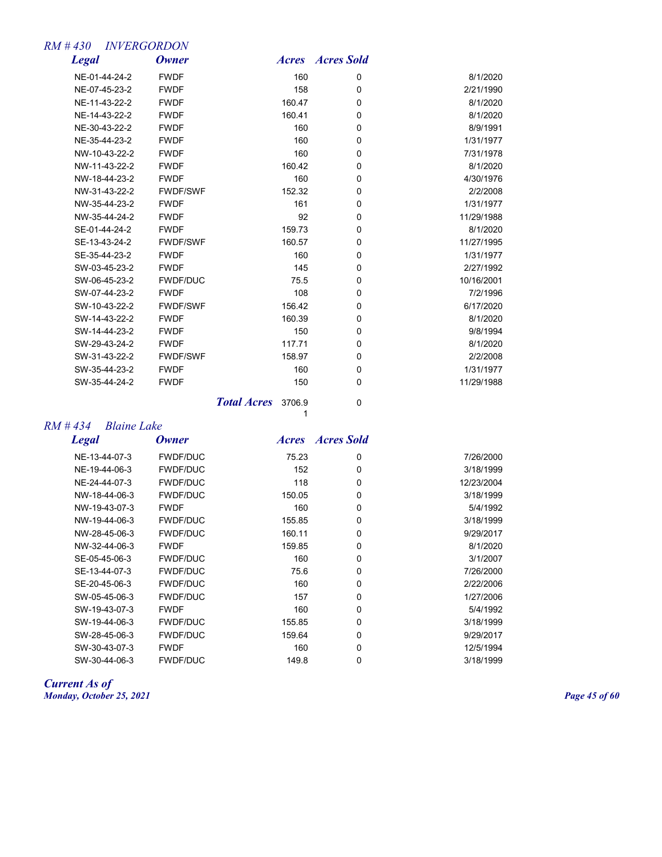## *RM # 430 INVERGORDON*

| <b>Legal</b>  | <b>Owner</b>    | <b>Acres</b> | <b>Acres Sold</b> |            |
|---------------|-----------------|--------------|-------------------|------------|
| NE-01-44-24-2 | <b>FWDF</b>     | 160          | 0                 | 8/1/2020   |
| NE-07-45-23-2 | <b>FWDF</b>     | 158          | 0                 | 2/21/1990  |
| NE-11-43-22-2 | <b>FWDF</b>     | 160.47       | 0                 | 8/1/2020   |
| NE-14-43-22-2 | <b>FWDF</b>     | 160.41       | 0                 | 8/1/2020   |
| NE-30-43-22-2 | <b>FWDF</b>     | 160          | $\mathbf 0$       | 8/9/1991   |
| NE-35-44-23-2 | <b>FWDF</b>     | 160          | $\mathbf 0$       | 1/31/1977  |
| NW-10-43-22-2 | <b>FWDF</b>     | 160          | 0                 | 7/31/1978  |
| NW-11-43-22-2 | <b>FWDF</b>     | 160.42       | 0                 | 8/1/2020   |
| NW-18-44-23-2 | <b>FWDF</b>     | 160          | 0                 | 4/30/1976  |
| NW-31-43-22-2 | <b>FWDF/SWF</b> | 152.32       | $\mathbf 0$       | 2/2/2008   |
| NW-35-44-23-2 | <b>FWDF</b>     | 161          | $\mathbf 0$       | 1/31/1977  |
| NW-35-44-24-2 | <b>FWDF</b>     | 92           | 0                 | 11/29/1988 |
| SE-01-44-24-2 | <b>FWDF</b>     | 159.73       | $\mathbf 0$       | 8/1/2020   |
| SE-13-43-24-2 | <b>FWDF/SWF</b> | 160.57       | 0                 | 11/27/1995 |
| SE-35-44-23-2 | <b>FWDF</b>     | 160          | $\mathbf 0$       | 1/31/1977  |
| SW-03-45-23-2 | <b>FWDF</b>     | 145          | 0                 | 2/27/1992  |
| SW-06-45-23-2 | <b>FWDF/DUC</b> | 75.5         | $\mathbf 0$       | 10/16/2001 |
| SW-07-44-23-2 | <b>FWDF</b>     | 108          | 0                 | 7/2/1996   |
| SW-10-43-22-2 | <b>FWDF/SWF</b> | 156.42       | 0                 | 6/17/2020  |
| SW-14-43-22-2 | <b>FWDF</b>     | 160.39       | 0                 | 8/1/2020   |
| SW-14-44-23-2 | <b>FWDF</b>     | 150          | 0                 | 9/8/1994   |
| SW-29-43-24-2 | <b>FWDF</b>     | 117.71       | 0                 | 8/1/2020   |
| SW-31-43-22-2 | <b>FWDF/SWF</b> | 158.97       | 0                 | 2/2/2008   |
| SW-35-44-23-2 | <b>FWDF</b>     | 160          | 0                 | 1/31/1977  |
| SW-35-44-24-2 | <b>FWDF</b>     | 150          | 0                 | 11/29/1988 |
|               |                 |              |                   |            |

*Total Acres* 3706.9 0  $\frac{1}{1}$ 

#### *RM # 434 Blaine Lake*

*Legal Owner Acres Acres Sold*

| NE-13-44-07-3 | <b>FWDF/DUC</b> | 75.23  | 0 | 7/26/2000  |
|---------------|-----------------|--------|---|------------|
| NE-19-44-06-3 | <b>FWDF/DUC</b> | 152    | 0 | 3/18/1999  |
| NE-24-44-07-3 | <b>FWDF/DUC</b> | 118    | 0 | 12/23/2004 |
| NW-18-44-06-3 | <b>FWDF/DUC</b> | 150.05 | 0 | 3/18/1999  |
| NW-19-43-07-3 | <b>FWDF</b>     | 160    | 0 | 5/4/1992   |
| NW-19-44-06-3 | <b>FWDF/DUC</b> | 155.85 | 0 | 3/18/1999  |
| NW-28-45-06-3 | <b>FWDF/DUC</b> | 160.11 | 0 | 9/29/2017  |
| NW-32-44-06-3 | <b>FWDF</b>     | 159.85 | 0 | 8/1/2020   |
| SE-05-45-06-3 | <b>FWDF/DUC</b> | 160    | 0 | 3/1/2007   |
| SE-13-44-07-3 | <b>FWDF/DUC</b> | 75.6   | 0 | 7/26/2000  |
| SE-20-45-06-3 | <b>FWDF/DUC</b> | 160    | 0 | 2/22/2006  |
| SW-05-45-06-3 | <b>FWDF/DUC</b> | 157    | 0 | 1/27/2006  |
| SW-19-43-07-3 | <b>FWDF</b>     | 160    | 0 | 5/4/1992   |
| SW-19-44-06-3 | <b>FWDF/DUC</b> | 155.85 | 0 | 3/18/1999  |
| SW-28-45-06-3 | <b>FWDF/DUC</b> | 159.64 | 0 | 9/29/2017  |
| SW-30-43-07-3 | <b>FWDF</b>     | 160    | 0 | 12/5/1994  |
| SW-30-44-06-3 | <b>FWDF/DUC</b> | 149.8  | 0 | 3/18/1999  |

*Current As of Monday, October 25, 2021 Page 45 of 60*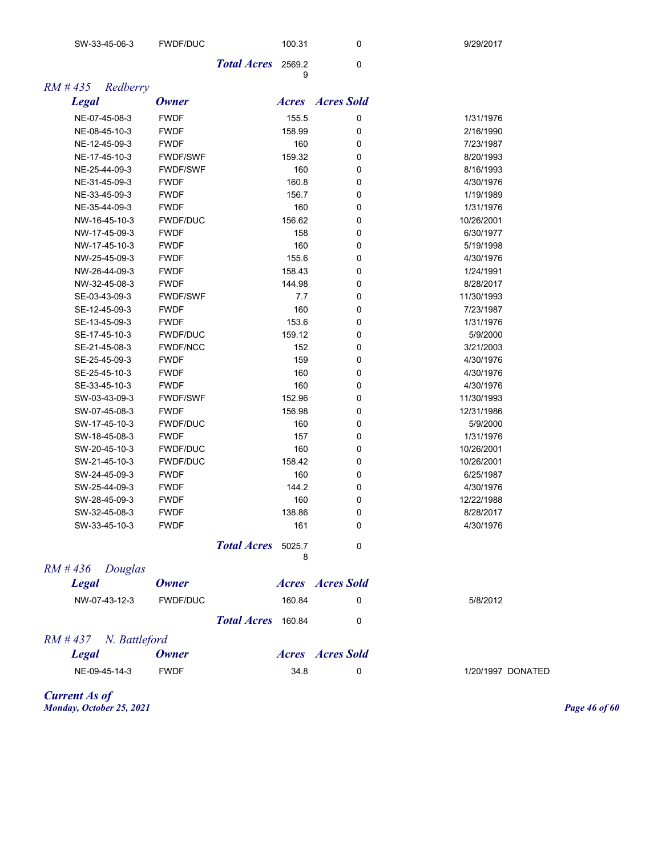| SW-33-45-06-3            | <b>FWDF/DUC</b> |                    | 100.31 | 0                       | 9/29/2017  |                   |
|--------------------------|-----------------|--------------------|--------|-------------------------|------------|-------------------|
|                          |                 | <b>Total Acres</b> | 2569.2 | $\mathbf 0$             |            |                   |
| $RM$ #435<br>Redberry    |                 |                    | 9      |                         |            |                   |
| <b>Legal</b>             | <b>Owner</b>    |                    |        | <b>Acres Acres</b> Sold |            |                   |
| NE-07-45-08-3            | <b>FWDF</b>     |                    | 155.5  | 0                       | 1/31/1976  |                   |
| NE-08-45-10-3            | <b>FWDF</b>     |                    | 158.99 | 0                       | 2/16/1990  |                   |
| NE-12-45-09-3            | <b>FWDF</b>     |                    | 160    | 0                       | 7/23/1987  |                   |
| NE-17-45-10-3            | <b>FWDF/SWF</b> |                    | 159.32 | 0                       | 8/20/1993  |                   |
| NE-25-44-09-3            | <b>FWDF/SWF</b> |                    | 160    | 0                       | 8/16/1993  |                   |
| NE-31-45-09-3            | <b>FWDF</b>     |                    | 160.8  | 0                       | 4/30/1976  |                   |
| NE-33-45-09-3            | <b>FWDF</b>     |                    | 156.7  | 0                       | 1/19/1989  |                   |
| NE-35-44-09-3            | <b>FWDF</b>     |                    | 160    | 0                       | 1/31/1976  |                   |
| NW-16-45-10-3            | <b>FWDF/DUC</b> |                    | 156.62 | 0                       | 10/26/2001 |                   |
| NW-17-45-09-3            | <b>FWDF</b>     |                    | 158    | 0                       | 6/30/1977  |                   |
| NW-17-45-10-3            | <b>FWDF</b>     |                    | 160    | 0                       | 5/19/1998  |                   |
| NW-25-45-09-3            | <b>FWDF</b>     |                    | 155.6  | 0                       | 4/30/1976  |                   |
| NW-26-44-09-3            | <b>FWDF</b>     |                    | 158.43 | 0                       | 1/24/1991  |                   |
| NW-32-45-08-3            | <b>FWDF</b>     |                    | 144.98 | 0                       | 8/28/2017  |                   |
| SE-03-43-09-3            | <b>FWDF/SWF</b> |                    | 7.7    | 0                       | 11/30/1993 |                   |
| SE-12-45-09-3            | <b>FWDF</b>     |                    | 160    | 0                       | 7/23/1987  |                   |
| SE-13-45-09-3            | <b>FWDF</b>     |                    | 153.6  | 0                       | 1/31/1976  |                   |
| SE-17-45-10-3            | <b>FWDF/DUC</b> |                    | 159.12 | 0                       | 5/9/2000   |                   |
| SE-21-45-08-3            | <b>FWDF/NCC</b> |                    | 152    | 0                       | 3/21/2003  |                   |
| SE-25-45-09-3            | <b>FWDF</b>     |                    | 159    | 0                       | 4/30/1976  |                   |
| SE-25-45-10-3            | <b>FWDF</b>     |                    | 160    | 0                       | 4/30/1976  |                   |
|                          | <b>FWDF</b>     |                    | 160    |                         | 4/30/1976  |                   |
| SE-33-45-10-3            |                 |                    |        | 0                       |            |                   |
| SW-03-43-09-3            | <b>FWDF/SWF</b> |                    | 152.96 | 0                       | 11/30/1993 |                   |
| SW-07-45-08-3            | <b>FWDF</b>     |                    | 156.98 | 0                       | 12/31/1986 |                   |
| SW-17-45-10-3            | <b>FWDF/DUC</b> |                    | 160    | 0                       | 5/9/2000   |                   |
| SW-18-45-08-3            | <b>FWDF</b>     |                    | 157    | 0                       | 1/31/1976  |                   |
| SW-20-45-10-3            | <b>FWDF/DUC</b> |                    | 160    | 0                       | 10/26/2001 |                   |
| SW-21-45-10-3            | <b>FWDF/DUC</b> |                    | 158.42 | 0                       | 10/26/2001 |                   |
| SW-24-45-09-3            | <b>FWDF</b>     |                    | 160    | 0                       | 6/25/1987  |                   |
| SW-25-44-09-3            | <b>FWDF</b>     |                    | 144.2  | 0                       | 4/30/1976  |                   |
| SW-28-45-09-3            | <b>FWDF</b>     |                    | 160    | 0                       | 12/22/1988 |                   |
| SW-32-45-08-3            | <b>FWDF</b>     |                    | 138.86 | 0                       | 8/28/2017  |                   |
| SW-33-45-10-3            | <b>FWDF</b>     |                    | 161    | 0                       | 4/30/1976  |                   |
|                          |                 | Total Acres 5025.7 | 8      | $\mathbf 0$             |            |                   |
| RM # 436<br>Douglas      |                 |                    |        |                         |            |                   |
| <b>Legal</b>             | <b>Owner</b>    |                    |        | <b>Acres Acres</b> Sold |            |                   |
| NW-07-43-12-3            | <b>FWDF/DUC</b> |                    | 160.84 | 0                       | 5/8/2012   |                   |
|                          |                 | Total Acres 160.84 |        |                         |            |                   |
|                          |                 |                    |        | 0                       |            |                   |
| $RM # 437$ N. Battleford |                 |                    |        |                         |            |                   |
| <b>Legal</b>             | <b>Owner</b>    |                    |        | <b>Acres Acres</b> Sold |            |                   |
| NE-09-45-14-3            | <b>FWDF</b>     |                    | 34.8   | 0                       |            | 1/20/1997 DONATED |
|                          |                 |                    |        |                         |            |                   |

*Current As of Monday, October 25, 2021 Page 46 of 60*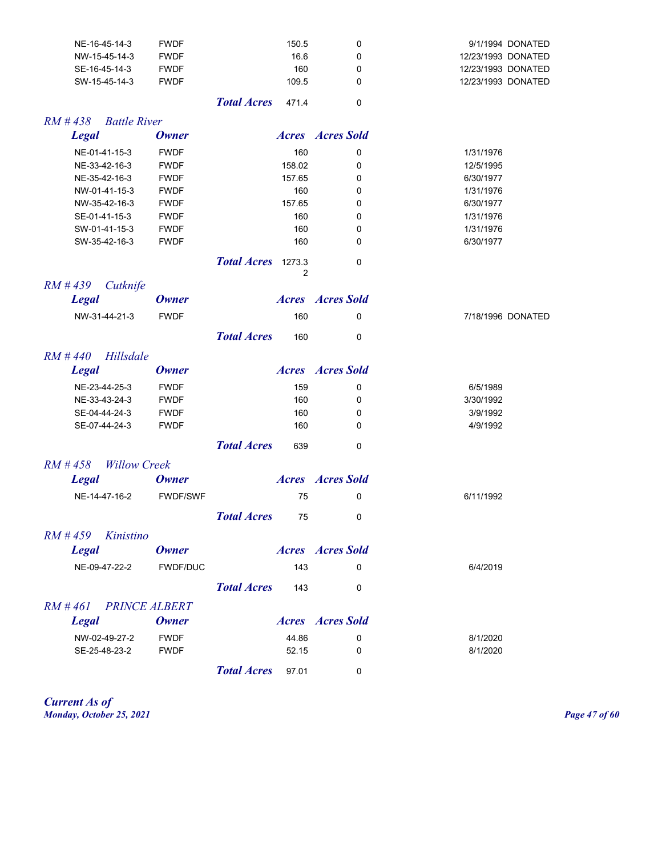| NE-16-45-14-3                       | <b>FWDF</b>     |                    | 150.5        | 0                       | 9/1/1994 DONATED   |
|-------------------------------------|-----------------|--------------------|--------------|-------------------------|--------------------|
| NW-15-45-14-3                       | <b>FWDF</b>     |                    | 16.6         | 0                       | 12/23/1993 DONATED |
| SE-16-45-14-3                       | <b>FWDF</b>     |                    | 160          | 0                       | 12/23/1993 DONATED |
| SW-15-45-14-3                       | <b>FWDF</b>     |                    | 109.5        | 0                       | 12/23/1993 DONATED |
|                                     |                 | <b>Total Acres</b> | 471.4        | 0                       |                    |
| $RM$ # 438<br><b>Battle River</b>   |                 |                    |              |                         |                    |
| <b>Legal</b>                        | <b>Owner</b>    |                    |              | <b>Acres Acres</b> Sold |                    |
| NE-01-41-15-3                       | <b>FWDF</b>     |                    | 160          | 0                       | 1/31/1976          |
| NE-33-42-16-3                       | <b>FWDF</b>     |                    | 158.02       | 0                       | 12/5/1995          |
| NE-35-42-16-3                       | <b>FWDF</b>     |                    | 157.65       | 0                       | 6/30/1977          |
| NW-01-41-15-3                       | <b>FWDF</b>     |                    | 160          | 0                       | 1/31/1976          |
| NW-35-42-16-3                       | <b>FWDF</b>     |                    | 157.65       | 0                       | 6/30/1977          |
| SE-01-41-15-3                       | <b>FWDF</b>     |                    | 160          | 0                       | 1/31/1976          |
| SW-01-41-15-3                       | <b>FWDF</b>     |                    | 160          | 0                       | 1/31/1976          |
| SW-35-42-16-3                       | <b>FWDF</b>     |                    | 160          | 0                       | 6/30/1977          |
|                                     |                 | <b>Total Acres</b> | 1273.3<br>2  | 0                       |                    |
| $RM$ #439<br>Cutknife               |                 |                    |              |                         |                    |
| <b>Legal</b>                        | <b>Owner</b>    |                    | <b>Acres</b> | <b>Acres Sold</b>       |                    |
| NW-31-44-21-3                       | <b>FWDF</b>     |                    | 160          | 0                       | 7/18/1996 DONATED  |
|                                     |                 | <b>Total Acres</b> | 160          | 0                       |                    |
| $RM$ #440<br>Hillsdale              |                 |                    |              |                         |                    |
| <b>Legal</b>                        | <b>Owner</b>    |                    | <b>Acres</b> | <b>Acres Sold</b>       |                    |
| NE-23-44-25-3                       | <b>FWDF</b>     |                    | 159          | 0                       | 6/5/1989           |
| NE-33-43-24-3                       | <b>FWDF</b>     |                    | 160          | 0                       | 3/30/1992          |
| SE-04-44-24-3                       | <b>FWDF</b>     |                    | 160          | 0                       | 3/9/1992           |
| SE-07-44-24-3                       | <b>FWDF</b>     |                    | 160          | 0                       | 4/9/1992           |
|                                     |                 |                    |              |                         |                    |
|                                     |                 | <b>Total Acres</b> | 639          | 0                       |                    |
| $RM$ #458<br><b>Willow Creek</b>    |                 |                    |              |                         |                    |
| <b>Legal</b>                        | <b>Owner</b>    |                    |              | <b>Acres Acres</b> Sold |                    |
| NE-14-47-16-2                       | <b>FWDF/SWF</b> |                    | 75           | 0                       | 6/11/1992          |
|                                     |                 | <b>Total Acres</b> | 75           | 0                       |                    |
| Kinistino<br>$RM$ # 459             |                 |                    |              |                         |                    |
| <b>Legal</b>                        | Owner           |                    |              | <b>Acres Acres</b> Sold |                    |
| NE-09-47-22-2                       |                 |                    |              |                         |                    |
|                                     | <b>FWDF/DUC</b> |                    | 143          | 0                       | 6/4/2019           |
|                                     |                 |                    |              |                         |                    |
|                                     |                 | <b>Total Acres</b> | 143          | 0                       |                    |
| <b>PRINCE ALBERT</b><br>$RM \# 461$ |                 |                    |              |                         |                    |
| <b>Legal</b>                        | Owner           |                    |              | <b>Acres Acres</b> Sold |                    |
| NW-02-49-27-2                       | <b>FWDF</b>     |                    | 44.86        | 0                       | 8/1/2020           |
| SE-25-48-23-2                       | <b>FWDF</b>     |                    | 52.15        | 0                       | 8/1/2020           |

*Current As of Monday, October 25, 2021 Page 47 of 60*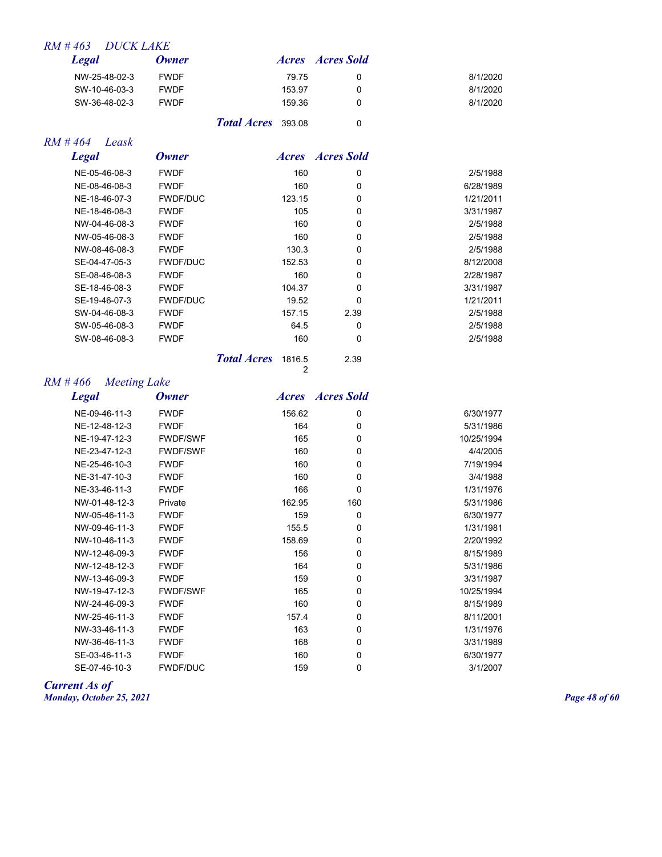## *RM # 463 DUCK LAKE*

| Legal         | <b>Owner</b> |                           |        | <b>Acres Acres</b> Sold |          |
|---------------|--------------|---------------------------|--------|-------------------------|----------|
| NW-25-48-02-3 | <b>FWDF</b>  |                           | 79.75  | 0                       | 8/1/2020 |
| SW-10-46-03-3 | <b>FWDF</b>  |                           | 153.97 |                         | 8/1/2020 |
| SW-36-48-02-3 | <b>FWDF</b>  |                           | 159.36 | O                       | 8/1/2020 |
|               |              | <b>Total Acres</b> 393.08 |        |                         |          |

#### *RM # 464 Leask*

| <b>Legal</b>  | <b>Owner</b>    |                    | <i><b>Acres</b></i> | <b>Acres Sold</b> |           |
|---------------|-----------------|--------------------|---------------------|-------------------|-----------|
| NE-05-46-08-3 | <b>FWDF</b>     |                    | 160                 | 0                 | 2/5/1988  |
| NE-08-46-08-3 | <b>FWDF</b>     |                    | 160                 | 0                 | 6/28/1989 |
| NE-18-46-07-3 | <b>FWDF/DUC</b> |                    | 123.15              | 0                 | 1/21/2011 |
| NE-18-46-08-3 | <b>FWDF</b>     |                    | 105                 | 0                 | 3/31/1987 |
| NW-04-46-08-3 | <b>FWDF</b>     |                    | 160                 | 0                 | 2/5/1988  |
| NW-05-46-08-3 | <b>FWDF</b>     |                    | 160                 | 0                 | 2/5/1988  |
| NW-08-46-08-3 | <b>FWDF</b>     |                    | 130.3               | 0                 | 2/5/1988  |
| SE-04-47-05-3 | <b>FWDF/DUC</b> |                    | 152.53              | 0                 | 8/12/2008 |
| SE-08-46-08-3 | <b>FWDF</b>     |                    | 160                 | 0                 | 2/28/1987 |
| SE-18-46-08-3 | <b>FWDF</b>     |                    | 104.37              | 0                 | 3/31/1987 |
| SE-19-46-07-3 | <b>FWDF/DUC</b> |                    | 19.52               | 0                 | 1/21/2011 |
| SW-04-46-08-3 | <b>FWDF</b>     |                    | 157.15              | 2.39              | 2/5/1988  |
| SW-05-46-08-3 | <b>FWDF</b>     |                    | 64.5                | 0                 | 2/5/1988  |
| SW-08-46-08-3 | <b>FWDF</b>     |                    | 160                 | 0                 | 2/5/1988  |
|               |                 | <b>Total Acres</b> | 1816.5              | 2.39              |           |

2

## *RM # 466 Meeting Lake*

| <b>Legal</b>  | <b>Owner</b>    | <i>Acres</i> | <b>Acres Sold</b> |            |
|---------------|-----------------|--------------|-------------------|------------|
| NE-09-46-11-3 | <b>FWDF</b>     | 156.62       | 0                 | 6/30/1977  |
| NE-12-48-12-3 | <b>FWDF</b>     | 164          | $\mathbf 0$       | 5/31/1986  |
| NE-19-47-12-3 | <b>FWDF/SWF</b> | 165          | $\mathbf 0$       | 10/25/1994 |
| NE-23-47-12-3 | <b>FWDF/SWF</b> | 160          | $\mathbf 0$       | 4/4/2005   |
| NE-25-46-10-3 | <b>FWDF</b>     | 160          | $\mathbf 0$       | 7/19/1994  |
| NE-31-47-10-3 | <b>FWDF</b>     | 160          | $\mathbf 0$       | 3/4/1988   |
| NE-33-46-11-3 | <b>FWDF</b>     | 166          | $\mathbf 0$       | 1/31/1976  |
| NW-01-48-12-3 | Private         | 162.95       | 160               | 5/31/1986  |
| NW-05-46-11-3 | <b>FWDF</b>     | 159          | $\mathbf 0$       | 6/30/1977  |
| NW-09-46-11-3 | <b>FWDF</b>     | 155.5        | 0                 | 1/31/1981  |
| NW-10-46-11-3 | <b>FWDF</b>     | 158.69       | 0                 | 2/20/1992  |
| NW-12-46-09-3 | <b>FWDF</b>     | 156          | $\mathbf 0$       | 8/15/1989  |
| NW-12-48-12-3 | <b>FWDF</b>     | 164          | $\mathbf 0$       | 5/31/1986  |
| NW-13-46-09-3 | <b>FWDF</b>     | 159          | 0                 | 3/31/1987  |
| NW-19-47-12-3 | <b>FWDF/SWF</b> | 165          | $\mathbf 0$       | 10/25/1994 |
| NW-24-46-09-3 | <b>FWDF</b>     | 160          | $\mathbf 0$       | 8/15/1989  |
| NW-25-46-11-3 | <b>FWDF</b>     | 157.4        | $\mathbf 0$       | 8/11/2001  |
| NW-33-46-11-3 | <b>FWDF</b>     | 163          | $\mathbf 0$       | 1/31/1976  |
| NW-36-46-11-3 | <b>FWDF</b>     | 168          | $\mathbf 0$       | 3/31/1989  |
| SE-03-46-11-3 | <b>FWDF</b>     | 160          | 0                 | 6/30/1977  |
| SE-07-46-10-3 | <b>FWDF/DUC</b> | 159          | 0                 | 3/1/2007   |

#### *Current As of Monday, October 25, 2021 Page 48 of 60*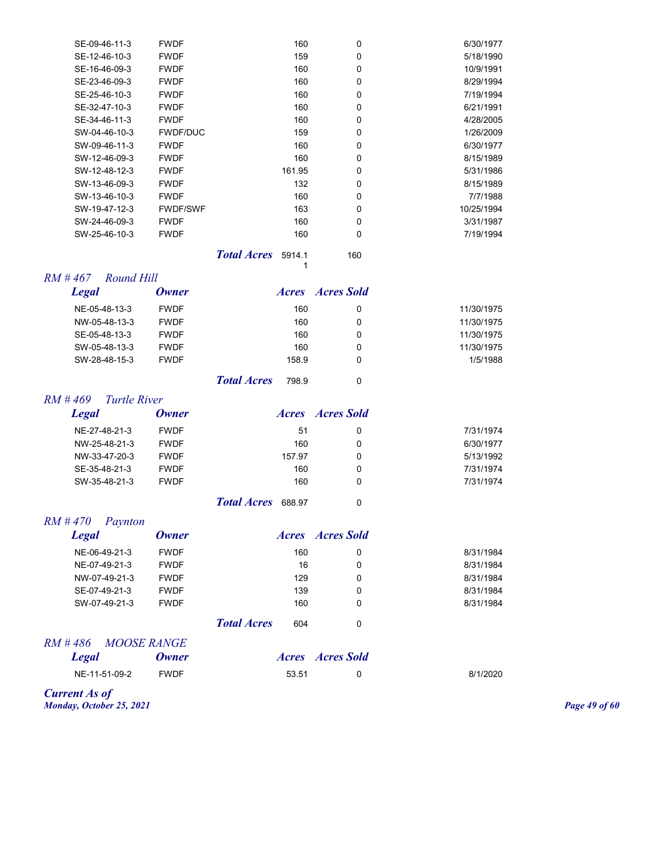| SE-09-46-11-3 | <b>FWDF</b>     | 160    | 0        | 6/30/1977  |
|---------------|-----------------|--------|----------|------------|
| SE-12-46-10-3 | <b>FWDF</b>     | 159    | 0        | 5/18/1990  |
| SE-16-46-09-3 | <b>FWDF</b>     | 160    | 0        | 10/9/1991  |
| SE-23-46-09-3 | <b>FWDF</b>     | 160    | 0        | 8/29/1994  |
| SE-25-46-10-3 | <b>FWDF</b>     | 160    | 0        | 7/19/1994  |
| SE-32-47-10-3 | <b>FWDF</b>     | 160    | 0        | 6/21/1991  |
| SE-34-46-11-3 | <b>FWDF</b>     | 160    | 0        | 4/28/2005  |
| SW-04-46-10-3 | <b>FWDF/DUC</b> | 159    | 0        | 1/26/2009  |
| SW-09-46-11-3 | <b>FWDF</b>     | 160    | $\Omega$ | 6/30/1977  |
| SW-12-46-09-3 | <b>FWDF</b>     | 160    | 0        | 8/15/1989  |
| SW-12-48-12-3 | <b>FWDF</b>     | 161.95 | 0        | 5/31/1986  |
| SW-13-46-09-3 | <b>FWDF</b>     | 132    | 0        | 8/15/1989  |
| SW-13-46-10-3 | <b>FWDF</b>     | 160    | 0        | 7/7/1988   |
| SW-19-47-12-3 | <b>FWDF/SWF</b> | 163    | 0        | 10/25/1994 |
| SW-24-46-09-3 | <b>FWDF</b>     | 160    | 0        | 3/31/1987  |
| SW-25-46-10-3 | <b>FWDF</b>     | 160    | 0        | 7/19/1994  |
|               |                 |        |          |            |

**Total Acres** 5914.1 160 1

#### *RM # 467 Round Hill*

| <b>Legal</b>  | <b>Owner</b> | <i>Acres</i> | Acres Sold |            |
|---------------|--------------|--------------|------------|------------|
| NE-05-48-13-3 | <b>FWDF</b>  | 160          | 0          | 11/30/1975 |
| NW-05-48-13-3 | <b>FWDF</b>  | 160          | 0          | 11/30/1975 |
| SE-05-48-13-3 | <b>FWDF</b>  | 160          | 0          | 11/30/1975 |
| SW-05-48-13-3 | <b>FWDF</b>  | 160          | 0          | 11/30/1975 |
| SW-28-48-15-3 | <b>FWDF</b>  | 158.9        | 0          | 1/5/1988   |
|               |              | ---          |            |            |

## *Total Acres* 798.9 0

#### *RM # 469 Turtle River*

| <b>Legal</b>  | <b>Owner</b> |        | <b>Acres Acres</b> Sold |           |
|---------------|--------------|--------|-------------------------|-----------|
| NE-27-48-21-3 | <b>FWDF</b>  | 51     | 0                       | 7/31/1974 |
| NW-25-48-21-3 | <b>FWDF</b>  | 160    | 0                       | 6/30/1977 |
| NW-33-47-20-3 | <b>FWDF</b>  | 157.97 |                         | 5/13/1992 |
| SE-35-48-21-3 | <b>FWDF</b>  | 160    | 0                       | 7/31/1974 |
| SW-35-48-21-3 | <b>FWDF</b>  | 160    | 0                       | 7/31/1974 |
|               |              |        |                         |           |

**Total Acres** 688.97 0

## *RM # 470 Paynton*

| <b>Legal</b>  | Owner       |                    | <i>Acres</i> | Acres Sold |           |
|---------------|-------------|--------------------|--------------|------------|-----------|
| NE-06-49-21-3 | <b>FWDF</b> |                    | 160          | 0          | 8/31/1984 |
| NE-07-49-21-3 | <b>FWDF</b> |                    | 16           | 0          | 8/31/1984 |
| NW-07-49-21-3 | <b>FWDF</b> |                    | 129          | 0          | 8/31/1984 |
| SE-07-49-21-3 | <b>FWDF</b> |                    | 139          | 0          | 8/31/1984 |
| SW-07-49-21-3 | <b>FWDF</b> |                    | 160          | 0          | 8/31/1984 |
|               |             | <b>Total Acres</b> | 604          | 0          |           |

# *RM # 486 MOOSE RANGE*

| Legal         | <b><i><u>Uwner</u></i></b> |       | Acres Acres Sold |          |
|---------------|----------------------------|-------|------------------|----------|
| NE-11-51-09-2 | <b>FWDF</b>                | 53.51 |                  | 8/1/2020 |

## *Legal Owner Acres Acres Sold*

*Current As of Monday, October 25, 2021 Page 49 of 60*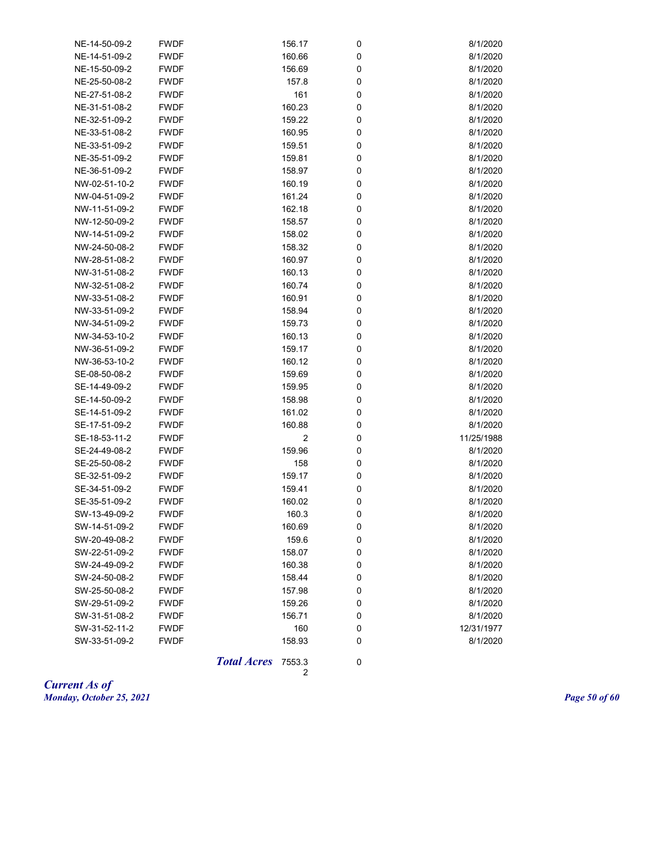| NE-14-50-09-2 | <b>FWDF</b> | 156.17 | 0 | 8/1/2020   |
|---------------|-------------|--------|---|------------|
| NE-14-51-09-2 | <b>FWDF</b> | 160.66 | 0 | 8/1/2020   |
| NE-15-50-09-2 | <b>FWDF</b> | 156.69 | 0 | 8/1/2020   |
| NE-25-50-08-2 | <b>FWDF</b> | 157.8  | 0 | 8/1/2020   |
| NE-27-51-08-2 | <b>FWDF</b> | 161    | 0 | 8/1/2020   |
| NE-31-51-08-2 | <b>FWDF</b> | 160.23 | 0 | 8/1/2020   |
| NE-32-51-09-2 | <b>FWDF</b> | 159.22 | 0 | 8/1/2020   |
| NE-33-51-08-2 | <b>FWDF</b> | 160.95 | 0 | 8/1/2020   |
| NE-33-51-09-2 | <b>FWDF</b> | 159.51 | 0 | 8/1/2020   |
| NE-35-51-09-2 | <b>FWDF</b> | 159.81 | 0 | 8/1/2020   |
| NE-36-51-09-2 | <b>FWDF</b> | 158.97 | 0 | 8/1/2020   |
| NW-02-51-10-2 | <b>FWDF</b> | 160.19 | 0 | 8/1/2020   |
| NW-04-51-09-2 | <b>FWDF</b> | 161.24 | 0 | 8/1/2020   |
| NW-11-51-09-2 | <b>FWDF</b> | 162.18 | 0 | 8/1/2020   |
| NW-12-50-09-2 | <b>FWDF</b> | 158.57 | 0 | 8/1/2020   |
| NW-14-51-09-2 | <b>FWDF</b> | 158.02 | 0 | 8/1/2020   |
| NW-24-50-08-2 | <b>FWDF</b> | 158.32 | 0 | 8/1/2020   |
| NW-28-51-08-2 | <b>FWDF</b> | 160.97 | 0 | 8/1/2020   |
| NW-31-51-08-2 | <b>FWDF</b> | 160.13 | 0 | 8/1/2020   |
| NW-32-51-08-2 | <b>FWDF</b> | 160.74 | 0 | 8/1/2020   |
| NW-33-51-08-2 | <b>FWDF</b> | 160.91 | 0 | 8/1/2020   |
| NW-33-51-09-2 | <b>FWDF</b> | 158.94 | 0 | 8/1/2020   |
| NW-34-51-09-2 | <b>FWDF</b> | 159.73 | 0 | 8/1/2020   |
| NW-34-53-10-2 | <b>FWDF</b> | 160.13 | 0 | 8/1/2020   |
| NW-36-51-09-2 | <b>FWDF</b> | 159.17 | 0 | 8/1/2020   |
| NW-36-53-10-2 | <b>FWDF</b> | 160.12 | 0 | 8/1/2020   |
| SE-08-50-08-2 | <b>FWDF</b> | 159.69 | 0 | 8/1/2020   |
| SE-14-49-09-2 | <b>FWDF</b> | 159.95 | 0 | 8/1/2020   |
| SE-14-50-09-2 | <b>FWDF</b> | 158.98 | 0 | 8/1/2020   |
| SE-14-51-09-2 | <b>FWDF</b> | 161.02 | 0 | 8/1/2020   |
| SE-17-51-09-2 | <b>FWDF</b> | 160.88 | 0 | 8/1/2020   |
| SE-18-53-11-2 | <b>FWDF</b> | 2      | 0 | 11/25/1988 |
| SE-24-49-08-2 | <b>FWDF</b> | 159.96 | 0 | 8/1/2020   |
| SE-25-50-08-2 | <b>FWDF</b> | 158    | 0 | 8/1/2020   |
| SE-32-51-09-2 | <b>FWDF</b> | 159.17 | 0 | 8/1/2020   |
| SE-34-51-09-2 | <b>FWDF</b> | 159.41 | 0 | 8/1/2020   |
| SE-35-51-09-2 | <b>FWDF</b> | 160.02 | 0 | 8/1/2020   |
| SW-13-49-09-2 | <b>FWDF</b> | 160.3  | 0 | 8/1/2020   |
| SW-14-51-09-2 | <b>FWDF</b> | 160.69 | 0 | 8/1/2020   |
| SW-20-49-08-2 | <b>FWDF</b> | 159.6  | 0 | 8/1/2020   |
| SW-22-51-09-2 | <b>FWDF</b> | 158.07 | 0 | 8/1/2020   |
| SW-24-49-09-2 | <b>FWDF</b> | 160.38 | 0 | 8/1/2020   |
| SW-24-50-08-2 | <b>FWDF</b> | 158.44 | 0 | 8/1/2020   |
| SW-25-50-08-2 | <b>FWDF</b> | 157.98 | 0 | 8/1/2020   |
| SW-29-51-09-2 | <b>FWDF</b> | 159.26 | 0 | 8/1/2020   |
| SW-31-51-08-2 | <b>FWDF</b> | 156.71 | 0 | 8/1/2020   |
| SW-31-52-11-2 | <b>FWDF</b> | 160    | 0 | 12/31/1977 |
| SW-33-51-09-2 | <b>FWDF</b> | 158.93 | 0 | 8/1/2020   |
|               |             |        |   |            |

*Total Acres* 7553.3 0

2

*Current As of Monday, October 25, 2021 Page 50 of 60*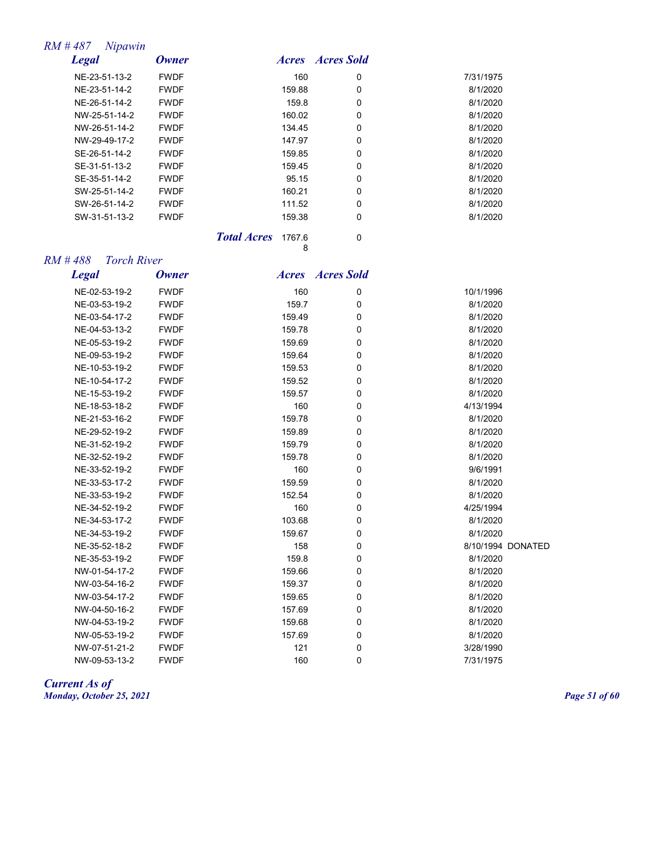#### *RM # 487 Nipawin*

| <b>Legal</b>  | Owner       |        | <b>Acres Acres</b> Sold |           |
|---------------|-------------|--------|-------------------------|-----------|
| NE-23-51-13-2 | <b>FWDF</b> | 160    | 0                       | 7/31/1975 |
| NE-23-51-14-2 | <b>FWDF</b> | 159.88 | 0                       | 8/1/2020  |
| NE-26-51-14-2 | <b>FWDF</b> | 159.8  | 0                       | 8/1/2020  |
| NW-25-51-14-2 | <b>FWDF</b> | 160.02 | 0                       | 8/1/2020  |
| NW-26-51-14-2 | <b>FWDF</b> | 134.45 | 0                       | 8/1/2020  |
| NW-29-49-17-2 | <b>FWDF</b> | 147.97 | 0                       | 8/1/2020  |
| SE-26-51-14-2 | <b>FWDF</b> | 159.85 | 0                       | 8/1/2020  |
| SE-31-51-13-2 | <b>FWDF</b> | 159.45 | 0                       | 8/1/2020  |
| SE-35-51-14-2 | <b>FWDF</b> | 95.15  | 0                       | 8/1/2020  |
| SW-25-51-14-2 | <b>FWDF</b> | 160.21 | 0                       | 8/1/2020  |
| SW-26-51-14-2 | <b>FWDF</b> | 111.52 | 0                       | 8/1/2020  |
| SW-31-51-13-2 | <b>FWDF</b> | 159.38 | 0                       | 8/1/2020  |
|               |             | ___    |                         |           |

**Total Acres** 1767.6 0 8

#### *RM # 488 Torch River*

*Legal Owner Acres Acres Sold* NE-02-53-19-2 FWDF 160 0 10/1/1996 NE-03-53-19-2 FWDF 159.7 0 8/1/2020 NE-03-54-17-2 FWDF 159.49 0 8/1/2020 NE-04-53-13-2 FWDF 159.78 0 8/1/2020 NE-05-53-19-2 FWDF 159.69 0 8/1/2020 NE-09-53-19-2 FWDF 159.64 0 8/1/2020 NE-10-53-19-2 FWDF 159.53 0 8/1/2020 NE-10-54-17-2 FWDF 159.52 0 8/1/2020 NE-15-53-19-2 FWDF 159.57 0 8/1/2020 NE-18-53-18-2 FWDF 160 0 4/13/1994 NE-21-53-16-2 FWDF 159.78 0 8/1/2020 NE-29-52-19-2 FWDF 159.89 0 8/1/2020 NE-31-52-19-2 FWDF 159.79 0 8/1/2020 NE-32-52-19-2 FWDF 159.78 0 8/1/2020 NE-33-52-19-2 FWDF 160 0 9/6/1991 NE-33-53-17-2 FWDF 159.59 0 8/1/2020 NE-33-53-19-2 FWDF 152.54 0 8/1/2020 NE-34-52-19-2 FWDF 160 0 4/25/1994 NE-34-53-17-2 FWDF 103.68 0 8/1/2020 NE-34-53-19-2 FWDF 159.67 0 8/1/2020 NE-35-52-18-2 FWDF 158 0 8/10/1994 DONATED NE-35-53-19-2 FWDF 159.8 0 8/1/2020 NW-01-54-17-2 FWDF 159.66 0 8/1/2020 NW-03-54-16-2 FWDF 159.37 0 8/1/2020 NW-03-54-17-2 FWDF 159.65 0 8/1/2020 NW-04-50-16-2 FWDF 157.69 0 8/1/2020 NW-04-53-19-2 FWDF 159.68 0 8/1/2020 NW-05-53-19-2 FWDF 157.69 0 8/1/2020 NW-07-51-21-2 FWDF 121 0 3/28/1990 NW-09-53-13-2 FWDF 160 0 7/31/1975

*Current As of Monday, October 25, 2021 Page 51 of 60*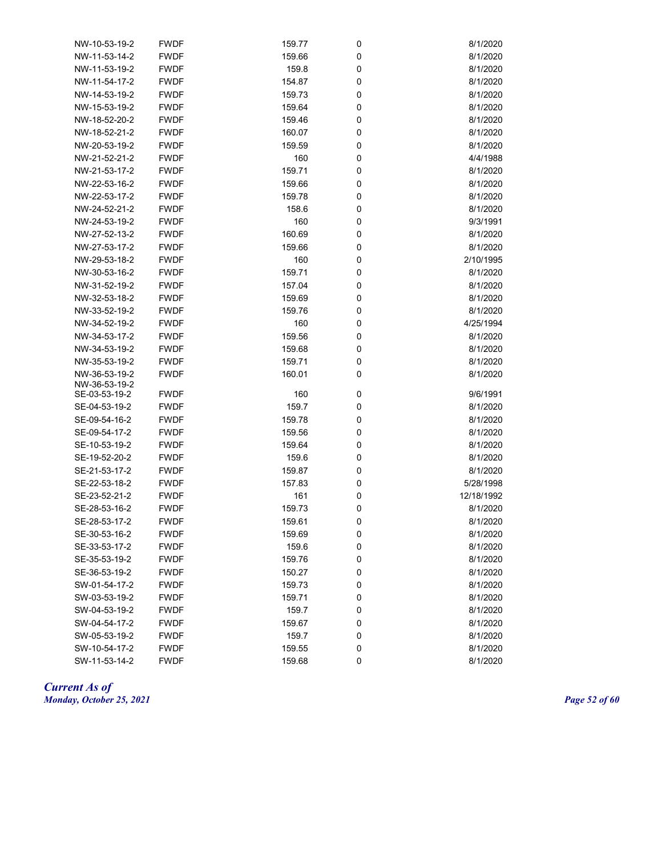| NW-10-53-19-2 | <b>FWDF</b> | 159.77 | 0 | 8/1/2020   |
|---------------|-------------|--------|---|------------|
| NW-11-53-14-2 | <b>FWDF</b> | 159.66 | 0 | 8/1/2020   |
| NW-11-53-19-2 | <b>FWDF</b> | 159.8  | 0 | 8/1/2020   |
| NW-11-54-17-2 | <b>FWDF</b> | 154.87 | 0 | 8/1/2020   |
| NW-14-53-19-2 | <b>FWDF</b> | 159.73 | 0 | 8/1/2020   |
| NW-15-53-19-2 | <b>FWDF</b> | 159.64 | 0 | 8/1/2020   |
| NW-18-52-20-2 | <b>FWDF</b> | 159.46 | 0 | 8/1/2020   |
| NW-18-52-21-2 | <b>FWDF</b> | 160.07 | 0 | 8/1/2020   |
| NW-20-53-19-2 | <b>FWDF</b> | 159.59 | 0 | 8/1/2020   |
| NW-21-52-21-2 | <b>FWDF</b> | 160    | 0 | 4/4/1988   |
| NW-21-53-17-2 | <b>FWDF</b> | 159.71 | 0 | 8/1/2020   |
| NW-22-53-16-2 | <b>FWDF</b> | 159.66 | 0 | 8/1/2020   |
| NW-22-53-17-2 | <b>FWDF</b> | 159.78 | 0 | 8/1/2020   |
| NW-24-52-21-2 | <b>FWDF</b> | 158.6  | 0 | 8/1/2020   |
| NW-24-53-19-2 | <b>FWDF</b> | 160    | 0 | 9/3/1991   |
| NW-27-52-13-2 | <b>FWDF</b> | 160.69 | 0 | 8/1/2020   |
| NW-27-53-17-2 | <b>FWDF</b> | 159.66 | 0 | 8/1/2020   |
| NW-29-53-18-2 | <b>FWDF</b> | 160    | 0 | 2/10/1995  |
| NW-30-53-16-2 | <b>FWDF</b> | 159.71 | 0 | 8/1/2020   |
| NW-31-52-19-2 | <b>FWDF</b> | 157.04 | 0 | 8/1/2020   |
| NW-32-53-18-2 | <b>FWDF</b> | 159.69 | 0 | 8/1/2020   |
| NW-33-52-19-2 | <b>FWDF</b> | 159.76 | 0 | 8/1/2020   |
| NW-34-52-19-2 | <b>FWDF</b> | 160    | 0 | 4/25/1994  |
| NW-34-53-17-2 | <b>FWDF</b> | 159.56 | 0 | 8/1/2020   |
| NW-34-53-19-2 | <b>FWDF</b> | 159.68 | 0 | 8/1/2020   |
| NW-35-53-19-2 | <b>FWDF</b> | 159.71 | 0 | 8/1/2020   |
| NW-36-53-19-2 | <b>FWDF</b> | 160.01 | 0 | 8/1/2020   |
| NW-36-53-19-2 |             |        |   |            |
| SE-03-53-19-2 | <b>FWDF</b> | 160    | 0 | 9/6/1991   |
| SE-04-53-19-2 | <b>FWDF</b> | 159.7  | 0 | 8/1/2020   |
| SE-09-54-16-2 | <b>FWDF</b> | 159.78 | 0 | 8/1/2020   |
| SE-09-54-17-2 | <b>FWDF</b> | 159.56 | 0 | 8/1/2020   |
| SE-10-53-19-2 | <b>FWDF</b> | 159.64 | 0 | 8/1/2020   |
| SE-19-52-20-2 | <b>FWDF</b> | 159.6  | 0 | 8/1/2020   |
| SE-21-53-17-2 | <b>FWDF</b> | 159.87 | 0 | 8/1/2020   |
| SE-22-53-18-2 | <b>FWDF</b> | 157.83 | 0 | 5/28/1998  |
| SE-23-52-21-2 | <b>FWDF</b> | 161    | 0 | 12/18/1992 |
| SE-28-53-16-2 | <b>FWDF</b> | 159.73 | 0 | 8/1/2020   |
| SE-28-53-17-2 | <b>FWDF</b> | 159.61 | 0 | 8/1/2020   |
| SE-30-53-16-2 | <b>FWDF</b> | 159.69 | 0 | 8/1/2020   |
| SE-33-53-17-2 | <b>FWDF</b> | 159.6  | 0 | 8/1/2020   |
| SE-35-53-19-2 | <b>FWDF</b> | 159.76 | 0 | 8/1/2020   |
| SE-36-53-19-2 | <b>FWDF</b> | 150.27 | 0 | 8/1/2020   |
| SW-01-54-17-2 | <b>FWDF</b> | 159.73 | 0 | 8/1/2020   |
| SW-03-53-19-2 | <b>FWDF</b> | 159.71 | 0 | 8/1/2020   |
| SW-04-53-19-2 | <b>FWDF</b> | 159.7  | 0 | 8/1/2020   |
| SW-04-54-17-2 | <b>FWDF</b> | 159.67 | 0 | 8/1/2020   |
| SW-05-53-19-2 | <b>FWDF</b> | 159.7  | 0 | 8/1/2020   |
| SW-10-54-17-2 | <b>FWDF</b> | 159.55 | 0 | 8/1/2020   |
| SW-11-53-14-2 | <b>FWDF</b> | 159.68 | 0 | 8/1/2020   |

*Current As of Monday, October 25, 2021 Page 52 of 60*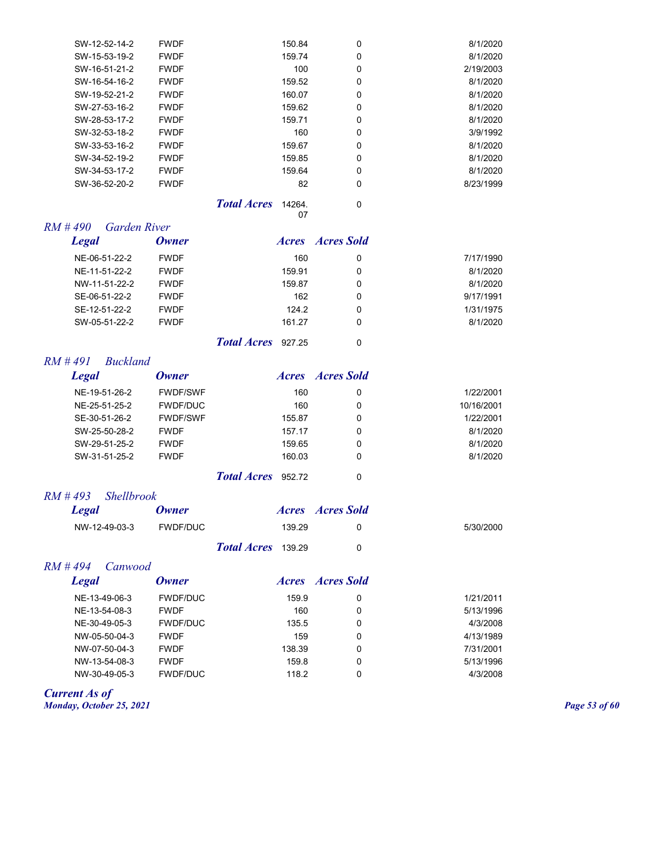| SW-12-52-14-2 | <b>FWDF</b> | 150.84 | 0 | 8/1/2020  |
|---------------|-------------|--------|---|-----------|
| SW-15-53-19-2 | <b>FWDF</b> | 159.74 | 0 | 8/1/2020  |
| SW-16-51-21-2 | <b>FWDF</b> | 100    | 0 | 2/19/2003 |
| SW-16-54-16-2 | <b>FWDF</b> | 159.52 | 0 | 8/1/2020  |
| SW-19-52-21-2 | <b>FWDF</b> | 160.07 | 0 | 8/1/2020  |
| SW-27-53-16-2 | <b>FWDF</b> | 159.62 | 0 | 8/1/2020  |
| SW-28-53-17-2 | <b>FWDF</b> | 159.71 | 0 | 8/1/2020  |
| SW-32-53-18-2 | <b>FWDF</b> | 160    | 0 | 3/9/1992  |
| SW-33-53-16-2 | <b>FWDF</b> | 159.67 | 0 | 8/1/2020  |
| SW-34-52-19-2 | <b>FWDF</b> | 159.85 | 0 | 8/1/2020  |
| SW-34-53-17-2 | <b>FWDF</b> | 159.64 | 0 | 8/1/2020  |
| SW-36-52-20-2 | <b>FWDF</b> | 82     | 0 | 8/23/1999 |
|               |             |        |   |           |

*Total Acres* 14264. 0

07

## *RM # 490 Garden River*

| <b>Legal</b>  | <b>Owner</b> |        | <i>Acres Acres Sold</i> |           |
|---------------|--------------|--------|-------------------------|-----------|
| NE-06-51-22-2 | <b>FWDF</b>  | 160    | 0                       | 7/17/1990 |
| NE-11-51-22-2 | <b>FWDF</b>  | 159.91 | 0                       | 8/1/2020  |
| NW-11-51-22-2 | <b>FWDF</b>  | 159.87 | 0                       | 8/1/2020  |
| SE-06-51-22-2 | <b>FWDF</b>  | 162    | 0                       | 9/17/1991 |
| SE-12-51-22-2 | <b>FWDF</b>  | 124.2  | 0                       | 1/31/1975 |
| SW-05-51-22-2 | <b>FWDF</b>  | 161.27 | 0                       | 8/1/2020  |

*Total Acres* 927.25 0

#### *RM # 491 Buckland*

| Legal         | <b>Owner</b>    | <i>Acres</i> | <b>Acres Sold</b> |            |
|---------------|-----------------|--------------|-------------------|------------|
| NE-19-51-26-2 | <b>FWDF/SWF</b> | 160          | 0                 | 1/22/2001  |
| NE-25-51-25-2 | <b>FWDF/DUC</b> | 160          | 0                 | 10/16/2001 |
| SE-30-51-26-2 | <b>FWDF/SWF</b> | 155.87       | 0                 | 1/22/2001  |
| SW-25-50-28-2 | <b>FWDF</b>     | 157.17       | 0                 | 8/1/2020   |
| SW-29-51-25-2 | <b>FWDF</b>     | 159.65       | 0                 | 8/1/2020   |
| SW-31-51-25-2 | <b>FWDF</b>     | 160.03       | 0                 | 8/1/2020   |
|               |                 |              |                   |            |

#### *RM # 493 Shellbrook*

| <b>Legal</b>  | <b>Owner</b> |                           |        | <i>Acres Acres Sold</i> |           |
|---------------|--------------|---------------------------|--------|-------------------------|-----------|
| NW-12-49-03-3 | FWDF/DUC     |                           | 139.29 |                         | 5/30/2000 |
|               |              | <b>Total Acres</b> 139.29 |        |                         |           |

#### *RM # 494 Canwood*

| <b>Legal</b>  | Owner           |        | <i>Acres Acres Sold</i> |           |
|---------------|-----------------|--------|-------------------------|-----------|
| NE-13-49-06-3 | <b>FWDF/DUC</b> | 159.9  | 0                       | 1/21/2011 |
| NE-13-54-08-3 | <b>FWDF</b>     | 160    | 0                       | 5/13/1996 |
| NE-30-49-05-3 | <b>FWDF/DUC</b> | 135.5  | 0                       | 4/3/2008  |
| NW-05-50-04-3 | <b>FWDF</b>     | 159    | 0                       | 4/13/1989 |
| NW-07-50-04-3 | <b>FWDF</b>     | 138.39 | 0                       | 7/31/2001 |
| NW-13-54-08-3 | <b>FWDF</b>     | 159.8  | 0                       | 5/13/1996 |
| NW-30-49-05-3 | <b>FWDF/DUC</b> | 118.2  | 0                       | 4/3/2008  |

#### *Current As of*

*Monday, October 25, 2021 Page 53 of 60*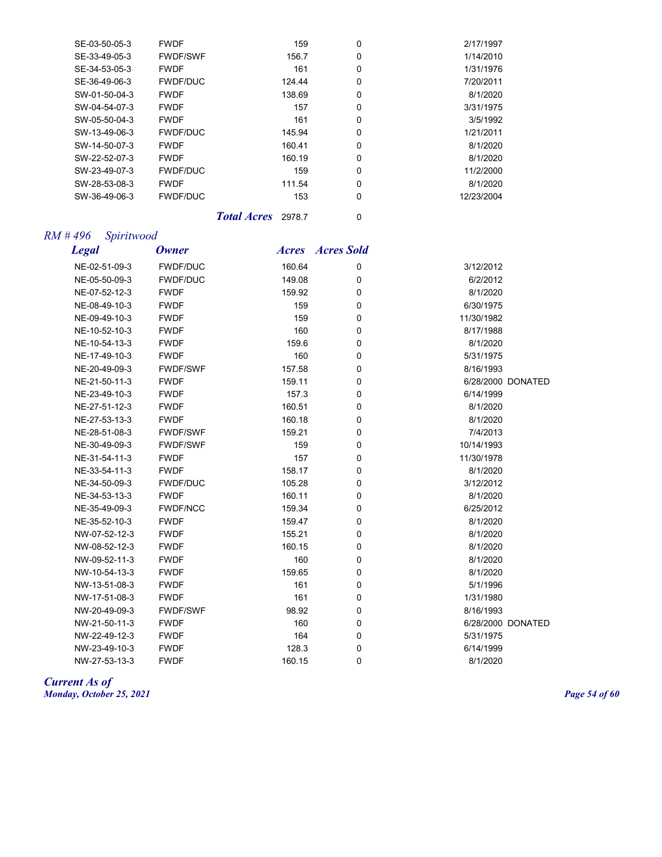| SE-03-50-05-3 | <b>FWDF</b>     | 159    | $\Omega$ | 2/17/1997  |
|---------------|-----------------|--------|----------|------------|
| SE-33-49-05-3 | <b>FWDF/SWF</b> | 156.7  | 0        | 1/14/2010  |
| SE-34-53-05-3 | <b>FWDF</b>     | 161    | $\Omega$ | 1/31/1976  |
| SE-36-49-06-3 | <b>FWDF/DUC</b> | 124.44 | 0        | 7/20/2011  |
| SW-01-50-04-3 | <b>FWDF</b>     | 138.69 | 0        | 8/1/2020   |
| SW-04-54-07-3 | <b>FWDF</b>     | 157    | 0        | 3/31/1975  |
| SW-05-50-04-3 | <b>FWDF</b>     | 161    | $\Omega$ | 3/5/1992   |
| SW-13-49-06-3 | <b>FWDF/DUC</b> | 145.94 | 0        | 1/21/2011  |
| SW-14-50-07-3 | <b>FWDF</b>     | 160.41 | 0        | 8/1/2020   |
| SW-22-52-07-3 | <b>FWDF</b>     | 160.19 | $\Omega$ | 8/1/2020   |
| SW-23-49-07-3 | <b>FWDF/DUC</b> | 159    | $\Omega$ | 11/2/2000  |
| SW-28-53-08-3 | <b>FWDF</b>     | 111.54 | $\Omega$ | 8/1/2020   |
| SW-36-49-06-3 | <b>FWDF/DUC</b> | 153    | $\Omega$ | 12/23/2004 |
|               |                 |        |          |            |

*Total Acres* 2978.7 0

## *RM # 496 Spiritwood*

| <b>Legal</b>  | <b>Owner</b>    | <i>Acres</i> | <b>Acres Sold</b> |            |                   |
|---------------|-----------------|--------------|-------------------|------------|-------------------|
| NE-02-51-09-3 | <b>FWDF/DUC</b> | 160.64       | 0                 | 3/12/2012  |                   |
| NE-05-50-09-3 | <b>FWDF/DUC</b> | 149.08       | 0                 | 6/2/2012   |                   |
| NE-07-52-12-3 | <b>FWDF</b>     | 159.92       | 0                 | 8/1/2020   |                   |
| NE-08-49-10-3 | <b>FWDF</b>     | 159          | 0                 | 6/30/1975  |                   |
| NE-09-49-10-3 | <b>FWDF</b>     | 159          | 0                 | 11/30/1982 |                   |
| NE-10-52-10-3 | <b>FWDF</b>     | 160          | 0                 | 8/17/1988  |                   |
| NE-10-54-13-3 | <b>FWDF</b>     | 159.6        | 0                 | 8/1/2020   |                   |
| NE-17-49-10-3 | <b>FWDF</b>     | 160          | 0                 | 5/31/1975  |                   |
| NE-20-49-09-3 | <b>FWDF/SWF</b> | 157.58       | 0                 | 8/16/1993  |                   |
| NE-21-50-11-3 | <b>FWDF</b>     | 159.11       | 0                 |            | 6/28/2000 DONATED |
| NE-23-49-10-3 | <b>FWDF</b>     | 157.3        | 0                 | 6/14/1999  |                   |
| NE-27-51-12-3 | <b>FWDF</b>     | 160.51       | 0                 | 8/1/2020   |                   |
| NE-27-53-13-3 | <b>FWDF</b>     | 160.18       | 0                 | 8/1/2020   |                   |
| NE-28-51-08-3 | <b>FWDF/SWF</b> | 159.21       | 0                 | 7/4/2013   |                   |
| NE-30-49-09-3 | <b>FWDF/SWF</b> | 159          | 0                 | 10/14/1993 |                   |
| NE-31-54-11-3 | <b>FWDF</b>     | 157          | $\mathbf 0$       | 11/30/1978 |                   |
| NE-33-54-11-3 | <b>FWDF</b>     | 158.17       | 0                 | 8/1/2020   |                   |
| NE-34-50-09-3 | <b>FWDF/DUC</b> | 105.28       | 0                 | 3/12/2012  |                   |
| NE-34-53-13-3 | <b>FWDF</b>     | 160.11       | 0                 | 8/1/2020   |                   |
| NE-35-49-09-3 | <b>FWDF/NCC</b> | 159.34       | 0                 | 6/25/2012  |                   |
| NE-35-52-10-3 | <b>FWDF</b>     | 159.47       | 0                 | 8/1/2020   |                   |
| NW-07-52-12-3 | <b>FWDF</b>     | 155.21       | 0                 | 8/1/2020   |                   |
| NW-08-52-12-3 | <b>FWDF</b>     | 160.15       | 0                 | 8/1/2020   |                   |
| NW-09-52-11-3 | <b>FWDF</b>     | 160          | 0                 | 8/1/2020   |                   |
| NW-10-54-13-3 | <b>FWDF</b>     | 159.65       | 0                 | 8/1/2020   |                   |
| NW-13-51-08-3 | <b>FWDF</b>     | 161          | 0                 | 5/1/1996   |                   |
| NW-17-51-08-3 | <b>FWDF</b>     | 161          | 0                 | 1/31/1980  |                   |
| NW-20-49-09-3 | <b>FWDF/SWF</b> | 98.92        | 0                 | 8/16/1993  |                   |
| NW-21-50-11-3 | <b>FWDF</b>     | 160          | 0                 |            | 6/28/2000 DONATED |
| NW-22-49-12-3 | <b>FWDF</b>     | 164          | 0                 | 5/31/1975  |                   |
| NW-23-49-10-3 | <b>FWDF</b>     | 128.3        | 0                 | 6/14/1999  |                   |
| NW-27-53-13-3 | <b>FWDF</b>     | 160.15       | $\Omega$          | 8/1/2020   |                   |

*Current As of Monday, October 25, 2021 Page 54 of 60*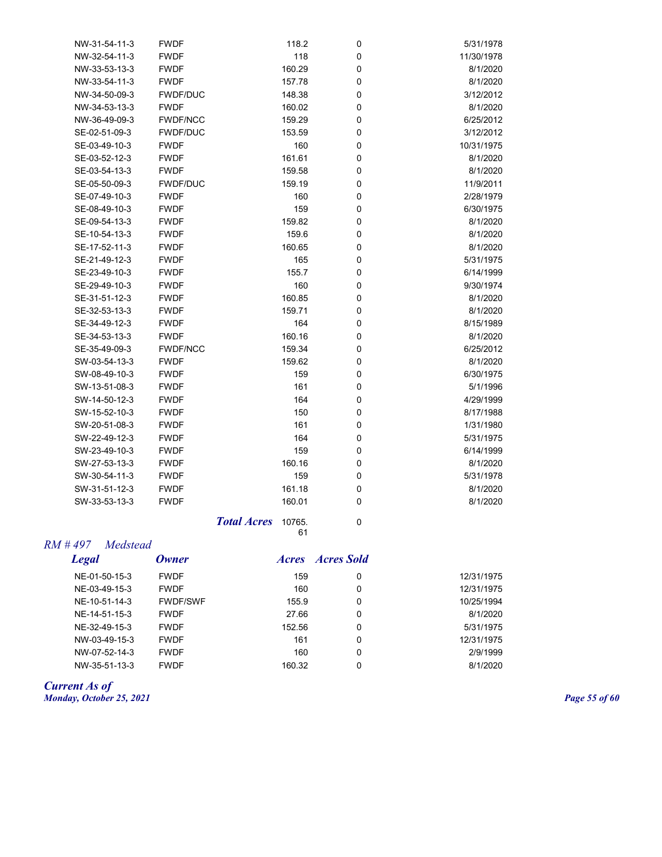| NW-31-54-11-3 | <b>FWDF</b>     | 118.2  | 0           | 5/31/1978  |
|---------------|-----------------|--------|-------------|------------|
| NW-32-54-11-3 | <b>FWDF</b>     | 118    | $\pmb{0}$   | 11/30/1978 |
| NW-33-53-13-3 | <b>FWDF</b>     | 160.29 | $\mathbf 0$ | 8/1/2020   |
| NW-33-54-11-3 | <b>FWDF</b>     | 157.78 | $\mathbf 0$ | 8/1/2020   |
| NW-34-50-09-3 | <b>FWDF/DUC</b> | 148.38 | $\mathbf 0$ | 3/12/2012  |
| NW-34-53-13-3 | <b>FWDF</b>     | 160.02 | $\mathbf 0$ | 8/1/2020   |
| NW-36-49-09-3 | <b>FWDF/NCC</b> | 159.29 | $\mathbf 0$ | 6/25/2012  |
| SE-02-51-09-3 | <b>FWDF/DUC</b> | 153.59 | $\mathbf 0$ | 3/12/2012  |
| SE-03-49-10-3 | <b>FWDF</b>     | 160    | $\mathbf 0$ | 10/31/1975 |
| SE-03-52-12-3 | <b>FWDF</b>     | 161.61 | $\mathbf 0$ | 8/1/2020   |
| SE-03-54-13-3 | <b>FWDF</b>     | 159.58 | $\mathbf 0$ | 8/1/2020   |
| SE-05-50-09-3 | <b>FWDF/DUC</b> | 159.19 | $\mathbf 0$ | 11/9/2011  |
| SE-07-49-10-3 | <b>FWDF</b>     | 160    | $\mathbf 0$ | 2/28/1979  |
| SE-08-49-10-3 | <b>FWDF</b>     | 159    | $\mathbf 0$ | 6/30/1975  |
| SE-09-54-13-3 | <b>FWDF</b>     | 159.82 | 0           | 8/1/2020   |
| SE-10-54-13-3 | <b>FWDF</b>     | 159.6  | $\mathbf 0$ | 8/1/2020   |
| SE-17-52-11-3 | <b>FWDF</b>     | 160.65 | 0           | 8/1/2020   |
| SE-21-49-12-3 | <b>FWDF</b>     | 165    | $\mathbf 0$ | 5/31/1975  |
| SE-23-49-10-3 | <b>FWDF</b>     | 155.7  | $\mathbf 0$ | 6/14/1999  |
| SE-29-49-10-3 | <b>FWDF</b>     | 160    | $\mathbf 0$ | 9/30/1974  |
| SE-31-51-12-3 | <b>FWDF</b>     | 160.85 | 0           | 8/1/2020   |
| SE-32-53-13-3 | <b>FWDF</b>     | 159.71 | 0           | 8/1/2020   |
| SE-34-49-12-3 | <b>FWDF</b>     | 164    | $\mathbf 0$ | 8/15/1989  |
| SE-34-53-13-3 | <b>FWDF</b>     | 160.16 | 0           | 8/1/2020   |
| SE-35-49-09-3 | <b>FWDF/NCC</b> | 159.34 | $\mathbf 0$ | 6/25/2012  |
| SW-03-54-13-3 | <b>FWDF</b>     | 159.62 | 0           | 8/1/2020   |
| SW-08-49-10-3 | <b>FWDF</b>     | 159    | $\mathbf 0$ | 6/30/1975  |
| SW-13-51-08-3 | <b>FWDF</b>     | 161    | $\mathbf 0$ | 5/1/1996   |
| SW-14-50-12-3 | <b>FWDF</b>     | 164    | 0           | 4/29/1999  |
| SW-15-52-10-3 | <b>FWDF</b>     | 150    | 0           | 8/17/1988  |
| SW-20-51-08-3 | <b>FWDF</b>     | 161    | 0           | 1/31/1980  |
| SW-22-49-12-3 | <b>FWDF</b>     | 164    | $\mathbf 0$ | 5/31/1975  |
| SW-23-49-10-3 | <b>FWDF</b>     | 159    | 0           | 6/14/1999  |
| SW-27-53-13-3 | <b>FWDF</b>     | 160.16 | $\mathbf 0$ | 8/1/2020   |
| SW-30-54-11-3 | <b>FWDF</b>     | 159    | 0           | 5/31/1978  |
| SW-31-51-12-3 | <b>FWDF</b>     | 161.18 | 0           | 8/1/2020   |
| SW-33-53-13-3 | <b>FWDF</b>     | 160.01 | $\mathbf 0$ | 8/1/2020   |
|               |                 |        |             |            |

*Total Acres* 10765. 0 61

## *RM # 497 Medstead*

| Legal         | <b>Owner</b>    | <i>Acres</i> | <b>Acres Sold</b> |            |
|---------------|-----------------|--------------|-------------------|------------|
| NE-01-50-15-3 | <b>FWDF</b>     | 159          | 0                 | 12/31/1975 |
| NE-03-49-15-3 | <b>FWDF</b>     | 160          | 0                 | 12/31/1975 |
| NE-10-51-14-3 | <b>FWDF/SWF</b> | 155.9        | 0                 | 10/25/1994 |
| NE-14-51-15-3 | <b>FWDF</b>     | 27.66        | 0                 | 8/1/2020   |
| NE-32-49-15-3 | <b>FWDF</b>     | 152.56       | 0                 | 5/31/1975  |
| NW-03-49-15-3 | <b>FWDF</b>     | 161          | 0                 | 12/31/1975 |
| NW-07-52-14-3 | <b>FWDF</b>     | 160          | 0                 | 2/9/1999   |
| NW-35-51-13-3 | <b>FWDF</b>     | 160.32       | 0                 | 8/1/2020   |
|               |                 |              |                   |            |

#### *Current As of Monday, October 25, 2021 Page 55 of 60*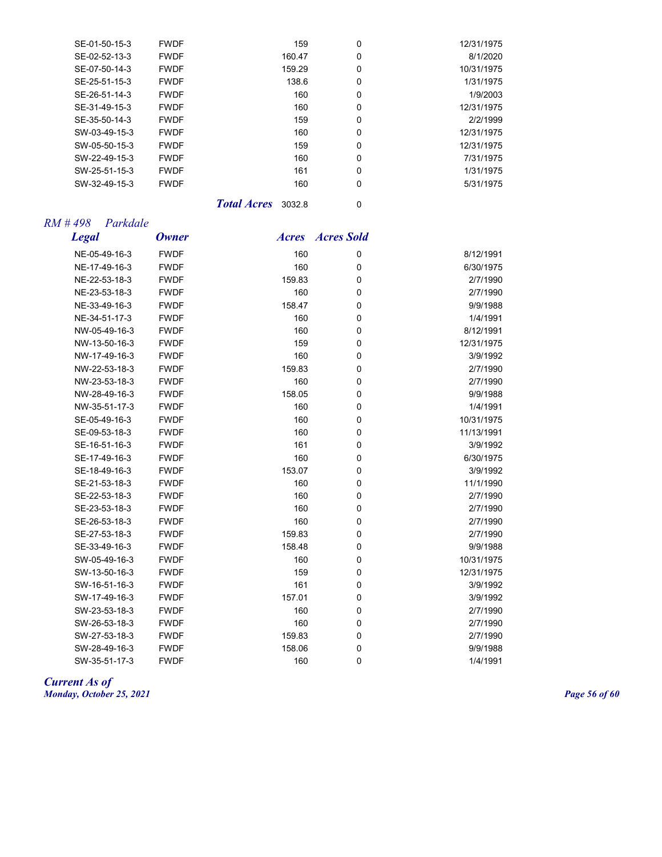| SE-01-50-15-3 | <b>FWDF</b> | 159    | 0 | 12/31/1975 |
|---------------|-------------|--------|---|------------|
| SE-02-52-13-3 | <b>FWDF</b> | 160.47 | 0 | 8/1/2020   |
| SE-07-50-14-3 | <b>FWDF</b> | 159.29 | 0 | 10/31/1975 |
| SE-25-51-15-3 | <b>FWDF</b> | 138.6  | 0 | 1/31/1975  |
| SE-26-51-14-3 | <b>FWDF</b> | 160    | 0 | 1/9/2003   |
| SE-31-49-15-3 | <b>FWDF</b> | 160    | 0 | 12/31/1975 |
| SE-35-50-14-3 | <b>FWDF</b> | 159    | 0 | 2/2/1999   |
| SW-03-49-15-3 | <b>FWDF</b> | 160    | 0 | 12/31/1975 |
| SW-05-50-15-3 | <b>FWDF</b> | 159    | 0 | 12/31/1975 |
| SW-22-49-15-3 | <b>FWDF</b> | 160    | 0 | 7/31/1975  |
| SW-25-51-15-3 | <b>FWDF</b> | 161    | 0 | 1/31/1975  |
| SW-32-49-15-3 | <b>FWDF</b> | 160    | 0 | 5/31/1975  |
|               |             |        |   |            |

**Total Acres** 3032.8 0

## *RM # 498 Parkdale*

| <b>Legal</b>  | <b>Owner</b> | <i><b>Acres</b></i> | <b>Acres Sold</b> |            |
|---------------|--------------|---------------------|-------------------|------------|
| NE-05-49-16-3 | <b>FWDF</b>  | 160                 | 0                 | 8/12/1991  |
| NE-17-49-16-3 | <b>FWDF</b>  | 160                 | $\mathbf 0$       | 6/30/1975  |
| NE-22-53-18-3 | <b>FWDF</b>  | 159.83              | 0                 | 2/7/1990   |
| NE-23-53-18-3 | <b>FWDF</b>  | 160                 | 0                 | 2/7/1990   |
| NE-33-49-16-3 | <b>FWDF</b>  | 158.47              | 0                 | 9/9/1988   |
| NE-34-51-17-3 | <b>FWDF</b>  | 160                 | 0                 | 1/4/1991   |
| NW-05-49-16-3 | <b>FWDF</b>  | 160                 | $\mathbf 0$       | 8/12/1991  |
| NW-13-50-16-3 | <b>FWDF</b>  | 159                 | 0                 | 12/31/1975 |
| NW-17-49-16-3 | <b>FWDF</b>  | 160                 | 0                 | 3/9/1992   |
| NW-22-53-18-3 | <b>FWDF</b>  | 159.83              | 0                 | 2/7/1990   |
| NW-23-53-18-3 | <b>FWDF</b>  | 160                 | 0                 | 2/7/1990   |
| NW-28-49-16-3 | <b>FWDF</b>  | 158.05              | $\mathbf 0$       | 9/9/1988   |
| NW-35-51-17-3 | <b>FWDF</b>  | 160                 | 0                 | 1/4/1991   |
| SE-05-49-16-3 | <b>FWDF</b>  | 160                 | 0                 | 10/31/1975 |
| SE-09-53-18-3 | <b>FWDF</b>  | 160                 | $\mathbf 0$       | 11/13/1991 |
| SE-16-51-16-3 | <b>FWDF</b>  | 161                 | 0                 | 3/9/1992   |
| SE-17-49-16-3 | <b>FWDF</b>  | 160                 | $\pmb{0}$         | 6/30/1975  |
| SE-18-49-16-3 | <b>FWDF</b>  | 153.07              | 0                 | 3/9/1992   |
| SE-21-53-18-3 | <b>FWDF</b>  | 160                 | 0                 | 11/1/1990  |
| SE-22-53-18-3 | <b>FWDF</b>  | 160                 | $\pmb{0}$         | 2/7/1990   |
| SE-23-53-18-3 | <b>FWDF</b>  | 160                 | 0                 | 2/7/1990   |
| SE-26-53-18-3 | <b>FWDF</b>  | 160                 | 0                 | 2/7/1990   |
| SE-27-53-18-3 | <b>FWDF</b>  | 159.83              | $\mathbf 0$       | 2/7/1990   |
| SE-33-49-16-3 | <b>FWDF</b>  | 158.48              | 0                 | 9/9/1988   |
| SW-05-49-16-3 | <b>FWDF</b>  | 160                 | $\pmb{0}$         | 10/31/1975 |
| SW-13-50-16-3 | <b>FWDF</b>  | 159                 | 0                 | 12/31/1975 |
| SW-16-51-16-3 | <b>FWDF</b>  | 161                 | $\mathbf 0$       | 3/9/1992   |
| SW-17-49-16-3 | <b>FWDF</b>  | 157.01              | $\pmb{0}$         | 3/9/1992   |
| SW-23-53-18-3 | <b>FWDF</b>  | 160                 | 0                 | 2/7/1990   |
| SW-26-53-18-3 | <b>FWDF</b>  | 160                 | 0                 | 2/7/1990   |
| SW-27-53-18-3 | <b>FWDF</b>  | 159.83              | 0                 | 2/7/1990   |
| SW-28-49-16-3 | <b>FWDF</b>  | 158.06              | 0                 | 9/9/1988   |
| SW-35-51-17-3 | <b>FWDF</b>  | 160                 | 0                 | 1/4/1991   |

*Current As of Monday, October 25, 2021 Page 56 of 60*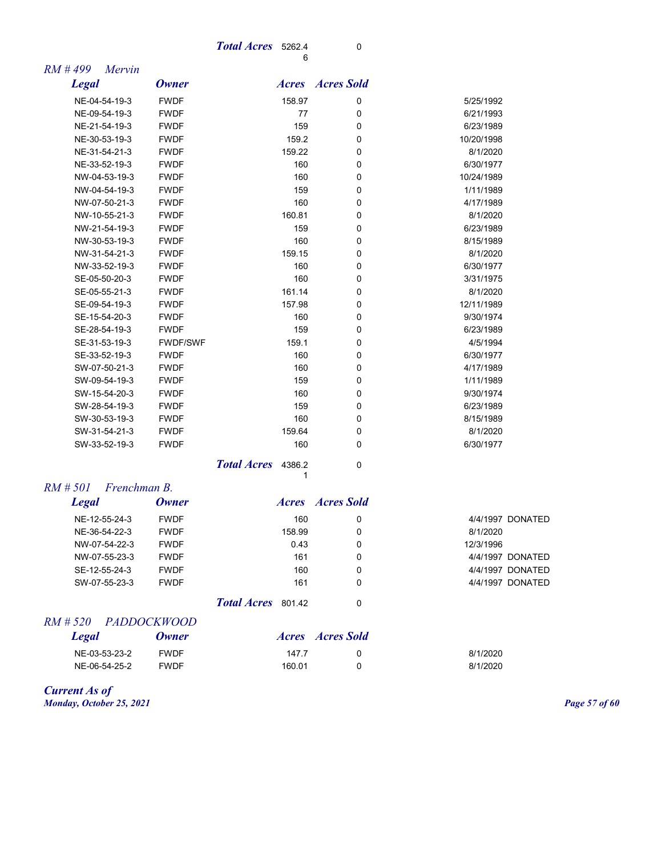#### *Total Acres* 5262.4 0 6

| $RM$ #499<br>Mervin         |                 |                    |                         |            |                  |
|-----------------------------|-----------------|--------------------|-------------------------|------------|------------------|
| <b>Legal</b>                | <b>Owner</b>    |                    | <b>Acres Acres</b> Sold |            |                  |
| NE-04-54-19-3               | <b>FWDF</b>     | 158.97             | 0                       | 5/25/1992  |                  |
| NE-09-54-19-3               | <b>FWDF</b>     | 77                 | 0                       | 6/21/1993  |                  |
| NE-21-54-19-3               | <b>FWDF</b>     | 159                | $\mathbf 0$             | 6/23/1989  |                  |
| NE-30-53-19-3               | <b>FWDF</b>     | 159.2              | 0                       | 10/20/1998 |                  |
| NE-31-54-21-3               | <b>FWDF</b>     | 159.22             | 0                       | 8/1/2020   |                  |
| NE-33-52-19-3               | <b>FWDF</b>     | 160                | $\mathbf 0$             | 6/30/1977  |                  |
| NW-04-53-19-3               | <b>FWDF</b>     | 160                | 0                       | 10/24/1989 |                  |
| NW-04-54-19-3               | <b>FWDF</b>     | 159                | $\mathbf 0$             | 1/11/1989  |                  |
| NW-07-50-21-3               | <b>FWDF</b>     | 160                | $\mathbf 0$             | 4/17/1989  |                  |
| NW-10-55-21-3               | <b>FWDF</b>     | 160.81             | $\mathbf 0$             | 8/1/2020   |                  |
| NW-21-54-19-3               | <b>FWDF</b>     | 159                | 0                       | 6/23/1989  |                  |
| NW-30-53-19-3               | <b>FWDF</b>     | 160                | 0                       | 8/15/1989  |                  |
| NW-31-54-21-3               | <b>FWDF</b>     | 159.15             | $\mathbf 0$             | 8/1/2020   |                  |
| NW-33-52-19-3               | <b>FWDF</b>     | 160                | 0                       | 6/30/1977  |                  |
| SE-05-50-20-3               | <b>FWDF</b>     | 160                | 0                       | 3/31/1975  |                  |
| SE-05-55-21-3               | <b>FWDF</b>     | 161.14             | $\mathbf 0$             | 8/1/2020   |                  |
| SE-09-54-19-3               | <b>FWDF</b>     | 157.98             | $\mathbf 0$             | 12/11/1989 |                  |
| SE-15-54-20-3               | <b>FWDF</b>     | 160                | 0                       | 9/30/1974  |                  |
| SE-28-54-19-3               | <b>FWDF</b>     | 159                | 0                       | 6/23/1989  |                  |
| SE-31-53-19-3               | <b>FWDF/SWF</b> | 159.1              | $\mathbf 0$             | 4/5/1994   |                  |
| SE-33-52-19-3               | <b>FWDF</b>     | 160                | 0                       | 6/30/1977  |                  |
| SW-07-50-21-3               | <b>FWDF</b>     | 160                | 0                       | 4/17/1989  |                  |
| SW-09-54-19-3               | <b>FWDF</b>     | 159                | 0                       | 1/11/1989  |                  |
| SW-15-54-20-3               | <b>FWDF</b>     | 160                | $\mathbf 0$             | 9/30/1974  |                  |
| SW-28-54-19-3               | <b>FWDF</b>     | 159                | $\mathbf 0$             | 6/23/1989  |                  |
| SW-30-53-19-3               | <b>FWDF</b>     | 160                | 0                       | 8/15/1989  |                  |
| SW-31-54-21-3               | <b>FWDF</b>     | 159.64             | 0                       | 8/1/2020   |                  |
| SW-33-52-19-3               | <b>FWDF</b>     | 160                | 0                       | 6/30/1977  |                  |
|                             |                 | Total Acres 4386.2 | $\mathbf 0$<br>1        |            |                  |
| $RM \# 501$<br>Frenchman B. |                 |                    |                         |            |                  |
| <b>Legal</b>                | <b>Owner</b>    |                    | <b>Acres Acres</b> Sold |            |                  |
| NE-12-55-24-3               | <b>FWDF</b>     | 160                | 0                       |            | 4/4/1997 DONATED |
| NE-36-54-22-3               | <b>FWDF</b>     | 158.99             | 0                       | 8/1/2020   |                  |
| NW-07-54-22-3               | <b>FWDF</b>     | 0.43               | 0                       | 12/3/1996  |                  |
| NW-07-55-23-3               | <b>FWDF</b>     | 161                | 0                       |            | 4/4/1997 DONATED |
| SE-12-55-24-3               | <b>FWDF</b>     | 160                | $\Omega$                |            | 4/4/1997 DONATED |

*Total Acres* 801.42 0

SW-07-55-23-3 FWDF 161 0 4/4/1997 DONATED

## *RM # 520 PADDOCKWOOD*

| <b>Legal</b>  | Owner       |        | Acres Acres Sold |          |
|---------------|-------------|--------|------------------|----------|
| NE-03-53-23-2 | <b>FWDF</b> | 147.7  |                  | 8/1/2020 |
| NE-06-54-25-2 | <b>FWDF</b> | 160.01 |                  | 8/1/2020 |

*Current As of Monday, October 25, 2021 Page 57 of 60*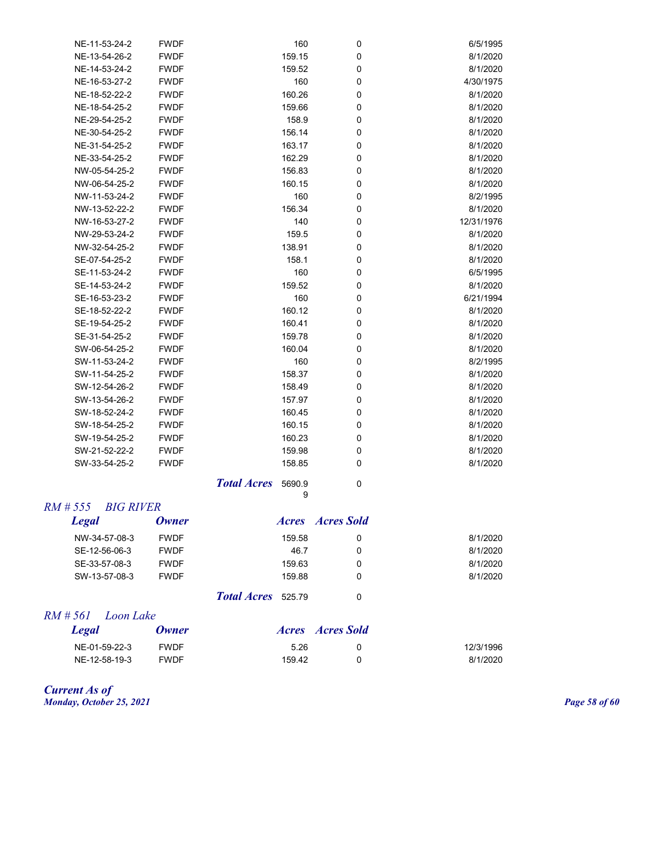| NE-11-53-24-2 | <b>FWDF</b> | 160    | 0 | 6/5/1995   |
|---------------|-------------|--------|---|------------|
| NE-13-54-26-2 | <b>FWDF</b> | 159.15 | 0 | 8/1/2020   |
| NE-14-53-24-2 | <b>FWDF</b> | 159.52 | 0 | 8/1/2020   |
| NE-16-53-27-2 | <b>FWDF</b> | 160    | 0 | 4/30/1975  |
| NE-18-52-22-2 | <b>FWDF</b> | 160.26 | 0 | 8/1/2020   |
| NE-18-54-25-2 | <b>FWDF</b> | 159.66 | 0 | 8/1/2020   |
| NE-29-54-25-2 | <b>FWDF</b> | 158.9  | 0 | 8/1/2020   |
| NE-30-54-25-2 | <b>FWDF</b> | 156.14 | 0 | 8/1/2020   |
| NE-31-54-25-2 | <b>FWDF</b> | 163.17 | 0 | 8/1/2020   |
| NE-33-54-25-2 | <b>FWDF</b> | 162.29 | 0 | 8/1/2020   |
| NW-05-54-25-2 | <b>FWDF</b> | 156.83 | 0 | 8/1/2020   |
| NW-06-54-25-2 | <b>FWDF</b> | 160.15 | 0 | 8/1/2020   |
| NW-11-53-24-2 | <b>FWDF</b> | 160    | 0 | 8/2/1995   |
| NW-13-52-22-2 | <b>FWDF</b> | 156.34 | 0 | 8/1/2020   |
| NW-16-53-27-2 | <b>FWDF</b> | 140    | 0 | 12/31/1976 |
| NW-29-53-24-2 | <b>FWDF</b> | 159.5  | 0 | 8/1/2020   |
| NW-32-54-25-2 | <b>FWDF</b> | 138.91 | 0 | 8/1/2020   |
| SE-07-54-25-2 | <b>FWDF</b> | 158.1  | 0 | 8/1/2020   |
| SE-11-53-24-2 | <b>FWDF</b> | 160    | 0 | 6/5/1995   |
| SE-14-53-24-2 | <b>FWDF</b> | 159.52 | 0 | 8/1/2020   |
| SE-16-53-23-2 | <b>FWDF</b> | 160    | 0 | 6/21/1994  |
| SE-18-52-22-2 | <b>FWDF</b> | 160.12 | 0 | 8/1/2020   |
| SE-19-54-25-2 | <b>FWDF</b> | 160.41 | 0 | 8/1/2020   |
| SE-31-54-25-2 | <b>FWDF</b> | 159.78 | 0 | 8/1/2020   |
| SW-06-54-25-2 | <b>FWDF</b> | 160.04 | 0 | 8/1/2020   |
| SW-11-53-24-2 | <b>FWDF</b> | 160    | 0 | 8/2/1995   |
| SW-11-54-25-2 | <b>FWDF</b> | 158.37 | 0 | 8/1/2020   |
| SW-12-54-26-2 | <b>FWDF</b> | 158.49 | 0 | 8/1/2020   |
| SW-13-54-26-2 | <b>FWDF</b> | 157.97 | 0 | 8/1/2020   |
| SW-18-52-24-2 | <b>FWDF</b> | 160.45 | 0 | 8/1/2020   |
| SW-18-54-25-2 | <b>FWDF</b> | 160.15 | 0 | 8/1/2020   |
| SW-19-54-25-2 | <b>FWDF</b> | 160.23 | 0 | 8/1/2020   |
| SW-21-52-22-2 | <b>FWDF</b> | 159.98 | 0 | 8/1/2020   |
| SW-33-54-25-2 | <b>FWDF</b> | 158.85 | 0 | 8/1/2020   |
|               |             |        |   |            |

**Total Acres** 5690.9 0 9

#### *RM # 555 BIG RIVER*

| Legal         | Owner       |                           |        | <i>Acres Acres Sold</i> |          |
|---------------|-------------|---------------------------|--------|-------------------------|----------|
| NW-34-57-08-3 | <b>FWDF</b> |                           | 159.58 | 0                       | 8/1/2020 |
| SE-12-56-06-3 | <b>FWDF</b> |                           | 46.7   | 0                       | 8/1/2020 |
| SE-33-57-08-3 | <b>FWDF</b> |                           | 159.63 | 0                       | 8/1/2020 |
| SW-13-57-08-3 | <b>FWDF</b> |                           | 159.88 | 0                       | 8/1/2020 |
|               |             | <b>Total Acres</b> 525.79 |        | 0                       |          |

## *RM # 561 Loon Lake*

| Legal         | <b>Owner</b> |        | Acres Acres Sold |           |
|---------------|--------------|--------|------------------|-----------|
| NE-01-59-22-3 | <b>FWDF</b>  | 5.26   |                  | 12/3/1996 |
| NE-12-58-19-3 | <b>FWDF</b>  | 159.42 |                  | 8/1/2020  |

#### *Current As of Monday, October 25, 2021 Page 58 of 60*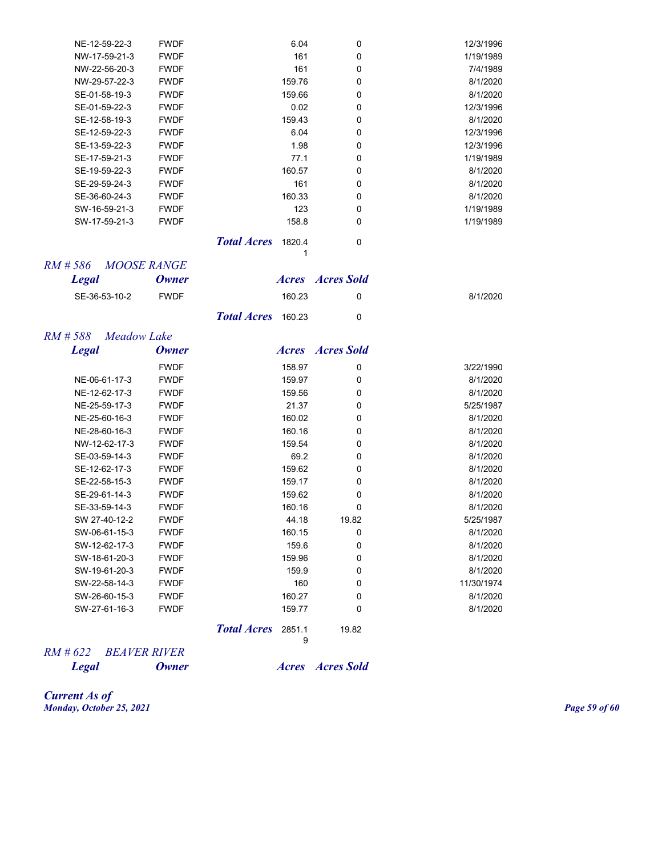| 161<br>1/19/1989<br>NW-17-59-21-3<br><b>FWDF</b><br>0<br>161<br>0<br>NW-22-56-20-3<br>7/4/1989<br><b>FWDF</b><br>NW-29-57-22-3<br>159.76<br>0<br>8/1/2020<br><b>FWDF</b><br>SE-01-58-19-3<br><b>FWDF</b><br>159.66<br>0<br>8/1/2020<br>12/3/1996<br>SE-01-59-22-3<br><b>FWDF</b><br>0.02<br>0<br>SE-12-58-19-3<br>159.43<br>8/1/2020<br><b>FWDF</b><br>0<br>SE-12-59-22-3<br><b>FWDF</b><br>6.04<br>12/3/1996<br>0<br>1.98<br>12/3/1996<br>SE-13-59-22-3<br><b>FWDF</b><br>0<br>SE-17-59-21-3<br><b>FWDF</b><br>77.1<br>1/19/1989<br>0<br><b>FWDF</b><br>160.57<br>8/1/2020<br>SE-19-59-22-3<br>0<br>161<br>8/1/2020<br>SE-29-59-24-3<br><b>FWDF</b><br>0<br>SE-36-60-24-3<br>160.33<br>8/1/2020<br><b>FWDF</b><br>0<br>SW-16-59-21-3<br><b>FWDF</b><br>123<br>1/19/1989<br>0<br>SW-17-59-21-3<br>1/19/1989<br><b>FWDF</b><br>158.8<br>0<br><b>Total Acres</b><br>1820.4<br>$\pmb{0}$<br>1<br>RM#586<br><b>MOOSE RANGE</b><br><b>Acres Acres</b> Sold<br><b>Legal</b><br><b>Owner</b><br>SE-36-53-10-2<br><b>FWDF</b><br>160.23<br>8/1/2020<br>0<br><b>Total Acres</b><br>160.23<br>0<br>RM#588<br>Meadow Lake<br><b>Legal</b><br><b>Acres Acres</b> Sold<br><b>Owner</b><br><b>FWDF</b><br>158.97<br>0<br>3/22/1990<br>NE-06-61-17-3<br><b>FWDF</b><br>159.97<br>0<br>8/1/2020<br>NE-12-62-17-3<br><b>FWDF</b><br>159.56<br>0<br>8/1/2020<br>21.37<br>5/25/1987<br>NE-25-59-17-3<br><b>FWDF</b><br>0<br>NE-25-60-16-3<br><b>FWDF</b><br>160.02<br>8/1/2020<br>0<br>NE-28-60-16-3<br><b>FWDF</b><br>160.16<br>8/1/2020<br>0<br><b>FWDF</b><br>8/1/2020<br>NW-12-62-17-3<br>159.54<br>0<br>8/1/2020<br>SE-03-59-14-3<br><b>FWDF</b><br>69.2<br>0<br>SE-12-62-17-3<br><b>FWDF</b><br>8/1/2020<br>159.62<br>0<br>8/1/2020<br>SE-22-58-15-3<br><b>FWDF</b><br>159.17<br>0<br>SE-29-61-14-3<br>159.62<br>8/1/2020<br><b>FWDF</b><br>0<br>SE-33-59-14-3<br><b>FWDF</b><br>160.16<br>8/1/2020<br>0<br>SW 27-40-12-2<br><b>FWDF</b><br>19.82<br>5/25/1987<br>44.18<br>SW-06-61-15-3<br><b>FWDF</b><br>0<br>8/1/2020<br>160.15<br>SW-12-62-17-3<br>159.6<br>0<br>8/1/2020<br><b>FWDF</b><br><b>FWDF</b><br>159.96<br>SW-18-61-20-3<br>0<br>8/1/2020<br>SW-19-61-20-3<br><b>FWDF</b><br>159.9<br>0<br>8/1/2020<br>SW-22-58-14-3<br><b>FWDF</b><br>160<br>0<br>11/30/1974<br>SW-26-60-15-3<br>160.27<br>0<br>8/1/2020<br><b>FWDF</b><br>SW-27-61-16-3<br><b>FWDF</b><br>0<br>8/1/2020<br>159.77<br><b>Total Acres</b><br>2851.1<br>19.82<br>9 | NE-12-59-22-3 | <b>FWDF</b> | 6.04 | 0 | 12/3/1996 |
|------------------------------------------------------------------------------------------------------------------------------------------------------------------------------------------------------------------------------------------------------------------------------------------------------------------------------------------------------------------------------------------------------------------------------------------------------------------------------------------------------------------------------------------------------------------------------------------------------------------------------------------------------------------------------------------------------------------------------------------------------------------------------------------------------------------------------------------------------------------------------------------------------------------------------------------------------------------------------------------------------------------------------------------------------------------------------------------------------------------------------------------------------------------------------------------------------------------------------------------------------------------------------------------------------------------------------------------------------------------------------------------------------------------------------------------------------------------------------------------------------------------------------------------------------------------------------------------------------------------------------------------------------------------------------------------------------------------------------------------------------------------------------------------------------------------------------------------------------------------------------------------------------------------------------------------------------------------------------------------------------------------------------------------------------------------------------------------------------------------------------------------------------------------------------------------------------------------------------------------------------------------------------------------------------------------------------------------------------------------------------------------------------------------------------------|---------------|-------------|------|---|-----------|
|                                                                                                                                                                                                                                                                                                                                                                                                                                                                                                                                                                                                                                                                                                                                                                                                                                                                                                                                                                                                                                                                                                                                                                                                                                                                                                                                                                                                                                                                                                                                                                                                                                                                                                                                                                                                                                                                                                                                                                                                                                                                                                                                                                                                                                                                                                                                                                                                                                    |               |             |      |   |           |
|                                                                                                                                                                                                                                                                                                                                                                                                                                                                                                                                                                                                                                                                                                                                                                                                                                                                                                                                                                                                                                                                                                                                                                                                                                                                                                                                                                                                                                                                                                                                                                                                                                                                                                                                                                                                                                                                                                                                                                                                                                                                                                                                                                                                                                                                                                                                                                                                                                    |               |             |      |   |           |
|                                                                                                                                                                                                                                                                                                                                                                                                                                                                                                                                                                                                                                                                                                                                                                                                                                                                                                                                                                                                                                                                                                                                                                                                                                                                                                                                                                                                                                                                                                                                                                                                                                                                                                                                                                                                                                                                                                                                                                                                                                                                                                                                                                                                                                                                                                                                                                                                                                    |               |             |      |   |           |
|                                                                                                                                                                                                                                                                                                                                                                                                                                                                                                                                                                                                                                                                                                                                                                                                                                                                                                                                                                                                                                                                                                                                                                                                                                                                                                                                                                                                                                                                                                                                                                                                                                                                                                                                                                                                                                                                                                                                                                                                                                                                                                                                                                                                                                                                                                                                                                                                                                    |               |             |      |   |           |
|                                                                                                                                                                                                                                                                                                                                                                                                                                                                                                                                                                                                                                                                                                                                                                                                                                                                                                                                                                                                                                                                                                                                                                                                                                                                                                                                                                                                                                                                                                                                                                                                                                                                                                                                                                                                                                                                                                                                                                                                                                                                                                                                                                                                                                                                                                                                                                                                                                    |               |             |      |   |           |
|                                                                                                                                                                                                                                                                                                                                                                                                                                                                                                                                                                                                                                                                                                                                                                                                                                                                                                                                                                                                                                                                                                                                                                                                                                                                                                                                                                                                                                                                                                                                                                                                                                                                                                                                                                                                                                                                                                                                                                                                                                                                                                                                                                                                                                                                                                                                                                                                                                    |               |             |      |   |           |
|                                                                                                                                                                                                                                                                                                                                                                                                                                                                                                                                                                                                                                                                                                                                                                                                                                                                                                                                                                                                                                                                                                                                                                                                                                                                                                                                                                                                                                                                                                                                                                                                                                                                                                                                                                                                                                                                                                                                                                                                                                                                                                                                                                                                                                                                                                                                                                                                                                    |               |             |      |   |           |
|                                                                                                                                                                                                                                                                                                                                                                                                                                                                                                                                                                                                                                                                                                                                                                                                                                                                                                                                                                                                                                                                                                                                                                                                                                                                                                                                                                                                                                                                                                                                                                                                                                                                                                                                                                                                                                                                                                                                                                                                                                                                                                                                                                                                                                                                                                                                                                                                                                    |               |             |      |   |           |
|                                                                                                                                                                                                                                                                                                                                                                                                                                                                                                                                                                                                                                                                                                                                                                                                                                                                                                                                                                                                                                                                                                                                                                                                                                                                                                                                                                                                                                                                                                                                                                                                                                                                                                                                                                                                                                                                                                                                                                                                                                                                                                                                                                                                                                                                                                                                                                                                                                    |               |             |      |   |           |
|                                                                                                                                                                                                                                                                                                                                                                                                                                                                                                                                                                                                                                                                                                                                                                                                                                                                                                                                                                                                                                                                                                                                                                                                                                                                                                                                                                                                                                                                                                                                                                                                                                                                                                                                                                                                                                                                                                                                                                                                                                                                                                                                                                                                                                                                                                                                                                                                                                    |               |             |      |   |           |
|                                                                                                                                                                                                                                                                                                                                                                                                                                                                                                                                                                                                                                                                                                                                                                                                                                                                                                                                                                                                                                                                                                                                                                                                                                                                                                                                                                                                                                                                                                                                                                                                                                                                                                                                                                                                                                                                                                                                                                                                                                                                                                                                                                                                                                                                                                                                                                                                                                    |               |             |      |   |           |
|                                                                                                                                                                                                                                                                                                                                                                                                                                                                                                                                                                                                                                                                                                                                                                                                                                                                                                                                                                                                                                                                                                                                                                                                                                                                                                                                                                                                                                                                                                                                                                                                                                                                                                                                                                                                                                                                                                                                                                                                                                                                                                                                                                                                                                                                                                                                                                                                                                    |               |             |      |   |           |
|                                                                                                                                                                                                                                                                                                                                                                                                                                                                                                                                                                                                                                                                                                                                                                                                                                                                                                                                                                                                                                                                                                                                                                                                                                                                                                                                                                                                                                                                                                                                                                                                                                                                                                                                                                                                                                                                                                                                                                                                                                                                                                                                                                                                                                                                                                                                                                                                                                    |               |             |      |   |           |
|                                                                                                                                                                                                                                                                                                                                                                                                                                                                                                                                                                                                                                                                                                                                                                                                                                                                                                                                                                                                                                                                                                                                                                                                                                                                                                                                                                                                                                                                                                                                                                                                                                                                                                                                                                                                                                                                                                                                                                                                                                                                                                                                                                                                                                                                                                                                                                                                                                    |               |             |      |   |           |
|                                                                                                                                                                                                                                                                                                                                                                                                                                                                                                                                                                                                                                                                                                                                                                                                                                                                                                                                                                                                                                                                                                                                                                                                                                                                                                                                                                                                                                                                                                                                                                                                                                                                                                                                                                                                                                                                                                                                                                                                                                                                                                                                                                                                                                                                                                                                                                                                                                    |               |             |      |   |           |
|                                                                                                                                                                                                                                                                                                                                                                                                                                                                                                                                                                                                                                                                                                                                                                                                                                                                                                                                                                                                                                                                                                                                                                                                                                                                                                                                                                                                                                                                                                                                                                                                                                                                                                                                                                                                                                                                                                                                                                                                                                                                                                                                                                                                                                                                                                                                                                                                                                    |               |             |      |   |           |
|                                                                                                                                                                                                                                                                                                                                                                                                                                                                                                                                                                                                                                                                                                                                                                                                                                                                                                                                                                                                                                                                                                                                                                                                                                                                                                                                                                                                                                                                                                                                                                                                                                                                                                                                                                                                                                                                                                                                                                                                                                                                                                                                                                                                                                                                                                                                                                                                                                    |               |             |      |   |           |
|                                                                                                                                                                                                                                                                                                                                                                                                                                                                                                                                                                                                                                                                                                                                                                                                                                                                                                                                                                                                                                                                                                                                                                                                                                                                                                                                                                                                                                                                                                                                                                                                                                                                                                                                                                                                                                                                                                                                                                                                                                                                                                                                                                                                                                                                                                                                                                                                                                    |               |             |      |   |           |
|                                                                                                                                                                                                                                                                                                                                                                                                                                                                                                                                                                                                                                                                                                                                                                                                                                                                                                                                                                                                                                                                                                                                                                                                                                                                                                                                                                                                                                                                                                                                                                                                                                                                                                                                                                                                                                                                                                                                                                                                                                                                                                                                                                                                                                                                                                                                                                                                                                    |               |             |      |   |           |
|                                                                                                                                                                                                                                                                                                                                                                                                                                                                                                                                                                                                                                                                                                                                                                                                                                                                                                                                                                                                                                                                                                                                                                                                                                                                                                                                                                                                                                                                                                                                                                                                                                                                                                                                                                                                                                                                                                                                                                                                                                                                                                                                                                                                                                                                                                                                                                                                                                    |               |             |      |   |           |
|                                                                                                                                                                                                                                                                                                                                                                                                                                                                                                                                                                                                                                                                                                                                                                                                                                                                                                                                                                                                                                                                                                                                                                                                                                                                                                                                                                                                                                                                                                                                                                                                                                                                                                                                                                                                                                                                                                                                                                                                                                                                                                                                                                                                                                                                                                                                                                                                                                    |               |             |      |   |           |
|                                                                                                                                                                                                                                                                                                                                                                                                                                                                                                                                                                                                                                                                                                                                                                                                                                                                                                                                                                                                                                                                                                                                                                                                                                                                                                                                                                                                                                                                                                                                                                                                                                                                                                                                                                                                                                                                                                                                                                                                                                                                                                                                                                                                                                                                                                                                                                                                                                    |               |             |      |   |           |
|                                                                                                                                                                                                                                                                                                                                                                                                                                                                                                                                                                                                                                                                                                                                                                                                                                                                                                                                                                                                                                                                                                                                                                                                                                                                                                                                                                                                                                                                                                                                                                                                                                                                                                                                                                                                                                                                                                                                                                                                                                                                                                                                                                                                                                                                                                                                                                                                                                    |               |             |      |   |           |
|                                                                                                                                                                                                                                                                                                                                                                                                                                                                                                                                                                                                                                                                                                                                                                                                                                                                                                                                                                                                                                                                                                                                                                                                                                                                                                                                                                                                                                                                                                                                                                                                                                                                                                                                                                                                                                                                                                                                                                                                                                                                                                                                                                                                                                                                                                                                                                                                                                    |               |             |      |   |           |
|                                                                                                                                                                                                                                                                                                                                                                                                                                                                                                                                                                                                                                                                                                                                                                                                                                                                                                                                                                                                                                                                                                                                                                                                                                                                                                                                                                                                                                                                                                                                                                                                                                                                                                                                                                                                                                                                                                                                                                                                                                                                                                                                                                                                                                                                                                                                                                                                                                    |               |             |      |   |           |
|                                                                                                                                                                                                                                                                                                                                                                                                                                                                                                                                                                                                                                                                                                                                                                                                                                                                                                                                                                                                                                                                                                                                                                                                                                                                                                                                                                                                                                                                                                                                                                                                                                                                                                                                                                                                                                                                                                                                                                                                                                                                                                                                                                                                                                                                                                                                                                                                                                    |               |             |      |   |           |
|                                                                                                                                                                                                                                                                                                                                                                                                                                                                                                                                                                                                                                                                                                                                                                                                                                                                                                                                                                                                                                                                                                                                                                                                                                                                                                                                                                                                                                                                                                                                                                                                                                                                                                                                                                                                                                                                                                                                                                                                                                                                                                                                                                                                                                                                                                                                                                                                                                    |               |             |      |   |           |
|                                                                                                                                                                                                                                                                                                                                                                                                                                                                                                                                                                                                                                                                                                                                                                                                                                                                                                                                                                                                                                                                                                                                                                                                                                                                                                                                                                                                                                                                                                                                                                                                                                                                                                                                                                                                                                                                                                                                                                                                                                                                                                                                                                                                                                                                                                                                                                                                                                    |               |             |      |   |           |
|                                                                                                                                                                                                                                                                                                                                                                                                                                                                                                                                                                                                                                                                                                                                                                                                                                                                                                                                                                                                                                                                                                                                                                                                                                                                                                                                                                                                                                                                                                                                                                                                                                                                                                                                                                                                                                                                                                                                                                                                                                                                                                                                                                                                                                                                                                                                                                                                                                    |               |             |      |   |           |
|                                                                                                                                                                                                                                                                                                                                                                                                                                                                                                                                                                                                                                                                                                                                                                                                                                                                                                                                                                                                                                                                                                                                                                                                                                                                                                                                                                                                                                                                                                                                                                                                                                                                                                                                                                                                                                                                                                                                                                                                                                                                                                                                                                                                                                                                                                                                                                                                                                    |               |             |      |   |           |
|                                                                                                                                                                                                                                                                                                                                                                                                                                                                                                                                                                                                                                                                                                                                                                                                                                                                                                                                                                                                                                                                                                                                                                                                                                                                                                                                                                                                                                                                                                                                                                                                                                                                                                                                                                                                                                                                                                                                                                                                                                                                                                                                                                                                                                                                                                                                                                                                                                    |               |             |      |   |           |
|                                                                                                                                                                                                                                                                                                                                                                                                                                                                                                                                                                                                                                                                                                                                                                                                                                                                                                                                                                                                                                                                                                                                                                                                                                                                                                                                                                                                                                                                                                                                                                                                                                                                                                                                                                                                                                                                                                                                                                                                                                                                                                                                                                                                                                                                                                                                                                                                                                    |               |             |      |   |           |
|                                                                                                                                                                                                                                                                                                                                                                                                                                                                                                                                                                                                                                                                                                                                                                                                                                                                                                                                                                                                                                                                                                                                                                                                                                                                                                                                                                                                                                                                                                                                                                                                                                                                                                                                                                                                                                                                                                                                                                                                                                                                                                                                                                                                                                                                                                                                                                                                                                    |               |             |      |   |           |
|                                                                                                                                                                                                                                                                                                                                                                                                                                                                                                                                                                                                                                                                                                                                                                                                                                                                                                                                                                                                                                                                                                                                                                                                                                                                                                                                                                                                                                                                                                                                                                                                                                                                                                                                                                                                                                                                                                                                                                                                                                                                                                                                                                                                                                                                                                                                                                                                                                    |               |             |      |   |           |
|                                                                                                                                                                                                                                                                                                                                                                                                                                                                                                                                                                                                                                                                                                                                                                                                                                                                                                                                                                                                                                                                                                                                                                                                                                                                                                                                                                                                                                                                                                                                                                                                                                                                                                                                                                                                                                                                                                                                                                                                                                                                                                                                                                                                                                                                                                                                                                                                                                    |               |             |      |   |           |
|                                                                                                                                                                                                                                                                                                                                                                                                                                                                                                                                                                                                                                                                                                                                                                                                                                                                                                                                                                                                                                                                                                                                                                                                                                                                                                                                                                                                                                                                                                                                                                                                                                                                                                                                                                                                                                                                                                                                                                                                                                                                                                                                                                                                                                                                                                                                                                                                                                    |               |             |      |   |           |
|                                                                                                                                                                                                                                                                                                                                                                                                                                                                                                                                                                                                                                                                                                                                                                                                                                                                                                                                                                                                                                                                                                                                                                                                                                                                                                                                                                                                                                                                                                                                                                                                                                                                                                                                                                                                                                                                                                                                                                                                                                                                                                                                                                                                                                                                                                                                                                                                                                    |               |             |      |   |           |
|                                                                                                                                                                                                                                                                                                                                                                                                                                                                                                                                                                                                                                                                                                                                                                                                                                                                                                                                                                                                                                                                                                                                                                                                                                                                                                                                                                                                                                                                                                                                                                                                                                                                                                                                                                                                                                                                                                                                                                                                                                                                                                                                                                                                                                                                                                                                                                                                                                    |               |             |      |   |           |
|                                                                                                                                                                                                                                                                                                                                                                                                                                                                                                                                                                                                                                                                                                                                                                                                                                                                                                                                                                                                                                                                                                                                                                                                                                                                                                                                                                                                                                                                                                                                                                                                                                                                                                                                                                                                                                                                                                                                                                                                                                                                                                                                                                                                                                                                                                                                                                                                                                    |               |             |      |   |           |
|                                                                                                                                                                                                                                                                                                                                                                                                                                                                                                                                                                                                                                                                                                                                                                                                                                                                                                                                                                                                                                                                                                                                                                                                                                                                                                                                                                                                                                                                                                                                                                                                                                                                                                                                                                                                                                                                                                                                                                                                                                                                                                                                                                                                                                                                                                                                                                                                                                    |               |             |      |   |           |
|                                                                                                                                                                                                                                                                                                                                                                                                                                                                                                                                                                                                                                                                                                                                                                                                                                                                                                                                                                                                                                                                                                                                                                                                                                                                                                                                                                                                                                                                                                                                                                                                                                                                                                                                                                                                                                                                                                                                                                                                                                                                                                                                                                                                                                                                                                                                                                                                                                    |               |             |      |   |           |
|                                                                                                                                                                                                                                                                                                                                                                                                                                                                                                                                                                                                                                                                                                                                                                                                                                                                                                                                                                                                                                                                                                                                                                                                                                                                                                                                                                                                                                                                                                                                                                                                                                                                                                                                                                                                                                                                                                                                                                                                                                                                                                                                                                                                                                                                                                                                                                                                                                    |               |             |      |   |           |
|                                                                                                                                                                                                                                                                                                                                                                                                                                                                                                                                                                                                                                                                                                                                                                                                                                                                                                                                                                                                                                                                                                                                                                                                                                                                                                                                                                                                                                                                                                                                                                                                                                                                                                                                                                                                                                                                                                                                                                                                                                                                                                                                                                                                                                                                                                                                                                                                                                    |               |             |      |   |           |

*RM # 622 BEAVER RIVER*

*Legal Owner Acres Acres Sold*

*Current As of Monday, October 25, 2021 Page 59 of 60*